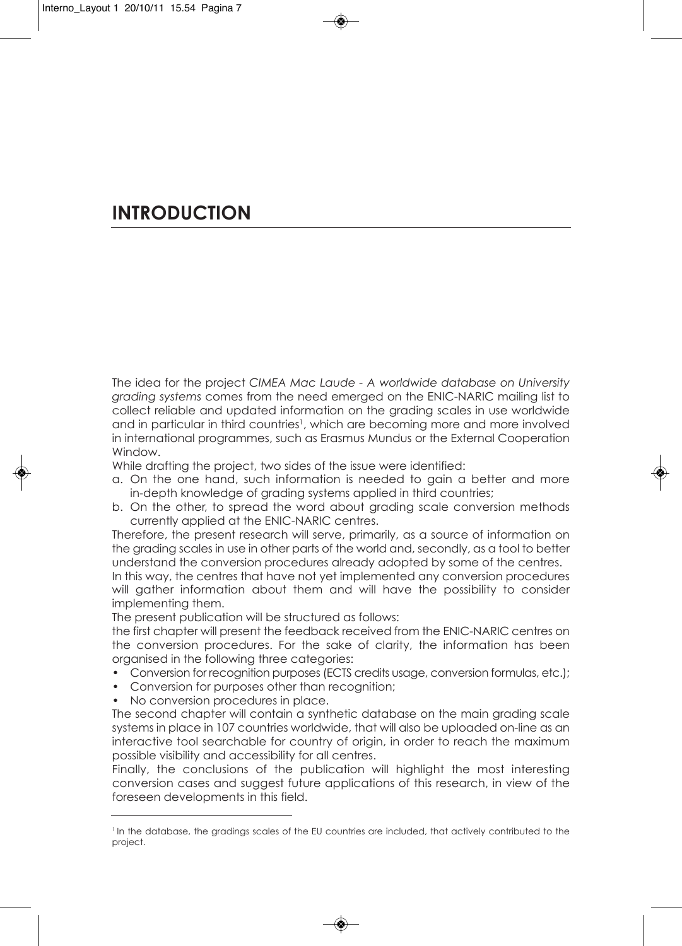# **INTRODUCTION**

the idea for the project *CIMEA Mac Laude - A worldwide database on University grading systems* comes from the need emerged on the enic-nAric mailing list to collect reliable and updated information on the grading scales in use worldwide and in particular in third countries<sup>1</sup>, which are becoming more and more involved in international programmes, such as erasmus mundus or the external cooperation Window.

While drafting the project, two sides of the issue were identified:

- a. on the one hand, such information is needed to gain a better and more in-depth knowledge of grading systems applied in third countries;
- b. on the other, to spread the word about grading scale conversion methods currently applied at the ENIC-NARIC centres.

therefore, the present research will serve, primarily, as a source of information on the grading scales in use in other parts of the world and, secondly, as a tool to better understand the conversion procedures already adopted by some of the centres.

in this way, the centres that have not yet implemented any conversion procedures will gather information about them and will have the possibility to consider implementing them.

The present publication will be structured as follows:

the first chapter will present the feedback received from the enic-nAric centres on the conversion procedures. For the sake of clarity, the information has been organised in the following three categories:

- Conversion for recognition purposes (ECTS credits usage, conversion formulas, etc.);
- conversion for purposes other than recognition;
- No conversion procedures in place.

the second chapter will contain a synthetic database on the main grading scale systems in place in 107 countries worldwide, that will also be uploaded on-line as an interactive tool searchable for country of origin, in order to reach the maximum possible visibility and accessibility for all centres.

Finally, the conclusions of the publication will highlight the most interesting conversion cases and suggest future applications of this research, in view of the foreseen developments in this field.

<sup>&</sup>lt;sup>1</sup> In the database, the gradings scales of the EU countries are included, that actively contributed to the project.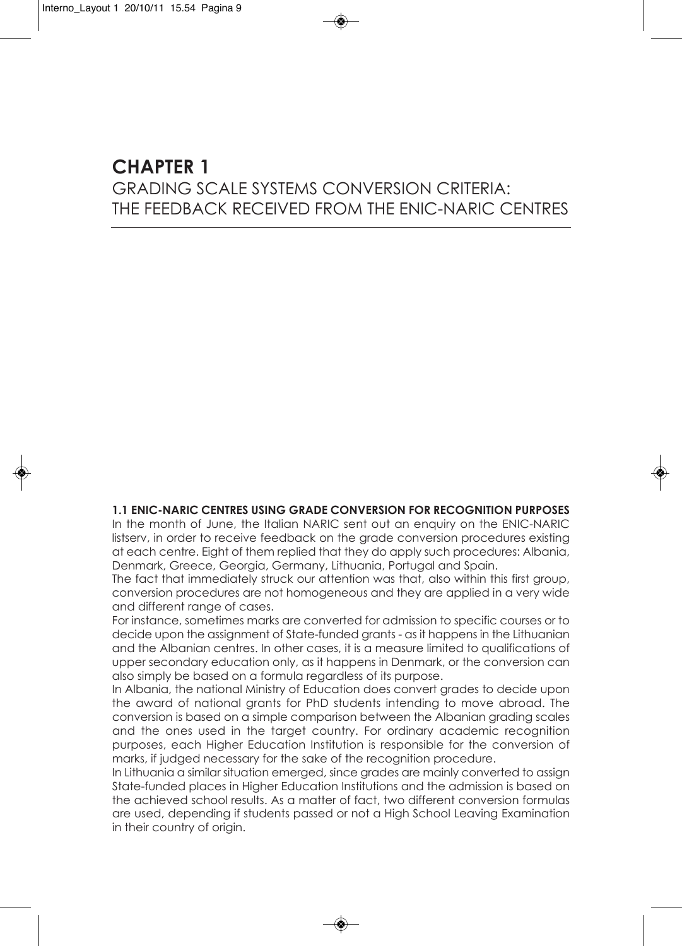### **CHAPTER 1** grAding scAle systems conversion criteriA: tHe FeedbAcK received From tHe enic-nAric centres

#### **1.1 ENIC-NARIC CENTREs UsING GRADE CONvERsION fOR RECOGNITION PURPOsEs**

In the month of June, the Italian NARIC sent out an enquiry on the ENIC-NARIC listserv, in order to receive feedback on the grade conversion procedures existing at each centre. eight of them replied that they do apply such procedures: Albania, Denmark, Greece, Georgia, Germany, Lithuania, Portugal and Spain.

the fact that immediately struck our attention was that, also within this first group, conversion procedures are not homogeneous and they are applied in a very wide and different range of cases.

For instance, sometimes marks are converted for admission to specific courses or to decide upon the assignment of state-funded grants - as it happens in the lithuanian and the Albanian centres. in other cases, it is a measure limited to qualifications of upper secondary education only, as it happens in Denmark, or the conversion can also simply be based on a formula regardless of its purpose.

In Albania, the national Ministry of Education does convert grades to decide upon the award of national grants for PhD students intending to move abroad. The conversion is based on a simple comparison between the Albanian grading scales and the ones used in the target country. For ordinary academic recognition purposes, each Higher education institution is responsible for the conversion of marks, if judged necessary for the sake of the recognition procedure.

in lithuania a similar situation emerged, since grades are mainly converted to assign state-funded places in Higher education institutions and the admission is based on the achieved school results. As a matter of fact, two different conversion formulas are used, depending if students passed or not a High School Leaving Examination in their country of origin.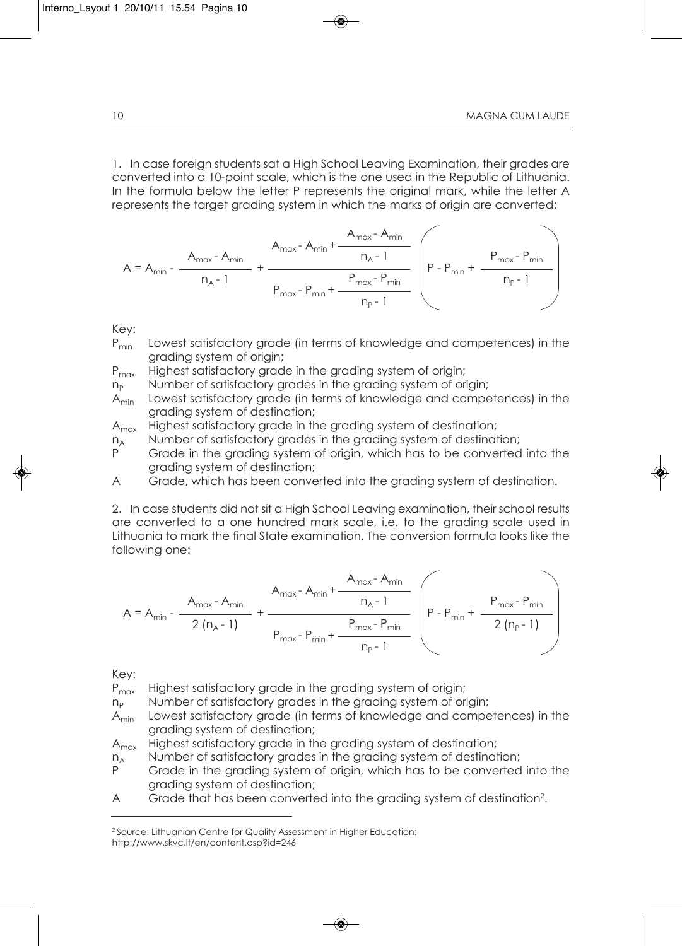1. In case foreign students sat a High School Leaving Examination, their grades are converted into a 10-point scale, which is the one used in the Republic of Lithuania. in the formula below the letter P represents the original mark, while the letter A represents the target grading system in which the marks of origin are converted:

$$
A = A_{min} - \frac{A_{max} - A_{min}}{n_A - 1} + \frac{A_{max} - A_{min} + \frac{A_{max} - A_{min}}{n_A - 1}}{P_{max} - P_{min} + \frac{P_{max} - P_{min}}{n_P - 1}}
$$

Key:

- P<sub>min</sub> Lowest satisfactory grade (in terms of knowledge and competences) in the grading system of origin;
- P<sub>max</sub> Highest satisfactory grade in the grading system of origin;

- $n_P$  Number of satisfactory grades in the grading system of origin;<br>A<sub>min</sub> Lowest satisfactory grade (in terms of knowledge and compe Lowest satisfactory grade (in terms of knowledge and competences) in the grading system of destination;
- A<sub>max</sub> Highest satisfactory grade in the grading system of destination;
- $n_A$  Number of satisfactory grades in the grading system of destination;<br>P Grade in the grading system of origin, which has to be converted
- Grade in the grading system of origin, which has to be converted into the grading system of destination;
- A Grade, which has been converted into the grading system of destination.

2. in case students did not sit a High school leaving examination, their school results are converted to a one hundred mark scale, i.e. to the grading scale used in lithuania to mark the final state examination. the conversion formula looks like the following one:

$$
A = A_{min} - \frac{A_{max} - A_{min}}{2 (n_A - 1)} + \frac{A_{max} - A_{min} + \frac{A_{max} - A_{min}}{n_A - 1}}{P_{max} - P_{min} + \frac{P_{max} - P_{min}}{n_P - 1}}
$$

Key:

P<sub>max</sub> Highest satisfactory grade in the grading system of origin;

- $n<sub>p</sub>$  Number of satisfactory grades in the grading system of origin;
- Amin lowest satisfactory grade (in terms of knowledge and competences) in the grading system of destination;
- A<sub>max</sub> Highest satisfactory grade in the grading system of destination;
- $n_A$  Number of satisfactory grades in the grading system of destination;<br>P Grade in the grading system of origin, which has to be converted
- Grade in the grading system of origin, which has to be converted into the grading system of destination;
- A Grade that has been converted into the grading system of destination<sup>2</sup>.

<sup>&</sup>lt;sup>2</sup> Source: Lithuanian Centre for Quality Assessment in Higher Education: http://www.skvc.lt/en/content.asp?id=246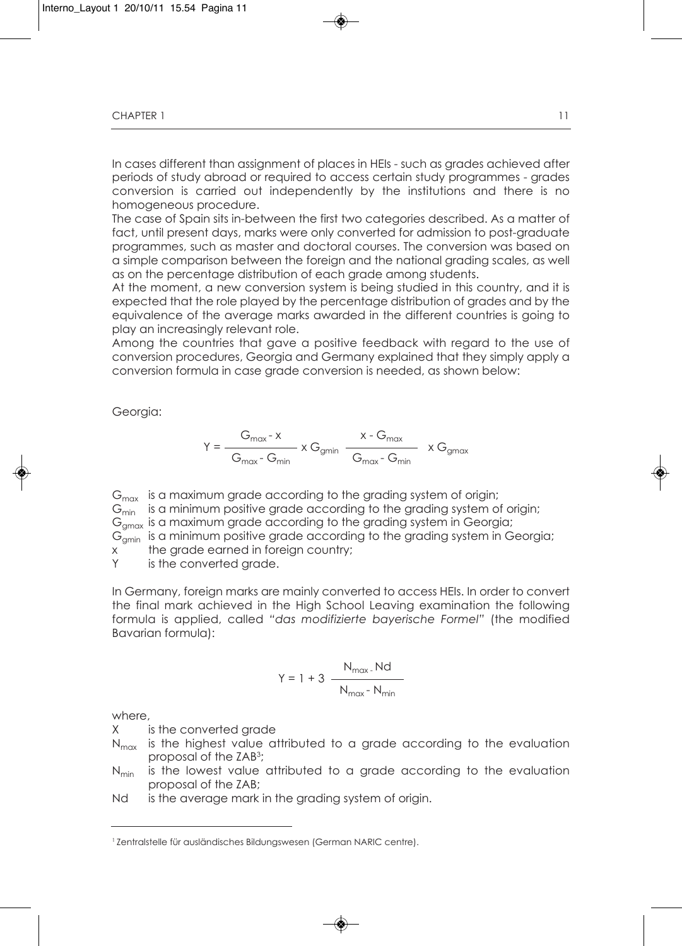in cases different than assignment of places in Heis - such as grades achieved after periods of study abroad or required to access certain study programmes - grades conversion is carried out independently by the institutions and there is no homogeneous procedure.

the case of spain sits in-between the first two categories described. As a matter of fact, until present days, marks were only converted for admission to post-graduate programmes, such as master and doctoral courses. the conversion was based on a simple comparison between the foreign and the national grading scales, as well as on the percentage distribution of each grade among students.

At the moment, a new conversion system is being studied in this country, and it is expected that the role played by the percentage distribution of grades and by the equivalence of the average marks awarded in the different countries is going to play an increasingly relevant role.

Among the countries that gave a positive feedback with regard to the use of conversion procedures, georgia and germany explained that they simply apply a conversion formula in case grade conversion is needed, as shown below:

Georgia:

$$
Y = \frac{G_{\text{max}} \cdot x}{G_{\text{max}} \cdot G_{\text{min}}} \times G_{\text{gmin}} \frac{x \cdot G_{\text{max}}}{G_{\text{max}} \cdot G_{\text{min}}} \times G_{\text{gmax}}
$$

 $G<sub>max</sub>$  is a maximum grade according to the grading system of origin;

 $G_{\text{min}}$  is a minimum positive grade according to the grading system of origin;

 $G<sub>max</sub>$  is a maximum grade according to the grading system in Georgia;

 $G_{\text{cmin}}$  is a minimum positive grade according to the grading system in Georgia;

x the grade earned in foreign country;

Y is the converted grade.

in germany, foreign marks are mainly converted to access Heis. in order to convert the final mark achieved in the High school leaving examination the following formula is applied, called *"das modifizierte bayerische Formel"* (the modified bavarian formula):

$$
Y = 1 + 3 \frac{N_{\text{max}}. Nd}{N_{\text{max}}. N_{\text{min}}}
$$

where,

X is the converted grade

- $N_{max}$  is the highest value attributed to a grade according to the evaluation proposal of the ZAb3;
- $N_{min}$  is the lowest value attributed to a grade according to the evaluation proposal of the ZAb;
- Nd is the average mark in the grading system of origin.

<sup>&</sup>lt;sup>1</sup> Zentralstelle für ausländisches Bildungswesen (German NARIC centre).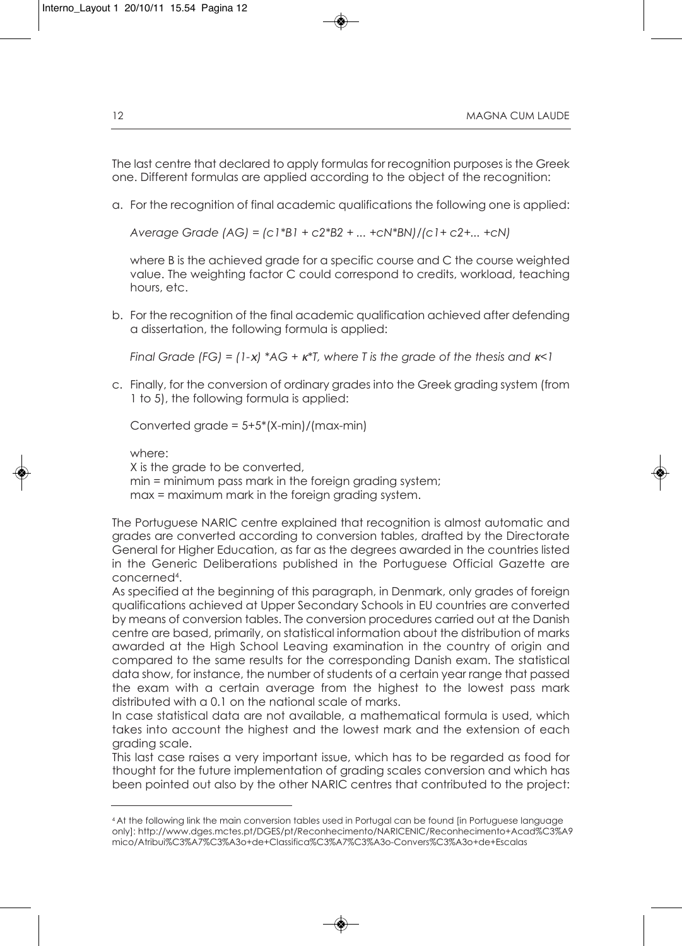The last centre that declared to apply formulas for recognition purposes is the Greek one. Different formulas are applied according to the object of the recognition:

a. For the recognition of final academic qualifications the following one is applied:

*Average Grade (AG) = (c1\*B1 + c2\*B2 + ... +cN\*BN)/(c1+ c2+... +cN)*

where B is the achieved grade for a specific course and C the course weighted value. the weighting factor c could correspond to credits, workload, teaching hours, etc.

b. For the recognition of the final academic qualification achieved after defending a dissertation, the following formula is applied:

*Final Grade (FG) = (1-*x*) \*AG +* <sup>κ</sup>*\*T, where T is the grade of the thesis and* <sup>κ</sup>*<1*

c. Finally, for the conversion of ordinary grades into the greek grading system (from 1 to 5), the following formula is applied:

converted grade = 5+5\*(X-min)/(max-min)

where:

X is the grade to be converted, min = minimum pass mark in the foreign grading system; max = maximum mark in the foreign grading system.

the Portuguese nAric centre explained that recognition is almost automatic and grades are converted according to conversion tables, drafted by the directorate general for Higher education, as far as the degrees awarded in the countries listed in the Generic Deliberations published in the Portuguese Official Gazette are concerned4.

As specified at the beginning of this paragraph, in Denmark, only grades of foreign qualifications achieved at upper secondary schools in eu countries are converted by means of conversion tables. The conversion procedures carried out at the Danish centre are based, primarily, on statistical information about the distribution of marks awarded at the High school leaving examination in the country of origin and compared to the same results for the corresponding Danish exam. The statistical data show, for instance, the number of students of a certain year range that passed the exam with a certain average from the highest to the lowest pass mark distributed with a 0.1 on the national scale of marks.

in case statistical data are not available, a mathematical formula is used, which takes into account the highest and the lowest mark and the extension of each grading scale.

this last case raises a very important issue, which has to be regarded as food for thought for the future implementation of grading scales conversion and which has been pointed out also by the other nAric centres that contributed to the project:

<sup>4</sup> At the following link the main conversion tables used in Portugal can be found [in Portuguese language only]: http://www.dges.mctes.pt/DGES/pt/Reconhecimento/NARICENIC/Reconhecimento+Acad%C3%A9 mico/Atribui%c3%A7%c3%A3o+de+classifica%c3%A7%c3%A3o-convers%c3%A3o+de+escalas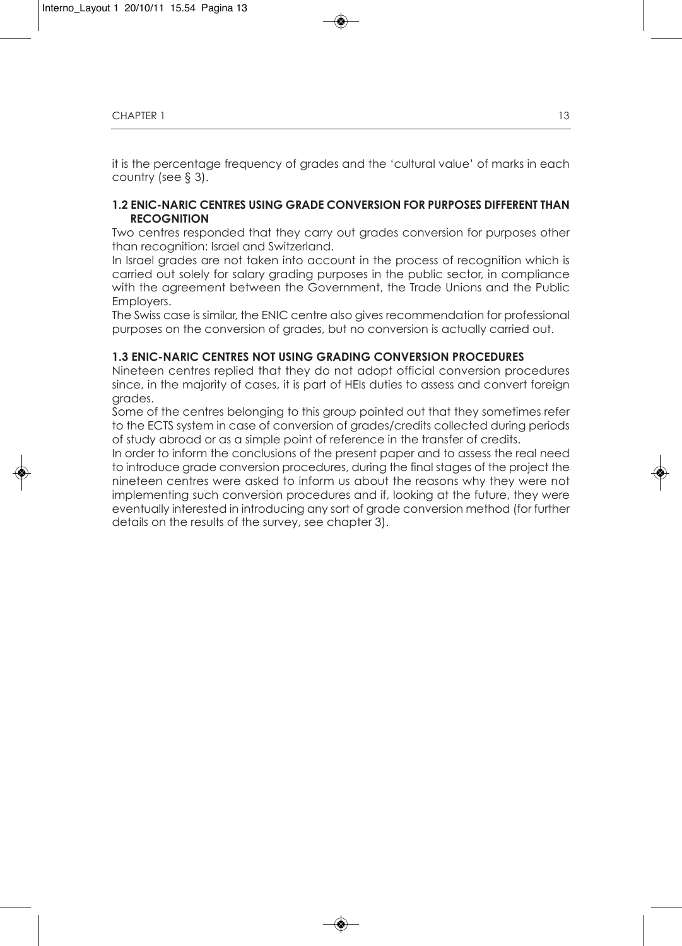it is the percentage frequency of grades and the 'cultural value' of marks in each country (see § 3).

### **1.2 ENIC-NARIC CENTREs UsING GRADE CONvERsION fOR PURPOsEs DIffERENT THAN RECOGNITION**

two centres responded that they carry out grades conversion for purposes other than recognition: israel and switzerland.

in israel grades are not taken into account in the process of recognition which is carried out solely for salary grading purposes in the public sector, in compliance with the agreement between the Government, the Trade Unions and the Public Employers.

The Swiss case is similar, the ENIC centre also gives recommendation for professional purposes on the conversion of grades, but no conversion is actually carried out.

#### **1.3 ENIC-NARIC CENTREs NOT UsING GRADING CONvERsION PROCEDUREs**

nineteen centres replied that they do not adopt official conversion procedures since, in the majority of cases, it is part of Heis duties to assess and convert foreign grades.

some of the centres belonging to this group pointed out that they sometimes refer to the ECTS system in case of conversion of grades/credits collected during periods of study abroad or as a simple point of reference in the transfer of credits.

in order to inform the conclusions of the present paper and to assess the real need to introduce grade conversion procedures, during the final stages of the project the nineteen centres were asked to inform us about the reasons why they were not implementing such conversion procedures and if, looking at the future, they were eventually interested in introducing any sort of grade conversion method (for further details on the results of the survey, see chapter 3).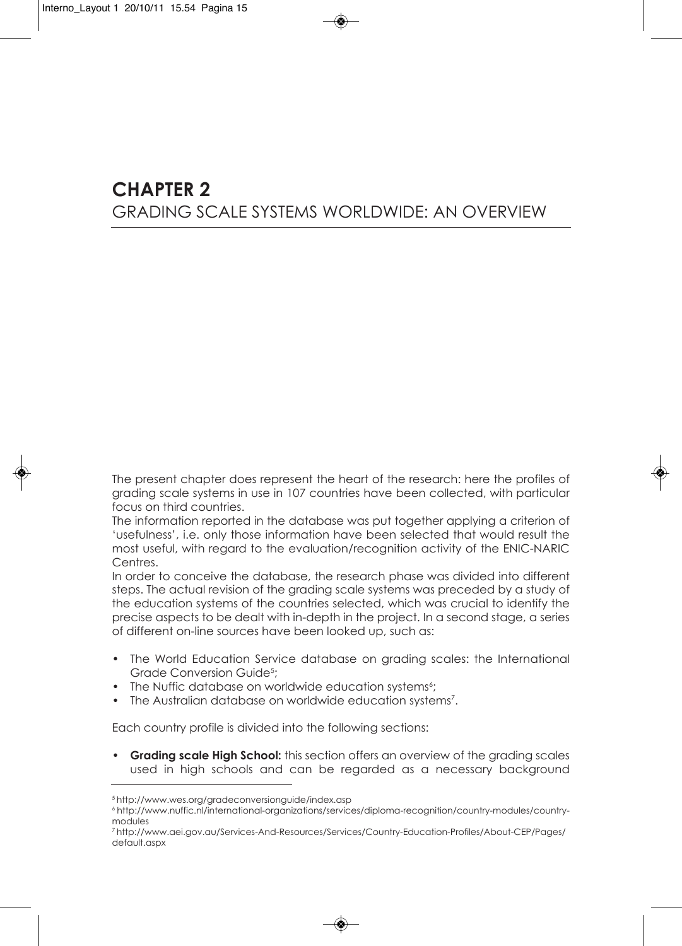## **CHAPTER 2** grAding scAle systems WorldWide: An overvieW

the present chapter does represent the heart of the research: here the profiles of grading scale systems in use in 107 countries have been collected, with particular focus on third countries.

the information reported in the database was put together applying a criterion of 'usefulness', i.e. only those information have been selected that would result the most useful, with regard to the evaluation/recognition activity of the ENIC-NARIC centres.

in order to conceive the database, the research phase was divided into different steps. the actual revision of the grading scale systems was preceded by a study of the education systems of the countries selected, which was crucial to identify the precise aspects to be dealt with in-depth in the project. in a second stage, a series of different on-line sources have been looked up, such as:

- The World Education Service database on grading scales: the International Grade Conversion Guide<sup>5</sup>;
- The Nuffic database on worldwide education systems<sup>6</sup>;
- The Australian database on worldwide education systems<sup>7</sup>.

Each country profile is divided into the following sections:

• **Grading scale High school:** this section offers an overview of the grading scales used in high schools and can be regarded as a necessary background

<sup>5</sup> http://www.wes.org/gradeconversionguide/index.asp

<sup>6</sup> http://www.nuffic.nl/international-organizations/services/diploma-recognition/country-modules/countrymodules

<sup>7</sup> http://www.aei.gov.au/services-And-resources/services/country-education-Profiles/About-ceP/Pages/ default.aspx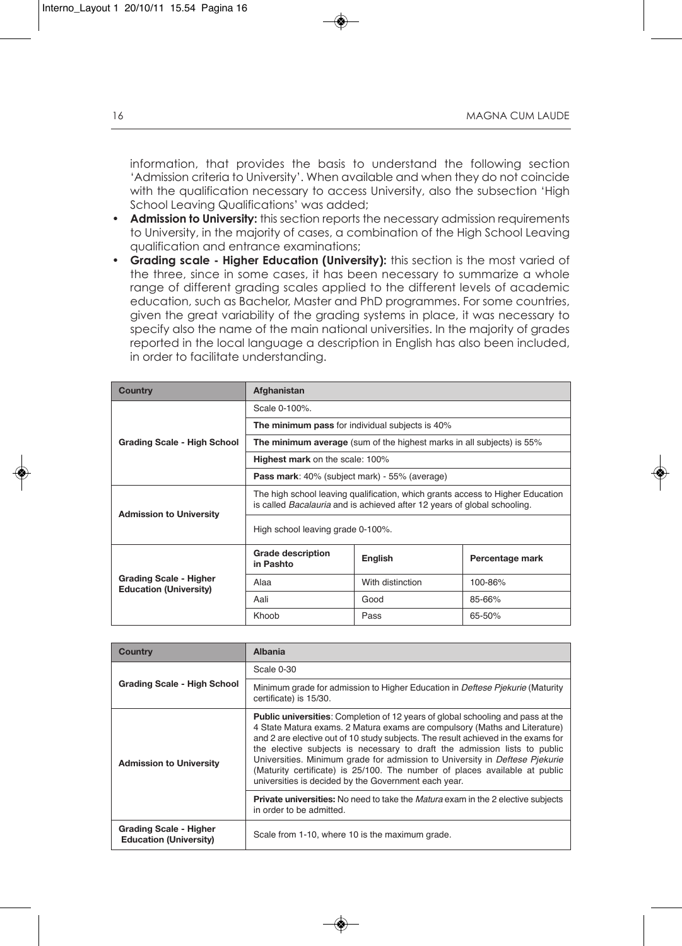information, that provides the basis to understand the following section 'Admission criteria to University'. When available and when they do not coincide with the qualification necessary to access University, also the subsection 'High school leaving Qualifications' was added;

- **Admission to University:** this section reports the necessary admission requirements to University, in the majority of cases, a combination of the High School Leaving qualification and entrance examinations;
- **Grading scale - Higher Education (University):** this section is the most varied of the three, since in some cases, it has been necessary to summarize a whole range of different grading scales applied to the different levels of academic education, such as Bachelor, Master and PhD programmes. For some countries, given the great variability of the grading systems in place, it was necessary to specify also the name of the main national universities. in the majority of grades reported in the local language a description in english has also been included, in order to facilitate understanding.

| <b>Country</b>                                                 | Afghanistan                                                                                                                                                       |                                                                       |         |  |
|----------------------------------------------------------------|-------------------------------------------------------------------------------------------------------------------------------------------------------------------|-----------------------------------------------------------------------|---------|--|
|                                                                | Scale 0-100%.                                                                                                                                                     |                                                                       |         |  |
|                                                                | The minimum pass for individual subjects is 40%                                                                                                                   |                                                                       |         |  |
| Grading Scale - High School                                    |                                                                                                                                                                   | The minimum average (sum of the highest marks in all subjects) is 55% |         |  |
|                                                                | <b>Highest mark</b> on the scale: 100%                                                                                                                            |                                                                       |         |  |
|                                                                | <b>Pass mark:</b> 40% (subject mark) - 55% (average)                                                                                                              |                                                                       |         |  |
| <b>Admission to University</b>                                 | The high school leaving qualification, which grants access to Higher Education<br>is called <i>Bacalauria</i> and is achieved after 12 years of global schooling. |                                                                       |         |  |
|                                                                | High school leaving grade 0-100%.                                                                                                                                 |                                                                       |         |  |
|                                                                | <b>Grade description</b><br>English<br>Percentage mark<br>in Pashto                                                                                               |                                                                       |         |  |
| <b>Grading Scale - Higher</b><br><b>Education (University)</b> | Alaa                                                                                                                                                              | With distinction                                                      | 100-86% |  |
|                                                                | Aali                                                                                                                                                              | Good                                                                  | 85-66%  |  |
|                                                                | Khoob                                                                                                                                                             | Pass                                                                  | 65-50%  |  |

| Country                                                        | Albania                                                                                                                                                                                                                                                                                                                                                                                                                                                                                                                                                     |
|----------------------------------------------------------------|-------------------------------------------------------------------------------------------------------------------------------------------------------------------------------------------------------------------------------------------------------------------------------------------------------------------------------------------------------------------------------------------------------------------------------------------------------------------------------------------------------------------------------------------------------------|
|                                                                | Scale 0-30                                                                                                                                                                                                                                                                                                                                                                                                                                                                                                                                                  |
| <b>Grading Scale - High School</b>                             | Minimum grade for admission to Higher Education in <i>Deftese Pjekurie</i> (Maturity<br>certificate) is 15/30.                                                                                                                                                                                                                                                                                                                                                                                                                                              |
| <b>Admission to University</b>                                 | <b>Public universities:</b> Completion of 12 years of global schooling and pass at the<br>4 State Matura exams. 2 Matura exams are compulsory (Maths and Literature)<br>and 2 are elective out of 10 study subjects. The result achieved in the exams for<br>the elective subjects is necessary to draft the admission lists to public<br>Universities. Minimum grade for admission to University in Deftese Pjekurie<br>(Maturity certificate) is 25/100. The number of places available at public<br>universities is decided by the Government each year. |
|                                                                | <b>Private universities:</b> No need to take the <i>Matura</i> exam in the 2 elective subjects<br>in order to be admitted.                                                                                                                                                                                                                                                                                                                                                                                                                                  |
| <b>Grading Scale - Higher</b><br><b>Education (University)</b> | Scale from 1-10, where 10 is the maximum grade.                                                                                                                                                                                                                                                                                                                                                                                                                                                                                                             |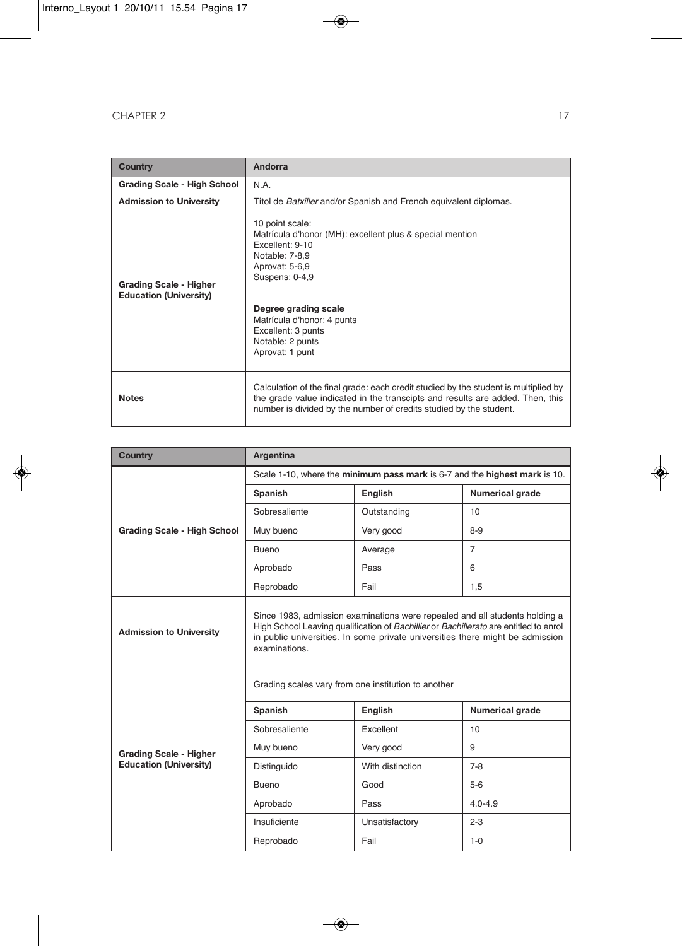| <b>Country</b>                                                 | Andorra                                                                                                                                                                                                                                                                 |  |  |
|----------------------------------------------------------------|-------------------------------------------------------------------------------------------------------------------------------------------------------------------------------------------------------------------------------------------------------------------------|--|--|
| Grading Scale - High School                                    | N A                                                                                                                                                                                                                                                                     |  |  |
| <b>Admission to University</b>                                 | Títol de Batxiller and/or Spanish and French equivalent diplomas.                                                                                                                                                                                                       |  |  |
| <b>Grading Scale - Higher</b><br><b>Education (University)</b> | 10 point scale:<br>Matrícula d'honor (MH): excellent plus & special mention<br>Excellent: 9-10<br>Notable: 7-8,9<br>Aprovat: 5-6,9<br>Suspens: 0-4,9<br>Degree grading scale<br>Matrícula d'honor: 4 punts<br>Excellent: 3 punts<br>Notable: 2 punts<br>Aprovat: 1 punt |  |  |
| <b>Notes</b>                                                   | Calculation of the final grade: each credit studied by the student is multiplied by<br>the grade value indicated in the transcipts and results are added. Then, this<br>number is divided by the number of credits studied by the student.                              |  |  |

| <b>Country</b>                     | Argentina                                                                                                                                                                                                                                                              |                  |                        |  |
|------------------------------------|------------------------------------------------------------------------------------------------------------------------------------------------------------------------------------------------------------------------------------------------------------------------|------------------|------------------------|--|
|                                    | Scale 1-10, where the minimum pass mark is 6-7 and the highest mark is 10.                                                                                                                                                                                             |                  |                        |  |
|                                    | Spanish                                                                                                                                                                                                                                                                | English          | <b>Numerical grade</b> |  |
|                                    | Sobresaliente<br>Outstanding                                                                                                                                                                                                                                           |                  | 10                     |  |
| <b>Grading Scale - High School</b> | Muy bueno                                                                                                                                                                                                                                                              | Very good        |                        |  |
|                                    | Bueno                                                                                                                                                                                                                                                                  | Average          | $\overline{7}$         |  |
|                                    | Aprobado                                                                                                                                                                                                                                                               | Pass             | 6                      |  |
|                                    | Reprobado                                                                                                                                                                                                                                                              | Fail             | 1,5                    |  |
| <b>Admission to University</b>     | Since 1983, admission examinations were repealed and all students holding a<br>High School Leaving qualification of Bachillier or Bachillerato are entitled to enrol<br>in public universities. In some private universities there might be admission<br>examinations. |                  |                        |  |
|                                    | Grading scales vary from one institution to another                                                                                                                                                                                                                    |                  |                        |  |
|                                    | Spanish                                                                                                                                                                                                                                                                | English          | <b>Numerical grade</b> |  |
|                                    | Sobresaliente                                                                                                                                                                                                                                                          | Excellent        | 10                     |  |
| <b>Grading Scale - Higher</b>      | Muy bueno                                                                                                                                                                                                                                                              | Very good        | 9                      |  |
| <b>Education (University)</b>      | Distinguido                                                                                                                                                                                                                                                            | With distinction | $7 - 8$                |  |
|                                    | Bueno                                                                                                                                                                                                                                                                  | Good             | $5-6$                  |  |
|                                    | Aprobado                                                                                                                                                                                                                                                               | Pass             | $4.0 - 4.9$            |  |
|                                    | Insuficiente                                                                                                                                                                                                                                                           | Unsatisfactory   | $2 - 3$                |  |
|                                    | Reprobado                                                                                                                                                                                                                                                              | Fail             | $1 - 0$                |  |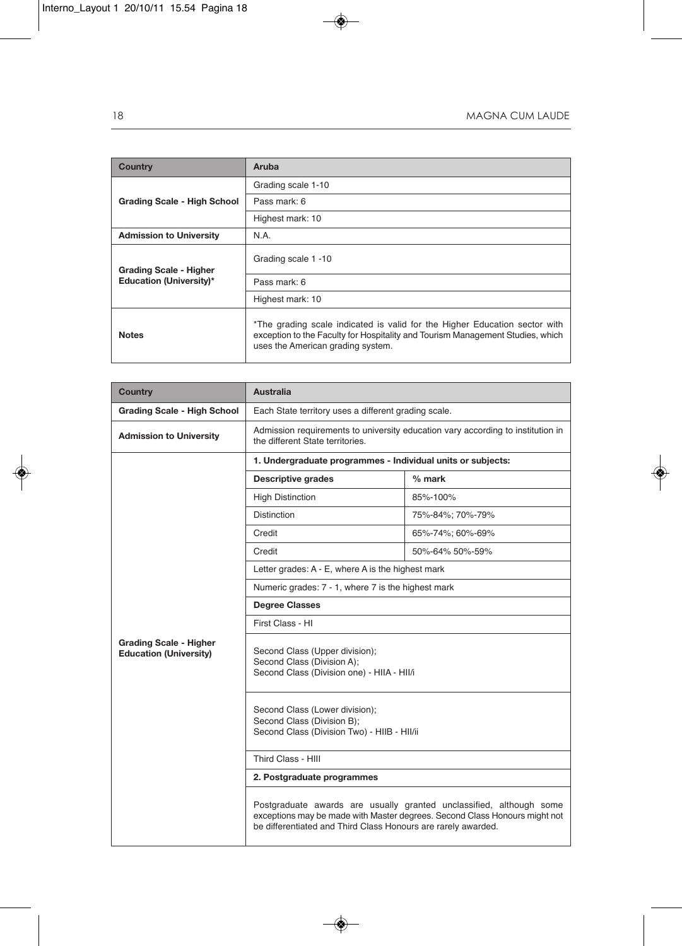| <b>Country</b>                     | Aruba                                                                                                                                                                                             |
|------------------------------------|---------------------------------------------------------------------------------------------------------------------------------------------------------------------------------------------------|
|                                    | Grading scale 1-10                                                                                                                                                                                |
| <b>Grading Scale - High School</b> | Pass mark: 6                                                                                                                                                                                      |
|                                    | Highest mark: 10                                                                                                                                                                                  |
| <b>Admission to University</b>     | N.A.                                                                                                                                                                                              |
| <b>Grading Scale - Higher</b>      | Grading scale 1 -10                                                                                                                                                                               |
| <b>Education (University)*</b>     | Pass mark: 6                                                                                                                                                                                      |
|                                    | Highest mark: 10                                                                                                                                                                                  |
| <b>Notes</b>                       | *The grading scale indicated is valid for the Higher Education sector with<br>exception to the Faculty for Hospitality and Tourism Management Studies, which<br>uses the American grading system. |

| <b>Country</b>                                                 | <b>Australia</b>                                                                                                                                                                                                   |                  |  |  |
|----------------------------------------------------------------|--------------------------------------------------------------------------------------------------------------------------------------------------------------------------------------------------------------------|------------------|--|--|
| <b>Grading Scale - High School</b>                             | Each State territory uses a different grading scale.                                                                                                                                                               |                  |  |  |
| <b>Admission to University</b>                                 | Admission requirements to university education vary according to institution in<br>the different State territories.                                                                                                |                  |  |  |
|                                                                | 1. Undergraduate programmes - Individual units or subjects:                                                                                                                                                        |                  |  |  |
|                                                                | <b>Descriptive grades</b>                                                                                                                                                                                          | % mark           |  |  |
|                                                                | <b>High Distinction</b>                                                                                                                                                                                            | 85%-100%         |  |  |
|                                                                | <b>Distinction</b>                                                                                                                                                                                                 | 75%-84%; 70%-79% |  |  |
|                                                                | Credit                                                                                                                                                                                                             | 65%-74%; 60%-69% |  |  |
|                                                                | Credit                                                                                                                                                                                                             | 50%-64% 50%-59%  |  |  |
|                                                                | Letter grades: A - E, where A is the highest mark                                                                                                                                                                  |                  |  |  |
|                                                                | Numeric grades: 7 - 1, where 7 is the highest mark                                                                                                                                                                 |                  |  |  |
|                                                                | <b>Degree Classes</b>                                                                                                                                                                                              |                  |  |  |
|                                                                | First Class - HI                                                                                                                                                                                                   |                  |  |  |
| <b>Grading Scale - Higher</b><br><b>Education (University)</b> | Second Class (Upper division);<br>Second Class (Division A);<br>Second Class (Division one) - HIIA - HII/i                                                                                                         |                  |  |  |
|                                                                | Second Class (Lower division);<br>Second Class (Division B);<br>Second Class (Division Two) - HIIB - HII/ii                                                                                                        |                  |  |  |
|                                                                | Third Class - HIII                                                                                                                                                                                                 |                  |  |  |
|                                                                | 2. Postgraduate programmes                                                                                                                                                                                         |                  |  |  |
|                                                                | Postgraduate awards are usually granted unclassified, although some<br>exceptions may be made with Master degrees. Second Class Honours might not<br>be differentiated and Third Class Honours are rarely awarded. |                  |  |  |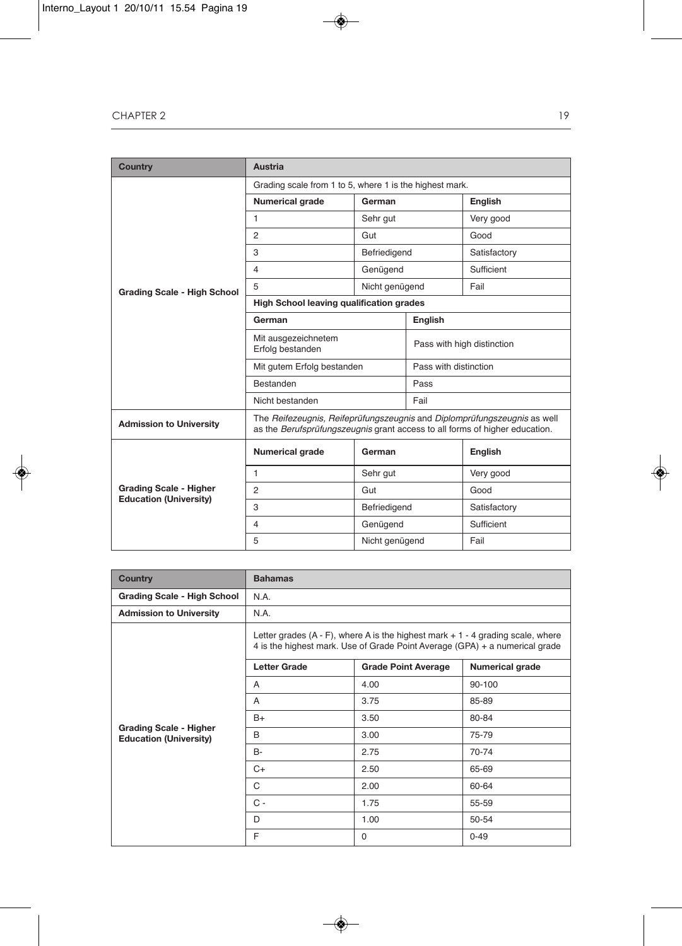| <b>Country</b>                                                 | <b>Austria</b>                                                                                                                                          |                |                            |              |
|----------------------------------------------------------------|---------------------------------------------------------------------------------------------------------------------------------------------------------|----------------|----------------------------|--------------|
|                                                                | Grading scale from 1 to 5, where 1 is the highest mark.                                                                                                 |                |                            |              |
|                                                                | <b>Numerical grade</b><br>German                                                                                                                        |                |                            | English      |
|                                                                | $\mathbf{1}$<br>Sehr gut                                                                                                                                |                |                            | Very good    |
|                                                                | 2                                                                                                                                                       | Gut            |                            | Good         |
|                                                                | 3                                                                                                                                                       | Befriedigend   |                            | Satisfactory |
|                                                                | 4                                                                                                                                                       | Genügend       |                            | Sufficient   |
| <b>Grading Scale - High School</b>                             | 5                                                                                                                                                       | Nicht genügend |                            | Fail         |
|                                                                | <b>High School leaving qualification grades</b>                                                                                                         |                |                            |              |
|                                                                | German                                                                                                                                                  |                | English                    |              |
|                                                                | Mit ausgezeichnetem<br>Erfolg bestanden                                                                                                                 |                | Pass with high distinction |              |
|                                                                | Mit gutem Erfolg bestanden                                                                                                                              |                | Pass with distinction      |              |
|                                                                | Bestanden                                                                                                                                               |                | Pass                       |              |
|                                                                | Nicht bestanden                                                                                                                                         |                | Fail                       |              |
| <b>Admission to University</b>                                 | The Reifezeugnis, Reifeprüfungszeugnis and Diplomprüfungszeugnis as well<br>as the Berufsprüfungszeugnis grant access to all forms of higher education. |                |                            |              |
|                                                                | <b>Numerical grade</b>                                                                                                                                  | German         |                            | English      |
|                                                                | $\mathbf{1}$                                                                                                                                            | Sehr gut       |                            | Very good    |
| <b>Grading Scale - Higher</b><br><b>Education (University)</b> | $\mathfrak{p}$                                                                                                                                          | Gut            |                            | Good         |
|                                                                | 3                                                                                                                                                       | Befriedigend   |                            | Satisfactory |
|                                                                | $\overline{4}$                                                                                                                                          | Genügend       |                            | Sufficient   |
|                                                                | 5                                                                                                                                                       | Nicht genügend |                            | Fail         |

| <b>Country</b>                                                 | <b>Bahamas</b>                                                                                                                                                     |                            |                 |  |
|----------------------------------------------------------------|--------------------------------------------------------------------------------------------------------------------------------------------------------------------|----------------------------|-----------------|--|
| <b>Grading Scale - High School</b>                             | N.A.                                                                                                                                                               |                            |                 |  |
| <b>Admission to University</b>                                 | N.A.                                                                                                                                                               |                            |                 |  |
|                                                                | Letter grades $(A - F)$ , where A is the highest mark $+1 - 4$ grading scale, where<br>4 is the highest mark. Use of Grade Point Average (GPA) + a numerical grade |                            |                 |  |
|                                                                | <b>Letter Grade</b>                                                                                                                                                | <b>Grade Point Average</b> | Numerical grade |  |
|                                                                | A                                                                                                                                                                  | 4.00                       | $90 - 100$      |  |
|                                                                | A                                                                                                                                                                  | 3.75                       | 85-89           |  |
|                                                                | B+                                                                                                                                                                 | 3.50                       | 80-84           |  |
| <b>Grading Scale - Higher</b><br><b>Education (University)</b> | B                                                                                                                                                                  | 3.00                       | 75-79           |  |
|                                                                | B-                                                                                                                                                                 | 2.75                       | 70-74           |  |
|                                                                | $C+$                                                                                                                                                               | 2.50                       | 65-69           |  |
|                                                                | C                                                                                                                                                                  | 2.00                       | 60-64           |  |
|                                                                | $C -$                                                                                                                                                              | 1.75                       | 55-59           |  |
|                                                                | D                                                                                                                                                                  | 1.00                       | 50-54           |  |
|                                                                | E                                                                                                                                                                  | 0                          | $0 - 49$        |  |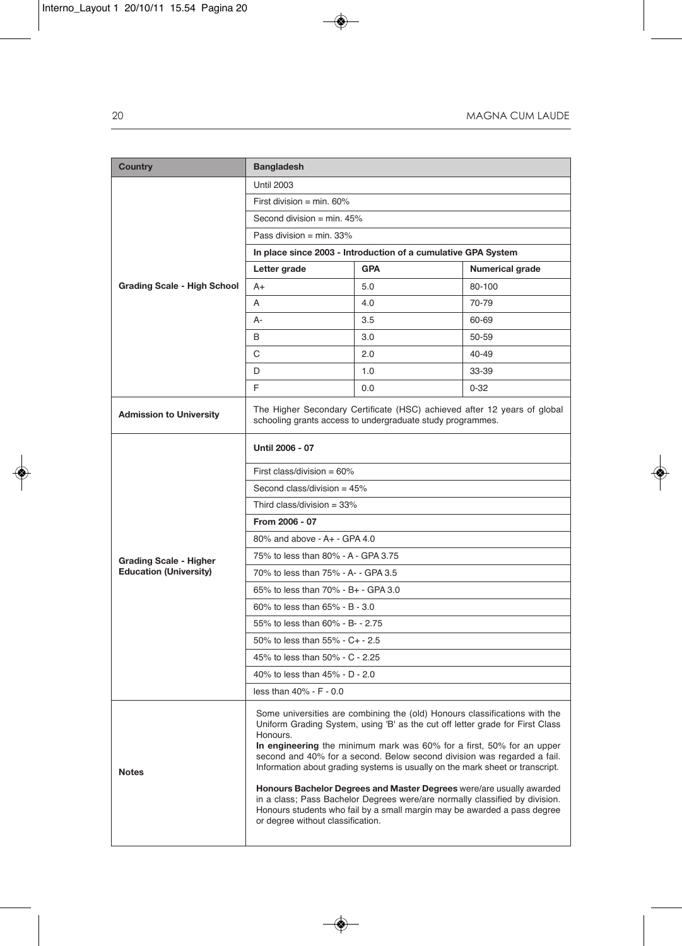| <b>Country</b>                 | <b>Bangladesh</b>                                                                                                                                                                                                                                                                                                                                                                                                                                                                                                                                                                                                                               |                                                               |                        |  |
|--------------------------------|-------------------------------------------------------------------------------------------------------------------------------------------------------------------------------------------------------------------------------------------------------------------------------------------------------------------------------------------------------------------------------------------------------------------------------------------------------------------------------------------------------------------------------------------------------------------------------------------------------------------------------------------------|---------------------------------------------------------------|------------------------|--|
|                                | <b>Until 2003</b>                                                                                                                                                                                                                                                                                                                                                                                                                                                                                                                                                                                                                               |                                                               |                        |  |
|                                | First division = min. $60\%$                                                                                                                                                                                                                                                                                                                                                                                                                                                                                                                                                                                                                    |                                                               |                        |  |
|                                | Second division = min. $45%$                                                                                                                                                                                                                                                                                                                                                                                                                                                                                                                                                                                                                    |                                                               |                        |  |
|                                | Pass division = $min. 33%$                                                                                                                                                                                                                                                                                                                                                                                                                                                                                                                                                                                                                      |                                                               |                        |  |
|                                |                                                                                                                                                                                                                                                                                                                                                                                                                                                                                                                                                                                                                                                 | In place since 2003 - Introduction of a cumulative GPA System |                        |  |
|                                | Letter grade                                                                                                                                                                                                                                                                                                                                                                                                                                                                                                                                                                                                                                    | <b>GPA</b>                                                    | <b>Numerical grade</b> |  |
| Grading Scale - High School    | $A+$                                                                                                                                                                                                                                                                                                                                                                                                                                                                                                                                                                                                                                            | 5.0                                                           | 80-100                 |  |
|                                | A                                                                                                                                                                                                                                                                                                                                                                                                                                                                                                                                                                                                                                               | 4.0                                                           | 70-79                  |  |
|                                | А-                                                                                                                                                                                                                                                                                                                                                                                                                                                                                                                                                                                                                                              | 3.5                                                           | 60-69                  |  |
|                                | B                                                                                                                                                                                                                                                                                                                                                                                                                                                                                                                                                                                                                                               | 3.0                                                           | 50-59                  |  |
|                                | С                                                                                                                                                                                                                                                                                                                                                                                                                                                                                                                                                                                                                                               | 2.0                                                           | 40-49                  |  |
|                                | D                                                                                                                                                                                                                                                                                                                                                                                                                                                                                                                                                                                                                                               | 1.0                                                           | 33-39                  |  |
|                                | F                                                                                                                                                                                                                                                                                                                                                                                                                                                                                                                                                                                                                                               | 0.0                                                           | $0 - 32$               |  |
| <b>Admission to University</b> | The Higher Secondary Certificate (HSC) achieved after 12 years of global<br>schooling grants access to undergraduate study programmes.                                                                                                                                                                                                                                                                                                                                                                                                                                                                                                          |                                                               |                        |  |
|                                | Until 2006 - 07                                                                                                                                                                                                                                                                                                                                                                                                                                                                                                                                                                                                                                 |                                                               |                        |  |
|                                | First class/division = $60\%$                                                                                                                                                                                                                                                                                                                                                                                                                                                                                                                                                                                                                   |                                                               |                        |  |
|                                | Second class/division = $45%$                                                                                                                                                                                                                                                                                                                                                                                                                                                                                                                                                                                                                   |                                                               |                        |  |
|                                | Third class/division = $33\%$                                                                                                                                                                                                                                                                                                                                                                                                                                                                                                                                                                                                                   |                                                               |                        |  |
|                                | From 2006 - 07                                                                                                                                                                                                                                                                                                                                                                                                                                                                                                                                                                                                                                  |                                                               |                        |  |
|                                | 80% and above - A+ - GPA 4.0                                                                                                                                                                                                                                                                                                                                                                                                                                                                                                                                                                                                                    |                                                               |                        |  |
| <b>Grading Scale - Higher</b>  | 75% to less than 80% - A - GPA 3.75                                                                                                                                                                                                                                                                                                                                                                                                                                                                                                                                                                                                             |                                                               |                        |  |
| <b>Education (University)</b>  | 70% to less than 75% - A- - GPA 3.5                                                                                                                                                                                                                                                                                                                                                                                                                                                                                                                                                                                                             |                                                               |                        |  |
|                                | 65% to less than 70% - B+ - GPA 3.0                                                                                                                                                                                                                                                                                                                                                                                                                                                                                                                                                                                                             |                                                               |                        |  |
|                                | 60% to less than 65% - B - 3.0                                                                                                                                                                                                                                                                                                                                                                                                                                                                                                                                                                                                                  |                                                               |                        |  |
|                                | 55% to less than 60% - B- - 2.75                                                                                                                                                                                                                                                                                                                                                                                                                                                                                                                                                                                                                |                                                               |                        |  |
|                                | 50% to less than 55% - C+ - 2.5                                                                                                                                                                                                                                                                                                                                                                                                                                                                                                                                                                                                                 |                                                               |                        |  |
|                                | 45% to less than 50% - C - 2.25                                                                                                                                                                                                                                                                                                                                                                                                                                                                                                                                                                                                                 |                                                               |                        |  |
|                                | 40% to less than 45% - D - 2.0                                                                                                                                                                                                                                                                                                                                                                                                                                                                                                                                                                                                                  |                                                               |                        |  |
|                                | less than 40% - F - 0.0                                                                                                                                                                                                                                                                                                                                                                                                                                                                                                                                                                                                                         |                                                               |                        |  |
| <b>Notes</b>                   | Some universities are combining the (old) Honours classifications with the<br>Uniform Grading System, using 'B' as the cut off letter grade for First Class<br>Honours.<br>In engineering the minimum mark was 60% for a first, 50% for an upper<br>second and 40% for a second. Below second division was regarded a fail.<br>Information about grading systems is usually on the mark sheet or transcript.<br>Honours Bachelor Degrees and Master Degrees were/are usually awarded<br>in a class; Pass Bachelor Degrees were/are normally classified by division.<br>Honours students who fail by a small margin may be awarded a pass degree |                                                               |                        |  |
|                                | or degree without classification.                                                                                                                                                                                                                                                                                                                                                                                                                                                                                                                                                                                                               |                                                               |                        |  |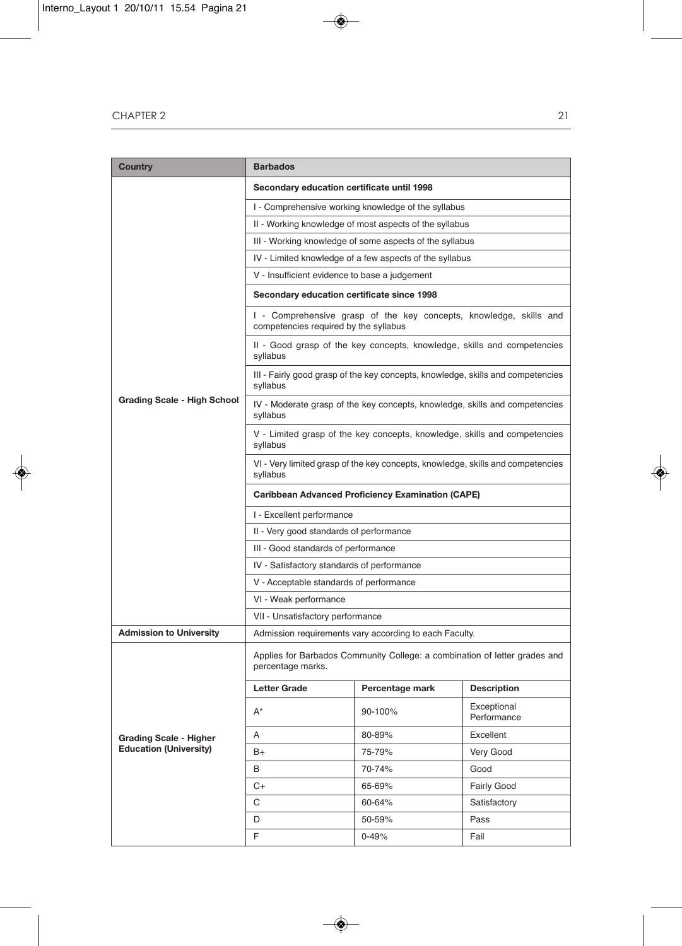| Country                        | <b>Barbados</b>                                                                                             |                                                                                 |                            |  |
|--------------------------------|-------------------------------------------------------------------------------------------------------------|---------------------------------------------------------------------------------|----------------------------|--|
|                                | Secondary education certificate until 1998                                                                  |                                                                                 |                            |  |
|                                |                                                                                                             | I - Comprehensive working knowledge of the syllabus                             |                            |  |
|                                | II - Working knowledge of most aspects of the syllabus                                                      |                                                                                 |                            |  |
|                                |                                                                                                             | III - Working knowledge of some aspects of the syllabus                         |                            |  |
|                                |                                                                                                             | IV - Limited knowledge of a few aspects of the syllabus                         |                            |  |
|                                | V - Insufficient evidence to base a judgement                                                               |                                                                                 |                            |  |
|                                | Secondary education certificate since 1998                                                                  |                                                                                 |                            |  |
|                                | I - Comprehensive grasp of the key concepts, knowledge, skills and<br>competencies required by the syllabus |                                                                                 |                            |  |
|                                | syllabus                                                                                                    | II - Good grasp of the key concepts, knowledge, skills and competencies         |                            |  |
|                                | syllabus                                                                                                    | III - Fairly good grasp of the key concepts, knowledge, skills and competencies |                            |  |
| Grading Scale - High School    | syllabus                                                                                                    | IV - Moderate grasp of the key concepts, knowledge, skills and competencies     |                            |  |
|                                | syllabus                                                                                                    | V - Limited grasp of the key concepts, knowledge, skills and competencies       |                            |  |
|                                | VI - Very limited grasp of the key concepts, knowledge, skills and competencies<br>syllabus                 |                                                                                 |                            |  |
|                                | <b>Caribbean Advanced Proficiency Examination (CAPE)</b>                                                    |                                                                                 |                            |  |
|                                | I - Excellent performance                                                                                   |                                                                                 |                            |  |
|                                | II - Very good standards of performance                                                                     |                                                                                 |                            |  |
|                                | III - Good standards of performance                                                                         |                                                                                 |                            |  |
|                                | IV - Satisfactory standards of performance                                                                  |                                                                                 |                            |  |
|                                | V - Acceptable standards of performance                                                                     |                                                                                 |                            |  |
|                                | VI - Weak performance                                                                                       |                                                                                 |                            |  |
|                                | VII - Unsatisfactory performance                                                                            |                                                                                 |                            |  |
| <b>Admission to University</b> |                                                                                                             | Admission requirements vary according to each Faculty.                          |                            |  |
|                                | Applies for Barbados Community College: a combination of letter grades and<br>percentage marks.             |                                                                                 |                            |  |
|                                | <b>Letter Grade</b>                                                                                         | Percentage mark                                                                 | <b>Description</b>         |  |
|                                | $A^*$                                                                                                       | 90-100%                                                                         | Exceptional<br>Performance |  |
| <b>Grading Scale - Higher</b>  | Α                                                                                                           | 80-89%                                                                          | Excellent                  |  |
| <b>Education (University)</b>  | $B+$                                                                                                        | 75-79%                                                                          | Very Good                  |  |
|                                | B                                                                                                           | 70-74%                                                                          | Good                       |  |
|                                | C+                                                                                                          | 65-69%                                                                          | Fairly Good                |  |
|                                | С                                                                                                           | 60-64%                                                                          | Satisfactory               |  |
|                                | D                                                                                                           | 50-59%                                                                          | Pass                       |  |
|                                | F.                                                                                                          | 0-49%                                                                           | Fail                       |  |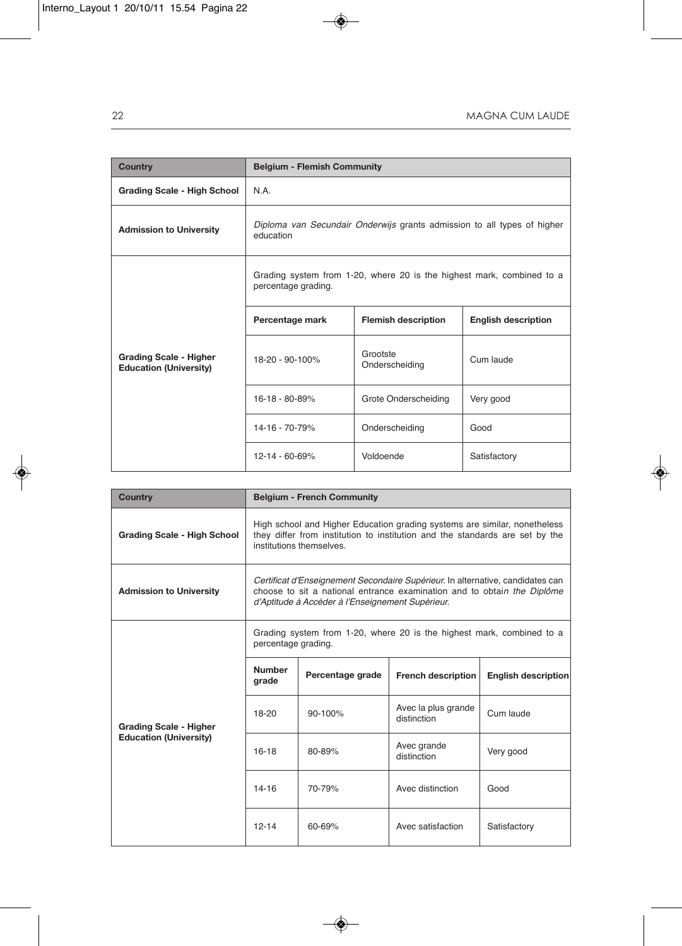| Country                                                        | <b>Belgium - Flemish Community</b>                                                           |                            |                            |  |
|----------------------------------------------------------------|----------------------------------------------------------------------------------------------|----------------------------|----------------------------|--|
| <b>Grading Scale - High School</b>                             | N.A.                                                                                         |                            |                            |  |
| <b>Admission to University</b>                                 | Diploma van Secundair Onderwijs grants admission to all types of higher<br>education         |                            |                            |  |
|                                                                | Grading system from 1-20, where 20 is the highest mark, combined to a<br>percentage grading. |                            |                            |  |
|                                                                | Percentage mark                                                                              | <b>Flemish description</b> | <b>English description</b> |  |
| <b>Grading Scale - Higher</b><br><b>Education (University)</b> | 18-20 - 90-100%                                                                              | Grootste<br>Onderscheiding | Cum laude                  |  |
|                                                                | 16-18 - 80-89%                                                                               | Grote Onderscheiding       | Very good                  |  |
|                                                                | 14-16 - 70-79%                                                                               | Onderscheiding             |                            |  |
|                                                                | 12-14 - 60-69%                                                                               | Voldoende                  | Satisfactory               |  |

| Country                                                        |                                                                                                                                                                                                               | <b>Belgium - French Community</b> |                                    |                            |
|----------------------------------------------------------------|---------------------------------------------------------------------------------------------------------------------------------------------------------------------------------------------------------------|-----------------------------------|------------------------------------|----------------------------|
| <b>Grading Scale - High School</b>                             | High school and Higher Education grading systems are similar, nonetheless<br>they differ from institution to institution and the standards are set by the<br>institutions themselves.                         |                                   |                                    |                            |
| <b>Admission to University</b>                                 | Certificat d'Enseignement Secondaire Supérieur. In alternative, candidates can<br>choose to sit a national entrance examination and to obtain the Diplôme<br>d'Aptitude à Accéder à l'Enseignement Supérieur. |                                   |                                    |                            |
|                                                                | Grading system from 1-20, where 20 is the highest mark, combined to a<br>percentage grading.                                                                                                                  |                                   |                                    |                            |
| <b>Grading Scale - Higher</b><br><b>Education (University)</b> | <b>Number</b><br>grade                                                                                                                                                                                        | Percentage grade                  | <b>French description</b>          | <b>English description</b> |
|                                                                | 18-20                                                                                                                                                                                                         | $90 - 100%$                       | Avec la plus grande<br>distinction | Cum laude                  |
|                                                                | 16-18                                                                                                                                                                                                         | 80-89%                            | Avec grande<br>distinction         | Very good                  |
|                                                                | $14 - 16$                                                                                                                                                                                                     | 70-79%                            | Avec distinction                   | Good                       |
|                                                                | $12 - 14$                                                                                                                                                                                                     | 60-69%                            | Avec satisfaction                  | Satisfactory               |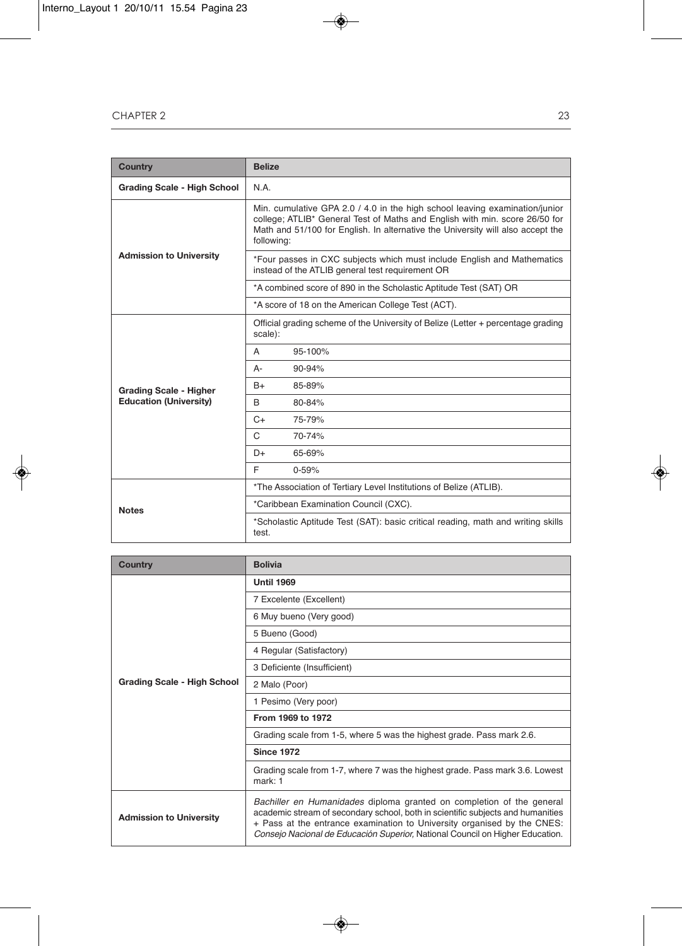| <b>Country</b>                     | <b>Belize</b>                                                                                                                                                                                                                                               |  |  |
|------------------------------------|-------------------------------------------------------------------------------------------------------------------------------------------------------------------------------------------------------------------------------------------------------------|--|--|
| <b>Grading Scale - High School</b> | N.A.                                                                                                                                                                                                                                                        |  |  |
| <b>Admission to University</b>     | Min. cumulative GPA 2.0 / 4.0 in the high school leaving examination/junior<br>college; ATLIB* General Test of Maths and English with min. score 26/50 for<br>Math and 51/100 for English. In alternative the University will also accept the<br>following: |  |  |
|                                    | *Four passes in CXC subjects which must include English and Mathematics<br>instead of the ATLIB general test requirement OR                                                                                                                                 |  |  |
|                                    | *A combined score of 890 in the Scholastic Aptitude Test (SAT) OR                                                                                                                                                                                           |  |  |
|                                    | *A score of 18 on the American College Test (ACT).                                                                                                                                                                                                          |  |  |
|                                    | Official grading scheme of the University of Belize (Letter + percentage grading<br>scale):                                                                                                                                                                 |  |  |
|                                    | 95-100%<br>A                                                                                                                                                                                                                                                |  |  |
|                                    | 90-94%<br>A-                                                                                                                                                                                                                                                |  |  |
| <b>Grading Scale - Higher</b>      | 85-89%<br>B+                                                                                                                                                                                                                                                |  |  |
| <b>Education (University)</b>      | <sub>R</sub><br>80-84%                                                                                                                                                                                                                                      |  |  |
|                                    | 75-79%<br>$C+$                                                                                                                                                                                                                                              |  |  |
|                                    | C<br>70-74%                                                                                                                                                                                                                                                 |  |  |
|                                    | 65-69%<br>D+                                                                                                                                                                                                                                                |  |  |
|                                    | F<br>$0 - 59%$                                                                                                                                                                                                                                              |  |  |
| <b>Notes</b>                       | *The Association of Tertiary Level Institutions of Belize (ATLIB).                                                                                                                                                                                          |  |  |
|                                    | *Caribbean Examination Council (CXC).                                                                                                                                                                                                                       |  |  |
|                                    | *Scholastic Aptitude Test (SAT): basic critical reading, math and writing skills<br>test.                                                                                                                                                                   |  |  |

| Country                            | <b>Bolivia</b>                                                                                                                                                                                                                                                                                                       |  |  |
|------------------------------------|----------------------------------------------------------------------------------------------------------------------------------------------------------------------------------------------------------------------------------------------------------------------------------------------------------------------|--|--|
|                                    | <b>Until 1969</b>                                                                                                                                                                                                                                                                                                    |  |  |
|                                    | 7 Excelente (Excellent)                                                                                                                                                                                                                                                                                              |  |  |
|                                    | 6 Muy bueno (Very good)                                                                                                                                                                                                                                                                                              |  |  |
|                                    | 5 Bueno (Good)                                                                                                                                                                                                                                                                                                       |  |  |
| <b>Grading Scale - High School</b> | 4 Regular (Satisfactory)                                                                                                                                                                                                                                                                                             |  |  |
|                                    | 3 Deficiente (Insufficient)                                                                                                                                                                                                                                                                                          |  |  |
|                                    | 2 Malo (Poor)                                                                                                                                                                                                                                                                                                        |  |  |
|                                    | 1 Pesimo (Very poor)                                                                                                                                                                                                                                                                                                 |  |  |
|                                    | From 1969 to 1972                                                                                                                                                                                                                                                                                                    |  |  |
|                                    | Grading scale from 1-5, where 5 was the highest grade. Pass mark 2.6.                                                                                                                                                                                                                                                |  |  |
|                                    | <b>Since 1972</b>                                                                                                                                                                                                                                                                                                    |  |  |
|                                    | Grading scale from 1-7, where 7 was the highest grade. Pass mark 3.6. Lowest<br>mark: 1                                                                                                                                                                                                                              |  |  |
| <b>Admission to University</b>     | Bachiller en Humanidades diploma granted on completion of the general<br>academic stream of secondary school, both in scientific subjects and humanities<br>+ Pass at the entrance examination to University organised by the CNES:<br>Consejo Nacional de Educación Superior, National Council on Higher Education. |  |  |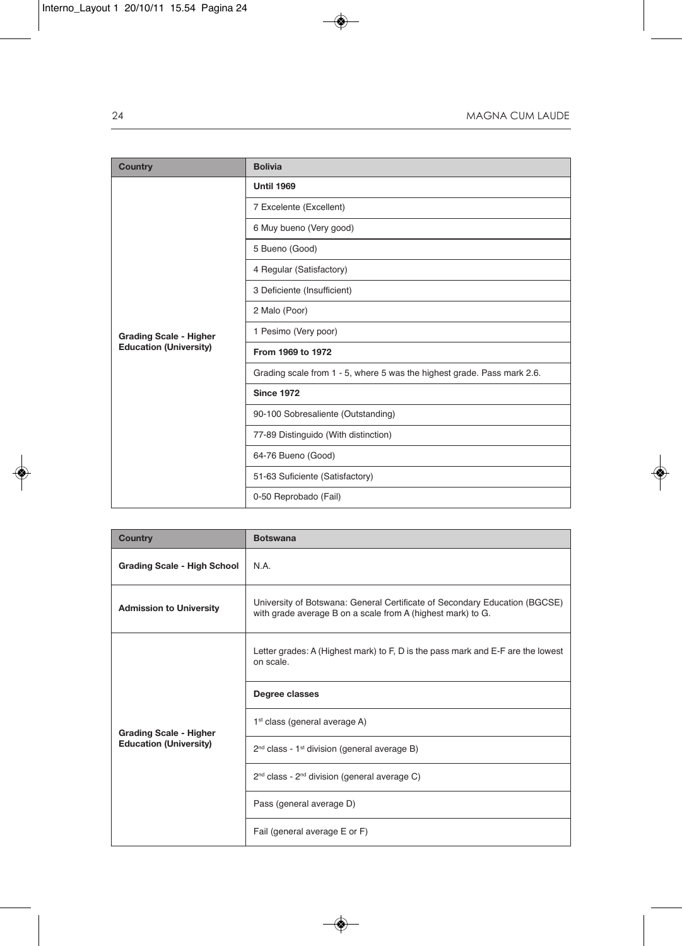| <b>Country</b>                | <b>Bolivia</b>                                                          |  |  |
|-------------------------------|-------------------------------------------------------------------------|--|--|
|                               | <b>Until 1969</b>                                                       |  |  |
|                               | 7 Excelente (Excellent)                                                 |  |  |
|                               | 6 Muy bueno (Very good)                                                 |  |  |
|                               | 5 Bueno (Good)                                                          |  |  |
|                               | 4 Regular (Satisfactory)                                                |  |  |
|                               | 3 Deficiente (Insufficient)                                             |  |  |
|                               | 2 Malo (Poor)                                                           |  |  |
| <b>Grading Scale - Higher</b> | 1 Pesimo (Very poor)                                                    |  |  |
| <b>Education (University)</b> | From 1969 to 1972                                                       |  |  |
|                               | Grading scale from 1 - 5, where 5 was the highest grade. Pass mark 2.6. |  |  |
|                               | <b>Since 1972</b>                                                       |  |  |
|                               | 90-100 Sobresaliente (Outstanding)                                      |  |  |
|                               | 77-89 Distinguido (With distinction)                                    |  |  |
|                               | 64-76 Bueno (Good)                                                      |  |  |
|                               | 51-63 Suficiente (Satisfactory)                                         |  |  |
|                               | 0-50 Reprobado (Fail)                                                   |  |  |

| <b>Country</b>                                                 | <b>Botswana</b>                                                                                                                           |  |  |
|----------------------------------------------------------------|-------------------------------------------------------------------------------------------------------------------------------------------|--|--|
| <b>Grading Scale - High School</b>                             | N.A.                                                                                                                                      |  |  |
| <b>Admission to University</b>                                 | University of Botswana: General Certificate of Secondary Education (BGCSE)<br>with grade average B on a scale from A (highest mark) to G. |  |  |
| <b>Grading Scale - Higher</b><br><b>Education (University)</b> | Letter grades: A (Highest mark) to F, D is the pass mark and E-F are the lowest<br>on scale.                                              |  |  |
|                                                                | Degree classes                                                                                                                            |  |  |
|                                                                | 1 <sup>st</sup> class (general average A)                                                                                                 |  |  |
|                                                                | 2 <sup>nd</sup> class - 1 <sup>st</sup> division (general average B)                                                                      |  |  |
|                                                                | 2 <sup>nd</sup> class - 2 <sup>nd</sup> division (general average C)                                                                      |  |  |
|                                                                | Pass (general average D)                                                                                                                  |  |  |
|                                                                | Fail (general average E or F)                                                                                                             |  |  |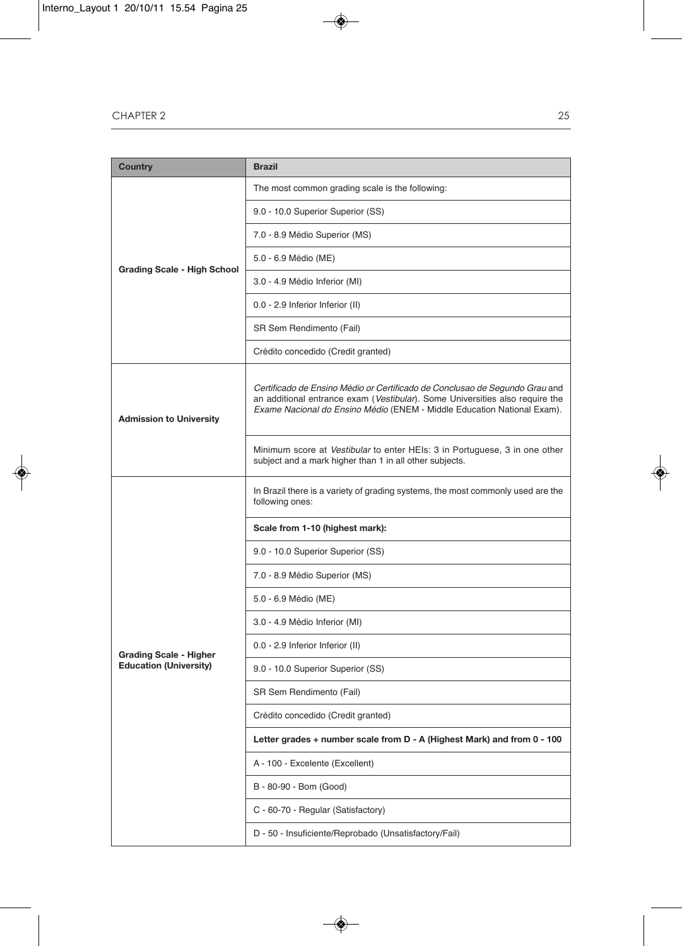| Country                            | <b>Brazil</b>                                                                                                                                                                                                                          |  |  |
|------------------------------------|----------------------------------------------------------------------------------------------------------------------------------------------------------------------------------------------------------------------------------------|--|--|
|                                    | The most common grading scale is the following:                                                                                                                                                                                        |  |  |
| <b>Grading Scale - High School</b> | 9.0 - 10.0 Superior Superior (SS)                                                                                                                                                                                                      |  |  |
|                                    | 7.0 - 8.9 Médio Superior (MS)                                                                                                                                                                                                          |  |  |
|                                    | 5.0 - 6.9 Médio (ME)                                                                                                                                                                                                                   |  |  |
|                                    | 3.0 - 4.9 Médio Inferior (MI)                                                                                                                                                                                                          |  |  |
|                                    | 0.0 - 2.9 Inferior Inferior (II)                                                                                                                                                                                                       |  |  |
|                                    | SR Sem Rendimento (Fail)                                                                                                                                                                                                               |  |  |
|                                    | Crédito concedido (Credit granted)                                                                                                                                                                                                     |  |  |
| <b>Admission to University</b>     | Certificado de Ensino Médio or Certificado de Conclusao de Segundo Grau and<br>an additional entrance exam (Vestibular). Some Universities also require the<br>Exame Nacional do Ensino Médio (ENEM - Middle Education National Exam). |  |  |
|                                    | Minimum score at Vestibular to enter HEIs: 3 in Portuguese, 3 in one other<br>subject and a mark higher than 1 in all other subjects.                                                                                                  |  |  |
|                                    | In Brazil there is a variety of grading systems, the most commonly used are the<br>following ones:                                                                                                                                     |  |  |
|                                    | Scale from 1-10 (highest mark):                                                                                                                                                                                                        |  |  |
|                                    | 9.0 - 10.0 Superior Superior (SS)                                                                                                                                                                                                      |  |  |
|                                    | 7.0 - 8.9 Médio Superior (MS)                                                                                                                                                                                                          |  |  |
|                                    | 5.0 - 6.9 Médio (ME)                                                                                                                                                                                                                   |  |  |
|                                    | 3.0 - 4.9 Médio Inferior (MI)                                                                                                                                                                                                          |  |  |
| <b>Grading Scale - Higher</b>      | 0.0 - 2.9 Inferior Inferior (II)                                                                                                                                                                                                       |  |  |
| <b>Education (University)</b>      | 9.0 - 10.0 Superior Superior (SS)                                                                                                                                                                                                      |  |  |
|                                    | SR Sem Rendimento (Fail)                                                                                                                                                                                                               |  |  |
|                                    | Crédito concedido (Credit granted)                                                                                                                                                                                                     |  |  |
|                                    | Letter grades + number scale from D - A (Highest Mark) and from 0 - 100                                                                                                                                                                |  |  |
|                                    | A - 100 - Excelente (Excellent)                                                                                                                                                                                                        |  |  |
|                                    | B - 80-90 - Bom (Good)                                                                                                                                                                                                                 |  |  |
|                                    | C - 60-70 - Regular (Satisfactory)                                                                                                                                                                                                     |  |  |
|                                    | D - 50 - Insuficiente/Reprobado (Unsatisfactory/Fail)                                                                                                                                                                                  |  |  |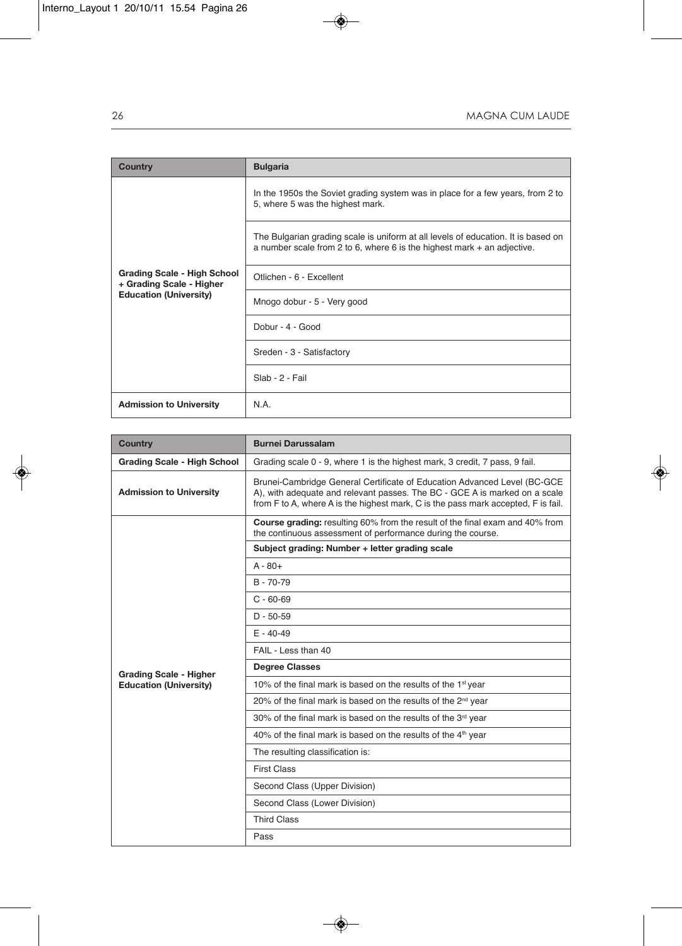| <b>Country</b>                                                                                  | <b>Bulgaria</b>                                                                                                                                                |  |  |
|-------------------------------------------------------------------------------------------------|----------------------------------------------------------------------------------------------------------------------------------------------------------------|--|--|
| <b>Grading Scale - High School</b><br>+ Grading Scale - Higher<br><b>Education (University)</b> | In the 1950s the Soviet grading system was in place for a few years, from 2 to<br>5, where 5 was the highest mark.                                             |  |  |
|                                                                                                 | The Bulgarian grading scale is uniform at all levels of education. It is based on<br>a number scale from 2 to 6, where 6 is the highest mark $+$ an adjective. |  |  |
|                                                                                                 | Otlichen - 6 - Excellent                                                                                                                                       |  |  |
|                                                                                                 | Mnogo dobur - 5 - Very good                                                                                                                                    |  |  |
|                                                                                                 | Dobur - 4 - Good                                                                                                                                               |  |  |
|                                                                                                 | Sreden - 3 - Satisfactory                                                                                                                                      |  |  |
|                                                                                                 | Slab - 2 - Fail                                                                                                                                                |  |  |
| <b>Admission to University</b>                                                                  | N.A.                                                                                                                                                           |  |  |

| Country                        | <b>Burnei Darussalam</b>                                                                                                                                                                                                                    |  |  |
|--------------------------------|---------------------------------------------------------------------------------------------------------------------------------------------------------------------------------------------------------------------------------------------|--|--|
| Grading Scale - High School    | Grading scale 0 - 9, where 1 is the highest mark, 3 credit, 7 pass, 9 fail.                                                                                                                                                                 |  |  |
| <b>Admission to University</b> | Brunei-Cambridge General Certificate of Education Advanced Level (BC-GCE<br>A), with adequate and relevant passes. The BC - GCE A is marked on a scale<br>from F to A, where A is the highest mark, C is the pass mark accepted, F is fail. |  |  |
|                                | Course grading: resulting 60% from the result of the final exam and 40% from<br>the continuous assessment of performance during the course.                                                                                                 |  |  |
|                                | Subject grading: Number + letter grading scale                                                                                                                                                                                              |  |  |
|                                | $A - 80+$                                                                                                                                                                                                                                   |  |  |
|                                | $B - 70 - 79$                                                                                                                                                                                                                               |  |  |
|                                | $C - 60 - 69$                                                                                                                                                                                                                               |  |  |
|                                | $D - 50 - 59$                                                                                                                                                                                                                               |  |  |
|                                | $E - 40 - 49$                                                                                                                                                                                                                               |  |  |
|                                | FAIL - Less than 40                                                                                                                                                                                                                         |  |  |
| <b>Grading Scale - Higher</b>  | <b>Degree Classes</b>                                                                                                                                                                                                                       |  |  |
| <b>Education (University)</b>  | 10% of the final mark is based on the results of the 1 <sup>st</sup> year                                                                                                                                                                   |  |  |
|                                | 20% of the final mark is based on the results of the 2 <sup>nd</sup> year                                                                                                                                                                   |  |  |
|                                | 30% of the final mark is based on the results of the 3rd year                                                                                                                                                                               |  |  |
|                                | 40% of the final mark is based on the results of the 4 <sup>th</sup> year                                                                                                                                                                   |  |  |
|                                | The resulting classification is:                                                                                                                                                                                                            |  |  |
|                                | <b>First Class</b>                                                                                                                                                                                                                          |  |  |
|                                | Second Class (Upper Division)                                                                                                                                                                                                               |  |  |
|                                | Second Class (Lower Division)                                                                                                                                                                                                               |  |  |
|                                | <b>Third Class</b>                                                                                                                                                                                                                          |  |  |
|                                | Pass                                                                                                                                                                                                                                        |  |  |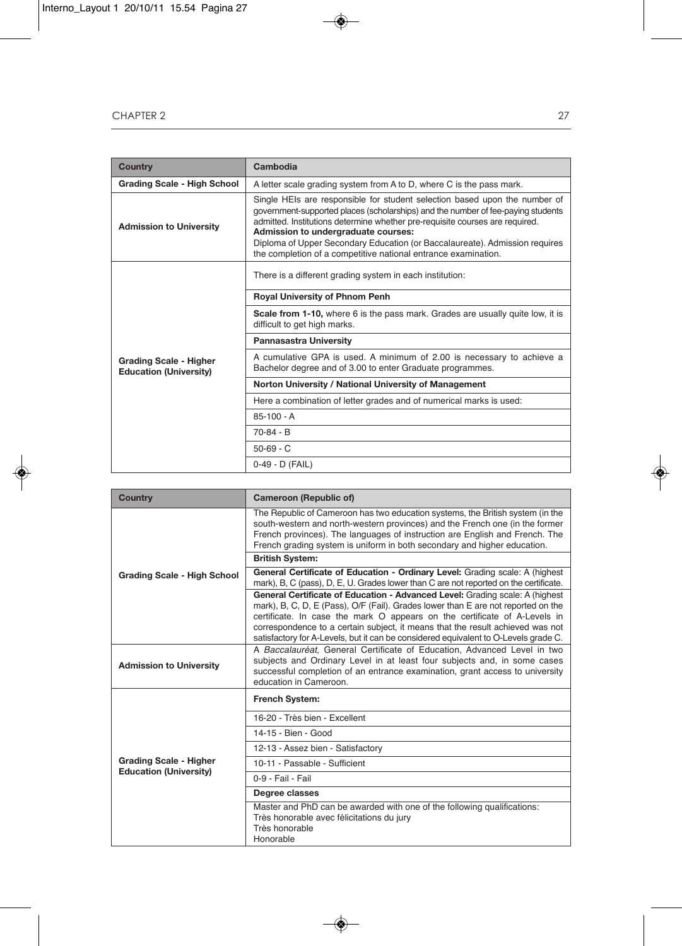| Country                                                        | Cambodia                                                                                                                                                                                                                                                                                                                                                                                                                               |  |  |
|----------------------------------------------------------------|----------------------------------------------------------------------------------------------------------------------------------------------------------------------------------------------------------------------------------------------------------------------------------------------------------------------------------------------------------------------------------------------------------------------------------------|--|--|
| <b>Grading Scale - High School</b>                             | A letter scale grading system from A to D, where C is the pass mark.                                                                                                                                                                                                                                                                                                                                                                   |  |  |
| <b>Admission to University</b>                                 | Single HEIs are responsible for student selection based upon the number of<br>government-supported places (scholarships) and the number of fee-paying students<br>admitted. Institutions determine whether pre-requisite courses are required.<br>Admission to undergraduate courses:<br>Diploma of Upper Secondary Education (or Baccalaureate). Admission requires<br>the completion of a competitive national entrance examination. |  |  |
| <b>Grading Scale - Higher</b><br><b>Education (University)</b> | There is a different grading system in each institution:                                                                                                                                                                                                                                                                                                                                                                               |  |  |
|                                                                | Royal University of Phnom Penh                                                                                                                                                                                                                                                                                                                                                                                                         |  |  |
|                                                                | <b>Scale from 1-10,</b> where 6 is the pass mark. Grades are usually quite low, it is<br>difficult to get high marks.                                                                                                                                                                                                                                                                                                                  |  |  |
|                                                                | <b>Pannasastra University</b>                                                                                                                                                                                                                                                                                                                                                                                                          |  |  |
|                                                                | A cumulative GPA is used. A minimum of 2.00 is necessary to achieve a<br>Bachelor degree and of 3.00 to enter Graduate programmes.                                                                                                                                                                                                                                                                                                     |  |  |
|                                                                | Norton University / National University of Management                                                                                                                                                                                                                                                                                                                                                                                  |  |  |
|                                                                | Here a combination of letter grades and of numerical marks is used:                                                                                                                                                                                                                                                                                                                                                                    |  |  |
|                                                                | $85-100 - A$                                                                                                                                                                                                                                                                                                                                                                                                                           |  |  |
|                                                                | $70-84 - B$                                                                                                                                                                                                                                                                                                                                                                                                                            |  |  |
|                                                                | $50 - 69 - C$                                                                                                                                                                                                                                                                                                                                                                                                                          |  |  |
|                                                                | 0-49 - D (FAIL)                                                                                                                                                                                                                                                                                                                                                                                                                        |  |  |

| <b>Country</b>                     | <b>Cameroon (Republic of)</b>                                                                                                                                                                                                                                                                                                                                                                                           |  |  |
|------------------------------------|-------------------------------------------------------------------------------------------------------------------------------------------------------------------------------------------------------------------------------------------------------------------------------------------------------------------------------------------------------------------------------------------------------------------------|--|--|
| <b>Grading Scale - High School</b> | The Republic of Cameroon has two education systems, the British system (in the<br>south-western and north-western provinces) and the French one (in the former<br>French provinces). The languages of instruction are English and French. The<br>French grading system is uniform in both secondary and higher education.                                                                                               |  |  |
|                                    | <b>British System:</b>                                                                                                                                                                                                                                                                                                                                                                                                  |  |  |
|                                    | General Certificate of Education - Ordinary Level: Grading scale: A (highest<br>mark), B, C (pass), D, E, U. Grades lower than C are not reported on the certificate.                                                                                                                                                                                                                                                   |  |  |
|                                    | General Certificate of Education - Advanced Level: Grading scale: A (highest<br>mark), B, C, D, E (Pass), O/F (Fail). Grades lower than E are not reported on the<br>certificate. In case the mark O appears on the certificate of A-Levels in<br>correspondence to a certain subject, it means that the result achieved was not<br>satisfactory for A-Levels, but it can be considered equivalent to O-Levels grade C. |  |  |
| <b>Admission to University</b>     | A Baccalauréat, General Certificate of Education, Advanced Level in two<br>subjects and Ordinary Level in at least four subjects and, in some cases<br>successful completion of an entrance examination, grant access to university<br>education in Cameroon.                                                                                                                                                           |  |  |
|                                    | French System:                                                                                                                                                                                                                                                                                                                                                                                                          |  |  |
|                                    | 16-20 - Très bien - Excellent                                                                                                                                                                                                                                                                                                                                                                                           |  |  |
|                                    | 14-15 - Bien - Good                                                                                                                                                                                                                                                                                                                                                                                                     |  |  |
|                                    | 12-13 - Assez bien - Satisfactory                                                                                                                                                                                                                                                                                                                                                                                       |  |  |
| <b>Grading Scale - Higher</b>      | 10-11 - Passable - Sufficient                                                                                                                                                                                                                                                                                                                                                                                           |  |  |
| <b>Education (University)</b>      | 0-9 - Fail - Fail                                                                                                                                                                                                                                                                                                                                                                                                       |  |  |
|                                    | Degree classes                                                                                                                                                                                                                                                                                                                                                                                                          |  |  |
|                                    | Master and PhD can be awarded with one of the following qualifications:<br>Très honorable avec félicitations du jury<br>Très honorable<br>Honorable                                                                                                                                                                                                                                                                     |  |  |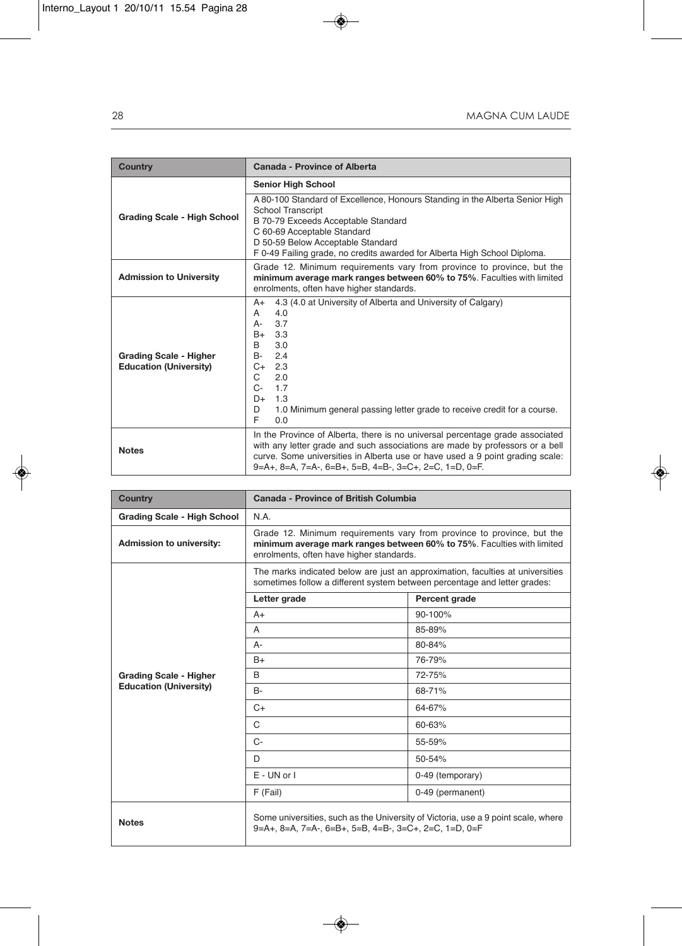| <b>Country</b>                                                 | Canada - Province of Alberta                                                                                                                                                                                                                                                                                                                                    |  |  |
|----------------------------------------------------------------|-----------------------------------------------------------------------------------------------------------------------------------------------------------------------------------------------------------------------------------------------------------------------------------------------------------------------------------------------------------------|--|--|
|                                                                | <b>Senior High School</b>                                                                                                                                                                                                                                                                                                                                       |  |  |
| Grading Scale - High School                                    | A 80-100 Standard of Excellence, Honours Standing in the Alberta Senior High<br><b>School Transcript</b><br>B 70-79 Exceeds Acceptable Standard<br>C 60-69 Acceptable Standard<br>D 50-59 Below Acceptable Standard<br>F 0-49 Failing grade, no credits awarded for Alberta High School Diploma.                                                                |  |  |
| <b>Admission to University</b>                                 | Grade 12. Minimum requirements vary from province to province, but the<br>minimum average mark ranges between 60% to 75%. Faculties with limited<br>enrolments, often have higher standards.                                                                                                                                                                    |  |  |
| <b>Grading Scale - Higher</b><br><b>Education (University)</b> | 4.3 (4.0 at University of Alberta and University of Calgary)<br>$A+$<br>4.0<br>A<br>3.7<br>А-<br>3.3<br>B+<br>3.0<br>B<br>B-<br>2.4<br>2.3<br>$C+$<br>C<br>2.0<br>1.7<br>$C-$<br>1.3<br>D+<br>1.0 Minimum general passing letter grade to receive credit for a course.<br>D<br>E<br>0.0                                                                         |  |  |
| <b>Notes</b>                                                   | In the Province of Alberta, there is no universal percentage grade associated<br>with any letter grade and such associations are made by professors or a bell<br>curve. Some universities in Alberta use or have used a 9 point grading scale:<br>$9 = A +$ , $8 = A$ , $7 = A -$ , $6 = B +$ , $5 = B$ , $4 = B -$ , $3 = C +$ , $2 = C$ , $1 = D$ , $0 = F$ . |  |  |

| <b>Country</b>                     | Canada - Province of British Columbia                                                                                                                                                        |                  |  |
|------------------------------------|----------------------------------------------------------------------------------------------------------------------------------------------------------------------------------------------|------------------|--|
| <b>Grading Scale - High School</b> | N.A.                                                                                                                                                                                         |                  |  |
| Admission to university:           | Grade 12. Minimum requirements vary from province to province, but the<br>minimum average mark ranges between 60% to 75%. Faculties with limited<br>enrolments, often have higher standards. |                  |  |
|                                    | The marks indicated below are just an approximation, faculties at universities<br>sometimes follow a different system between percentage and letter grades:                                  |                  |  |
|                                    | Letter grade                                                                                                                                                                                 | Percent grade    |  |
|                                    | $A+$                                                                                                                                                                                         | $90 - 100%$      |  |
|                                    | A                                                                                                                                                                                            | 85-89%           |  |
|                                    | A-                                                                                                                                                                                           | 80-84%           |  |
|                                    | $B+$                                                                                                                                                                                         | 76-79%           |  |
| <b>Grading Scale - Higher</b>      | B                                                                                                                                                                                            | 72-75%           |  |
| <b>Education (University)</b>      | <b>B-</b>                                                                                                                                                                                    | 68-71%           |  |
|                                    | $C+$                                                                                                                                                                                         | 64-67%           |  |
|                                    | C                                                                                                                                                                                            | 60-63%           |  |
|                                    | $C -$                                                                                                                                                                                        | 55-59%           |  |
|                                    | D.                                                                                                                                                                                           | 50-54%           |  |
|                                    | $E - UN$ or $I$                                                                                                                                                                              | 0-49 (temporary) |  |
|                                    | F (Fail)                                                                                                                                                                                     | 0-49 (permanent) |  |
| <b>Notes</b>                       | Some universities, such as the University of Victoria, use a 9 point scale, where<br>9=A+, 8=A, 7=A-, 6=B+, 5=B, 4=B-, 3=C+, 2=C, 1=D, 0=F                                                   |                  |  |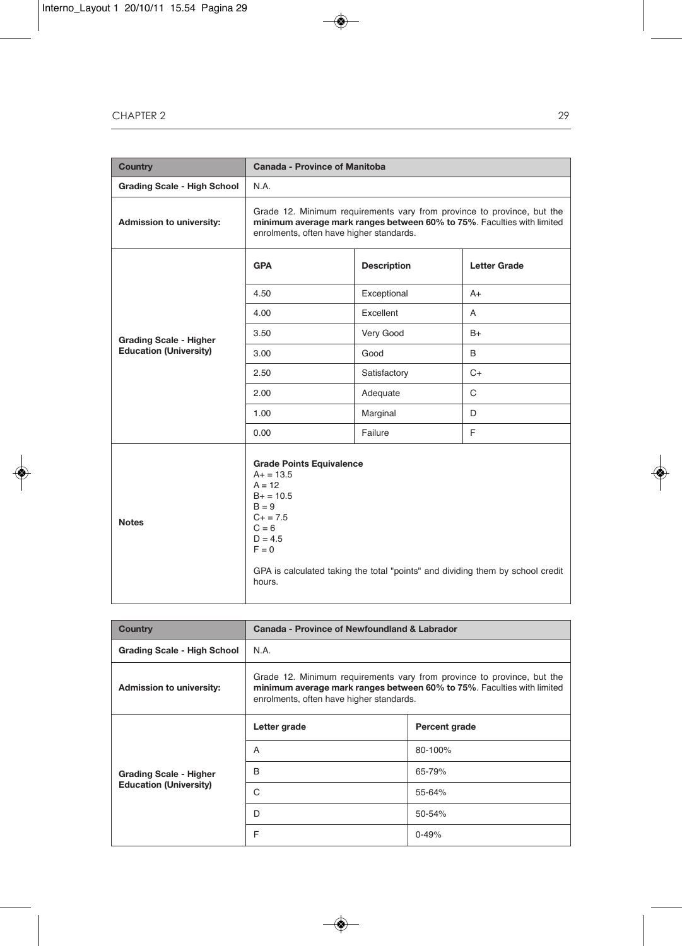| <b>Country</b>                     | <b>Canada - Province of Manitoba</b>                                                                                                                                                                                             |                    |                     |
|------------------------------------|----------------------------------------------------------------------------------------------------------------------------------------------------------------------------------------------------------------------------------|--------------------|---------------------|
| <b>Grading Scale - High School</b> | N.A.                                                                                                                                                                                                                             |                    |                     |
| Admission to university:           | Grade 12. Minimum requirements vary from province to province, but the<br>minimum average mark ranges between 60% to 75%. Faculties with limited<br>enrolments, often have higher standards.                                     |                    |                     |
|                                    | <b>GPA</b>                                                                                                                                                                                                                       | <b>Description</b> | <b>Letter Grade</b> |
|                                    | 4.50                                                                                                                                                                                                                             | Exceptional        | $A+$                |
|                                    | 4.00                                                                                                                                                                                                                             | Excellent          | A                   |
| <b>Grading Scale - Higher</b>      | 3.50                                                                                                                                                                                                                             | Very Good          | $B+$                |
| <b>Education (University)</b>      | 3.00                                                                                                                                                                                                                             | Good               | B                   |
|                                    | 2.50                                                                                                                                                                                                                             | Satisfactory       | $C+$                |
|                                    | 2.00                                                                                                                                                                                                                             | Adequate           | $\mathsf{C}$        |
|                                    | 1.00                                                                                                                                                                                                                             | Marginal           | D                   |
|                                    | 0.00                                                                                                                                                                                                                             | Failure            | F                   |
| <b>Notes</b>                       | <b>Grade Points Equivalence</b><br>$A+ = 13.5$<br>$A = 12$<br>$B+ = 10.5$<br>$B = 9$<br>$C + 7.5$<br>$C = 6$<br>$D = 4.5$<br>$F = 0$<br>GPA is calculated taking the total "points" and dividing them by school credit<br>hours. |                    |                     |

| Country                       | Canada - Province of Newfoundland & Labrador                                                                                                                                                 |               |  |
|-------------------------------|----------------------------------------------------------------------------------------------------------------------------------------------------------------------------------------------|---------------|--|
| Grading Scale - High School   | N.A.                                                                                                                                                                                         |               |  |
| Admission to university:      | Grade 12. Minimum requirements vary from province to province, but the<br>minimum average mark ranges between 60% to 75%. Faculties with limited<br>enrolments, often have higher standards. |               |  |
|                               | Letter grade                                                                                                                                                                                 | Percent grade |  |
|                               | A                                                                                                                                                                                            | 80-100%       |  |
| <b>Grading Scale - Higher</b> | B                                                                                                                                                                                            | 65-79%        |  |
| <b>Education (University)</b> | C                                                                                                                                                                                            | 55-64%        |  |
|                               | D                                                                                                                                                                                            | 50-54%        |  |
|                               | F                                                                                                                                                                                            | $0 - 49%$     |  |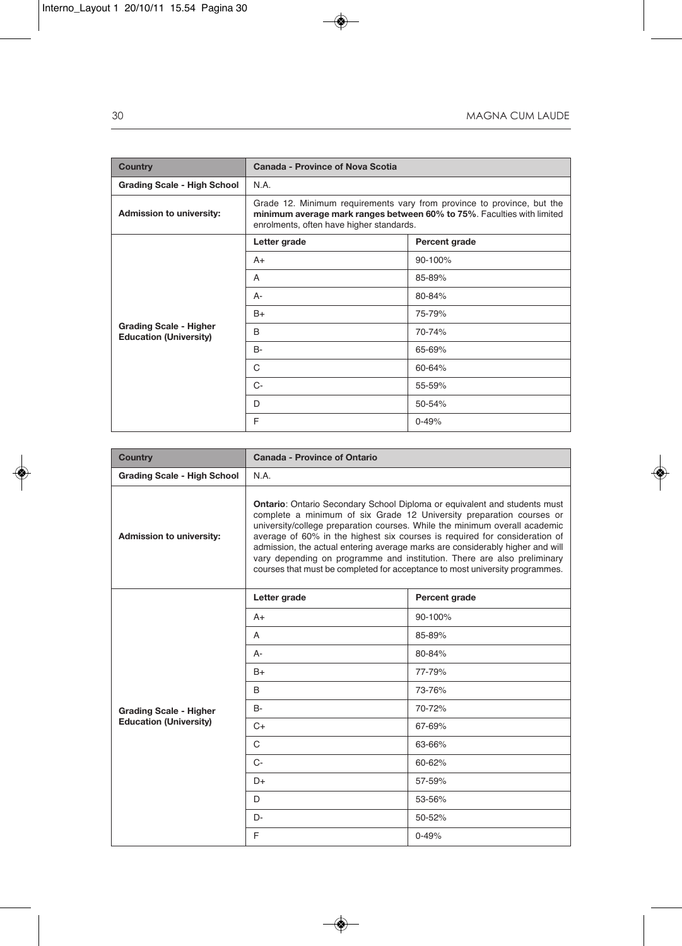| <b>Country</b>                                                 | Canada - Province of Nova Scotia                                                                                                                                                             |               |  |
|----------------------------------------------------------------|----------------------------------------------------------------------------------------------------------------------------------------------------------------------------------------------|---------------|--|
| <b>Grading Scale - High School</b>                             | N.A.                                                                                                                                                                                         |               |  |
| <b>Admission to university:</b>                                | Grade 12. Minimum requirements vary from province to province, but the<br>minimum average mark ranges between 60% to 75%. Faculties with limited<br>enrolments, often have higher standards. |               |  |
|                                                                | Letter grade                                                                                                                                                                                 | Percent grade |  |
|                                                                | $A+$                                                                                                                                                                                         | 90-100%       |  |
|                                                                | A                                                                                                                                                                                            | 85-89%        |  |
|                                                                | А-                                                                                                                                                                                           | 80-84%        |  |
|                                                                | $B+$                                                                                                                                                                                         | 75-79%        |  |
| <b>Grading Scale - Higher</b><br><b>Education (University)</b> | <sub>R</sub>                                                                                                                                                                                 | 70-74%        |  |
|                                                                | $B -$                                                                                                                                                                                        | 65-69%        |  |
|                                                                | C                                                                                                                                                                                            | 60-64%        |  |
|                                                                | $C-$                                                                                                                                                                                         | 55-59%        |  |
|                                                                | D                                                                                                                                                                                            | 50-54%        |  |
|                                                                | F                                                                                                                                                                                            | $0 - 49%$     |  |

| <b>Country</b>                     | Canada - Province of Ontario                                                                                                                                                                                                                                                                                                                                                                                                                                                                                                                                     |               |  |
|------------------------------------|------------------------------------------------------------------------------------------------------------------------------------------------------------------------------------------------------------------------------------------------------------------------------------------------------------------------------------------------------------------------------------------------------------------------------------------------------------------------------------------------------------------------------------------------------------------|---------------|--|
| <b>Grading Scale - High School</b> | N.A.                                                                                                                                                                                                                                                                                                                                                                                                                                                                                                                                                             |               |  |
| Admission to university:           | <b>Ontario:</b> Ontario Secondary School Diploma or equivalent and students must<br>complete a minimum of six Grade 12 University preparation courses or<br>university/college preparation courses. While the minimum overall academic<br>average of 60% in the highest six courses is required for consideration of<br>admission, the actual entering average marks are considerably higher and will<br>vary depending on programme and institution. There are also preliminary<br>courses that must be completed for acceptance to most university programmes. |               |  |
|                                    | Letter grade                                                                                                                                                                                                                                                                                                                                                                                                                                                                                                                                                     | Percent grade |  |
|                                    | $A+$                                                                                                                                                                                                                                                                                                                                                                                                                                                                                                                                                             | 90-100%       |  |
|                                    | A                                                                                                                                                                                                                                                                                                                                                                                                                                                                                                                                                                | 85-89%        |  |
|                                    | A-                                                                                                                                                                                                                                                                                                                                                                                                                                                                                                                                                               | 80-84%        |  |
|                                    | $B+$                                                                                                                                                                                                                                                                                                                                                                                                                                                                                                                                                             | 77-79%        |  |
|                                    | B                                                                                                                                                                                                                                                                                                                                                                                                                                                                                                                                                                | 73-76%        |  |
| <b>Grading Scale - Higher</b>      | <b>B-</b>                                                                                                                                                                                                                                                                                                                                                                                                                                                                                                                                                        | 70-72%        |  |
| <b>Education (University)</b>      | $C+$                                                                                                                                                                                                                                                                                                                                                                                                                                                                                                                                                             | 67-69%        |  |
|                                    | $\mathsf{C}$                                                                                                                                                                                                                                                                                                                                                                                                                                                                                                                                                     | 63-66%        |  |
|                                    | $C-$                                                                                                                                                                                                                                                                                                                                                                                                                                                                                                                                                             | 60-62%        |  |
|                                    | D+                                                                                                                                                                                                                                                                                                                                                                                                                                                                                                                                                               | 57-59%        |  |
|                                    | D                                                                                                                                                                                                                                                                                                                                                                                                                                                                                                                                                                | 53-56%        |  |
|                                    | $D -$                                                                                                                                                                                                                                                                                                                                                                                                                                                                                                                                                            | 50-52%        |  |
|                                    | E                                                                                                                                                                                                                                                                                                                                                                                                                                                                                                                                                                | $0 - 49%$     |  |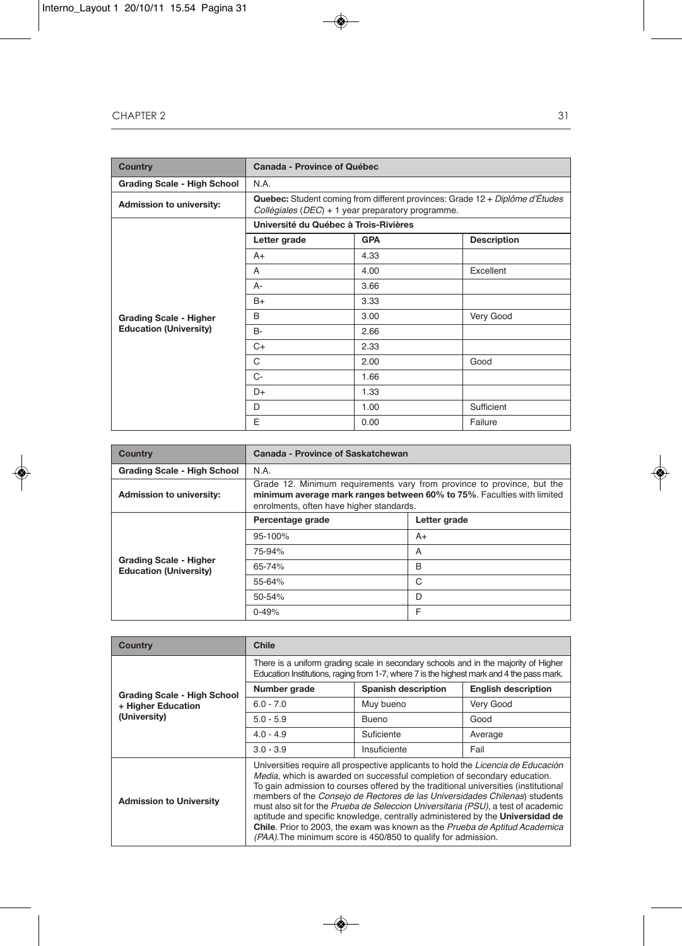| <b>Country</b>                     | Canada - Province of Québec                                                                                                                        |            |                    |  |
|------------------------------------|----------------------------------------------------------------------------------------------------------------------------------------------------|------------|--------------------|--|
| <b>Grading Scale - High School</b> | N.A.                                                                                                                                               |            |                    |  |
| Admission to university:           | <b>Quebec:</b> Student coming from different provinces: Grade $12 + Dipl\hat{o}$ d'Études<br>Collégiales ( $DEC$ ) + 1 year preparatory programme. |            |                    |  |
|                                    | Université du Québec à Trois-Rivières                                                                                                              |            |                    |  |
|                                    | Letter grade                                                                                                                                       | <b>GPA</b> | <b>Description</b> |  |
|                                    | $A+$                                                                                                                                               | 4.33       |                    |  |
|                                    | $\overline{A}$                                                                                                                                     | 4.00       | Excellent          |  |
|                                    | A-                                                                                                                                                 | 3.66       |                    |  |
|                                    | $B+$                                                                                                                                               | 3.33       |                    |  |
| <b>Grading Scale - Higher</b>      | B                                                                                                                                                  | 3.00       | Very Good          |  |
| <b>Education (University)</b>      | <b>B-</b>                                                                                                                                          | 2.66       |                    |  |
|                                    | $C+$                                                                                                                                               | 2.33       |                    |  |
|                                    | C                                                                                                                                                  | 2.00       | Good               |  |
|                                    | C-                                                                                                                                                 | 1.66       |                    |  |
|                                    | D+                                                                                                                                                 | 1.33       |                    |  |
|                                    | D                                                                                                                                                  | 1.00       | Sufficient         |  |
|                                    | E                                                                                                                                                  | 0.00       | Failure            |  |

| <b>Country</b>                                                 | Canada - Province of Saskatchewan                                                                                                                                                            |              |  |
|----------------------------------------------------------------|----------------------------------------------------------------------------------------------------------------------------------------------------------------------------------------------|--------------|--|
| <b>Grading Scale - High School</b>                             | N.A.                                                                                                                                                                                         |              |  |
| <b>Admission to university:</b>                                | Grade 12. Minimum requirements vary from province to province, but the<br>minimum average mark ranges between 60% to 75%. Faculties with limited<br>enrolments, often have higher standards. |              |  |
|                                                                | Percentage grade                                                                                                                                                                             | Letter grade |  |
|                                                                | 95-100%                                                                                                                                                                                      | A+           |  |
|                                                                | 75-94%                                                                                                                                                                                       | A            |  |
| <b>Grading Scale - Higher</b><br><b>Education (University)</b> | 65-74%                                                                                                                                                                                       | B            |  |
|                                                                | 55-64%                                                                                                                                                                                       | C            |  |
|                                                                | 50-54%                                                                                                                                                                                       | D            |  |
|                                                                | $0 - 49%$                                                                                                                                                                                    | F            |  |

| Country                        | <b>Chile</b>                                                                                                                                                                                                                                                                                                                                                                                                                                                                                                                                                                                                                                             |                            |                            |  |
|--------------------------------|----------------------------------------------------------------------------------------------------------------------------------------------------------------------------------------------------------------------------------------------------------------------------------------------------------------------------------------------------------------------------------------------------------------------------------------------------------------------------------------------------------------------------------------------------------------------------------------------------------------------------------------------------------|----------------------------|----------------------------|--|
|                                | There is a uniform grading scale in secondary schools and in the majority of Higher<br>Education Institutions, raging from 1-7, where 7 is the highest mark and 4 the pass mark.                                                                                                                                                                                                                                                                                                                                                                                                                                                                         |                            |                            |  |
| Grading Scale - High School    | Number grade                                                                                                                                                                                                                                                                                                                                                                                                                                                                                                                                                                                                                                             | <b>Spanish description</b> | <b>English description</b> |  |
| + Higher Education             | $6.0 - 7.0$                                                                                                                                                                                                                                                                                                                                                                                                                                                                                                                                                                                                                                              | Muy bueno                  | Very Good                  |  |
| (University)                   | $5.0 - 5.9$                                                                                                                                                                                                                                                                                                                                                                                                                                                                                                                                                                                                                                              | <b>Bueno</b>               | Good                       |  |
|                                | $4.0 - 4.9$                                                                                                                                                                                                                                                                                                                                                                                                                                                                                                                                                                                                                                              | Suficiente                 | Average                    |  |
|                                | $3.0 - 3.9$                                                                                                                                                                                                                                                                                                                                                                                                                                                                                                                                                                                                                                              | Insuficiente               | Fail                       |  |
| <b>Admission to University</b> | Universities require all prospective applicants to hold the Licencia de Educación<br>Media, which is awarded on successful completion of secondary education.<br>To gain admission to courses offered by the traditional universities (institutional<br>members of the Consejo de Rectores de las Universidades Chilenas) students<br>must also sit for the Prueba de Seleccion Universitaria (PSU), a test of academic<br>aptitude and specific knowledge, centrally administered by the Universidad de<br>Chile. Prior to 2003, the exam was known as the Prueba de Aptitud Academica<br>(PAA). The minimum score is 450/850 to qualify for admission. |                            |                            |  |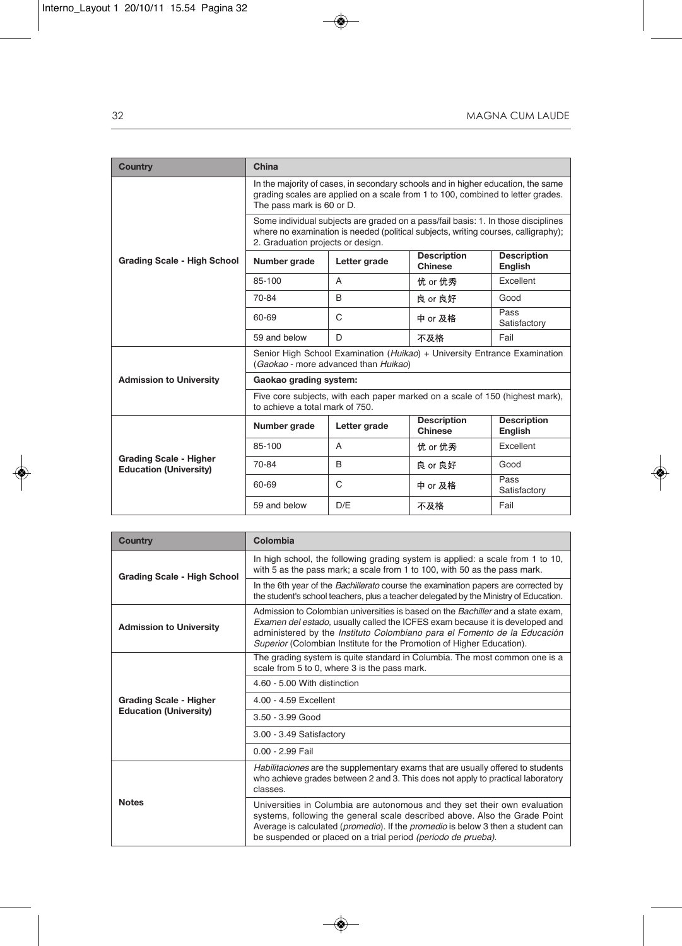| <b>Country</b>                                                 | China                                                                                                                                                                                            |              |                                                                                                                                                                         |                               |
|----------------------------------------------------------------|--------------------------------------------------------------------------------------------------------------------------------------------------------------------------------------------------|--------------|-------------------------------------------------------------------------------------------------------------------------------------------------------------------------|-------------------------------|
|                                                                | In the majority of cases, in secondary schools and in higher education, the same<br>grading scales are applied on a scale from 1 to 100, combined to letter grades.<br>The pass mark is 60 or D. |              |                                                                                                                                                                         |                               |
|                                                                | 2. Graduation projects or design.                                                                                                                                                                |              | Some individual subjects are graded on a pass/fail basis: 1. In those disciplines<br>where no examination is needed (political subjects, writing courses, calligraphy); |                               |
| Grading Scale - High School                                    | Number grade                                                                                                                                                                                     | Letter grade | <b>Description</b><br><b>Chinese</b>                                                                                                                                    | <b>Description</b><br>English |
|                                                                | 85-100                                                                                                                                                                                           | A            | 优 or 优秀                                                                                                                                                                 | Excellent                     |
|                                                                | 70-84                                                                                                                                                                                            | <sub>R</sub> | 良 or 良好                                                                                                                                                                 | Good                          |
|                                                                | 60-69                                                                                                                                                                                            | C            | 中 or 及格                                                                                                                                                                 | Pass<br>Satisfactory          |
|                                                                | 59 and below                                                                                                                                                                                     | D            | 不及格                                                                                                                                                                     | Fail                          |
|                                                                | Senior High School Examination (Huikao) + University Entrance Examination<br>(Gaokao - more advanced than Huikao)                                                                                |              |                                                                                                                                                                         |                               |
| <b>Admission to University</b>                                 | Gaokao grading system:                                                                                                                                                                           |              |                                                                                                                                                                         |                               |
|                                                                | Five core subjects, with each paper marked on a scale of 150 (highest mark),<br>to achieve a total mark of 750.                                                                                  |              |                                                                                                                                                                         |                               |
|                                                                | Number grade                                                                                                                                                                                     | Letter grade | <b>Description</b><br>Chinese                                                                                                                                           | <b>Description</b><br>English |
|                                                                | 85-100                                                                                                                                                                                           | A            | 优 or 优秀                                                                                                                                                                 | Excellent                     |
| <b>Grading Scale - Higher</b><br><b>Education (University)</b> | 70-84                                                                                                                                                                                            | <sub>R</sub> | 良 or 良好                                                                                                                                                                 | Good                          |
|                                                                | 60-69                                                                                                                                                                                            | C            | 中 or 及格                                                                                                                                                                 | Pass<br>Satisfactory          |
|                                                                | 59 and below                                                                                                                                                                                     | D/F          | 不及格                                                                                                                                                                     | Fail                          |

| Country                        | Colombia                                                                                                                                                                                                                                                                                                                    |  |
|--------------------------------|-----------------------------------------------------------------------------------------------------------------------------------------------------------------------------------------------------------------------------------------------------------------------------------------------------------------------------|--|
| Grading Scale - High School    | In high school, the following grading system is applied: a scale from 1 to 10,<br>with 5 as the pass mark; a scale from 1 to 100, with 50 as the pass mark.                                                                                                                                                                 |  |
|                                | In the 6th year of the Bachillerato course the examination papers are corrected by<br>the student's school teachers, plus a teacher delegated by the Ministry of Education.                                                                                                                                                 |  |
| <b>Admission to University</b> | Admission to Colombian universities is based on the <i>Bachiller</i> and a state exam.<br>Examen del estado, usually called the ICFES exam because it is developed and<br>administered by the Instituto Colombiano para el Fomento de la Educación<br>Superior (Colombian Institute for the Promotion of Higher Education). |  |
|                                | The grading system is quite standard in Columbia. The most common one is a<br>scale from 5 to 0, where 3 is the pass mark.                                                                                                                                                                                                  |  |
|                                | 4.60 - 5.00 With distinction                                                                                                                                                                                                                                                                                                |  |
| <b>Grading Scale - Higher</b>  | 4.00 - 4.59 Excellent                                                                                                                                                                                                                                                                                                       |  |
| <b>Education (University)</b>  | $3.50 - 3.99$ Good                                                                                                                                                                                                                                                                                                          |  |
|                                | 3.00 - 3.49 Satisfactory                                                                                                                                                                                                                                                                                                    |  |
|                                | $0.00 - 2.99$ Fail                                                                                                                                                                                                                                                                                                          |  |
|                                | Habilitaciones are the supplementary exams that are usually offered to students<br>who achieve grades between 2 and 3. This does not apply to practical laboratory<br>classes.                                                                                                                                              |  |
| <b>Notes</b>                   | Universities in Columbia are autonomous and they set their own evaluation<br>systems, following the general scale described above. Also the Grade Point<br>Average is calculated ( <i>promedio</i> ). If the <i>promedio</i> is below 3 then a student can<br>be suspended or placed on a trial period (periodo de prueba). |  |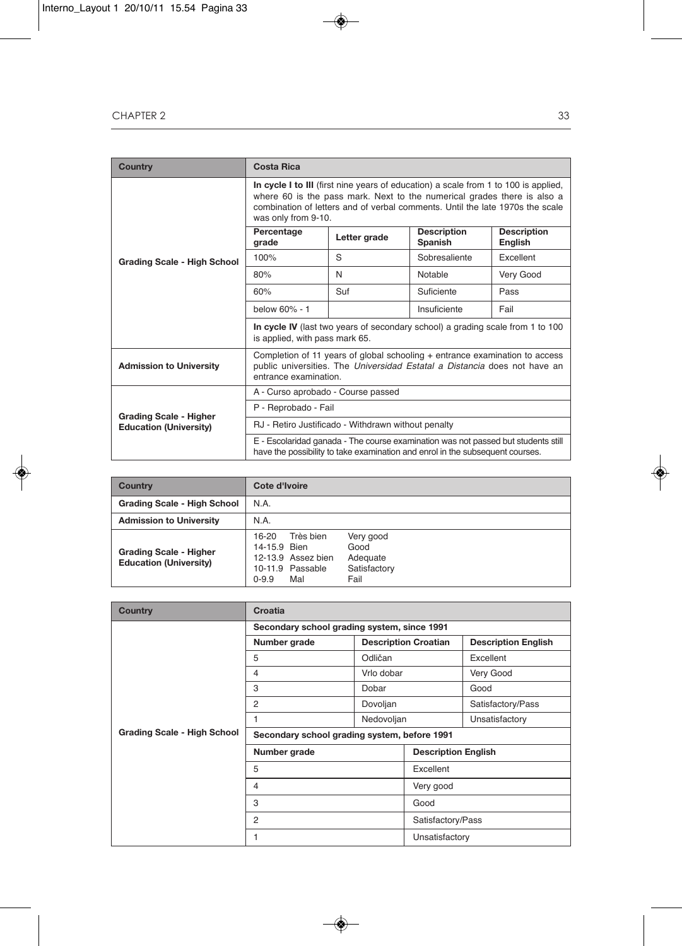| <b>Country</b>                     | <b>Costa Rica</b>                                                                                                                                                                                                                                                      |              |                                      |                               |
|------------------------------------|------------------------------------------------------------------------------------------------------------------------------------------------------------------------------------------------------------------------------------------------------------------------|--------------|--------------------------------------|-------------------------------|
|                                    | In cycle I to III (first nine years of education) a scale from 1 to 100 is applied,<br>where 60 is the pass mark. Next to the numerical grades there is also a<br>combination of letters and of verbal comments. Until the late 1970s the scale<br>was only from 9-10. |              |                                      |                               |
|                                    | Percentage<br>grade                                                                                                                                                                                                                                                    | Letter grade | <b>Description</b><br><b>Spanish</b> | <b>Description</b><br>English |
| <b>Grading Scale - High School</b> | 100%                                                                                                                                                                                                                                                                   | S            | Sobresaliente                        | Excellent                     |
|                                    | 80%                                                                                                                                                                                                                                                                    | N            | Notable                              | Very Good                     |
|                                    | 60%                                                                                                                                                                                                                                                                    | Suf          | Suficiente                           | Pass                          |
|                                    | below 60% - 1                                                                                                                                                                                                                                                          |              | Insuficiente                         | Fail                          |
|                                    | In cycle IV (last two years of secondary school) a grading scale from 1 to 100<br>is applied, with pass mark 65.                                                                                                                                                       |              |                                      |                               |
| <b>Admission to University</b>     | Completion of 11 years of global schooling + entrance examination to access<br>public universities. The Universidad Estatal a Distancia does not have an<br>entrance examination.                                                                                      |              |                                      |                               |
|                                    | A - Curso aprobado - Course passed                                                                                                                                                                                                                                     |              |                                      |                               |
| <b>Grading Scale - Higher</b>      | P - Reprobado - Fail                                                                                                                                                                                                                                                   |              |                                      |                               |
| <b>Education (University)</b>      | RJ - Retiro Justificado - Withdrawn without penalty                                                                                                                                                                                                                    |              |                                      |                               |
|                                    | E - Escolaridad ganada - The course examination was not passed but students still<br>have the possibility to take examination and enrol in the subsequent courses.                                                                                                     |              |                                      |                               |

| Country                                                        | Cote d'Ivoire                                                                                                                                             |
|----------------------------------------------------------------|-----------------------------------------------------------------------------------------------------------------------------------------------------------|
| <b>Grading Scale - High School</b>                             | N.A.                                                                                                                                                      |
| <b>Admission to University</b>                                 | N.A.                                                                                                                                                      |
| <b>Grading Scale - Higher</b><br><b>Education (University)</b> | Très bien<br>Very good<br>16-20<br>14-15.9 Bien<br>Good<br>12-13.9 Assez bien<br>Adequate<br>10-11.9 Passable<br>Satisfactory<br>Fail<br>$0 - 9.9$<br>Mal |

| <b>Country</b>                     | Croatia                                      |                             |                            |                            |  |
|------------------------------------|----------------------------------------------|-----------------------------|----------------------------|----------------------------|--|
|                                    | Secondary school grading system, since 1991  |                             |                            |                            |  |
|                                    | Number grade                                 | <b>Description Croatian</b> |                            | <b>Description English</b> |  |
|                                    | 5                                            | Odličan                     |                            | Excellent                  |  |
|                                    | 4                                            | Vrlo dobar                  |                            | Very Good                  |  |
|                                    | 3                                            | Dobar                       |                            | Good                       |  |
|                                    | 2                                            | Dovoljan                    |                            | Satisfactory/Pass          |  |
|                                    | 1                                            | Nedovoljan                  |                            | Unsatisfactory             |  |
| <b>Grading Scale - High School</b> | Secondary school grading system, before 1991 |                             |                            |                            |  |
|                                    | Number grade                                 |                             | <b>Description English</b> |                            |  |
|                                    | 5                                            |                             | Excellent                  |                            |  |
|                                    | 4                                            |                             | Very good                  |                            |  |
|                                    | 3                                            |                             | Good                       |                            |  |
|                                    | 2                                            |                             |                            | Satisfactory/Pass          |  |
|                                    | 1                                            |                             | Unsatisfactory             |                            |  |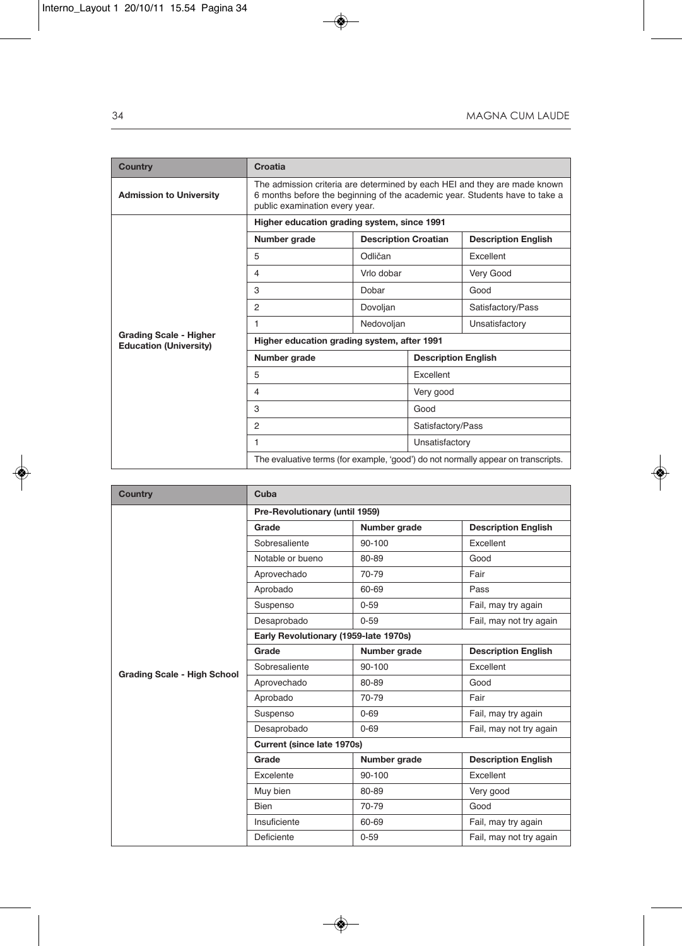| <b>Country</b>                                                 | Croatia                                                                                                                                                                                    |                             |                   |                            |  |
|----------------------------------------------------------------|--------------------------------------------------------------------------------------------------------------------------------------------------------------------------------------------|-----------------------------|-------------------|----------------------------|--|
| <b>Admission to University</b>                                 | The admission criteria are determined by each HEI and they are made known<br>6 months before the beginning of the academic year. Students have to take a<br>public examination every year. |                             |                   |                            |  |
|                                                                | Higher education grading system, since 1991                                                                                                                                                |                             |                   |                            |  |
|                                                                | Number grade                                                                                                                                                                               | <b>Description Croatian</b> |                   | <b>Description English</b> |  |
|                                                                | 5                                                                                                                                                                                          | Odličan                     |                   | Excellent                  |  |
|                                                                | $\overline{4}$                                                                                                                                                                             | Vrlo dobar                  |                   | Very Good                  |  |
|                                                                | 3                                                                                                                                                                                          | Dobar                       |                   | Good                       |  |
|                                                                | $\overline{2}$                                                                                                                                                                             | Dovoljan                    |                   | Satisfactory/Pass          |  |
|                                                                | 1                                                                                                                                                                                          | Nedovoljan                  |                   | Unsatisfactory             |  |
| <b>Grading Scale - Higher</b><br><b>Education (University)</b> | Higher education grading system, after 1991                                                                                                                                                |                             |                   |                            |  |
|                                                                | Number grade                                                                                                                                                                               |                             |                   | <b>Description English</b> |  |
|                                                                | 5                                                                                                                                                                                          |                             | Excellent         |                            |  |
|                                                                | $\overline{4}$                                                                                                                                                                             |                             | Very good         |                            |  |
|                                                                | 3                                                                                                                                                                                          |                             | Good              |                            |  |
|                                                                | $\overline{2}$                                                                                                                                                                             |                             | Satisfactory/Pass |                            |  |
|                                                                | 1                                                                                                                                                                                          |                             | Unsatisfactory    |                            |  |
|                                                                | The evaluative terms (for example, 'good') do not normally appear on transcripts.                                                                                                          |                             |                   |                            |  |

| <b>Country</b>                     | Cuba                                  |              |                            |  |
|------------------------------------|---------------------------------------|--------------|----------------------------|--|
|                                    | Pre-Revolutionary (until 1959)        |              |                            |  |
|                                    | Grade                                 | Number grade | <b>Description English</b> |  |
|                                    | Sobresaliente                         | 90-100       | Excellent                  |  |
|                                    | Notable or bueno                      | 80-89        | Good                       |  |
|                                    | Aprovechado                           | 70-79        | Fair                       |  |
|                                    | Aprobado                              | 60-69        | Pass                       |  |
|                                    | Suspenso                              | $0 - 59$     | Fail, may try again        |  |
|                                    | Desaprobado                           | $0 - 59$     | Fail, may not try again    |  |
|                                    | Early Revolutionary (1959-late 1970s) |              |                            |  |
|                                    | Grade                                 | Number grade | <b>Description English</b> |  |
| <b>Grading Scale - High School</b> | Sobresaliente                         | 90-100       | Excellent                  |  |
|                                    | Aprovechado                           | 80-89        | Good                       |  |
|                                    | Aprobado                              | 70-79        | Fair                       |  |
|                                    | Suspenso                              | $0 - 69$     | Fail, may try again        |  |
|                                    | Desaprobado                           | $0 - 69$     | Fail, may not try again    |  |
|                                    | Current (since late 1970s)            |              |                            |  |
|                                    | Grade                                 | Number grade | <b>Description English</b> |  |
|                                    | Excelente                             | 90-100       | Excellent                  |  |
|                                    | Muy bien                              | 80-89        | Very good                  |  |
|                                    | <b>Bien</b>                           | 70-79        | Good                       |  |
|                                    | Insuficiente                          | 60-69        | Fail, may try again        |  |
|                                    | Deficiente                            | $0 - 59$     | Fail, may not try again    |  |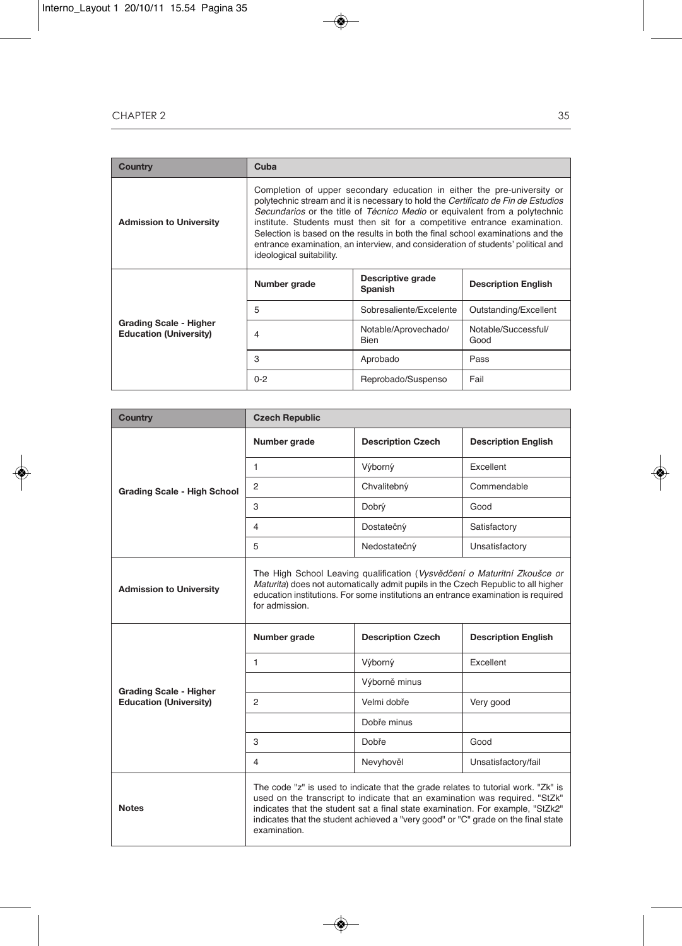| Country                                                 | Cuba                                                                                                                                                                                                                                                                                                                                                                                                                                                                                                                       |                                                            |                             |
|---------------------------------------------------------|----------------------------------------------------------------------------------------------------------------------------------------------------------------------------------------------------------------------------------------------------------------------------------------------------------------------------------------------------------------------------------------------------------------------------------------------------------------------------------------------------------------------------|------------------------------------------------------------|-----------------------------|
| <b>Admission to University</b>                          | Completion of upper secondary education in either the pre-university or<br>polytechnic stream and it is necessary to hold the Certificato de Fin de Estudios<br>Secundarios or the title of Técnico Medio or equivalent from a polytechnic<br>institute. Students must then sit for a competitive entrance examination.<br>Selection is based on the results in both the final school examinations and the<br>entrance examination, an interview, and consideration of students' political and<br>ideological suitability. |                                                            |                             |
|                                                         | Number grade                                                                                                                                                                                                                                                                                                                                                                                                                                                                                                               | Descriptive grade<br><b>Description English</b><br>Spanish |                             |
|                                                         | 5                                                                                                                                                                                                                                                                                                                                                                                                                                                                                                                          | Sobresaliente/Excelente                                    | Outstanding/Excellent       |
| Grading Scale - Higher<br><b>Education (University)</b> | 4                                                                                                                                                                                                                                                                                                                                                                                                                                                                                                                          | Notable/Aprovechado/<br><b>Bien</b>                        | Notable/Successful/<br>Good |
|                                                         | 3                                                                                                                                                                                                                                                                                                                                                                                                                                                                                                                          | Aprobado                                                   | Pass                        |
|                                                         | $0 - 2$                                                                                                                                                                                                                                                                                                                                                                                                                                                                                                                    | Reprobado/Suspenso                                         | Fail                        |

| Country                            | <b>Czech Republic</b>                                                                                                                                                                                                                                                |                                                                                                                                                                                                                                                                                                                                         |                            |
|------------------------------------|----------------------------------------------------------------------------------------------------------------------------------------------------------------------------------------------------------------------------------------------------------------------|-----------------------------------------------------------------------------------------------------------------------------------------------------------------------------------------------------------------------------------------------------------------------------------------------------------------------------------------|----------------------------|
|                                    | Number grade                                                                                                                                                                                                                                                         | <b>Description Czech</b>                                                                                                                                                                                                                                                                                                                | <b>Description English</b> |
|                                    | 1                                                                                                                                                                                                                                                                    | Výborný                                                                                                                                                                                                                                                                                                                                 | Excellent                  |
| <b>Grading Scale - High School</b> | $\overline{2}$                                                                                                                                                                                                                                                       | Chvalitebný                                                                                                                                                                                                                                                                                                                             | Commendable                |
|                                    | 3                                                                                                                                                                                                                                                                    | Dobrý                                                                                                                                                                                                                                                                                                                                   | Good                       |
|                                    | 4                                                                                                                                                                                                                                                                    | Dostatečný                                                                                                                                                                                                                                                                                                                              | Satisfactory               |
|                                    | 5                                                                                                                                                                                                                                                                    | Nedostatečný                                                                                                                                                                                                                                                                                                                            | Unsatisfactory             |
| <b>Admission to University</b>     | The High School Leaving qualification (Vysvědčení o Maturitní Zkoušce or<br>Maturita) does not automatically admit pupils in the Czech Republic to all higher<br>education institutions. For some institutions an entrance examination is required<br>for admission. |                                                                                                                                                                                                                                                                                                                                         |                            |
|                                    | Number grade                                                                                                                                                                                                                                                         | <b>Description Czech</b>                                                                                                                                                                                                                                                                                                                | <b>Description English</b> |
|                                    | 1                                                                                                                                                                                                                                                                    | Výborný                                                                                                                                                                                                                                                                                                                                 | Excellent                  |
| <b>Grading Scale - Higher</b>      |                                                                                                                                                                                                                                                                      | Výborně minus                                                                                                                                                                                                                                                                                                                           |                            |
| <b>Education (University)</b>      | 2                                                                                                                                                                                                                                                                    | Velmi dobře                                                                                                                                                                                                                                                                                                                             | Very good                  |
|                                    |                                                                                                                                                                                                                                                                      | Dobře minus                                                                                                                                                                                                                                                                                                                             |                            |
|                                    | 3                                                                                                                                                                                                                                                                    | Dobře                                                                                                                                                                                                                                                                                                                                   | Good                       |
|                                    | 4                                                                                                                                                                                                                                                                    | Nevyhověl                                                                                                                                                                                                                                                                                                                               | Unsatisfactory/fail        |
| <b>Notes</b>                       | examination.                                                                                                                                                                                                                                                         | The code "z" is used to indicate that the grade relates to tutorial work. "Zk" is<br>used on the transcript to indicate that an examination was required. "StZk"<br>indicates that the student sat a final state examination. For example, "StZk2"<br>indicates that the student achieved a "very good" or "C" grade on the final state |                            |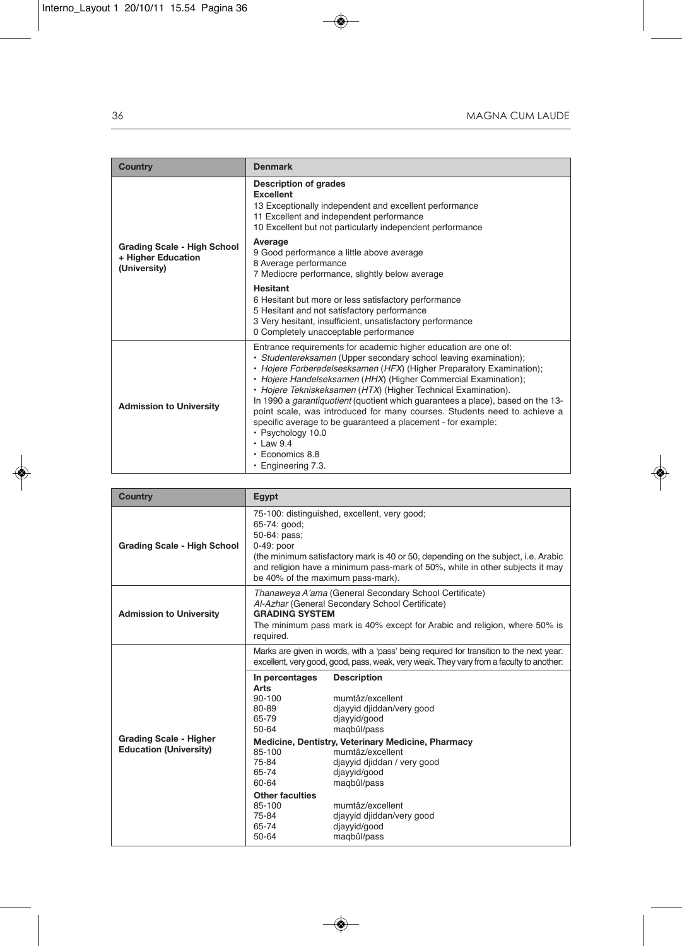| <b>Country</b>                                                           | <b>Denmark</b>                                                                                                                                                                                                                                                                                                                                                                                                                                                                                                                                                                                                                                                       |
|--------------------------------------------------------------------------|----------------------------------------------------------------------------------------------------------------------------------------------------------------------------------------------------------------------------------------------------------------------------------------------------------------------------------------------------------------------------------------------------------------------------------------------------------------------------------------------------------------------------------------------------------------------------------------------------------------------------------------------------------------------|
|                                                                          | <b>Description of grades</b><br><b>Excellent</b><br>13 Exceptionally independent and excellent performance<br>11 Excellent and independent performance<br>10 Excellent but not particularly independent performance                                                                                                                                                                                                                                                                                                                                                                                                                                                  |
| <b>Grading Scale - High School</b><br>+ Higher Education<br>(University) | Average<br>9 Good performance a little above average<br>8 Average performance<br>7 Mediocre performance, slightly below average                                                                                                                                                                                                                                                                                                                                                                                                                                                                                                                                      |
|                                                                          | <b>Hesitant</b><br>6 Hesitant but more or less satisfactory performance<br>5 Hesitant and not satisfactory performance<br>3 Very hesitant, insufficient, unsatisfactory performance<br>0 Completely unacceptable performance                                                                                                                                                                                                                                                                                                                                                                                                                                         |
| <b>Admission to University</b>                                           | Entrance requirements for academic higher education are one of:<br>· Studentereksamen (Upper secondary school leaving examination);<br>• Hojere Forberedelsesksamen (HFX) (Higher Preparatory Examination);<br>• Hojere Handelseksamen (HHX) (Higher Commercial Examination);<br>• Hojere Tekniskeksamen (HTX) (Higher Technical Examination).<br>In 1990 a garantiquotient (quotient which guarantees a place), based on the 13-<br>point scale, was introduced for many courses. Students need to achieve a<br>specific average to be guaranteed a placement - for example:<br>· Psychology 10.0<br>$\cdot$ Law 9.4<br>$\cdot$ Economics 8.8<br>• Engineering 7.3. |

| <b>Country</b>                                                 | Egypt                                                                                                                                                                                                                                                                                                |                                                                              |  |
|----------------------------------------------------------------|------------------------------------------------------------------------------------------------------------------------------------------------------------------------------------------------------------------------------------------------------------------------------------------------------|------------------------------------------------------------------------------|--|
| <b>Grading Scale - High School</b>                             | 75-100: distinguished, excellent, very good;<br>65-74: good;<br>50-64: pass;<br>0-49: poor<br>(the minimum satisfactory mark is 40 or 50, depending on the subject, i.e. Arabic<br>and religion have a minimum pass-mark of 50%, while in other subjects it may<br>be 40% of the maximum pass-mark). |                                                                              |  |
| <b>Admission to University</b>                                 | Thanaweya A'ama (General Secondary School Certificate)<br>Al-Azhar (General Secondary School Certificate)<br><b>GRADING SYSTEM</b><br>The minimum pass mark is 40% except for Arabic and religion, where 50% is<br>required.                                                                         |                                                                              |  |
|                                                                | Marks are given in words, with a 'pass' being required for transition to the next year:<br>excellent, very good, good, pass, weak, very weak. They vary from a faculty to another:                                                                                                                   |                                                                              |  |
|                                                                | In percentages<br>Arts                                                                                                                                                                                                                                                                               | <b>Description</b>                                                           |  |
|                                                                | $90 - 100$<br>80-89<br>65-79<br>$50 - 64$                                                                                                                                                                                                                                                            | mumtâz/excellent<br>diayyid djiddan/very good<br>djayyid/good<br>magbûl/pass |  |
| <b>Grading Scale - Higher</b><br><b>Education (University)</b> | Medicine, Dentistry, Veterinary Medicine, Pharmacy                                                                                                                                                                                                                                                   |                                                                              |  |
|                                                                | 85-100<br>75-84                                                                                                                                                                                                                                                                                      | mumtâz/excellent<br>djayyid djiddan / very good                              |  |
|                                                                | 65-74<br>60-64                                                                                                                                                                                                                                                                                       | djayyid/good<br>magbûl/pass                                                  |  |
|                                                                | <b>Other faculties</b><br>85-100<br>75-84<br>65-74<br>50-64                                                                                                                                                                                                                                          | mumtâz/excellent<br>diayyid djiddan/very good<br>djayyid/good<br>magbûl/pass |  |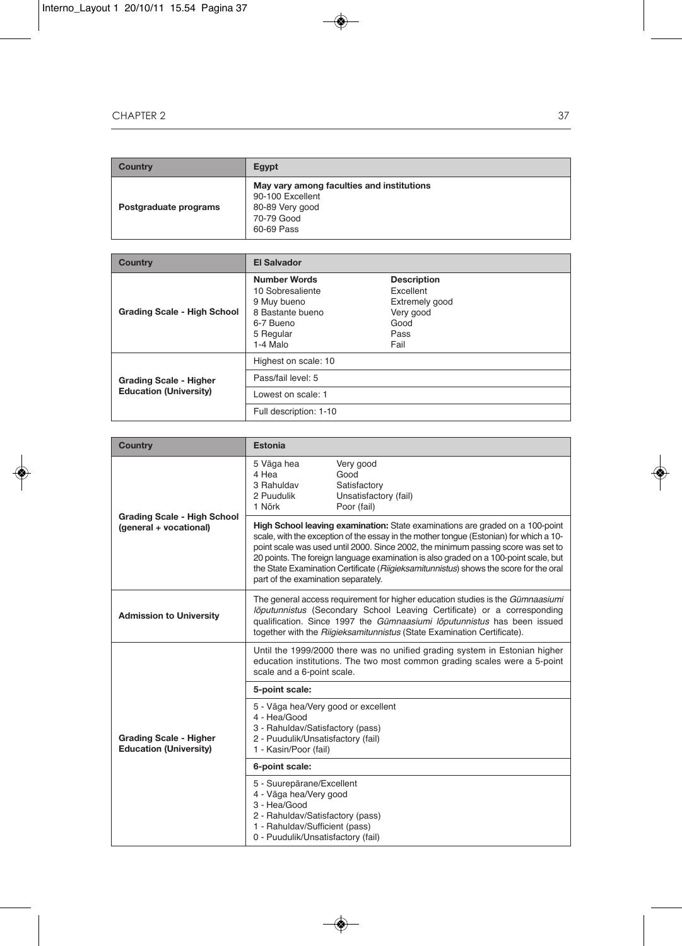| Country               | Egypt                                                                                                        |
|-----------------------|--------------------------------------------------------------------------------------------------------------|
| Postgraduate programs | May vary among faculties and institutions<br>90-100 Excellent<br>80-89 Very good<br>70-79 Good<br>60-69 Pass |

| <b>Country</b>                                                 | <b>El Salvador</b>                                                                                               |                                                                                        |
|----------------------------------------------------------------|------------------------------------------------------------------------------------------------------------------|----------------------------------------------------------------------------------------|
| <b>Grading Scale - High School</b>                             | <b>Number Words</b><br>10 Sobresaliente<br>9 Muy bueno<br>8 Bastante bueno<br>6-7 Bueno<br>5 Regular<br>1-4 Malo | <b>Description</b><br>Excellent<br>Extremely good<br>Very good<br>Good<br>Pass<br>Fail |
|                                                                | Highest on scale: 10                                                                                             |                                                                                        |
| <b>Grading Scale - Higher</b><br><b>Education (University)</b> | Pass/fail level: 5                                                                                               |                                                                                        |
|                                                                | Lowest on scale: 1                                                                                               |                                                                                        |
|                                                                | Full description: 1-10                                                                                           |                                                                                        |

| <b>Country</b>                                                 | Estonia                                                                                                                                                                                                                                                                                                                                                                                                                                                                              |                                                                           |  |
|----------------------------------------------------------------|--------------------------------------------------------------------------------------------------------------------------------------------------------------------------------------------------------------------------------------------------------------------------------------------------------------------------------------------------------------------------------------------------------------------------------------------------------------------------------------|---------------------------------------------------------------------------|--|
|                                                                | 5 Väga hea<br>4 Hea<br>3 Rahuldav<br>2 Puudulik<br>1 Nõrk                                                                                                                                                                                                                                                                                                                                                                                                                            | Very good<br>Good<br>Satisfactory<br>Unsatisfactory (fail)<br>Poor (fail) |  |
| <b>Grading Scale - High School</b><br>(general + vocational)   | High School leaving examination: State examinations are graded on a 100-point<br>scale, with the exception of the essay in the mother tongue (Estonian) for which a 10-<br>point scale was used until 2000. Since 2002, the minimum passing score was set to<br>20 points. The foreign language examination is also graded on a 100-point scale, but<br>the State Examination Certificate (Riigieksamitunnistus) shows the score for the oral<br>part of the examination separately. |                                                                           |  |
| <b>Admission to University</b>                                 | The general access requirement for higher education studies is the Gümnaasiumi<br>lõputunnistus (Secondary School Leaving Certificate) or a corresponding<br>qualification. Since 1997 the Gümnaasiumi lõputunnistus has been issued<br>together with the Riigieksamitunnistus (State Examination Certificate).                                                                                                                                                                      |                                                                           |  |
|                                                                | Until the 1999/2000 there was no unified grading system in Estonian higher<br>education institutions. The two most common grading scales were a 5-point<br>scale and a 6-point scale.                                                                                                                                                                                                                                                                                                |                                                                           |  |
|                                                                | 5-point scale:                                                                                                                                                                                                                                                                                                                                                                                                                                                                       |                                                                           |  |
| <b>Grading Scale - Higher</b><br><b>Education (University)</b> | 5 - Väga hea/Very good or excellent<br>4 - Hea/Good<br>3 - Rahuldav/Satisfactory (pass)<br>2 - Puudulik/Unsatisfactory (fail)<br>1 - Kasin/Poor (fail)                                                                                                                                                                                                                                                                                                                               |                                                                           |  |
|                                                                | 6-point scale:                                                                                                                                                                                                                                                                                                                                                                                                                                                                       |                                                                           |  |
|                                                                | 5 - Suurepärane/Excellent<br>4 - Väga hea/Very good<br>3 - Hea/Good<br>2 - Rahuldav/Satisfactory (pass)<br>1 - Rahuldav/Sufficient (pass)<br>0 - Puudulik/Unsatisfactory (fail)                                                                                                                                                                                                                                                                                                      |                                                                           |  |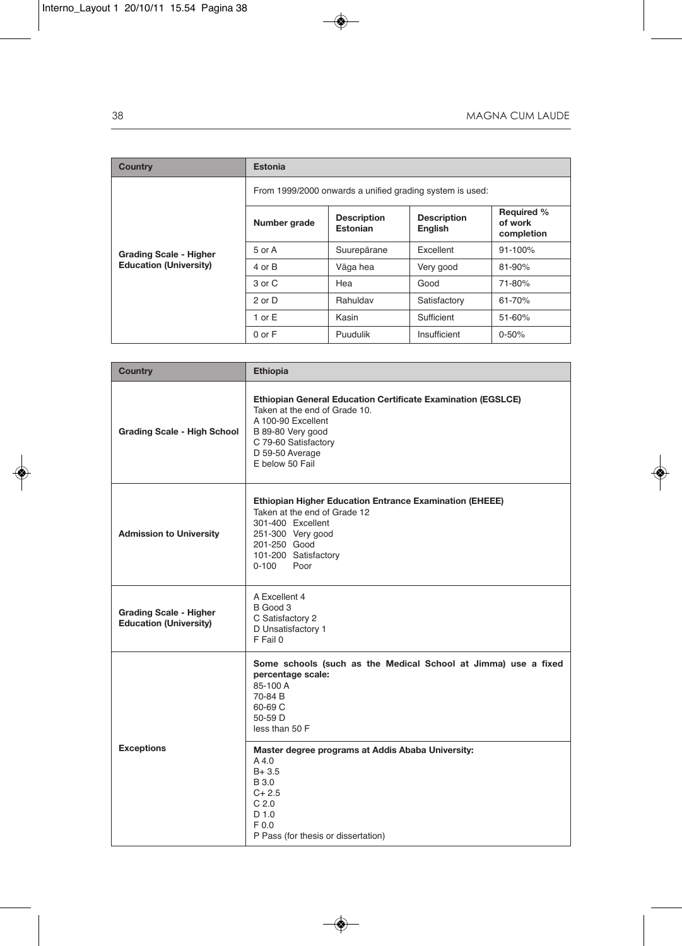| <b>Country</b>                                                 | Estonia                                                  |                                       |                                      |                                            |
|----------------------------------------------------------------|----------------------------------------------------------|---------------------------------------|--------------------------------------|--------------------------------------------|
|                                                                | From 1999/2000 onwards a unified grading system is used: |                                       |                                      |                                            |
| <b>Grading Scale - Higher</b><br><b>Education (University)</b> | Number grade                                             | <b>Description</b><br><b>Estonian</b> | <b>Description</b><br><b>English</b> | <b>Required %</b><br>of work<br>completion |
|                                                                | 5 or A                                                   | Suurepärane                           | Excellent                            | $91 - 100%$                                |
|                                                                | 4 or B                                                   | Väga hea                              | Very good                            | $81 - 90%$                                 |
|                                                                | 3 or C                                                   | Hea                                   | Good                                 | 71-80%                                     |
|                                                                | 2 or D                                                   | Rahuldav                              | Satisfactory                         | $61 - 70%$                                 |
|                                                                | 1 or $E$                                                 | Kasin                                 | Sufficient                           | $51 - 60%$                                 |
|                                                                | $0$ or $F$                                               | Puudulik                              | Insufficient                         | $0 - 50%$                                  |

| Country                                                        | <b>Ethiopia</b>                                                                                                                                                                                        |
|----------------------------------------------------------------|--------------------------------------------------------------------------------------------------------------------------------------------------------------------------------------------------------|
| <b>Grading Scale - High School</b>                             | Ethiopian General Education Certificate Examination (EGSLCE)<br>Taken at the end of Grade 10.<br>A 100-90 Excellent<br>B 89-80 Very good<br>C 79-60 Satisfactory<br>D 59-50 Average<br>E below 50 Fail |
| <b>Admission to University</b>                                 | <b>Ethiopian Higher Education Entrance Examination (EHEEE)</b><br>Taken at the end of Grade 12<br>301-400 Excellent<br>251-300 Very good<br>201-250 Good<br>101-200 Satisfactory<br>0-100<br>Poor      |
| <b>Grading Scale - Higher</b><br><b>Education (University)</b> | A Excellent 4<br>B Good 3<br>C Satisfactory 2<br>D Unsatisfactory 1<br>F Fail 0                                                                                                                        |
|                                                                | Some schools (such as the Medical School at Jimma) use a fixed<br>percentage scale:<br>85-100 A<br>70-84 B<br>60-69 C<br>50-59 D<br>less than 50 F                                                     |
| <b>Exceptions</b>                                              | Master degree programs at Addis Ababa University:<br>A4.0<br>$B + 3.5$<br><b>B</b> 3.0<br>$C + 2.5$<br>C <sub>2.0</sub><br>D 1.0<br>F 0.0<br>P Pass (for thesis or dissertation)                       |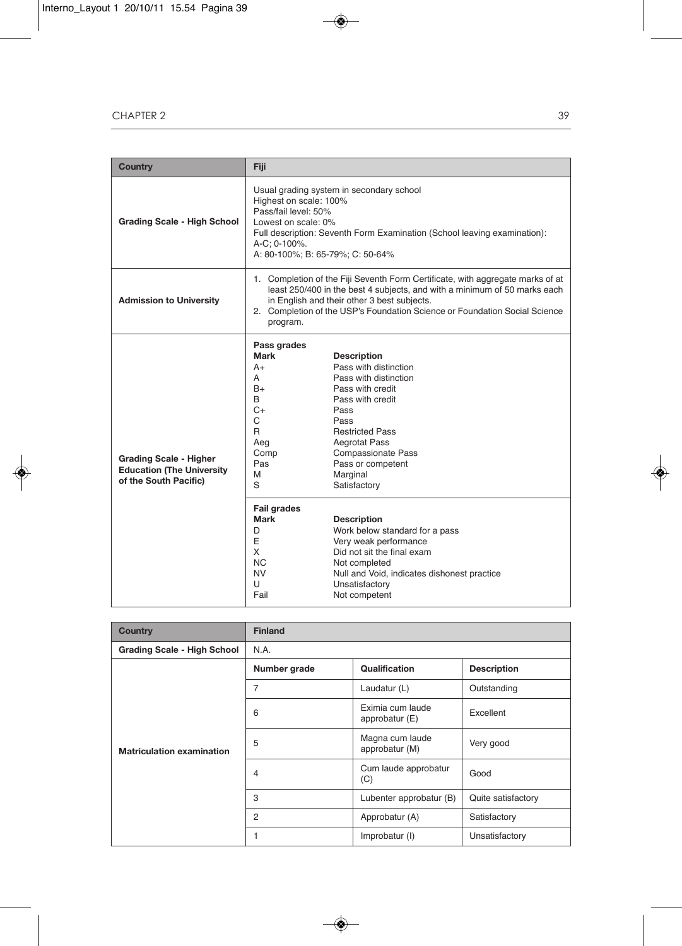| <b>Country</b>                                                                             | Fiji                                                                                                                                                                                                                                                                                                                                                                                |  |  |
|--------------------------------------------------------------------------------------------|-------------------------------------------------------------------------------------------------------------------------------------------------------------------------------------------------------------------------------------------------------------------------------------------------------------------------------------------------------------------------------------|--|--|
| <b>Grading Scale - High School</b>                                                         | Usual grading system in secondary school<br>Highest on scale: 100%<br>Pass/fail level: 50%<br>Lowest on scale: 0%<br>Full description: Seventh Form Examination (School leaving examination):<br>A-C; 0-100%.<br>A: 80-100%; B: 65-79%; C: 50-64%                                                                                                                                   |  |  |
| <b>Admission to University</b>                                                             | 1. Completion of the Fiji Seventh Form Certificate, with aggregate marks of at<br>least 250/400 in the best 4 subjects, and with a minimum of 50 marks each<br>in English and their other 3 best subjects.<br>2. Completion of the USP's Foundation Science or Foundation Social Science<br>program.                                                                                |  |  |
| <b>Grading Scale - Higher</b><br><b>Education (The University</b><br>of the South Pacific) | Pass grades<br>Mark<br><b>Description</b><br>Pass with distinction<br>$A+$<br>Pass with distinction<br>A<br>$B+$<br>Pass with credit<br>B<br>Pass with credit<br>C+<br>Pass<br>C<br>Pass<br>R<br><b>Restricted Pass</b><br><b>Aegrotat Pass</b><br>Aeg<br><b>Compassionate Pass</b><br>Comp<br>Pas<br>Pass or competent<br>M<br>Marginal<br>S<br>Satisfactory<br><b>Fail grades</b> |  |  |
|                                                                                            | Mark<br><b>Description</b><br>Work below standard for a pass<br>D<br>E<br>Very weak performance<br>X<br>Did not sit the final exam<br>NC.<br>Not completed<br>NV<br>Null and Void, indicates dishonest practice<br>U<br>Unsatisfactory<br>Fail<br>Not competent                                                                                                                     |  |  |

| <b>Country</b>                     | <b>Finland</b> |                                                   |                    |
|------------------------------------|----------------|---------------------------------------------------|--------------------|
| <b>Grading Scale - High School</b> | N.A.           |                                                   |                    |
|                                    | Number grade   | <b>Qualification</b>                              | <b>Description</b> |
|                                    | 7              | Laudatur (L)                                      | Outstanding        |
| <b>Matriculation examination</b>   | 6              | Eximia cum laude<br>Excellent<br>approbatur $(E)$ |                    |
|                                    | 5              | Magna cum laude<br>Very good<br>approbatur (M)    |                    |
|                                    | 4              | Cum laude approbatur<br>(C)                       | Good               |
|                                    | 3              | Lubenter approbatur (B)                           | Quite satisfactory |
|                                    | $\overline{2}$ | Approbatur (A)                                    | Satisfactory       |
|                                    |                | Improbatur (I)                                    | Unsatisfactory     |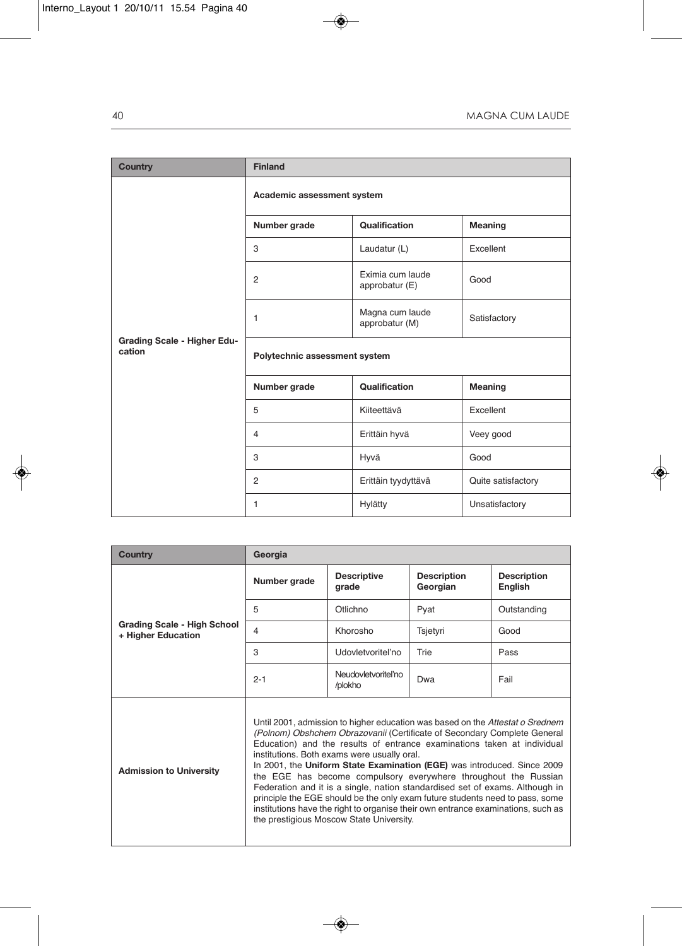| <b>Country</b>                               | <b>Finland</b>                |                                    |                    |  |
|----------------------------------------------|-------------------------------|------------------------------------|--------------------|--|
|                                              | Academic assessment system    |                                    |                    |  |
|                                              | Number grade                  | Qualification                      | Meaning            |  |
|                                              | 3                             | Laudatur (L)                       | Excellent          |  |
| <b>Grading Scale - Higher Edu-</b><br>cation | $\overline{2}$                | Eximia cum laude<br>approbatur (E) | Good               |  |
|                                              | 1                             | Magna cum laude<br>approbatur (M)  | Satisfactory       |  |
|                                              | Polytechnic assessment system |                                    |                    |  |
|                                              | Number grade                  | Qualification                      | <b>Meaning</b>     |  |
|                                              | 5                             | Kiiteettävä                        | Excellent          |  |
|                                              | $\overline{4}$                | Erittäin hyvä                      | Veey good          |  |
|                                              | 3                             | Hyvä                               | Good               |  |
|                                              | 2                             | Erittäin tyydyttävä                | Quite satisfactory |  |
|                                              | 1                             | Hylätty                            | Unsatisfactory     |  |

| <b>Country</b>                                           | Georgia                                                                                                                                                                                                                                                                                                                                                                                                                                                                                                                                                                                                                                                                                                                           |                               |                                |                               |
|----------------------------------------------------------|-----------------------------------------------------------------------------------------------------------------------------------------------------------------------------------------------------------------------------------------------------------------------------------------------------------------------------------------------------------------------------------------------------------------------------------------------------------------------------------------------------------------------------------------------------------------------------------------------------------------------------------------------------------------------------------------------------------------------------------|-------------------------------|--------------------------------|-------------------------------|
|                                                          | Number grade                                                                                                                                                                                                                                                                                                                                                                                                                                                                                                                                                                                                                                                                                                                      | <b>Descriptive</b><br>grade   | <b>Description</b><br>Georgian | <b>Description</b><br>English |
|                                                          | 5                                                                                                                                                                                                                                                                                                                                                                                                                                                                                                                                                                                                                                                                                                                                 | Otlichno                      | Pyat                           | Outstanding                   |
| <b>Grading Scale - High School</b><br>+ Higher Education | 4                                                                                                                                                                                                                                                                                                                                                                                                                                                                                                                                                                                                                                                                                                                                 | Khorosho                      | Tsjetyri                       | Good                          |
|                                                          | 3                                                                                                                                                                                                                                                                                                                                                                                                                                                                                                                                                                                                                                                                                                                                 | Udovletvoritel'no             | Trie                           | Pass                          |
|                                                          | $2 - 1$                                                                                                                                                                                                                                                                                                                                                                                                                                                                                                                                                                                                                                                                                                                           | Neudovletvoriteľno<br>/plokho | Dwa                            | Fail                          |
| <b>Admission to University</b>                           | Until 2001, admission to higher education was based on the Attestat o Srednem<br>(Polnom) Obshchem Obrazovanii (Certificate of Secondary Complete General<br>Education) and the results of entrance examinations taken at individual<br>institutions. Both exams were usually oral.<br>In 2001, the Uniform State Examination (EGE) was introduced. Since 2009<br>the EGE has become compulsory everywhere throughout the Russian<br>Federation and it is a single, nation standardised set of exams. Although in<br>principle the EGE should be the only exam future students need to pass, some<br>institutions have the right to organise their own entrance examinations, such as<br>the prestigious Moscow State University. |                               |                                |                               |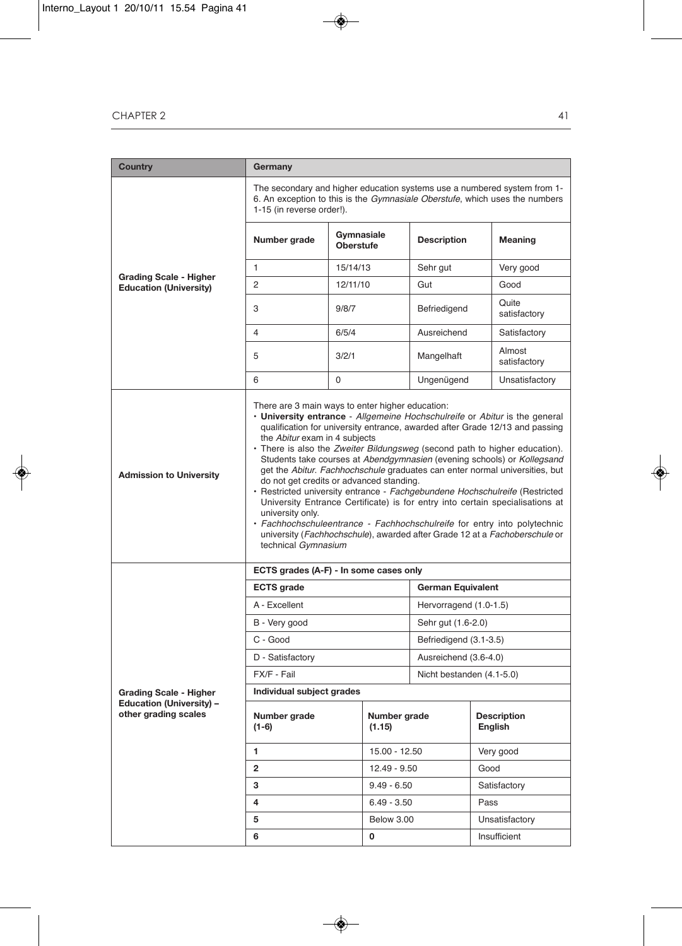| Country                                                          | Germany                                                                                                                                                                                                                                                                                                                                                                                                                                                                                                                                                                                                                                                                                                                                                                                                                                                                                                  |                                |                           |                    |                               |
|------------------------------------------------------------------|----------------------------------------------------------------------------------------------------------------------------------------------------------------------------------------------------------------------------------------------------------------------------------------------------------------------------------------------------------------------------------------------------------------------------------------------------------------------------------------------------------------------------------------------------------------------------------------------------------------------------------------------------------------------------------------------------------------------------------------------------------------------------------------------------------------------------------------------------------------------------------------------------------|--------------------------------|---------------------------|--------------------|-------------------------------|
|                                                                  | The secondary and higher education systems use a numbered system from 1-<br>6. An exception to this is the <i>Gymnasiale Oberstufe</i> , which uses the numbers<br>1-15 (in reverse order!).                                                                                                                                                                                                                                                                                                                                                                                                                                                                                                                                                                                                                                                                                                             |                                |                           |                    |                               |
|                                                                  | Number grade                                                                                                                                                                                                                                                                                                                                                                                                                                                                                                                                                                                                                                                                                                                                                                                                                                                                                             | Gymnasiale<br><b>Oberstufe</b> |                           | <b>Description</b> | Meaning                       |
|                                                                  | $\mathbf{1}$                                                                                                                                                                                                                                                                                                                                                                                                                                                                                                                                                                                                                                                                                                                                                                                                                                                                                             | 15/14/13                       |                           | Sehr gut           | Very good                     |
| <b>Grading Scale - Higher</b><br><b>Education (University)</b>   | 2                                                                                                                                                                                                                                                                                                                                                                                                                                                                                                                                                                                                                                                                                                                                                                                                                                                                                                        | 12/11/10                       |                           | Gut                | Good                          |
|                                                                  | 3                                                                                                                                                                                                                                                                                                                                                                                                                                                                                                                                                                                                                                                                                                                                                                                                                                                                                                        | 9/8/7                          |                           | Befriedigend       | Quite<br>satisfactory         |
|                                                                  | 4                                                                                                                                                                                                                                                                                                                                                                                                                                                                                                                                                                                                                                                                                                                                                                                                                                                                                                        | 6/5/4                          |                           | Ausreichend        | Satisfactory                  |
|                                                                  | 5                                                                                                                                                                                                                                                                                                                                                                                                                                                                                                                                                                                                                                                                                                                                                                                                                                                                                                        | 3/2/1                          |                           | Mangelhaft         | Almost<br>satisfactory        |
|                                                                  | 6                                                                                                                                                                                                                                                                                                                                                                                                                                                                                                                                                                                                                                                                                                                                                                                                                                                                                                        | $\Omega$                       |                           | Ungenügend         | Unsatisfactory                |
| <b>Admission to University</b>                                   | There are 3 main ways to enter higher education:<br>• University entrance - Allgemeine Hochschulreife or Abitur is the general<br>qualification for university entrance, awarded after Grade 12/13 and passing<br>the Abitur exam in 4 subjects<br>· There is also the Zweiter Bildungsweg (second path to higher education).<br>Students take courses at Abendgymnasien (evening schools) or Kollegsand<br>get the Abitur. Fachhochschule graduates can enter normal universities, but<br>do not get credits or advanced standing.<br>· Restricted university entrance - Fachgebundene Hochschulreife (Restricted<br>University Entrance Certificate) is for entry into certain specialisations at<br>university only.<br>• Fachhochschuleentrance - Fachhochschulreife for entry into polytechnic<br>university (Fachhochschule), awarded after Grade 12 at a Fachoberschule or<br>technical Gymnasium |                                |                           |                    |                               |
| ECTS grades (A-F) - In some cases only                           |                                                                                                                                                                                                                                                                                                                                                                                                                                                                                                                                                                                                                                                                                                                                                                                                                                                                                                          |                                |                           |                    |                               |
|                                                                  | <b>ECTS</b> grade                                                                                                                                                                                                                                                                                                                                                                                                                                                                                                                                                                                                                                                                                                                                                                                                                                                                                        |                                | <b>German Equivalent</b>  |                    |                               |
|                                                                  | A - Excellent                                                                                                                                                                                                                                                                                                                                                                                                                                                                                                                                                                                                                                                                                                                                                                                                                                                                                            |                                | Hervorragend (1.0-1.5)    |                    |                               |
|                                                                  | B - Very good                                                                                                                                                                                                                                                                                                                                                                                                                                                                                                                                                                                                                                                                                                                                                                                                                                                                                            |                                | Sehr gut (1.6-2.0)        |                    |                               |
|                                                                  | C - Good                                                                                                                                                                                                                                                                                                                                                                                                                                                                                                                                                                                                                                                                                                                                                                                                                                                                                                 |                                | Befriedigend (3.1-3.5)    |                    |                               |
|                                                                  | D - Satisfactory                                                                                                                                                                                                                                                                                                                                                                                                                                                                                                                                                                                                                                                                                                                                                                                                                                                                                         |                                | Ausreichend (3.6-4.0)     |                    |                               |
|                                                                  | FX/F - Fail                                                                                                                                                                                                                                                                                                                                                                                                                                                                                                                                                                                                                                                                                                                                                                                                                                                                                              |                                | Nicht bestanden (4.1-5.0) |                    |                               |
| <b>Grading Scale - Higher</b><br><b>Education (University) -</b> | Individual subject grades                                                                                                                                                                                                                                                                                                                                                                                                                                                                                                                                                                                                                                                                                                                                                                                                                                                                                |                                |                           |                    |                               |
| other grading scales                                             | Number grade<br>(1-6)                                                                                                                                                                                                                                                                                                                                                                                                                                                                                                                                                                                                                                                                                                                                                                                                                                                                                    | Number grade<br>(1.15)         |                           |                    | <b>Description</b><br>English |
|                                                                  | 1<br>15.00 - 12.50                                                                                                                                                                                                                                                                                                                                                                                                                                                                                                                                                                                                                                                                                                                                                                                                                                                                                       |                                |                           | Very good          |                               |
|                                                                  | $\overline{2}$<br>12.49 - 9.50                                                                                                                                                                                                                                                                                                                                                                                                                                                                                                                                                                                                                                                                                                                                                                                                                                                                           |                                |                           | Good               |                               |
|                                                                  | 3                                                                                                                                                                                                                                                                                                                                                                                                                                                                                                                                                                                                                                                                                                                                                                                                                                                                                                        | $9.49 - 6.50$                  |                           |                    | Satisfactory                  |
|                                                                  | 4                                                                                                                                                                                                                                                                                                                                                                                                                                                                                                                                                                                                                                                                                                                                                                                                                                                                                                        | $6.49 - 3.50$                  |                           |                    | Pass                          |
|                                                                  | 5                                                                                                                                                                                                                                                                                                                                                                                                                                                                                                                                                                                                                                                                                                                                                                                                                                                                                                        | Below 3.00                     |                           |                    | Unsatisfactory                |
|                                                                  | 6<br>0                                                                                                                                                                                                                                                                                                                                                                                                                                                                                                                                                                                                                                                                                                                                                                                                                                                                                                   |                                |                           | Insufficient       |                               |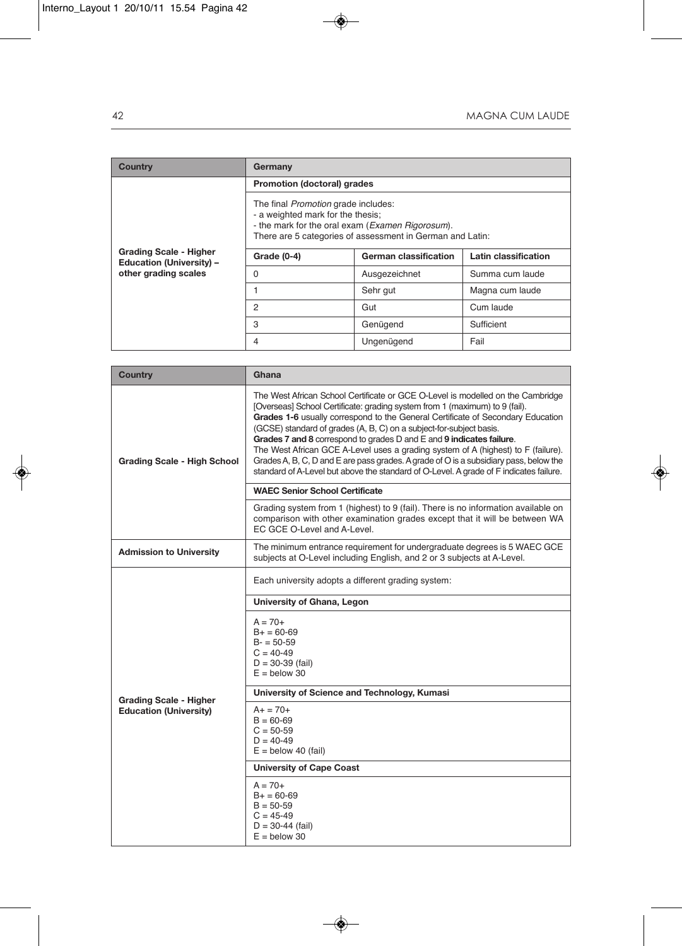| Country                                                          | Germany                                                                                                                                                                                          |               |                 |  |
|------------------------------------------------------------------|--------------------------------------------------------------------------------------------------------------------------------------------------------------------------------------------------|---------------|-----------------|--|
|                                                                  | Promotion (doctoral) grades                                                                                                                                                                      |               |                 |  |
|                                                                  | The final <i>Promotion</i> grade includes:<br>- a weighted mark for the thesis:<br>- the mark for the oral exam (Examen Rigorosum).<br>There are 5 categories of assessment in German and Latin: |               |                 |  |
| <b>Grading Scale - Higher</b><br><b>Education (University) -</b> | German classification<br>Latin classification<br>Grade (0-4)                                                                                                                                     |               |                 |  |
| other grading scales                                             | 0                                                                                                                                                                                                | Ausgezeichnet | Summa cum laude |  |
|                                                                  |                                                                                                                                                                                                  | Sehr gut      | Magna cum laude |  |
|                                                                  | 2                                                                                                                                                                                                | Gut           | Cum laude       |  |
|                                                                  | 3                                                                                                                                                                                                | Genügend      | Sufficient      |  |
|                                                                  | 4                                                                                                                                                                                                | Ungenügend    | Fail            |  |

| <b>Country</b>                     | Ghana                                                                                                                                                                                                                                                                                                                                                                                                                                                                                                                                                                                                                                                                    |  |  |
|------------------------------------|--------------------------------------------------------------------------------------------------------------------------------------------------------------------------------------------------------------------------------------------------------------------------------------------------------------------------------------------------------------------------------------------------------------------------------------------------------------------------------------------------------------------------------------------------------------------------------------------------------------------------------------------------------------------------|--|--|
| <b>Grading Scale - High School</b> | The West African School Certificate or GCE O-Level is modelled on the Cambridge<br>[Overseas] School Certificate: grading system from 1 (maximum) to 9 (fail).<br>Grades 1-6 usually correspond to the General Certificate of Secondary Education<br>(GCSE) standard of grades (A, B, C) on a subject-for-subject basis.<br>Grades 7 and 8 correspond to grades D and E and 9 indicates failure.<br>The West African GCE A-Level uses a grading system of A (highest) to F (failure).<br>Grades A, B, C, D and E are pass grades. A grade of O is a subsidiary pass, below the<br>standard of A-Level but above the standard of O-Level. A grade of F indicates failure. |  |  |
|                                    | <b>WAEC Senior School Certificate</b>                                                                                                                                                                                                                                                                                                                                                                                                                                                                                                                                                                                                                                    |  |  |
|                                    | Grading system from 1 (highest) to 9 (fail). There is no information available on<br>comparison with other examination grades except that it will be between WA<br>EC GCE O-Level and A-Level.                                                                                                                                                                                                                                                                                                                                                                                                                                                                           |  |  |
| <b>Admission to University</b>     | The minimum entrance requirement for undergraduate degrees is 5 WAEC GCE<br>subjects at O-Level including English, and 2 or 3 subjects at A-Level.                                                                                                                                                                                                                                                                                                                                                                                                                                                                                                                       |  |  |
|                                    | Each university adopts a different grading system:                                                                                                                                                                                                                                                                                                                                                                                                                                                                                                                                                                                                                       |  |  |
|                                    | University of Ghana, Legon                                                                                                                                                                                                                                                                                                                                                                                                                                                                                                                                                                                                                                               |  |  |
|                                    | $A = 70+$<br>$B+ = 60-69$<br>$B - 50 - 59$<br>$C = 40-49$<br>$D = 30 - 39$ (fail)<br>$E =$ below 30                                                                                                                                                                                                                                                                                                                                                                                                                                                                                                                                                                      |  |  |
| <b>Grading Scale - Higher</b>      | University of Science and Technology, Kumasi                                                                                                                                                                                                                                                                                                                                                                                                                                                                                                                                                                                                                             |  |  |
| <b>Education (University)</b>      | $A+ = 70+$<br>$B = 60 - 69$<br>$C = 50-59$<br>$D = 40 - 49$<br>$E =$ below 40 (fail)                                                                                                                                                                                                                                                                                                                                                                                                                                                                                                                                                                                     |  |  |
|                                    | <b>University of Cape Coast</b>                                                                                                                                                                                                                                                                                                                                                                                                                                                                                                                                                                                                                                          |  |  |
|                                    | $A = 70+$<br>$B+ = 60-69$<br>$B = 50 - 59$<br>$C = 45-49$<br>$D = 30 - 44$ (fail)<br>$E =$ below 30                                                                                                                                                                                                                                                                                                                                                                                                                                                                                                                                                                      |  |  |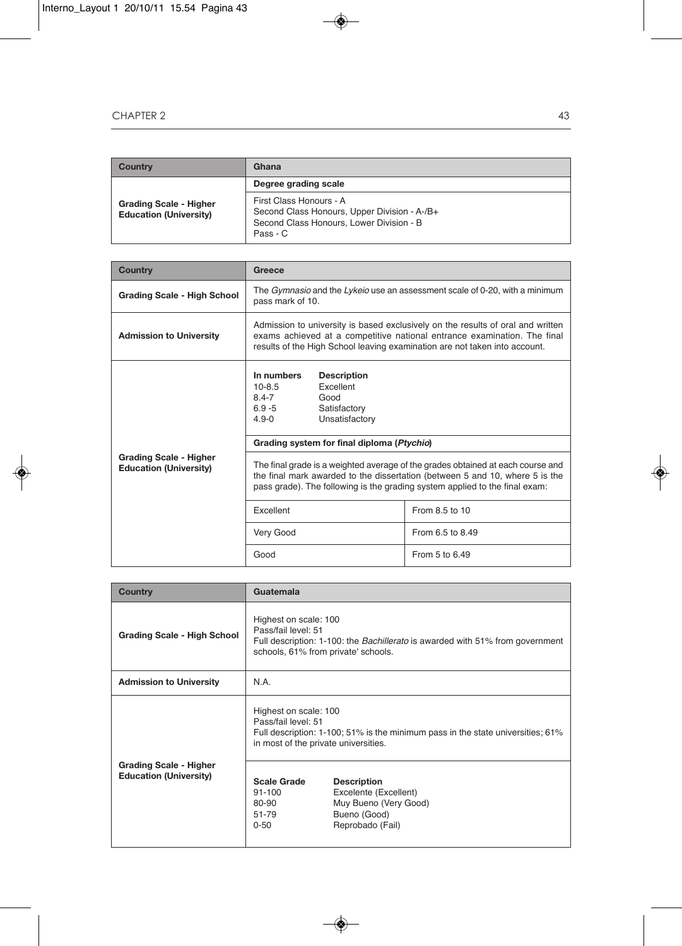| Country                                                        | Ghana                                                                                                                           |
|----------------------------------------------------------------|---------------------------------------------------------------------------------------------------------------------------------|
|                                                                | Degree grading scale                                                                                                            |
| <b>Grading Scale - Higher</b><br><b>Education (University)</b> | First Class Honours - A<br>Second Class Honours, Upper Division - A-/B+<br>Second Class Honours, Lower Division - B<br>Pass - C |

| <b>Country</b>                                                 | Greece                                                                                                                                                                                                                                         |                  |  |
|----------------------------------------------------------------|------------------------------------------------------------------------------------------------------------------------------------------------------------------------------------------------------------------------------------------------|------------------|--|
| <b>Grading Scale - High School</b>                             | The <i>Gymnasio</i> and the Lykeio use an assessment scale of 0-20, with a minimum<br>pass mark of 10.                                                                                                                                         |                  |  |
| <b>Admission to University</b>                                 | Admission to university is based exclusively on the results of oral and written<br>exams achieved at a competitive national entrance examination. The final<br>results of the High School leaving examination are not taken into account.      |                  |  |
|                                                                | In numbers<br><b>Description</b><br>Excellent<br>$10 - 8.5$<br>$8.4 - 7$<br>Good<br>$6.9 - 5$<br>Satisfactory<br>$4.9 - 0$<br>Unsatisfactory                                                                                                   |                  |  |
|                                                                | Grading system for final diploma (Ptychio)                                                                                                                                                                                                     |                  |  |
| <b>Grading Scale - Higher</b><br><b>Education (University)</b> | The final grade is a weighted average of the grades obtained at each course and<br>the final mark awarded to the dissertation (between 5 and 10, where 5 is the<br>pass grade). The following is the grading system applied to the final exam: |                  |  |
|                                                                | Excellent                                                                                                                                                                                                                                      | From 8.5 to 10   |  |
|                                                                | Very Good                                                                                                                                                                                                                                      | From 6.5 to 8.49 |  |
|                                                                | Good                                                                                                                                                                                                                                           | From 5 to 6.49   |  |

| <b>Country</b>                                                 | Guatemala                                                                                                                                                                   |                                                                                 |  |
|----------------------------------------------------------------|-----------------------------------------------------------------------------------------------------------------------------------------------------------------------------|---------------------------------------------------------------------------------|--|
| <b>Grading Scale - High School</b>                             | Highest on scale: 100<br>Pass/fail level: 51<br>Full description: 1-100: the <i>Bachillerato</i> is awarded with 51% from government<br>schools, 61% from private' schools. |                                                                                 |  |
| <b>Admission to University</b>                                 | N.A.                                                                                                                                                                        |                                                                                 |  |
|                                                                | Highest on scale: 100<br>Pass/fail level: 51<br>in most of the private universities.                                                                                        | Full description: 1-100; 51% is the minimum pass in the state universities; 61% |  |
| <b>Grading Scale - Higher</b><br><b>Education (University)</b> | <b>Scale Grade</b><br><b>Description</b><br>Excelente (Excellent)<br>$91 - 100$<br>Muy Bueno (Very Good)<br>80-90<br>Bueno (Good)<br>51-79<br>Reprobado (Fail)<br>$0 - 50$  |                                                                                 |  |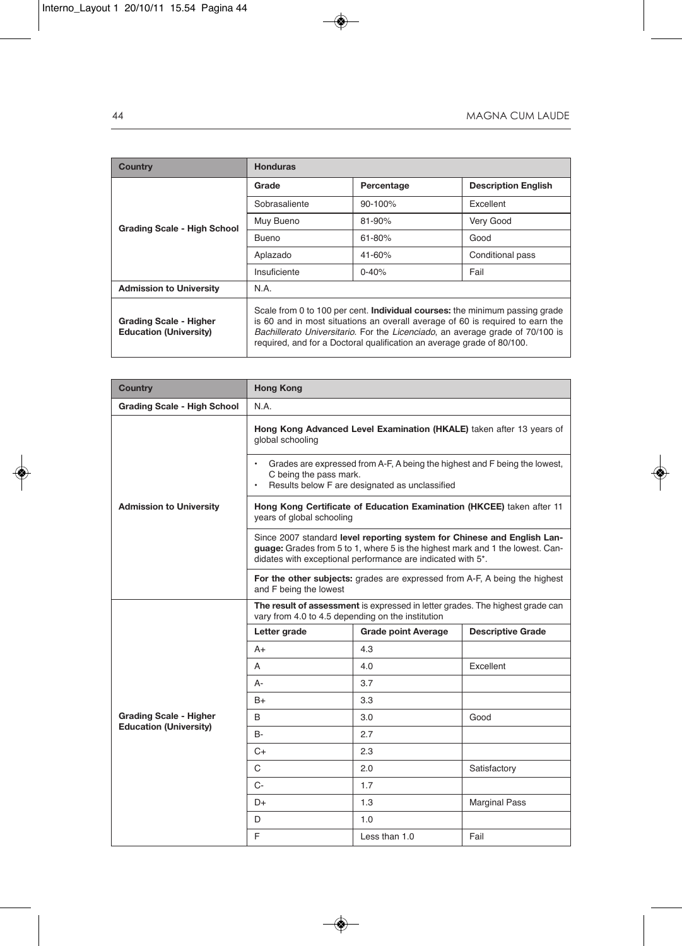| Country                                                        | <b>Honduras</b>                                                                                                                                                                                                                                                                                                                |            |                            |
|----------------------------------------------------------------|--------------------------------------------------------------------------------------------------------------------------------------------------------------------------------------------------------------------------------------------------------------------------------------------------------------------------------|------------|----------------------------|
|                                                                | Grade                                                                                                                                                                                                                                                                                                                          | Percentage | <b>Description English</b> |
|                                                                | Sobrasaliente                                                                                                                                                                                                                                                                                                                  | $90-100%$  | Excellent                  |
| <b>Grading Scale - High School</b>                             | Muy Bueno                                                                                                                                                                                                                                                                                                                      | $81 - 90%$ | Very Good                  |
|                                                                | <b>Bueno</b>                                                                                                                                                                                                                                                                                                                   | $61 - 80%$ | Good                       |
|                                                                | Aplazado                                                                                                                                                                                                                                                                                                                       | 41-60%     | Conditional pass           |
|                                                                | Insuficiente                                                                                                                                                                                                                                                                                                                   | $0 - 40%$  | Fail                       |
| <b>Admission to University</b>                                 | N.A.                                                                                                                                                                                                                                                                                                                           |            |                            |
| <b>Grading Scale - Higher</b><br><b>Education (University)</b> | Scale from 0 to 100 per cent. <b>Individual courses:</b> the minimum passing grade<br>is 60 and in most situations an overall average of 60 is required to earn the<br>Bachillerato Universitario. For the Licenciado, an average grade of 70/100 is<br>required, and for a Doctoral qualification an average grade of 80/100. |            |                            |

| Country                            | <b>Hong Kong</b>                                                                                                                                                                                                        |                                                                       |                          |
|------------------------------------|-------------------------------------------------------------------------------------------------------------------------------------------------------------------------------------------------------------------------|-----------------------------------------------------------------------|--------------------------|
| <b>Grading Scale - High School</b> | N.A.                                                                                                                                                                                                                    |                                                                       |                          |
|                                    | Hong Kong Advanced Level Examination (HKALE) taken after 13 years of<br>global schooling                                                                                                                                |                                                                       |                          |
|                                    | Grades are expressed from A-F, A being the highest and F being the lowest,<br>C being the pass mark.<br>Results below F are designated as unclassified                                                                  |                                                                       |                          |
| <b>Admission to University</b>     | years of global schooling                                                                                                                                                                                               | Hong Kong Certificate of Education Examination (HKCEE) taken after 11 |                          |
|                                    | Since 2007 standard level reporting system for Chinese and English Lan-<br>guage: Grades from 5 to 1, where 5 is the highest mark and 1 the lowest. Can-<br>didates with exceptional performance are indicated with 5*. |                                                                       |                          |
|                                    | For the other subjects: grades are expressed from A-F, A being the highest<br>and F being the lowest                                                                                                                    |                                                                       |                          |
|                                    | The result of assessment is expressed in letter grades. The highest grade can<br>vary from 4.0 to 4.5 depending on the institution                                                                                      |                                                                       |                          |
|                                    | Letter grade                                                                                                                                                                                                            | <b>Grade point Average</b>                                            | <b>Descriptive Grade</b> |
|                                    | $A+$                                                                                                                                                                                                                    | 4.3                                                                   |                          |
|                                    | A                                                                                                                                                                                                                       | 4.0                                                                   | Excellent                |
|                                    | A-                                                                                                                                                                                                                      | 3.7                                                                   |                          |
|                                    | $B+$                                                                                                                                                                                                                    | 3.3                                                                   |                          |
| <b>Grading Scale - Higher</b>      | B                                                                                                                                                                                                                       | 3.0                                                                   | Good                     |
| <b>Education (University)</b>      | <b>B-</b>                                                                                                                                                                                                               | 2.7                                                                   |                          |
|                                    | C+                                                                                                                                                                                                                      | 2.3                                                                   |                          |
|                                    | C                                                                                                                                                                                                                       | 2.0                                                                   | Satisfactory             |
|                                    | $C -$                                                                                                                                                                                                                   | 1.7                                                                   |                          |
|                                    | D+                                                                                                                                                                                                                      | 1.3                                                                   | <b>Marginal Pass</b>     |
|                                    | D                                                                                                                                                                                                                       | 1.0                                                                   |                          |
|                                    | F                                                                                                                                                                                                                       | Less than 1.0                                                         | Fail                     |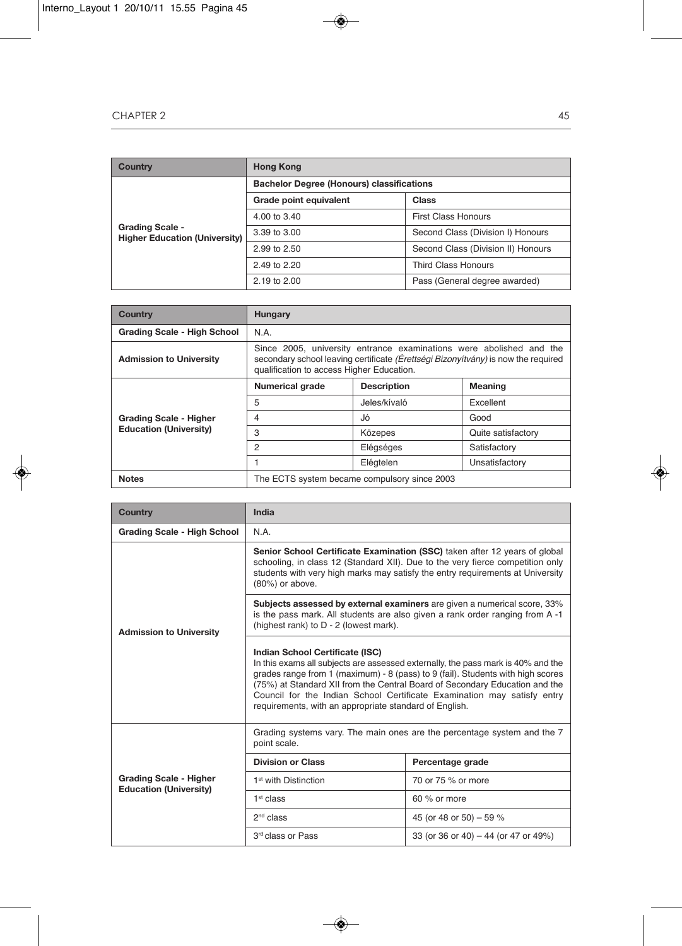| Country                                                        | <b>Hong Kong</b>                                 |                                    |  |  |  |
|----------------------------------------------------------------|--------------------------------------------------|------------------------------------|--|--|--|
|                                                                | <b>Bachelor Degree (Honours) classifications</b> |                                    |  |  |  |
| <b>Grading Scale -</b><br><b>Higher Education (University)</b> | Grade point equivalent                           | Class                              |  |  |  |
|                                                                | 4.00 to 3.40                                     | <b>First Class Honours</b>         |  |  |  |
|                                                                | 3.39 to 3.00                                     | Second Class (Division I) Honours  |  |  |  |
|                                                                | 2.99 to 2.50                                     | Second Class (Division II) Honours |  |  |  |
|                                                                | 2.49 to 2.20                                     | Third Class Honours                |  |  |  |
|                                                                | 2.19 to 2.00                                     | Pass (General degree awarded)      |  |  |  |

| <b>Country</b>                 | Hungary                                                                                                                                                                                               |              |                    |  |
|--------------------------------|-------------------------------------------------------------------------------------------------------------------------------------------------------------------------------------------------------|--------------|--------------------|--|
| Grading Scale - High School    | N.A.                                                                                                                                                                                                  |              |                    |  |
| <b>Admission to University</b> | Since 2005, university entrance examinations were abolished and the<br>secondary school leaving certificate (Erettsegi Bizonyitvány) is now the required<br>qualification to access Higher Education. |              |                    |  |
|                                | <b>Description</b><br><b>Meaning</b><br><b>Numerical grade</b>                                                                                                                                        |              |                    |  |
| <b>Grading Scale - Higher</b>  | 5                                                                                                                                                                                                     | Jeles/kívaló | Excellent          |  |
|                                | 4                                                                                                                                                                                                     | Jó           | Good               |  |
| <b>Education (University)</b>  | 3<br>Közepes                                                                                                                                                                                          |              | Quite satisfactory |  |
|                                | 2                                                                                                                                                                                                     | Elégséges    | Satisfactory       |  |
|                                | Elégtelen<br>Unsatisfactory                                                                                                                                                                           |              |                    |  |
| <b>Notes</b>                   | The ECTS system became compulsory since 2003                                                                                                                                                          |              |                    |  |

| <b>Country</b>                                                 | India                                                                                                                                                                                                                                                                                                                                                                                                                       |                                      |  |
|----------------------------------------------------------------|-----------------------------------------------------------------------------------------------------------------------------------------------------------------------------------------------------------------------------------------------------------------------------------------------------------------------------------------------------------------------------------------------------------------------------|--------------------------------------|--|
| Grading Scale - High School                                    | N.A.                                                                                                                                                                                                                                                                                                                                                                                                                        |                                      |  |
| <b>Admission to University</b>                                 | Senior School Certificate Examination (SSC) taken after 12 years of global<br>schooling, in class 12 (Standard XII). Due to the very fierce competition only<br>students with very high marks may satisfy the entry requirements at University<br>(80%) or above.                                                                                                                                                           |                                      |  |
|                                                                | Subjects assessed by external examiners are given a numerical score, 33%<br>is the pass mark. All students are also given a rank order ranging from A-1<br>(highest rank) to D - 2 (lowest mark).                                                                                                                                                                                                                           |                                      |  |
|                                                                | Indian School Certificate (ISC)<br>In this exams all subjects are assessed externally, the pass mark is 40% and the<br>grades range from 1 (maximum) $-8$ (pass) to 9 (fail). Students with high scores<br>(75%) at Standard XII from the Central Board of Secondary Education and the<br>Council for the Indian School Certificate Examination may satisfy entry<br>requirements, with an appropriate standard of English. |                                      |  |
|                                                                | Grading systems vary. The main ones are the percentage system and the 7<br>point scale.                                                                                                                                                                                                                                                                                                                                     |                                      |  |
|                                                                | <b>Division or Class</b>                                                                                                                                                                                                                                                                                                                                                                                                    | Percentage grade                     |  |
| <b>Grading Scale - Higher</b><br><b>Education (University)</b> | 1 <sup>st</sup> with Distinction                                                                                                                                                                                                                                                                                                                                                                                            | 70 or 75 % or more                   |  |
|                                                                | 1 <sup>st</sup> class                                                                                                                                                                                                                                                                                                                                                                                                       | 60 % or more                         |  |
|                                                                | 2 <sup>nd</sup> class                                                                                                                                                                                                                                                                                                                                                                                                       | 45 (or 48 or 50) - 59 %              |  |
|                                                                | 3rd class or Pass                                                                                                                                                                                                                                                                                                                                                                                                           | 33 (or 36 or 40) - 44 (or 47 or 49%) |  |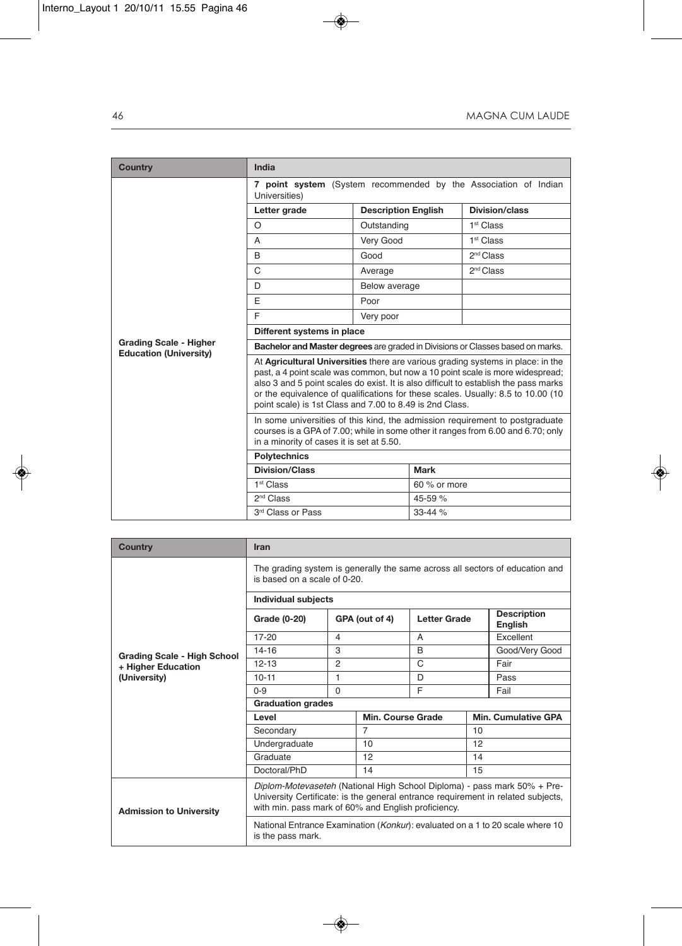| <b>Country</b>                                                 | India                                                                                                                                                                                                                                                                                                                                                                                                                                                                                                                                                                                                                       |                            |              |                       |  |
|----------------------------------------------------------------|-----------------------------------------------------------------------------------------------------------------------------------------------------------------------------------------------------------------------------------------------------------------------------------------------------------------------------------------------------------------------------------------------------------------------------------------------------------------------------------------------------------------------------------------------------------------------------------------------------------------------------|----------------------------|--------------|-----------------------|--|
|                                                                | 7 point system (System recommended by the Association of Indian<br>Universities)                                                                                                                                                                                                                                                                                                                                                                                                                                                                                                                                            |                            |              |                       |  |
|                                                                | Letter grade                                                                                                                                                                                                                                                                                                                                                                                                                                                                                                                                                                                                                | <b>Description English</b> |              | Division/class        |  |
|                                                                | O                                                                                                                                                                                                                                                                                                                                                                                                                                                                                                                                                                                                                           | Outstanding                |              | 1 <sup>st</sup> Class |  |
|                                                                | A                                                                                                                                                                                                                                                                                                                                                                                                                                                                                                                                                                                                                           | Very Good                  |              | 1 <sup>st</sup> Class |  |
|                                                                | <sub>R</sub>                                                                                                                                                                                                                                                                                                                                                                                                                                                                                                                                                                                                                | Good                       |              | 2 <sup>nd</sup> Class |  |
|                                                                | C                                                                                                                                                                                                                                                                                                                                                                                                                                                                                                                                                                                                                           | Average                    |              | 2 <sup>nd</sup> Class |  |
|                                                                | D                                                                                                                                                                                                                                                                                                                                                                                                                                                                                                                                                                                                                           | Below average              |              |                       |  |
|                                                                | E                                                                                                                                                                                                                                                                                                                                                                                                                                                                                                                                                                                                                           | Poor                       |              |                       |  |
|                                                                | E                                                                                                                                                                                                                                                                                                                                                                                                                                                                                                                                                                                                                           | Very poor                  |              |                       |  |
|                                                                | Different systems in place                                                                                                                                                                                                                                                                                                                                                                                                                                                                                                                                                                                                  |                            |              |                       |  |
| <b>Grading Scale - Higher</b><br><b>Education (University)</b> | Bachelor and Master degrees are graded in Divisions or Classes based on marks.                                                                                                                                                                                                                                                                                                                                                                                                                                                                                                                                              |                            |              |                       |  |
|                                                                | At Agricultural Universities there are various grading systems in place: in the<br>past, a 4 point scale was common, but now a 10 point scale is more widespread;<br>also 3 and 5 point scales do exist. It is also difficult to establish the pass marks<br>or the equivalence of qualifications for these scales. Usually: 8.5 to 10.00 (10)<br>point scale) is 1st Class and 7.00 to 8.49 is 2nd Class.<br>In some universities of this kind, the admission requirement to postgraduate<br>courses is a GPA of 7.00; while in some other it ranges from 6.00 and 6.70; only<br>in a minority of cases it is set at 5.50. |                            |              |                       |  |
|                                                                |                                                                                                                                                                                                                                                                                                                                                                                                                                                                                                                                                                                                                             |                            |              |                       |  |
|                                                                | <b>Polytechnics</b>                                                                                                                                                                                                                                                                                                                                                                                                                                                                                                                                                                                                         |                            |              |                       |  |
|                                                                | <b>Division/Class</b>                                                                                                                                                                                                                                                                                                                                                                                                                                                                                                                                                                                                       |                            | <b>Mark</b>  |                       |  |
|                                                                | 1 <sup>st</sup> Class                                                                                                                                                                                                                                                                                                                                                                                                                                                                                                                                                                                                       |                            | 60 % or more |                       |  |
|                                                                | 2 <sup>nd</sup> Class                                                                                                                                                                                                                                                                                                                                                                                                                                                                                                                                                                                                       |                            | 45-59 %      |                       |  |
|                                                                | 3rd Class or Pass<br>$33 - 44%$                                                                                                                                                                                                                                                                                                                                                                                                                                                                                                                                                                                             |                            |              |                       |  |

| Country                            | <b>Iran</b>                                                                                                                                                                                                         |                |                   |                     |    |                                      |  |
|------------------------------------|---------------------------------------------------------------------------------------------------------------------------------------------------------------------------------------------------------------------|----------------|-------------------|---------------------|----|--------------------------------------|--|
|                                    | The grading system is generally the same across all sectors of education and<br>is based on a scale of 0-20.                                                                                                        |                |                   |                     |    |                                      |  |
|                                    | <b>Individual subjects</b>                                                                                                                                                                                          |                |                   |                     |    |                                      |  |
|                                    | Grade (0-20)                                                                                                                                                                                                        | GPA (out of 4) |                   | <b>Letter Grade</b> |    | <b>Description</b><br><b>English</b> |  |
|                                    | $17 - 20$                                                                                                                                                                                                           | 4              |                   | A                   |    | Excellent                            |  |
| <b>Grading Scale - High School</b> | $14 - 16$                                                                                                                                                                                                           | 3              |                   | B                   |    | Good/Very Good                       |  |
| + Higher Education<br>(University) | $12 - 13$                                                                                                                                                                                                           | 2              |                   | C                   |    | Fair                                 |  |
|                                    | $10 - 11$                                                                                                                                                                                                           | 1              |                   | D                   |    | Pass                                 |  |
|                                    | $0 - 9$                                                                                                                                                                                                             | $\Omega$       |                   | E                   |    | Fail                                 |  |
|                                    | <b>Graduation grades</b>                                                                                                                                                                                            |                |                   |                     |    |                                      |  |
|                                    | Level                                                                                                                                                                                                               |                | Min. Course Grade |                     |    | <b>Min. Cumulative GPA</b>           |  |
|                                    | Secondary                                                                                                                                                                                                           |                | $\overline{7}$    |                     | 10 |                                      |  |
|                                    | Undergraduate                                                                                                                                                                                                       |                | 10                |                     | 12 |                                      |  |
|                                    | Graduate                                                                                                                                                                                                            |                | 12                |                     | 14 |                                      |  |
|                                    | Doctoral/PhD                                                                                                                                                                                                        |                | 14                |                     | 15 |                                      |  |
| <b>Admission to University</b>     | Diplom-Motevaseteh (National High School Diploma) - pass mark 50% + Pre-<br>University Certificate: is the general entrance requirement in related subjects,<br>with min. pass mark of 60% and English proficiency. |                |                   |                     |    |                                      |  |
|                                    | National Entrance Examination (Konkur): evaluated on a 1 to 20 scale where 10<br>is the pass mark.                                                                                                                  |                |                   |                     |    |                                      |  |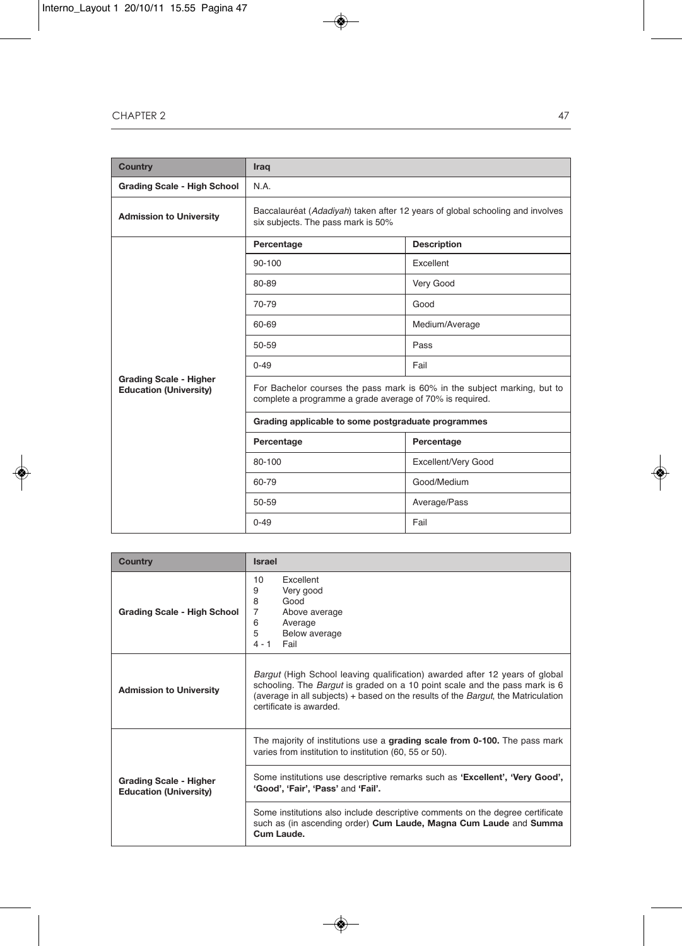| <b>Country</b>                                                 | Iraq                                                                                                                                 |                     |  |  |
|----------------------------------------------------------------|--------------------------------------------------------------------------------------------------------------------------------------|---------------------|--|--|
| <b>Grading Scale - High School</b>                             | N.A.                                                                                                                                 |                     |  |  |
| <b>Admission to University</b>                                 | Baccalauréat (Adadiyah) taken after 12 years of global schooling and involves<br>six subjects. The pass mark is 50%                  |                     |  |  |
|                                                                | Percentage                                                                                                                           | <b>Description</b>  |  |  |
|                                                                | 90-100                                                                                                                               | Excellent           |  |  |
|                                                                | 80-89                                                                                                                                | Very Good           |  |  |
|                                                                | 70-79                                                                                                                                | Good                |  |  |
|                                                                | 60-69                                                                                                                                | Medium/Average      |  |  |
|                                                                | 50-59                                                                                                                                | Pass                |  |  |
|                                                                | $0 - 49$                                                                                                                             | Fail                |  |  |
| <b>Grading Scale - Higher</b><br><b>Education (University)</b> | For Bachelor courses the pass mark is 60% in the subject marking, but to<br>complete a programme a grade average of 70% is required. |                     |  |  |
|                                                                | Grading applicable to some postgraduate programmes                                                                                   |                     |  |  |
|                                                                | Percentage                                                                                                                           | Percentage          |  |  |
|                                                                | 80-100                                                                                                                               | Excellent/Very Good |  |  |
|                                                                | 60-79                                                                                                                                | Good/Medium         |  |  |
|                                                                | 50-59                                                                                                                                | Average/Pass        |  |  |
|                                                                | Fail<br>$0 - 49$                                                                                                                     |                     |  |  |

| Country                                                        | <b>Israel</b>                                                                                                                                                                                                                                                                                  |  |  |
|----------------------------------------------------------------|------------------------------------------------------------------------------------------------------------------------------------------------------------------------------------------------------------------------------------------------------------------------------------------------|--|--|
| Grading Scale - High School                                    | <b>Excellent</b><br>10<br>9<br>Very good<br>8<br>Good<br>7<br>Above average<br>6<br>Average<br>5<br>Below average<br>Fail<br>$4 - 1$                                                                                                                                                           |  |  |
| <b>Admission to University</b>                                 | <i>Bargut</i> (High School leaving qualification) awarded after 12 years of global<br>schooling. The <i>Bargut</i> is graded on a 10 point scale and the pass mark is 6<br>(average in all subjects) + based on the results of the <i>Bargut</i> , the Matriculation<br>certificate is awarded |  |  |
|                                                                | The majority of institutions use a grading scale from 0-100. The pass mark<br>varies from institution to institution (60, 55 or 50).                                                                                                                                                           |  |  |
| <b>Grading Scale - Higher</b><br><b>Education (University)</b> | Some institutions use descriptive remarks such as 'Excellent', 'Very Good',<br>'Good', 'Fair', 'Pass' and 'Fail'.                                                                                                                                                                              |  |  |
|                                                                | Some institutions also include descriptive comments on the degree certificate<br>such as (in ascending order) Cum Laude, Magna Cum Laude and Summa<br>Cum Laude.                                                                                                                               |  |  |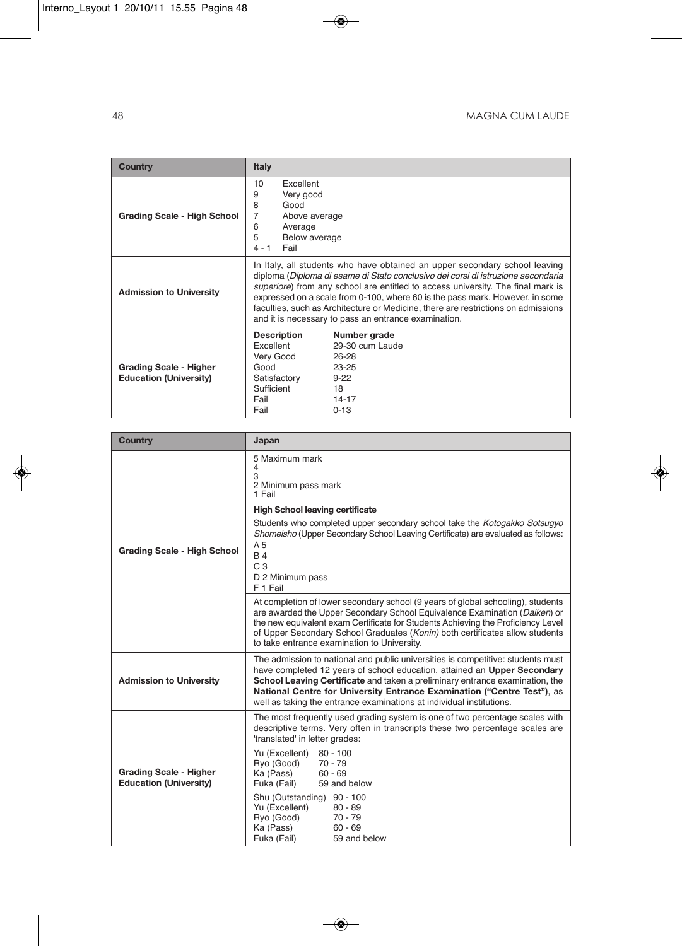| <b>Country</b>                                                 | Italy                                                                                                                                                                                                                                                                                                                                                                                                                                                                          |                                                                                                  |
|----------------------------------------------------------------|--------------------------------------------------------------------------------------------------------------------------------------------------------------------------------------------------------------------------------------------------------------------------------------------------------------------------------------------------------------------------------------------------------------------------------------------------------------------------------|--------------------------------------------------------------------------------------------------|
| <b>Grading Scale - High School</b>                             | Excellent<br>10<br>9<br>Very good<br>8<br>Good<br>7<br>Above average<br>6<br>Average<br>5<br>Below average<br>Fail<br>$4 - 1$                                                                                                                                                                                                                                                                                                                                                  |                                                                                                  |
| <b>Admission to University</b>                                 | In Italy, all students who have obtained an upper secondary school leaving<br>diploma (Diploma di esame di Stato conclusivo dei corsi di istruzione secondaria<br>superiore) from any school are entitled to access university. The final mark is<br>expressed on a scale from 0-100, where 60 is the pass mark. However, in some<br>faculties, such as Architecture or Medicine, there are restrictions on admissions<br>and it is necessary to pass an entrance examination. |                                                                                                  |
| <b>Grading Scale - Higher</b><br><b>Education (University)</b> | <b>Description</b><br>Excellent<br>Very Good<br>Good<br>Satisfactory<br>Sufficient<br>Fail<br>Fail                                                                                                                                                                                                                                                                                                                                                                             | Number grade<br>29-30 cum Laude<br>26-28<br>$23 - 25$<br>$9 - 22$<br>18<br>$14 - 17$<br>$0 - 13$ |

| <b>Country</b>                                                 | Japan                                                                                                                                                                                                                                                                                                                                                                                          |  |  |
|----------------------------------------------------------------|------------------------------------------------------------------------------------------------------------------------------------------------------------------------------------------------------------------------------------------------------------------------------------------------------------------------------------------------------------------------------------------------|--|--|
|                                                                | 5 Maximum mark<br>4<br>3<br>2 Minimum pass mark<br>1 Fail                                                                                                                                                                                                                                                                                                                                      |  |  |
|                                                                | <b>High School leaving certificate</b>                                                                                                                                                                                                                                                                                                                                                         |  |  |
| Grading Scale - High School                                    | Students who completed upper secondary school take the Kotogakko Sotsugyo<br>Shomeisho (Upper Secondary School Leaving Certificate) are evaluated as follows:<br>A <sub>5</sub><br><b>B4</b><br>C <sub>3</sub><br>D 2 Minimum pass<br>F 1 Fail                                                                                                                                                 |  |  |
|                                                                | At completion of lower secondary school (9 years of global schooling), students<br>are awarded the Upper Secondary School Equivalence Examination (Daiken) or<br>the new equivalent exam Certificate for Students Achieving the Proficiency Level<br>of Upper Secondary School Graduates (Konin) both certificates allow students<br>to take entrance examination to University.               |  |  |
| <b>Admission to University</b>                                 | The admission to national and public universities is competitive: students must<br>have completed 12 years of school education, attained an Upper Secondary<br>School Leaving Certificate and taken a preliminary entrance examination, the<br>National Centre for University Entrance Examination ("Centre Test"), as<br>well as taking the entrance examinations at individual institutions. |  |  |
| <b>Grading Scale - Higher</b><br><b>Education (University)</b> | The most frequently used grading system is one of two percentage scales with<br>descriptive terms. Very often in transcripts these two percentage scales are<br>'translated' in letter grades:                                                                                                                                                                                                 |  |  |
|                                                                | Yu (Excellent)<br>$80 - 100$<br>Ryo (Good)<br>$70 - 79$<br>Ka (Pass)<br>$60 - 69$<br>Fuka (Fail)<br>59 and below                                                                                                                                                                                                                                                                               |  |  |
|                                                                | Shu (Outstanding)<br>$90 - 100$<br>Yu (Excellent)<br>$80 - 89$<br>Ryo (Good)<br>$70 - 79$<br>Ka (Pass)<br>$60 - 69$<br>59 and below<br>Fuka (Fail)                                                                                                                                                                                                                                             |  |  |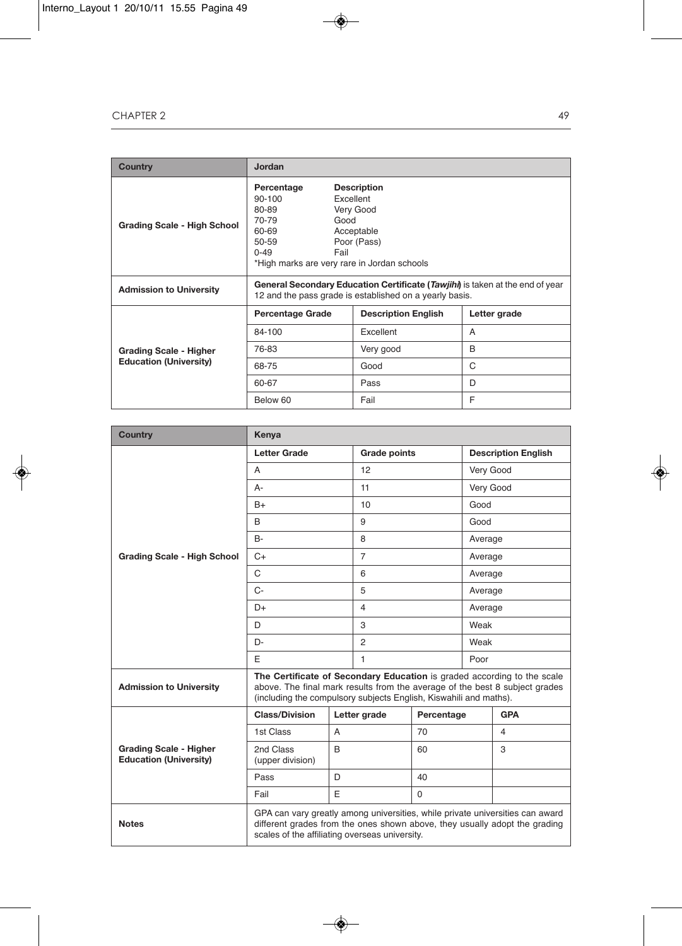| <b>Country</b>                     | Jordan                                                                                                                                                                                                           |                            |              |
|------------------------------------|------------------------------------------------------------------------------------------------------------------------------------------------------------------------------------------------------------------|----------------------------|--------------|
| <b>Grading Scale - High School</b> | Percentage<br><b>Description</b><br>90-100<br>Excellent<br>Very Good<br>80-89<br>70-79<br>Good<br>60-69<br>Acceptable<br>Poor (Pass)<br>50-59<br>$0 - 49$<br>Fail<br>*High marks are very rare in Jordan schools |                            |              |
| <b>Admission to University</b>     | General Secondary Education Certificate (Tawjihi) is taken at the end of year<br>12 and the pass grade is established on a yearly basis.                                                                         |                            |              |
|                                    | <b>Percentage Grade</b>                                                                                                                                                                                          | <b>Description English</b> | Letter grade |
|                                    | 84-100                                                                                                                                                                                                           | Excellent                  | A            |
| <b>Grading Scale - Higher</b>      | 76-83                                                                                                                                                                                                            | Very good                  | B            |
| <b>Education (University)</b>      | 68-75                                                                                                                                                                                                            | Good                       | C            |
|                                    | 60-67                                                                                                                                                                                                            | Pass                       | D            |
|                                    | Below 60                                                                                                                                                                                                         | Fail                       | F            |

| <b>Country</b>                                                 | Kenya                                                                                                                                                                                                                       |                |                     |             |         |                            |  |
|----------------------------------------------------------------|-----------------------------------------------------------------------------------------------------------------------------------------------------------------------------------------------------------------------------|----------------|---------------------|-------------|---------|----------------------------|--|
|                                                                | <b>Letter Grade</b>                                                                                                                                                                                                         |                | <b>Grade points</b> |             |         | <b>Description English</b> |  |
|                                                                | A                                                                                                                                                                                                                           |                | 12                  |             |         | Very Good                  |  |
|                                                                | A-                                                                                                                                                                                                                          |                | 11                  |             |         | Very Good                  |  |
|                                                                | $B+$                                                                                                                                                                                                                        |                | 10                  |             |         | Good                       |  |
|                                                                | B                                                                                                                                                                                                                           |                | 9                   |             | Good    |                            |  |
|                                                                | $B -$                                                                                                                                                                                                                       |                | 8                   |             | Average |                            |  |
| <b>Grading Scale - High School</b>                             | $C+$                                                                                                                                                                                                                        |                | $\overline{7}$      |             | Average |                            |  |
|                                                                | C                                                                                                                                                                                                                           |                | 6                   |             | Average |                            |  |
|                                                                | $C -$                                                                                                                                                                                                                       |                | 5                   |             | Average |                            |  |
|                                                                | $D+$                                                                                                                                                                                                                        |                | $\overline{4}$      |             | Average |                            |  |
|                                                                | D                                                                                                                                                                                                                           |                | 3                   |             | Weak    |                            |  |
|                                                                | D-                                                                                                                                                                                                                          |                | $\overline{2}$      |             |         | Weak                       |  |
|                                                                | E                                                                                                                                                                                                                           |                | $\mathbf{1}$        |             | Poor    |                            |  |
| <b>Admission to University</b>                                 | The Certificate of Secondary Education is graded according to the scale<br>above. The final mark results from the average of the best 8 subject grades<br>(including the compulsory subjects English, Kiswahili and maths). |                |                     |             |         |                            |  |
|                                                                | <b>Class/Division</b>                                                                                                                                                                                                       |                | Letter grade        | Percentage  |         | <b>GPA</b>                 |  |
|                                                                | 1st Class                                                                                                                                                                                                                   | $\overline{A}$ |                     | 70          |         | 4                          |  |
| <b>Grading Scale - Higher</b><br><b>Education (University)</b> | 2nd Class<br>(upper division)                                                                                                                                                                                               | B              |                     | 60          |         | 3                          |  |
|                                                                | Pass                                                                                                                                                                                                                        | D              |                     | 40          |         |                            |  |
|                                                                | Fail                                                                                                                                                                                                                        | E              |                     | $\mathbf 0$ |         |                            |  |
| <b>Notes</b>                                                   | GPA can vary greatly among universities, while private universities can award<br>different grades from the ones shown above, they usually adopt the grading<br>scales of the affiliating overseas university.               |                |                     |             |         |                            |  |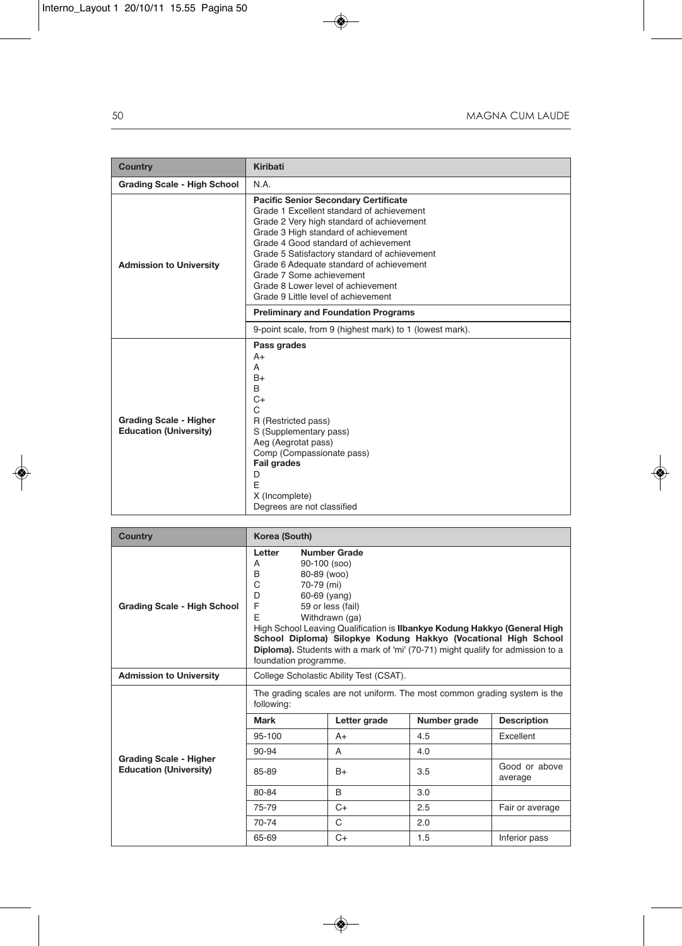| <b>Country</b>                                                 | <b>Kiribati</b>                                                                                                                                                                                                                                                                                                                                                                                                            |
|----------------------------------------------------------------|----------------------------------------------------------------------------------------------------------------------------------------------------------------------------------------------------------------------------------------------------------------------------------------------------------------------------------------------------------------------------------------------------------------------------|
| Grading Scale - High School                                    | N.A.                                                                                                                                                                                                                                                                                                                                                                                                                       |
| <b>Admission to University</b>                                 | <b>Pacific Senior Secondary Certificate</b><br>Grade 1 Excellent standard of achievement<br>Grade 2 Very high standard of achievement<br>Grade 3 High standard of achievement<br>Grade 4 Good standard of achievement<br>Grade 5 Satisfactory standard of achievement<br>Grade 6 Adequate standard of achievement<br>Grade 7 Some achievement<br>Grade 8 Lower level of achievement<br>Grade 9 Little level of achievement |
|                                                                | <b>Preliminary and Foundation Programs</b>                                                                                                                                                                                                                                                                                                                                                                                 |
|                                                                | 9-point scale, from 9 (highest mark) to 1 (lowest mark).                                                                                                                                                                                                                                                                                                                                                                   |
| <b>Grading Scale - Higher</b><br><b>Education (University)</b> | Pass grades<br>$A+$<br>A<br>$B+$<br>B<br>$C+$<br>C<br>R (Restricted pass)<br>S (Supplementary pass)<br>Aeg (Aegrotat pass)<br>Comp (Compassionate pass)<br><b>Fail grades</b><br>D<br>E<br>X (Incomplete)<br>Degrees are not classified                                                                                                                                                                                    |

| <b>Country</b>                 | Korea (South)                                                                                                                                                                                                                                                                                                                                                                                                                     |                                         |              |                          |  |  |
|--------------------------------|-----------------------------------------------------------------------------------------------------------------------------------------------------------------------------------------------------------------------------------------------------------------------------------------------------------------------------------------------------------------------------------------------------------------------------------|-----------------------------------------|--------------|--------------------------|--|--|
| Grading Scale - High School    | <b>Number Grade</b><br>Letter<br>90-100 (soo)<br>A<br>B<br>80-89 (woo)<br>C<br>70-79 (mi)<br>D<br>60-69 (yang)<br>F<br>59 or less (fail)<br>E<br>Withdrawn (ga)<br>High School Leaving Qualification is Ilbankye Kodung Hakkyo (General High<br>School Diploma) Silopkye Kodung Hakkyo (Vocational High School<br><b>Diploma).</b> Students with a mark of 'mi' (70-71) might qualify for admission to a<br>foundation programme. |                                         |              |                          |  |  |
| <b>Admission to University</b> |                                                                                                                                                                                                                                                                                                                                                                                                                                   | College Scholastic Ability Test (CSAT). |              |                          |  |  |
|                                | The grading scales are not uniform. The most common grading system is the<br>following:                                                                                                                                                                                                                                                                                                                                           |                                         |              |                          |  |  |
|                                | <b>Mark</b>                                                                                                                                                                                                                                                                                                                                                                                                                       | Letter grade                            | Number grade | <b>Description</b>       |  |  |
|                                | 95-100                                                                                                                                                                                                                                                                                                                                                                                                                            | $A+$                                    | 4.5          | Excellent                |  |  |
| <b>Grading Scale - Higher</b>  | 90-94                                                                                                                                                                                                                                                                                                                                                                                                                             | A                                       | 4.0          |                          |  |  |
| <b>Education (University)</b>  | 85-89                                                                                                                                                                                                                                                                                                                                                                                                                             | $B+$                                    | 3.5          | Good or above<br>average |  |  |
|                                | 80-84                                                                                                                                                                                                                                                                                                                                                                                                                             | B                                       | 3.0          |                          |  |  |
|                                | 75-79                                                                                                                                                                                                                                                                                                                                                                                                                             | $C+$                                    | 2.5          | Fair or average          |  |  |
|                                | 70-74                                                                                                                                                                                                                                                                                                                                                                                                                             | C                                       | 2.0          |                          |  |  |
|                                | 65-69                                                                                                                                                                                                                                                                                                                                                                                                                             | $C+$                                    | 1.5          | Inferior pass            |  |  |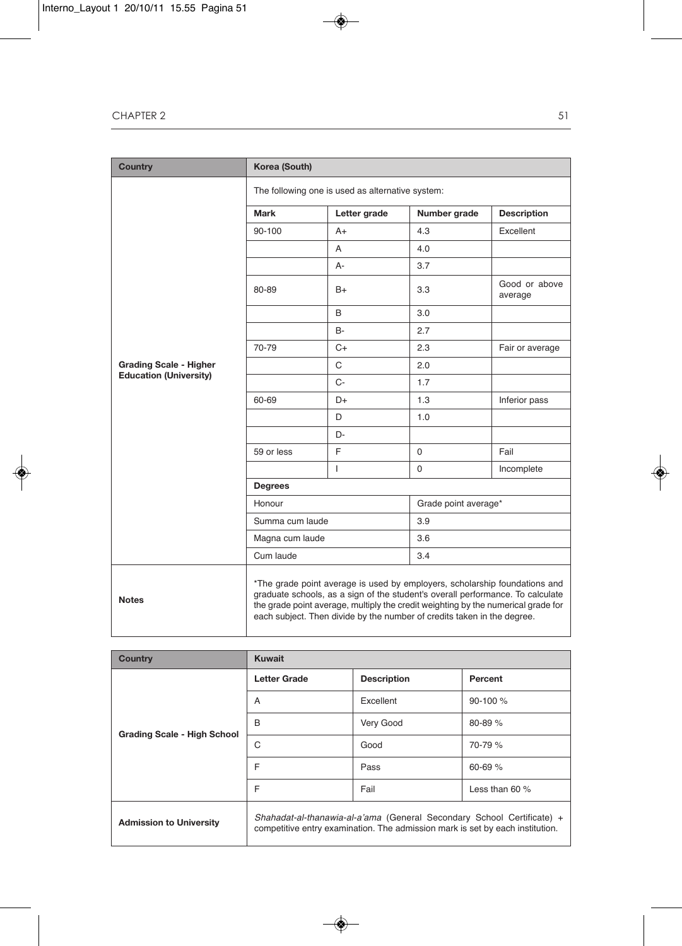| <b>Country</b>                | Korea (South)                                                                                                                                                                                                                                                                                                                |              |                      |                          |  |  |  |
|-------------------------------|------------------------------------------------------------------------------------------------------------------------------------------------------------------------------------------------------------------------------------------------------------------------------------------------------------------------------|--------------|----------------------|--------------------------|--|--|--|
|                               | The following one is used as alternative system:                                                                                                                                                                                                                                                                             |              |                      |                          |  |  |  |
|                               | Mark                                                                                                                                                                                                                                                                                                                         | Letter grade | Number grade         | <b>Description</b>       |  |  |  |
|                               | 90-100                                                                                                                                                                                                                                                                                                                       | $A+$         | 4.3                  | Excellent                |  |  |  |
|                               |                                                                                                                                                                                                                                                                                                                              | A            | 4.0                  |                          |  |  |  |
|                               |                                                                                                                                                                                                                                                                                                                              | А-           | 3.7                  |                          |  |  |  |
|                               | 80-89                                                                                                                                                                                                                                                                                                                        | B+           | 3.3                  | Good or above<br>average |  |  |  |
|                               |                                                                                                                                                                                                                                                                                                                              | B            | 3.0                  |                          |  |  |  |
|                               |                                                                                                                                                                                                                                                                                                                              | <b>B-</b>    | 2.7                  |                          |  |  |  |
|                               | 70-79                                                                                                                                                                                                                                                                                                                        | $C+$         | 2.3                  | Fair or average          |  |  |  |
| <b>Grading Scale - Higher</b> |                                                                                                                                                                                                                                                                                                                              | C            | 2.0                  |                          |  |  |  |
| <b>Education (University)</b> |                                                                                                                                                                                                                                                                                                                              | $C -$        | 1.7                  |                          |  |  |  |
|                               | 60-69                                                                                                                                                                                                                                                                                                                        | D+           | 1.3                  | Inferior pass            |  |  |  |
|                               |                                                                                                                                                                                                                                                                                                                              | D            | 1.0                  |                          |  |  |  |
|                               |                                                                                                                                                                                                                                                                                                                              | D-           |                      |                          |  |  |  |
|                               | 59 or less                                                                                                                                                                                                                                                                                                                   | E            | $\Omega$             | Fail                     |  |  |  |
|                               |                                                                                                                                                                                                                                                                                                                              | L            | 0                    | Incomplete               |  |  |  |
|                               | <b>Degrees</b>                                                                                                                                                                                                                                                                                                               |              |                      |                          |  |  |  |
|                               | Honour                                                                                                                                                                                                                                                                                                                       |              | Grade point average* |                          |  |  |  |
|                               | Summa cum laude                                                                                                                                                                                                                                                                                                              |              | 3.9                  |                          |  |  |  |
|                               | Magna cum laude                                                                                                                                                                                                                                                                                                              |              | 3.6                  |                          |  |  |  |
|                               | Cum laude                                                                                                                                                                                                                                                                                                                    |              | 3.4                  |                          |  |  |  |
| <b>Notes</b>                  | *The grade point average is used by employers, scholarship foundations and<br>graduate schools, as a sign of the student's overall performance. To calculate<br>the grade point average, multiply the credit weighting by the numerical grade for<br>each subject. Then divide by the number of credits taken in the degree. |              |                      |                          |  |  |  |

| <b>Country</b>                 | <b>Kuwait</b>                                                                                                                                           |                    |                 |  |  |  |
|--------------------------------|---------------------------------------------------------------------------------------------------------------------------------------------------------|--------------------|-----------------|--|--|--|
|                                | <b>Letter Grade</b>                                                                                                                                     | <b>Description</b> | Percent         |  |  |  |
|                                | A                                                                                                                                                       | Excellent          | $90-100%$       |  |  |  |
| Grading Scale - High School    | B                                                                                                                                                       | Very Good          | $80 - 89 \%$    |  |  |  |
|                                | C                                                                                                                                                       | Good               | 70-79 %         |  |  |  |
|                                | F                                                                                                                                                       | Pass               | $60 - 69$ %     |  |  |  |
|                                | F                                                                                                                                                       | Fail               | Less than $60%$ |  |  |  |
| <b>Admission to University</b> | Shahadat-al-thanawia-al-a'ama (General Secondary School Certificate) +<br>competitive entry examination. The admission mark is set by each institution. |                    |                 |  |  |  |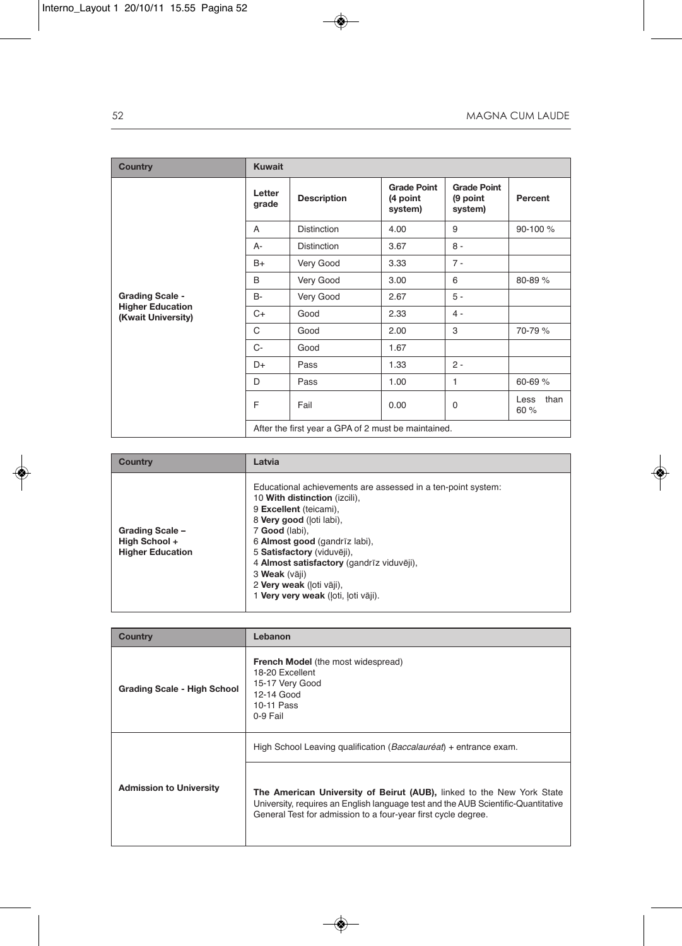| <b>Country</b>                                | <b>Kuwait</b>   |                                                     |                                           |                                           |                      |  |  |  |
|-----------------------------------------------|-----------------|-----------------------------------------------------|-------------------------------------------|-------------------------------------------|----------------------|--|--|--|
|                                               | Letter<br>grade | <b>Description</b>                                  | <b>Grade Point</b><br>(4 point<br>system) | <b>Grade Point</b><br>(9 point<br>system) | Percent              |  |  |  |
|                                               | $\overline{A}$  | <b>Distinction</b>                                  | 4.00                                      | 9                                         | 90-100 %             |  |  |  |
|                                               | $A -$           | <b>Distinction</b>                                  | 3.67                                      | $8 -$                                     |                      |  |  |  |
|                                               | $B+$            | Very Good                                           | 3.33                                      | $7 -$                                     |                      |  |  |  |
|                                               | B               | Very Good                                           | 3.00                                      | 6                                         | 80-89 %              |  |  |  |
| <b>Grading Scale -</b>                        | <b>B-</b>       | Very Good                                           | 2.67                                      | $5 -$                                     |                      |  |  |  |
| <b>Higher Education</b><br>(Kwait University) | $C+$            | Good                                                | 2.33                                      | $4 -$                                     |                      |  |  |  |
|                                               | C               | Good                                                | 2.00                                      | 3                                         | 70-79 %              |  |  |  |
|                                               | $C-$            | Good                                                | 1.67                                      |                                           |                      |  |  |  |
|                                               | D+              | Pass                                                | 1.33                                      | $2 -$                                     |                      |  |  |  |
|                                               | D               | Pass                                                | 1.00                                      | 1                                         | $60 - 69$ %          |  |  |  |
|                                               | F               | Fail                                                | 0.00                                      | $\mathbf 0$                               | than<br>Less<br>60 % |  |  |  |
|                                               |                 | After the first year a GPA of 2 must be maintained. |                                           |                                           |                      |  |  |  |

| Country                                                     | Latvia                                                                                                                                                                                                                                                                                                                                                                |
|-------------------------------------------------------------|-----------------------------------------------------------------------------------------------------------------------------------------------------------------------------------------------------------------------------------------------------------------------------------------------------------------------------------------------------------------------|
| Grading Scale -<br>High School +<br><b>Higher Education</b> | Educational achievements are assessed in a ten-point system:<br>10 With distinction (izcili),<br>9 Excellent (teicami),<br>8 Very good (loti labi),<br>7 Good (labi),<br>6 Almost good (gandrīz labi),<br>5 Satisfactory (viduvēji),<br>4 Almost satisfactory (gandrīz viduvēji),<br>3 Weak (vāji)<br>2 Very weak (loti vāji),<br>1 Very very weak (loti, loti vāji). |

| Country                        | Lebanon                                                                                                                                                                                                                     |
|--------------------------------|-----------------------------------------------------------------------------------------------------------------------------------------------------------------------------------------------------------------------------|
| Grading Scale - High School    | <b>French Model</b> (the most widespread)<br>18-20 Excellent<br>15-17 Very Good<br>12-14 Good<br>10-11 Pass<br>0-9 Fail                                                                                                     |
| <b>Admission to University</b> | High School Leaving qualification (Baccalauréat) + entrance exam.                                                                                                                                                           |
|                                | The American University of Beirut (AUB), linked to the New York State<br>University, requires an English language test and the AUB Scientific-Quantitative<br>General Test for admission to a four-year first cycle degree. |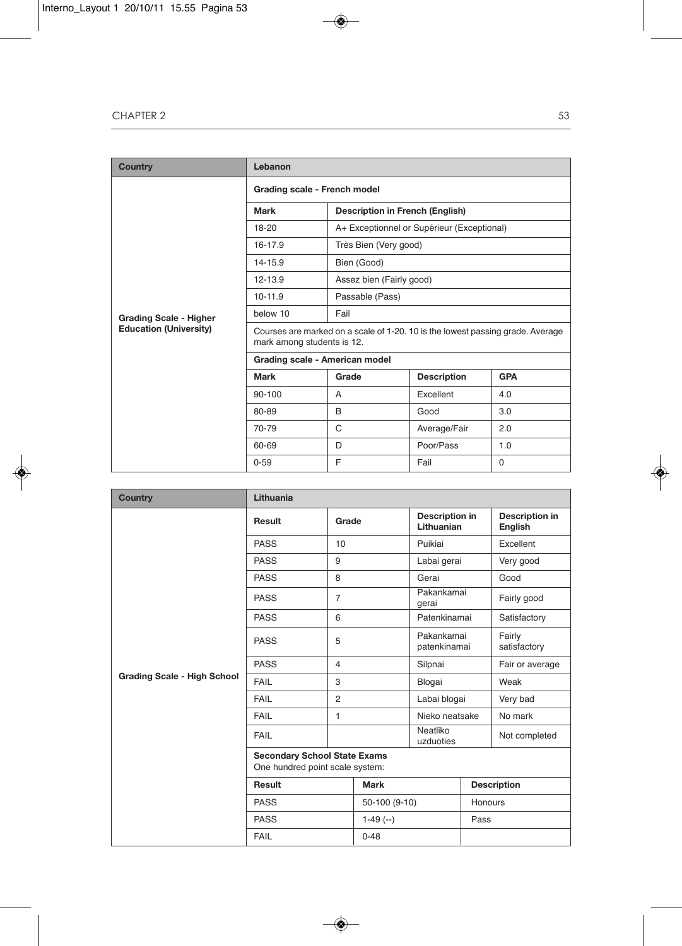| <b>Country</b>                | Lebanon                                                                                                      |                                        |                                            |            |  |  |
|-------------------------------|--------------------------------------------------------------------------------------------------------------|----------------------------------------|--------------------------------------------|------------|--|--|
|                               | Grading scale - French model                                                                                 |                                        |                                            |            |  |  |
|                               | Mark                                                                                                         | <b>Description in French (English)</b> |                                            |            |  |  |
|                               | 18-20                                                                                                        |                                        | A+ Exceptionnel or Supérieur (Exceptional) |            |  |  |
|                               | 16-17.9                                                                                                      | Très Bien (Very good)                  |                                            |            |  |  |
|                               | 14-15.9                                                                                                      | Bien (Good)                            |                                            |            |  |  |
|                               | 12-13.9                                                                                                      | Assez bien (Fairly good)               |                                            |            |  |  |
|                               | $10-11.9$                                                                                                    | Passable (Pass)                        |                                            |            |  |  |
| <b>Grading Scale - Higher</b> | below 10                                                                                                     | Fail                                   |                                            |            |  |  |
| <b>Education (University)</b> | Courses are marked on a scale of 1-20. 10 is the lowest passing grade. Average<br>mark among students is 12. |                                        |                                            |            |  |  |
|                               | Grading scale - American model                                                                               |                                        |                                            |            |  |  |
|                               | Mark                                                                                                         | Grade                                  | <b>Description</b>                         | <b>GPA</b> |  |  |
|                               | 90-100                                                                                                       | A                                      | Excellent                                  | 4.0        |  |  |
|                               | 80-89                                                                                                        | B                                      | Good                                       | 3.0        |  |  |
|                               | 70-79                                                                                                        | C                                      | Average/Fair                               | 2.0        |  |  |
|                               | 60-69                                                                                                        | D                                      | Poor/Pass                                  | 1.0        |  |  |
|                               | $0 - 59$                                                                                                     | E                                      | Fail                                       | $\Omega$   |  |  |

| <b>Country</b>                     | Lithuania                                                              |                |               |                                     |                    |                                  |  |
|------------------------------------|------------------------------------------------------------------------|----------------|---------------|-------------------------------------|--------------------|----------------------------------|--|
|                                    | Result                                                                 | Grade          |               | <b>Description in</b><br>Lithuanian |                    | <b>Description in</b><br>English |  |
|                                    | <b>PASS</b>                                                            | 10             |               | Puikiai                             |                    | Excellent                        |  |
|                                    | <b>PASS</b>                                                            | 9              |               | Labai gerai                         |                    | Very good                        |  |
|                                    | <b>PASS</b>                                                            | 8              |               | Gerai                               |                    | Good                             |  |
|                                    | <b>PASS</b>                                                            | $\overline{7}$ |               | Pakankamai<br>gerai                 |                    | Fairly good                      |  |
|                                    | <b>PASS</b>                                                            | 6              |               | Patenkinamai                        |                    | Satisfactory                     |  |
|                                    | <b>PASS</b>                                                            | 5              |               | Pakankamai<br>patenkinamai          |                    | Fairly<br>satisfactory           |  |
|                                    | <b>PASS</b>                                                            | $\overline{4}$ |               | Silpnai                             |                    | Fair or average                  |  |
| <b>Grading Scale - High School</b> | FAIL                                                                   | 3              |               | Blogai                              |                    | Weak                             |  |
|                                    | FAIL                                                                   | $\overline{2}$ |               | Labai blogai                        |                    | Very bad                         |  |
|                                    | FAIL                                                                   | 1              |               | Nieko neatsake                      |                    | No mark                          |  |
|                                    | FAIL                                                                   |                |               | Neatliko<br>uzduoties               |                    | Not completed                    |  |
|                                    | <b>Secondary School State Exams</b><br>One hundred point scale system: |                |               |                                     |                    |                                  |  |
|                                    | Result                                                                 |                | <b>Mark</b>   |                                     | <b>Description</b> |                                  |  |
|                                    | <b>PASS</b>                                                            |                | 50-100 (9-10) |                                     | Honours            |                                  |  |
|                                    | <b>PASS</b>                                                            |                | $1-49$ $(-)$  |                                     | Pass               |                                  |  |
|                                    | FAIL                                                                   |                | $0 - 48$      |                                     |                    |                                  |  |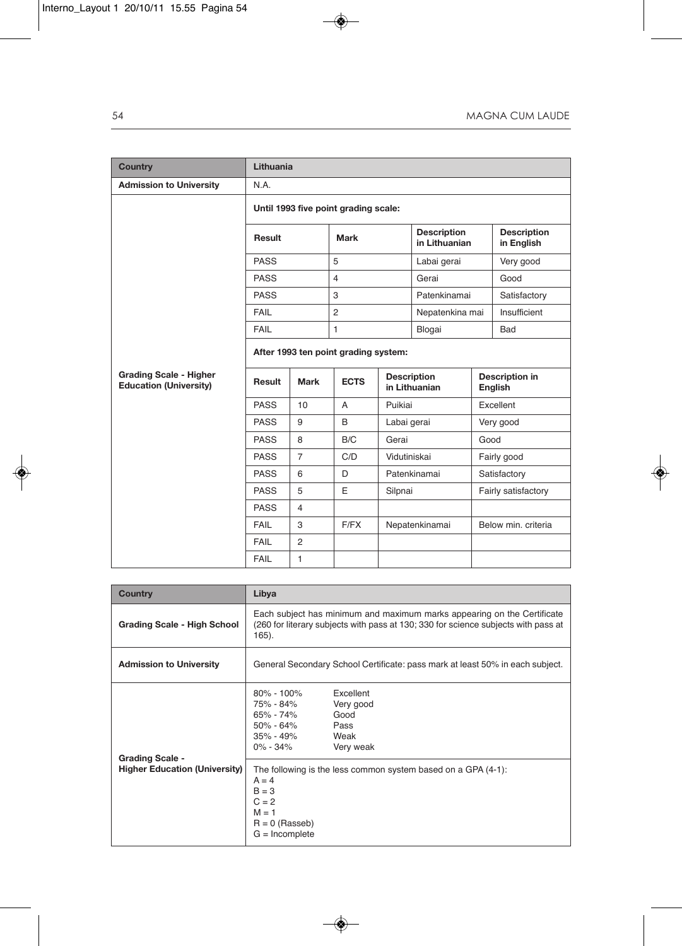| <b>Country</b>                                                 | Lithuania                            |                |                |                                     |                                     |      |                                  |  |
|----------------------------------------------------------------|--------------------------------------|----------------|----------------|-------------------------------------|-------------------------------------|------|----------------------------------|--|
| <b>Admission to University</b>                                 | N.A.                                 |                |                |                                     |                                     |      |                                  |  |
|                                                                | Until 1993 five point grading scale: |                |                |                                     |                                     |      |                                  |  |
|                                                                | Result                               |                | Mark           |                                     | <b>Description</b><br>in Lithuanian |      | <b>Description</b><br>in English |  |
|                                                                | <b>PASS</b>                          |                | 5              |                                     | Labai gerai                         |      | Very good                        |  |
|                                                                | <b>PASS</b>                          |                | $\overline{4}$ |                                     | Gerai                               |      | Good                             |  |
|                                                                | <b>PASS</b>                          |                | 3              |                                     | Patenkinamai                        |      | Satisfactory                     |  |
|                                                                | FAIL                                 |                | 2              |                                     | Nepatenkina mai                     |      | Insufficient                     |  |
|                                                                | FAIL                                 |                | $\mathbf{1}$   |                                     | Blogai                              |      | Bad                              |  |
|                                                                | After 1993 ten point grading system: |                |                |                                     |                                     |      |                                  |  |
| <b>Grading Scale - Higher</b><br><b>Education (University)</b> | Result                               | <b>Mark</b>    | <b>ECTS</b>    | <b>Description</b><br>in Lithuanian |                                     |      | <b>Description in</b><br>English |  |
|                                                                | <b>PASS</b>                          | 10             | A              | Puikiai                             |                                     |      | Excellent                        |  |
|                                                                | <b>PASS</b>                          | 9              | B              | Labai gerai                         |                                     |      | Very good                        |  |
|                                                                | <b>PASS</b>                          | 8              | B/C            | Gerai                               |                                     | Good |                                  |  |
|                                                                | <b>PASS</b>                          | $\overline{7}$ | C/D            | Vidutiniskai                        |                                     |      | Fairly good                      |  |
|                                                                | <b>PASS</b>                          | 6              | D              |                                     | Patenkinamai                        |      | Satisfactory                     |  |
|                                                                | <b>PASS</b>                          | 5              | E              | Silpnai                             |                                     |      | Fairly satisfactory              |  |
|                                                                | <b>PASS</b>                          | $\overline{4}$ |                |                                     |                                     |      |                                  |  |
|                                                                | FAIL                                 | 3              | F/FX           |                                     | Nepatenkinamai                      |      | Below min, criteria              |  |
|                                                                | FAIL                                 | $\overline{2}$ |                |                                     |                                     |      |                                  |  |
|                                                                | FAIL                                 | $\mathbf{1}$   |                |                                     |                                     |      |                                  |  |

| <b>Country</b>                                                 | Libya                                                                                                                                                                                                      |  |  |  |
|----------------------------------------------------------------|------------------------------------------------------------------------------------------------------------------------------------------------------------------------------------------------------------|--|--|--|
| Grading Scale - High School                                    | Each subject has minimum and maximum marks appearing on the Certificate<br>(260 for literary subjects with pass at 130; 330 for science subjects with pass at<br>165).                                     |  |  |  |
| <b>Admission to University</b>                                 | General Secondary School Certificate: pass mark at least 50% in each subject.                                                                                                                              |  |  |  |
| <b>Grading Scale -</b><br><b>Higher Education (University)</b> | Excellent<br>80% - 100%<br>Very good<br>75% - 84%<br>65% - 74%<br>Good<br>50% - 64%<br>Pass<br>Weak<br>35% - 49%<br>0% - 34%<br>Very weak<br>The following is the less common system based on a GPA (4-1): |  |  |  |
|                                                                | $A = 4$<br>$B = 3$<br>$C = 2$<br>$M = 1$<br>$R = 0$ (Rasseb)<br>$G = Incomplete$                                                                                                                           |  |  |  |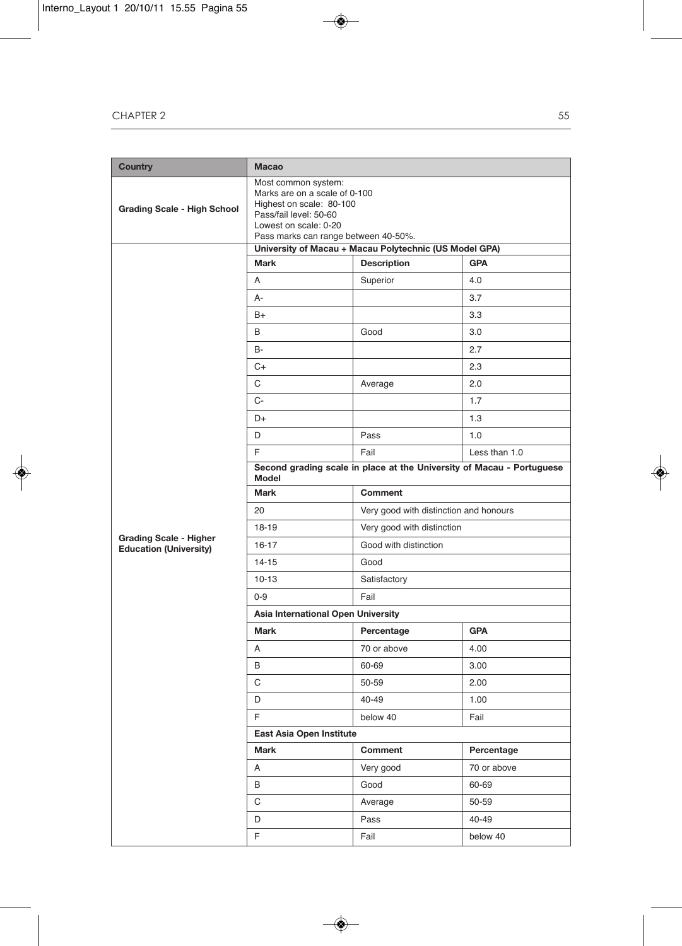| Country                                                        | <b>Macao</b>                                                                                                                                                                |                                        |               |  |  |  |  |
|----------------------------------------------------------------|-----------------------------------------------------------------------------------------------------------------------------------------------------------------------------|----------------------------------------|---------------|--|--|--|--|
| <b>Grading Scale - High School</b>                             | Most common system:<br>Marks are on a scale of 0-100<br>Highest on scale: 80-100<br>Pass/fail level: 50-60<br>Lowest on scale: 0-20<br>Pass marks can range between 40-50%. |                                        |               |  |  |  |  |
|                                                                | University of Macau + Macau Polytechnic (US Model GPA)                                                                                                                      |                                        |               |  |  |  |  |
|                                                                | Mark                                                                                                                                                                        | <b>Description</b>                     | <b>GPA</b>    |  |  |  |  |
|                                                                | A                                                                                                                                                                           | Superior                               | 4.0           |  |  |  |  |
|                                                                | А-                                                                                                                                                                          |                                        | 3.7           |  |  |  |  |
|                                                                | B+                                                                                                                                                                          |                                        | 3.3           |  |  |  |  |
|                                                                | B                                                                                                                                                                           | Good                                   | 3.0           |  |  |  |  |
|                                                                | B-                                                                                                                                                                          |                                        | 2.7           |  |  |  |  |
|                                                                | C+                                                                                                                                                                          |                                        | 2.3           |  |  |  |  |
|                                                                | С                                                                                                                                                                           | Average                                | 2.0           |  |  |  |  |
|                                                                | C-                                                                                                                                                                          |                                        | 1.7           |  |  |  |  |
|                                                                | D+                                                                                                                                                                          |                                        | 1.3           |  |  |  |  |
|                                                                | D                                                                                                                                                                           | Pass                                   | 1.0           |  |  |  |  |
|                                                                | F                                                                                                                                                                           | Fail                                   | Less than 1.0 |  |  |  |  |
|                                                                | Second grading scale in place at the University of Macau - Portuguese<br>Model                                                                                              |                                        |               |  |  |  |  |
|                                                                | Mark                                                                                                                                                                        | <b>Comment</b>                         |               |  |  |  |  |
|                                                                | 20                                                                                                                                                                          | Very good with distinction and honours |               |  |  |  |  |
|                                                                | 18-19                                                                                                                                                                       | Very good with distinction             |               |  |  |  |  |
| <b>Grading Scale - Higher</b><br><b>Education (University)</b> | $16 - 17$                                                                                                                                                                   | Good with distinction                  |               |  |  |  |  |
|                                                                | $14 - 15$<br>Good                                                                                                                                                           |                                        |               |  |  |  |  |
|                                                                | $10 - 13$                                                                                                                                                                   | Satisfactory                           |               |  |  |  |  |
|                                                                | $0 - 9$<br>Fail                                                                                                                                                             |                                        |               |  |  |  |  |
|                                                                | Asia International Open University                                                                                                                                          |                                        |               |  |  |  |  |
|                                                                | <b>Mark</b>                                                                                                                                                                 | Percentage                             | <b>GPA</b>    |  |  |  |  |
|                                                                | Α                                                                                                                                                                           | 70 or above                            | 4.00          |  |  |  |  |
|                                                                | B                                                                                                                                                                           | 60-69                                  | 3.00          |  |  |  |  |
|                                                                | С                                                                                                                                                                           | 50-59                                  | 2.00          |  |  |  |  |
|                                                                | D                                                                                                                                                                           | 40-49                                  | 1.00          |  |  |  |  |
|                                                                | F                                                                                                                                                                           | below 40                               | Fail          |  |  |  |  |
|                                                                | East Asia Open Institute                                                                                                                                                    |                                        |               |  |  |  |  |
|                                                                | Mark                                                                                                                                                                        | Comment                                | Percentage    |  |  |  |  |
|                                                                | Α                                                                                                                                                                           | Very good                              | 70 or above   |  |  |  |  |
|                                                                | В                                                                                                                                                                           | Good                                   | 60-69         |  |  |  |  |
|                                                                | С                                                                                                                                                                           | Average                                | 50-59         |  |  |  |  |
|                                                                | D                                                                                                                                                                           | Pass                                   | 40-49         |  |  |  |  |
|                                                                | F.                                                                                                                                                                          | Fail                                   | below 40      |  |  |  |  |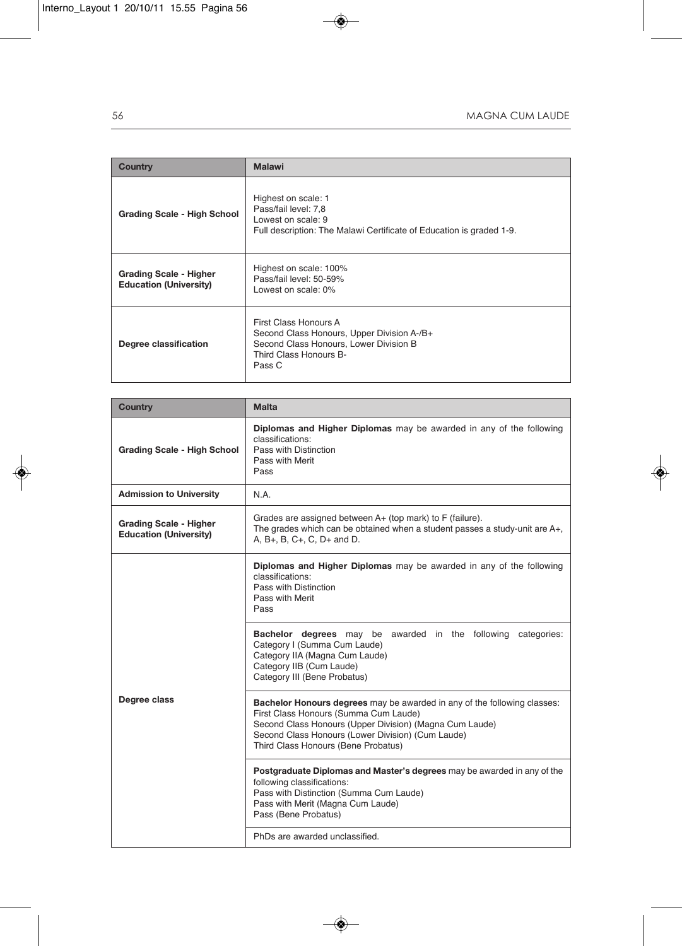| Country                                                        | <b>Malawi</b>                                                                                                                                     |
|----------------------------------------------------------------|---------------------------------------------------------------------------------------------------------------------------------------------------|
| <b>Grading Scale - High School</b>                             | Highest on scale: 1<br>Pass/fail level: 7,8<br>Lowest on scale: 9<br>Full description: The Malawi Certificate of Education is graded 1-9.         |
| <b>Grading Scale - Higher</b><br><b>Education (University)</b> | Highest on scale: 100%<br>Pass/fail level: 50-59%<br>Lowest on scale: 0%                                                                          |
| Degree classification                                          | First Class Honours A<br>Second Class Honours, Upper Division A-/B+<br>Second Class Honours, Lower Division B<br>Third Class Honours B-<br>Pass C |

| <b>Country</b>                                                 | <b>Malta</b>                                                                                                                                                                                                                                                             |  |
|----------------------------------------------------------------|--------------------------------------------------------------------------------------------------------------------------------------------------------------------------------------------------------------------------------------------------------------------------|--|
| <b>Grading Scale - High School</b>                             | <b>Diplomas and Higher Diplomas</b> may be awarded in any of the following<br>classifications:<br>Pass with Distinction<br>Pass with Merit<br>Pass                                                                                                                       |  |
| <b>Admission to University</b>                                 | N.A.                                                                                                                                                                                                                                                                     |  |
| <b>Grading Scale - Higher</b><br><b>Education (University)</b> | Grades are assigned between A+ (top mark) to F (failure).<br>The grades which can be obtained when a student passes a study-unit are A+,<br>A, B+, B, C+, C, D+ and D.                                                                                                   |  |
| Degree class                                                   | Diplomas and Higher Diplomas may be awarded in any of the following<br>classifications:<br>Pass with Distinction<br>Pass with Merit<br>Pass                                                                                                                              |  |
|                                                                | <b>Bachelor degrees</b> may be awarded in the following categories:<br>Category I (Summa Cum Laude)<br>Category IIA (Magna Cum Laude)<br>Category IIB (Cum Laude)<br>Category III (Bene Probatus)                                                                        |  |
|                                                                | Bachelor Honours degrees may be awarded in any of the following classes:<br>First Class Honours (Summa Cum Laude)<br>Second Class Honours (Upper Division) (Magna Cum Laude)<br>Second Class Honours (Lower Division) (Cum Laude)<br>Third Class Honours (Bene Probatus) |  |
|                                                                | Postgraduate Diplomas and Master's degrees may be awarded in any of the<br>following classifications:<br>Pass with Distinction (Summa Cum Laude)<br>Pass with Merit (Magna Cum Laude)<br>Pass (Bene Probatus)                                                            |  |
|                                                                | PhDs are awarded unclassified.                                                                                                                                                                                                                                           |  |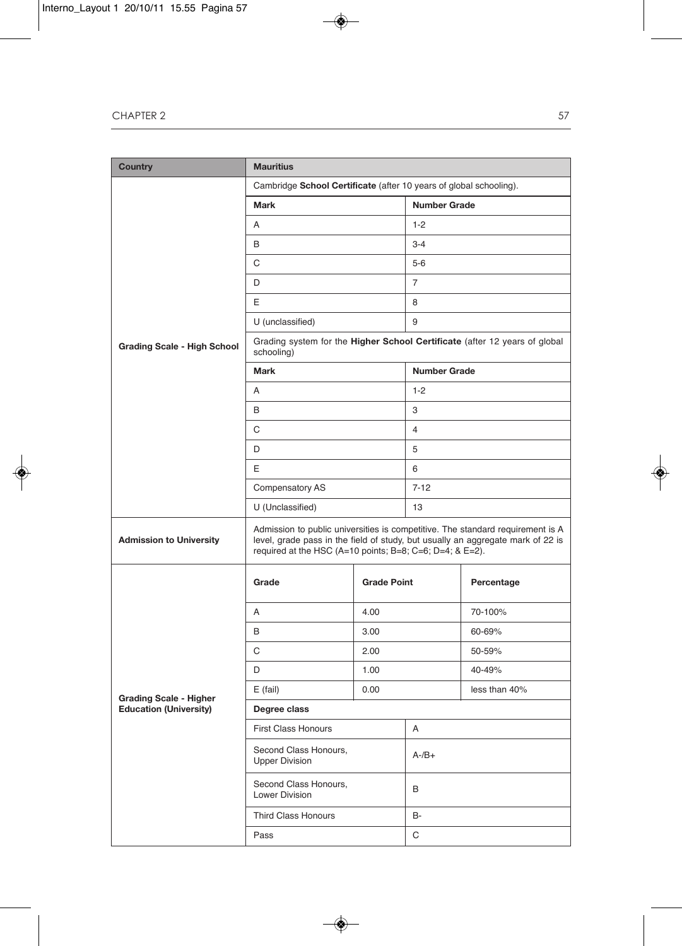| <b>Country</b>                     | <b>Mauritius</b>                                                                                                                                                                                                              |                    |                     |                                                                            |  |
|------------------------------------|-------------------------------------------------------------------------------------------------------------------------------------------------------------------------------------------------------------------------------|--------------------|---------------------|----------------------------------------------------------------------------|--|
|                                    | Cambridge School Certificate (after 10 years of global schooling).                                                                                                                                                            |                    |                     |                                                                            |  |
|                                    | <b>Mark</b>                                                                                                                                                                                                                   |                    | <b>Number Grade</b> |                                                                            |  |
|                                    | Α                                                                                                                                                                                                                             |                    | $1 - 2$             |                                                                            |  |
|                                    | В                                                                                                                                                                                                                             |                    | $3 - 4$             |                                                                            |  |
|                                    | С                                                                                                                                                                                                                             |                    | $5-6$               |                                                                            |  |
|                                    | D                                                                                                                                                                                                                             |                    | 7                   |                                                                            |  |
|                                    | E                                                                                                                                                                                                                             |                    | 8                   |                                                                            |  |
|                                    | U (unclassified)                                                                                                                                                                                                              |                    | 9                   |                                                                            |  |
| <b>Grading Scale - High School</b> | schooling)                                                                                                                                                                                                                    |                    |                     | Grading system for the Higher School Certificate (after 12 years of global |  |
|                                    | <b>Mark</b>                                                                                                                                                                                                                   |                    | <b>Number Grade</b> |                                                                            |  |
|                                    | A                                                                                                                                                                                                                             |                    | $1 - 2$             |                                                                            |  |
|                                    | B                                                                                                                                                                                                                             |                    | 3                   |                                                                            |  |
|                                    | С                                                                                                                                                                                                                             |                    | $\overline{4}$      |                                                                            |  |
|                                    | D                                                                                                                                                                                                                             |                    | 5                   |                                                                            |  |
|                                    | E                                                                                                                                                                                                                             |                    | 6                   |                                                                            |  |
|                                    | Compensatory AS                                                                                                                                                                                                               |                    | $7 - 12$            |                                                                            |  |
|                                    | U (Unclassified)                                                                                                                                                                                                              |                    | 13                  |                                                                            |  |
| <b>Admission to University</b>     | Admission to public universities is competitive. The standard requirement is A<br>level, grade pass in the field of study, but usually an aggregate mark of 22 is<br>required at the HSC (A=10 points; B=8; C=6; D=4; & E=2). |                    |                     |                                                                            |  |
| Grade                              |                                                                                                                                                                                                                               | <b>Grade Point</b> |                     | Percentage                                                                 |  |
|                                    | Α                                                                                                                                                                                                                             | 4.00               |                     | 70-100%                                                                    |  |
|                                    | B                                                                                                                                                                                                                             | 3.00               |                     | 60-69%                                                                     |  |
|                                    | С                                                                                                                                                                                                                             | 2.00               |                     | 50-59%                                                                     |  |
|                                    | D                                                                                                                                                                                                                             | 1.00               |                     | 40-49%                                                                     |  |
| <b>Grading Scale - Higher</b>      | $E$ (fail)<br>0.00                                                                                                                                                                                                            |                    |                     | less than 40%                                                              |  |
| <b>Education (University)</b>      | Degree class                                                                                                                                                                                                                  |                    |                     |                                                                            |  |
|                                    | <b>First Class Honours</b>                                                                                                                                                                                                    |                    |                     | Α                                                                          |  |
|                                    | Second Class Honours,<br><b>Upper Division</b>                                                                                                                                                                                |                    | $A - /B +$          |                                                                            |  |
|                                    | Second Class Honours,<br>Lower Division                                                                                                                                                                                       |                    | В                   |                                                                            |  |
|                                    | <b>Third Class Honours</b>                                                                                                                                                                                                    |                    | B-                  |                                                                            |  |
|                                    | Pass                                                                                                                                                                                                                          |                    | C                   |                                                                            |  |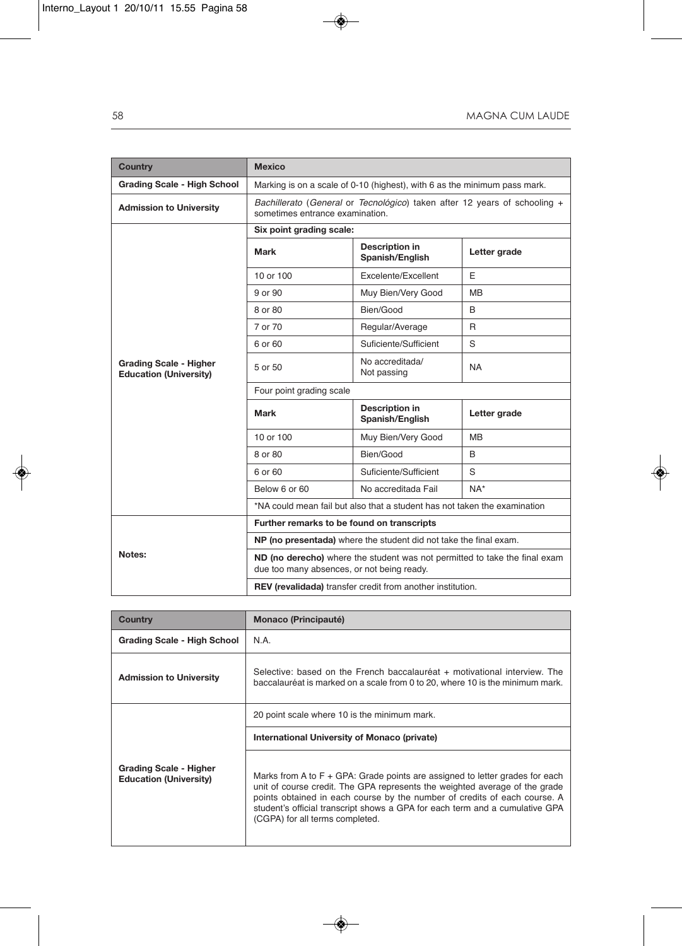| <b>Country</b>                                                 | <b>Mexico</b>                                                                                                            |                                          |              |  |
|----------------------------------------------------------------|--------------------------------------------------------------------------------------------------------------------------|------------------------------------------|--------------|--|
| <b>Grading Scale - High School</b>                             | Marking is on a scale of 0-10 (highest), with 6 as the minimum pass mark.                                                |                                          |              |  |
| <b>Admission to University</b>                                 | Bachillerato (General or Tecnológico) taken after 12 years of schooling +<br>sometimes entrance examination.             |                                          |              |  |
|                                                                | Six point grading scale:                                                                                                 |                                          |              |  |
|                                                                | Mark                                                                                                                     | <b>Description in</b><br>Spanish/English | Letter grade |  |
|                                                                | 10 or 100                                                                                                                | Excelente/Excellent                      | F            |  |
|                                                                | 9 or 90                                                                                                                  | Muy Bien/Very Good                       | <b>MB</b>    |  |
|                                                                | 8 or 80                                                                                                                  | Bien/Good                                | B            |  |
|                                                                | 7 or 70                                                                                                                  | Regular/Average                          | R            |  |
|                                                                | 6 or 60                                                                                                                  | Suficiente/Sufficient                    | S            |  |
| <b>Grading Scale - Higher</b><br><b>Education (University)</b> | 5 or 50                                                                                                                  | No accreditada/<br>Not passing           | <b>NA</b>    |  |
|                                                                | Four point grading scale                                                                                                 |                                          |              |  |
|                                                                | Mark                                                                                                                     | <b>Description in</b><br>Spanish/English | Letter grade |  |
|                                                                | 10 or 100                                                                                                                | Muy Bien/Very Good                       | <b>MB</b>    |  |
|                                                                | 8 or 80                                                                                                                  | Bien/Good                                | B            |  |
|                                                                | 6 or 60                                                                                                                  | Suficiente/Sufficient                    | S            |  |
|                                                                | Below 6 or 60                                                                                                            | No accreditada Fail                      | $NA*$        |  |
|                                                                | *NA could mean fail but also that a student has not taken the examination                                                |                                          |              |  |
|                                                                | Further remarks to be found on transcripts                                                                               |                                          |              |  |
|                                                                | NP (no presentada) where the student did not take the final exam.                                                        |                                          |              |  |
| Notes:                                                         | ND (no derecho) where the student was not permitted to take the final exam<br>due too many absences, or not being ready. |                                          |              |  |
|                                                                | <b>REV</b> (revalidada) transfer credit from another institution.                                                        |                                          |              |  |

| Country                                                        | Monaco (Principauté)                                                                                                                                                                                                                                                                                                                                           |
|----------------------------------------------------------------|----------------------------------------------------------------------------------------------------------------------------------------------------------------------------------------------------------------------------------------------------------------------------------------------------------------------------------------------------------------|
| Grading Scale - High School                                    | N.A.                                                                                                                                                                                                                                                                                                                                                           |
| <b>Admission to University</b>                                 | Selective: based on the French baccalauréat + motivational interview. The<br>baccalauréat is marked on a scale from 0 to 20, where 10 is the minimum mark.                                                                                                                                                                                                     |
|                                                                | 20 point scale where 10 is the minimum mark.                                                                                                                                                                                                                                                                                                                   |
|                                                                | International University of Monaco (private)                                                                                                                                                                                                                                                                                                                   |
| <b>Grading Scale - Higher</b><br><b>Education (University)</b> | Marks from A to $F + GPA$ : Grade points are assigned to letter grades for each<br>unit of course credit. The GPA represents the weighted average of the grade<br>points obtained in each course by the number of credits of each course. A<br>student's official transcript shows a GPA for each term and a cumulative GPA<br>(CGPA) for all terms completed. |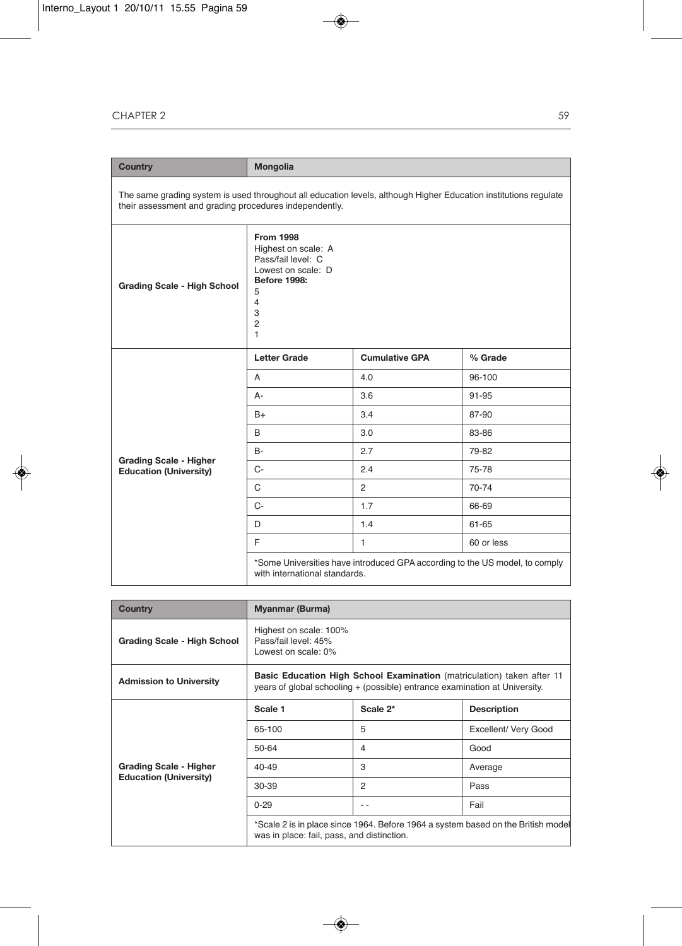## cHAPter 2

| <b>Country</b>                                                                                                                                                             | <b>Mongolia</b>                                                                                                                                                          |                       |            |
|----------------------------------------------------------------------------------------------------------------------------------------------------------------------------|--------------------------------------------------------------------------------------------------------------------------------------------------------------------------|-----------------------|------------|
| The same grading system is used throughout all education levels, although Higher Education institutions regulate<br>their assessment and grading procedures independently. |                                                                                                                                                                          |                       |            |
| <b>Grading Scale - High School</b>                                                                                                                                         | <b>From 1998</b><br>Highest on scale: A<br>Pass/fail level: C<br>Lowest on scale: D<br><b>Before 1998:</b><br>5<br>$\overline{4}$<br>3<br>$\overline{2}$<br>$\mathbf{1}$ |                       |            |
|                                                                                                                                                                            | <b>Letter Grade</b>                                                                                                                                                      | <b>Cumulative GPA</b> | % Grade    |
|                                                                                                                                                                            | A                                                                                                                                                                        | 4.0                   | 96-100     |
|                                                                                                                                                                            | A-                                                                                                                                                                       | 3.6                   | 91-95      |
|                                                                                                                                                                            | $B+$                                                                                                                                                                     | 3.4                   | 87-90      |
|                                                                                                                                                                            | B                                                                                                                                                                        | 3.0                   | 83-86      |
|                                                                                                                                                                            | B-                                                                                                                                                                       | 2.7                   | 79-82      |
| <b>Grading Scale - Higher</b><br><b>Education (University)</b>                                                                                                             | $C -$                                                                                                                                                                    | 2.4                   | 75-78      |
|                                                                                                                                                                            | C                                                                                                                                                                        | $\overline{2}$        | 70-74      |
|                                                                                                                                                                            | $C -$                                                                                                                                                                    | 1.7                   | 66-69      |
|                                                                                                                                                                            | D                                                                                                                                                                        | 1.4                   | 61-65      |
|                                                                                                                                                                            | E                                                                                                                                                                        | $\mathbf{1}$          | 60 or less |
|                                                                                                                                                                            | *Some Universities have introduced GPA according to the US model, to comply<br>with international standards.                                                             |                       |            |

| <b>Country</b>                                                 | <b>Myanmar (Burma)</b>                                                                                                                                      |          |                      |
|----------------------------------------------------------------|-------------------------------------------------------------------------------------------------------------------------------------------------------------|----------|----------------------|
| Grading Scale - High School                                    | Highest on scale: 100%<br>Pass/fail level: 45%<br>Lowest on scale: 0%                                                                                       |          |                      |
| <b>Admission to University</b>                                 | <b>Basic Education High School Examination</b> (matriculation) taken after 11<br>years of global schooling + (possible) entrance examination at University. |          |                      |
| <b>Grading Scale - Higher</b><br><b>Education (University)</b> | Scale 1                                                                                                                                                     | Scale 2* | <b>Description</b>   |
|                                                                | 65-100                                                                                                                                                      | 5        | Excellent/ Very Good |
|                                                                | 50-64                                                                                                                                                       | 4        | Good                 |
|                                                                | $40 - 49$                                                                                                                                                   | 3        | Average              |
|                                                                | $30 - 39$                                                                                                                                                   | 2        | Pass                 |
|                                                                | $0 - 29$                                                                                                                                                    | - -      | Fail                 |
|                                                                | *Scale 2 is in place since 1964. Before 1964 a system based on the British model<br>was in place: fail, pass, and distinction.                              |          |                      |

59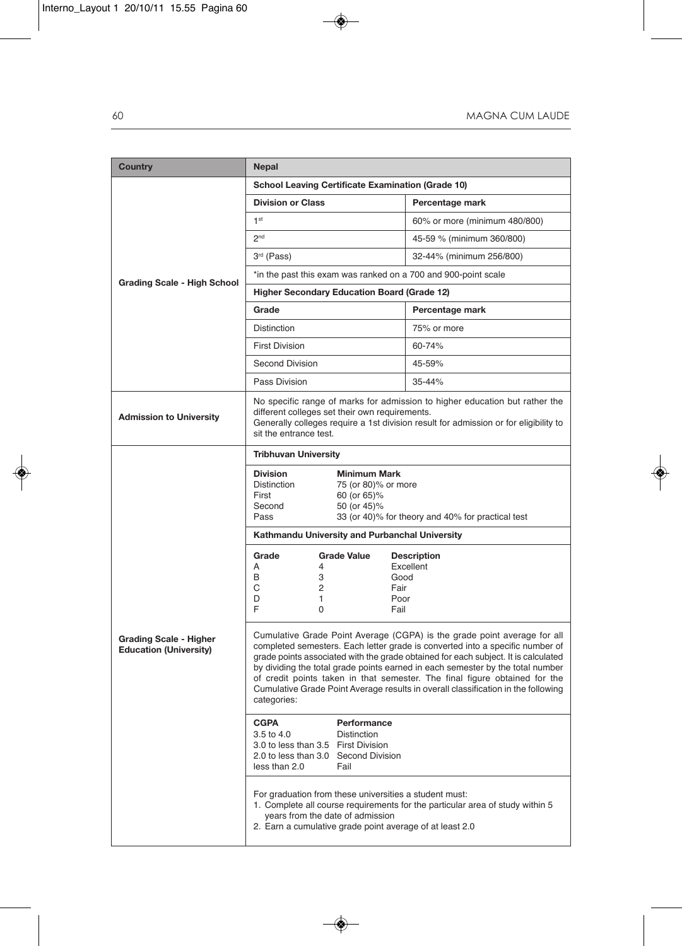| <b>Country</b>                                                 | Nepal                                                                                                                                                                                                                                                                                                                                                                                                                                                                                                               |                                 |  |  |
|----------------------------------------------------------------|---------------------------------------------------------------------------------------------------------------------------------------------------------------------------------------------------------------------------------------------------------------------------------------------------------------------------------------------------------------------------------------------------------------------------------------------------------------------------------------------------------------------|---------------------------------|--|--|
|                                                                | <b>School Leaving Certificate Examination (Grade 10)</b>                                                                                                                                                                                                                                                                                                                                                                                                                                                            |                                 |  |  |
|                                                                | <b>Division or Class</b>                                                                                                                                                                                                                                                                                                                                                                                                                                                                                            | Percentage mark                 |  |  |
|                                                                | 1 <sup>st</sup>                                                                                                                                                                                                                                                                                                                                                                                                                                                                                                     | 60% or more (minimum 480/800)   |  |  |
|                                                                | 2 <sup>nd</sup>                                                                                                                                                                                                                                                                                                                                                                                                                                                                                                     | 45-59 % (minimum 360/800)       |  |  |
|                                                                | 3 <sup>rd</sup> (Pass)                                                                                                                                                                                                                                                                                                                                                                                                                                                                                              | 32-44% (minimum 256/800)        |  |  |
|                                                                | *in the past this exam was ranked on a 700 and 900-point scale                                                                                                                                                                                                                                                                                                                                                                                                                                                      |                                 |  |  |
| Grading Scale - High School                                    | Higher Secondary Education Board (Grade 12)                                                                                                                                                                                                                                                                                                                                                                                                                                                                         |                                 |  |  |
|                                                                | Grade                                                                                                                                                                                                                                                                                                                                                                                                                                                                                                               | Percentage mark                 |  |  |
|                                                                | Distinction                                                                                                                                                                                                                                                                                                                                                                                                                                                                                                         | 75% or more                     |  |  |
|                                                                | <b>First Division</b>                                                                                                                                                                                                                                                                                                                                                                                                                                                                                               | 60-74%                          |  |  |
|                                                                | Second Division                                                                                                                                                                                                                                                                                                                                                                                                                                                                                                     | 45-59%                          |  |  |
|                                                                | Pass Division                                                                                                                                                                                                                                                                                                                                                                                                                                                                                                       | 35-44%                          |  |  |
| <b>Admission to University</b>                                 | No specific range of marks for admission to higher education but rather the<br>different colleges set their own requirements.<br>Generally colleges require a 1st division result for admission or for eligibility to<br>sit the entrance test.                                                                                                                                                                                                                                                                     |                                 |  |  |
|                                                                | Tribhuvan University                                                                                                                                                                                                                                                                                                                                                                                                                                                                                                |                                 |  |  |
|                                                                | <b>Division</b><br><b>Minimum Mark</b><br><b>Distinction</b><br>75 (or 80)% or more<br>First<br>60 (or 65)%<br>Second<br>50 (or 45)%<br>Pass<br>33 (or 40)% for theory and 40% for practical test                                                                                                                                                                                                                                                                                                                   |                                 |  |  |
|                                                                | Kathmandu University and Purbanchal University                                                                                                                                                                                                                                                                                                                                                                                                                                                                      |                                 |  |  |
| <b>Grading Scale - Higher</b><br><b>Education (University)</b> | Grade<br><b>Grade Value</b><br>A<br>4<br>Good<br>B<br>3<br>C<br>$\overline{2}$<br>Fair<br>D<br>Poor<br>1<br>F<br>0<br>Fail                                                                                                                                                                                                                                                                                                                                                                                          | <b>Description</b><br>Excellent |  |  |
|                                                                | Cumulative Grade Point Average (CGPA) is the grade point average for all<br>completed semesters. Each letter grade is converted into a specific number of<br>grade points associated with the grade obtained for each subject. It is calculated<br>by dividing the total grade points earned in each semester by the total number<br>of credit points taken in that semester. The final figure obtained for the<br>Cumulative Grade Point Average results in overall classification in the following<br>categories: |                                 |  |  |
|                                                                | <b>CGPA</b><br>Performance<br>3.5 to 4.0<br>Distinction<br>3.0 to less than 3.5 First Division<br>2.0 to less than 3.0 Second Division<br>less than 2.0<br>Fail                                                                                                                                                                                                                                                                                                                                                     |                                 |  |  |
|                                                                | For graduation from these universities a student must:<br>1. Complete all course requirements for the particular area of study within 5<br>years from the date of admission<br>2. Earn a cumulative grade point average of at least 2.0                                                                                                                                                                                                                                                                             |                                 |  |  |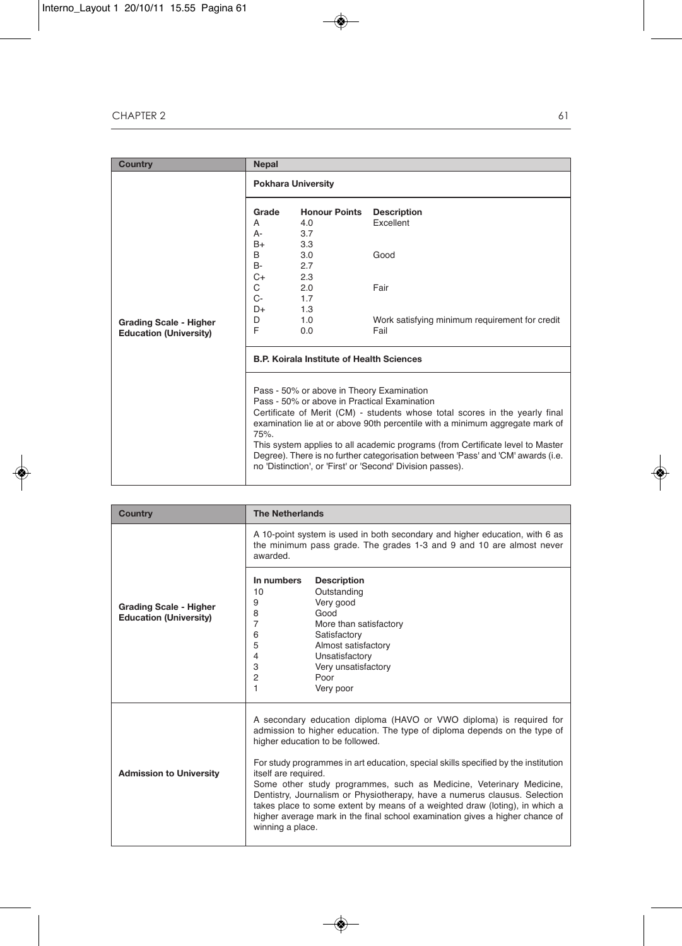| <b>Country</b>                                                 | <b>Nepal</b>                                                           |                                                                                                   |                                                                                                                                                                                                                                                                                                                                                                                                 |
|----------------------------------------------------------------|------------------------------------------------------------------------|---------------------------------------------------------------------------------------------------|-------------------------------------------------------------------------------------------------------------------------------------------------------------------------------------------------------------------------------------------------------------------------------------------------------------------------------------------------------------------------------------------------|
|                                                                | <b>Pokhara University</b>                                              |                                                                                                   |                                                                                                                                                                                                                                                                                                                                                                                                 |
| <b>Grading Scale - Higher</b><br><b>Education (University)</b> | Grade<br>A<br>А-<br>$B+$<br>B<br>B-<br>C+<br>C<br>$C-$<br>D+<br>D<br>F | <b>Honour Points</b><br>4.0<br>3.7<br>3.3<br>3.0<br>2.7<br>2.3<br>2.0<br>1.7<br>1.3<br>1.0<br>0.0 | <b>Description</b><br>Excellent<br>Good<br>Fair<br>Work satisfying minimum requirement for credit<br>Fail                                                                                                                                                                                                                                                                                       |
|                                                                |                                                                        |                                                                                                   |                                                                                                                                                                                                                                                                                                                                                                                                 |
|                                                                | <b>B.P. Koirala Institute of Health Sciences</b>                       |                                                                                                   |                                                                                                                                                                                                                                                                                                                                                                                                 |
|                                                                | 75%.                                                                   | Pass - 50% or above in Theory Examination<br>Pass - 50% or above in Practical Examination         | Certificate of Merit (CM) - students whose total scores in the yearly final<br>examination lie at or above 90th percentile with a minimum aggregate mark of<br>This system applies to all academic programs (from Certificate level to Master<br>Degree). There is no further categorisation between 'Pass' and 'CM' awards (i.e.<br>no 'Distinction', or 'First' or 'Second' Division passes). |

| <b>Country</b>                                                 | <b>The Netherlands</b>                                                                                                                                                                                                                                                                                                                                                                                                                                                                                                                                                                                                                    |  |  |
|----------------------------------------------------------------|-------------------------------------------------------------------------------------------------------------------------------------------------------------------------------------------------------------------------------------------------------------------------------------------------------------------------------------------------------------------------------------------------------------------------------------------------------------------------------------------------------------------------------------------------------------------------------------------------------------------------------------------|--|--|
|                                                                | A 10-point system is used in both secondary and higher education, with 6 as<br>the minimum pass grade. The grades 1-3 and 9 and 10 are almost never<br>awarded.                                                                                                                                                                                                                                                                                                                                                                                                                                                                           |  |  |
| <b>Grading Scale - Higher</b><br><b>Education (University)</b> | In numbers<br><b>Description</b><br>Outstanding<br>10<br>Very good<br>9<br>Good<br>8<br>7<br>More than satisfactory<br>Satisfactory<br>6<br>5<br>Almost satisfactory<br>Unsatisfactory<br>4<br>Very unsatisfactory<br>3<br>2<br>Poor<br>1<br>Very poor                                                                                                                                                                                                                                                                                                                                                                                    |  |  |
| <b>Admission to University</b>                                 | A secondary education diploma (HAVO or VWO diploma) is required for<br>admission to higher education. The type of diploma depends on the type of<br>higher education to be followed.<br>For study programmes in art education, special skills specified by the institution<br>itself are required.<br>Some other study programmes, such as Medicine, Veterinary Medicine,<br>Dentistry, Journalism or Physiotherapy, have a numerus clausus. Selection<br>takes place to some extent by means of a weighted draw (loting), in which a<br>higher average mark in the final school examination gives a higher chance of<br>winning a place. |  |  |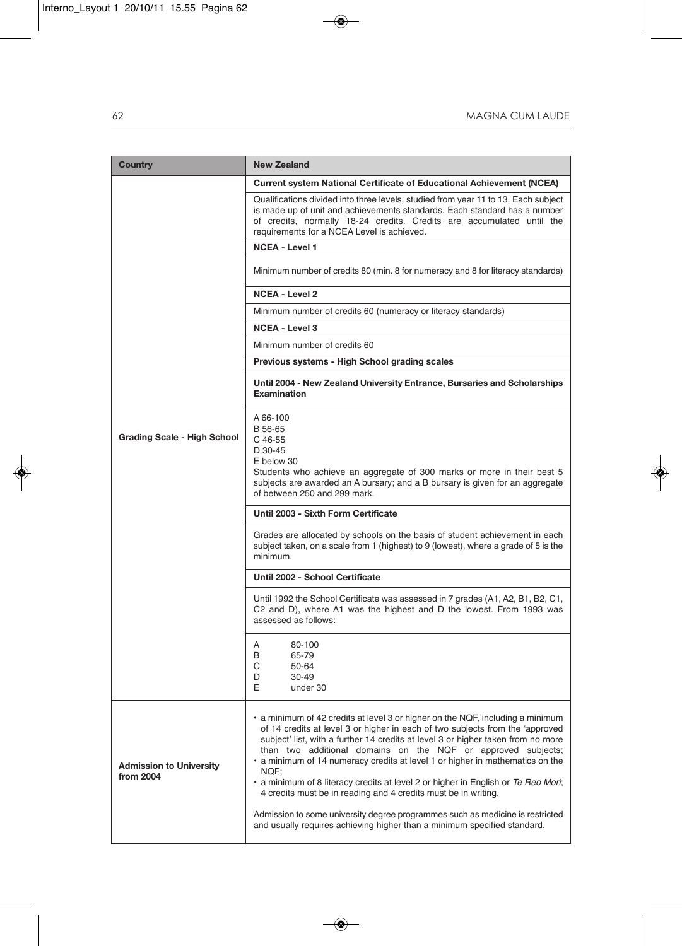| Country                                     | <b>New Zealand</b>                                                                                                                                                                                                                                                                                                                                                                                                                                                                                                                                                                                                                                                                                                             |  |  |
|---------------------------------------------|--------------------------------------------------------------------------------------------------------------------------------------------------------------------------------------------------------------------------------------------------------------------------------------------------------------------------------------------------------------------------------------------------------------------------------------------------------------------------------------------------------------------------------------------------------------------------------------------------------------------------------------------------------------------------------------------------------------------------------|--|--|
|                                             | Current system National Certificate of Educational Achievement (NCEA)                                                                                                                                                                                                                                                                                                                                                                                                                                                                                                                                                                                                                                                          |  |  |
|                                             | Qualifications divided into three levels, studied from year 11 to 13. Each subject<br>is made up of unit and achievements standards. Each standard has a number<br>of credits, normally 18-24 credits. Credits are accumulated until the<br>requirements for a NCEA Level is achieved.                                                                                                                                                                                                                                                                                                                                                                                                                                         |  |  |
|                                             | <b>NCEA - Level 1</b>                                                                                                                                                                                                                                                                                                                                                                                                                                                                                                                                                                                                                                                                                                          |  |  |
|                                             | Minimum number of credits 80 (min. 8 for numeracy and 8 for literacy standards)                                                                                                                                                                                                                                                                                                                                                                                                                                                                                                                                                                                                                                                |  |  |
|                                             | <b>NCEA - Level 2</b>                                                                                                                                                                                                                                                                                                                                                                                                                                                                                                                                                                                                                                                                                                          |  |  |
|                                             | Minimum number of credits 60 (numeracy or literacy standards)                                                                                                                                                                                                                                                                                                                                                                                                                                                                                                                                                                                                                                                                  |  |  |
|                                             | <b>NCEA - Level 3</b>                                                                                                                                                                                                                                                                                                                                                                                                                                                                                                                                                                                                                                                                                                          |  |  |
|                                             | Minimum number of credits 60                                                                                                                                                                                                                                                                                                                                                                                                                                                                                                                                                                                                                                                                                                   |  |  |
|                                             | Previous systems - High School grading scales                                                                                                                                                                                                                                                                                                                                                                                                                                                                                                                                                                                                                                                                                  |  |  |
|                                             | Until 2004 - New Zealand University Entrance, Bursaries and Scholarships<br><b>Examination</b>                                                                                                                                                                                                                                                                                                                                                                                                                                                                                                                                                                                                                                 |  |  |
| Grading Scale - High School                 | A 66-100<br>B 56-65<br>$C$ 46-55<br>D 30-45<br>E below 30<br>Students who achieve an aggregate of 300 marks or more in their best 5<br>subjects are awarded an A bursary; and a B bursary is given for an aggregate<br>of between 250 and 299 mark.                                                                                                                                                                                                                                                                                                                                                                                                                                                                            |  |  |
|                                             | Until 2003 - Sixth Form Certificate                                                                                                                                                                                                                                                                                                                                                                                                                                                                                                                                                                                                                                                                                            |  |  |
|                                             | Grades are allocated by schools on the basis of student achievement in each<br>subject taken, on a scale from 1 (highest) to 9 (lowest), where a grade of 5 is the<br>minimum.                                                                                                                                                                                                                                                                                                                                                                                                                                                                                                                                                 |  |  |
|                                             | Until 2002 - School Certificate                                                                                                                                                                                                                                                                                                                                                                                                                                                                                                                                                                                                                                                                                                |  |  |
|                                             | Until 1992 the School Certificate was assessed in 7 grades (A1, A2, B1, B2, C1,<br>C2 and D), where A1 was the highest and D the lowest. From 1993 was<br>assessed as follows:                                                                                                                                                                                                                                                                                                                                                                                                                                                                                                                                                 |  |  |
|                                             | Α<br>80-100<br>B<br>65-79<br>С<br>50-64<br>D<br>30-49<br>Е<br>under 30                                                                                                                                                                                                                                                                                                                                                                                                                                                                                                                                                                                                                                                         |  |  |
| <b>Admission to University</b><br>from 2004 | a minimum of 42 credits at level 3 or higher on the NQF, including a minimum<br>of 14 credits at level 3 or higher in each of two subjects from the 'approved<br>subject' list, with a further 14 credits at level 3 or higher taken from no more<br>than two additional domains on the NQF or approved subjects;<br>. a minimum of 14 numeracy credits at level 1 or higher in mathematics on the<br>NQF:<br>• a minimum of 8 literacy credits at level 2 or higher in English or Te Reo Mori;<br>4 credits must be in reading and 4 credits must be in writing.<br>Admission to some university degree programmes such as medicine is restricted<br>and usually requires achieving higher than a minimum specified standard. |  |  |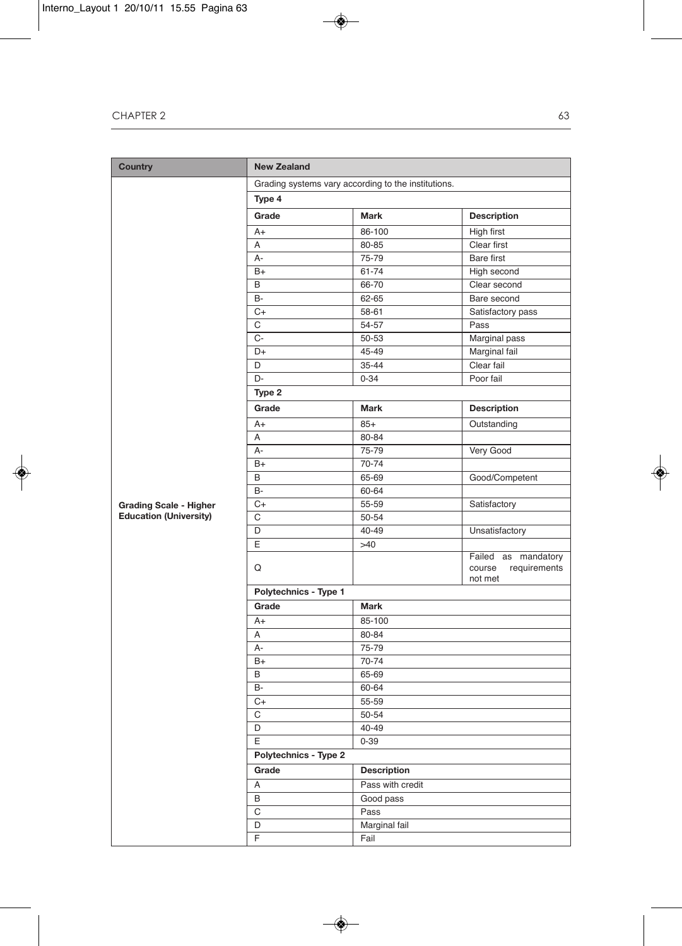| <b>Country</b>                | <b>New Zealand</b>                                  |                    |                                                       |  |
|-------------------------------|-----------------------------------------------------|--------------------|-------------------------------------------------------|--|
|                               | Grading systems vary according to the institutions. |                    |                                                       |  |
|                               | Type 4                                              |                    |                                                       |  |
|                               | Grade                                               | Mark               | <b>Description</b>                                    |  |
|                               | $A+$                                                | 86-100             | High first                                            |  |
|                               | A                                                   | 80-85              | Clear first                                           |  |
|                               | А-                                                  | 75-79              | Bare first                                            |  |
|                               | $B+$                                                | 61-74              | High second                                           |  |
|                               | B                                                   | 66-70              | Clear second                                          |  |
|                               | <b>B-</b>                                           | 62-65              | Bare second                                           |  |
|                               | C+                                                  | 58-61              | Satisfactory pass                                     |  |
|                               | C                                                   | 54-57              | Pass                                                  |  |
|                               | $C -$                                               | 50-53              | Marginal pass                                         |  |
|                               | D+                                                  | 45-49              | Marginal fail                                         |  |
|                               | D                                                   | 35-44              | Clear fail                                            |  |
|                               | D-                                                  | $0 - 34$           | Poor fail                                             |  |
|                               | Type 2                                              |                    |                                                       |  |
|                               | Grade                                               | <b>Mark</b>        | <b>Description</b>                                    |  |
|                               | $A+$                                                | $85+$              | Outstanding                                           |  |
|                               | Α                                                   | 80-84              |                                                       |  |
|                               | А-                                                  | 75-79              | Very Good                                             |  |
|                               | $B+$                                                | 70-74              |                                                       |  |
|                               | В                                                   | 65-69              | Good/Competent                                        |  |
|                               | <b>B-</b>                                           | 60-64              |                                                       |  |
| <b>Grading Scale - Higher</b> | C+                                                  | 55-59              | Satisfactory                                          |  |
| <b>Education (University)</b> | C                                                   | 50-54              |                                                       |  |
|                               | D                                                   | 40-49              | Unsatisfactory                                        |  |
|                               | E                                                   | >40                |                                                       |  |
|                               | Q                                                   |                    | Failed as mandatory<br>course requirements<br>not met |  |
|                               | Polytechnics - Type 1                               |                    |                                                       |  |
|                               | Grade                                               | <b>Mark</b>        |                                                       |  |
|                               | A+                                                  | 85-100             |                                                       |  |
|                               | Α                                                   | 80-84              |                                                       |  |
|                               | А-                                                  | 75-79              |                                                       |  |
|                               | $B+$                                                | 70-74              |                                                       |  |
|                               | B                                                   | 65-69              |                                                       |  |
|                               | B-                                                  | 60-64              |                                                       |  |
|                               | $C+$                                                | 55-59              |                                                       |  |
|                               | $\overline{C}$                                      | 50-54              |                                                       |  |
|                               | D                                                   | 40-49              |                                                       |  |
|                               | E<br>$0 - 39$                                       |                    |                                                       |  |
|                               | Polytechnics - Type 2                               |                    |                                                       |  |
|                               | Grade                                               | <b>Description</b> |                                                       |  |
|                               | Α                                                   | Pass with credit   |                                                       |  |
|                               | B                                                   | Good pass          |                                                       |  |
|                               | C                                                   | Pass               |                                                       |  |
|                               | D                                                   | Marginal fail      |                                                       |  |
|                               | F                                                   | Fail               |                                                       |  |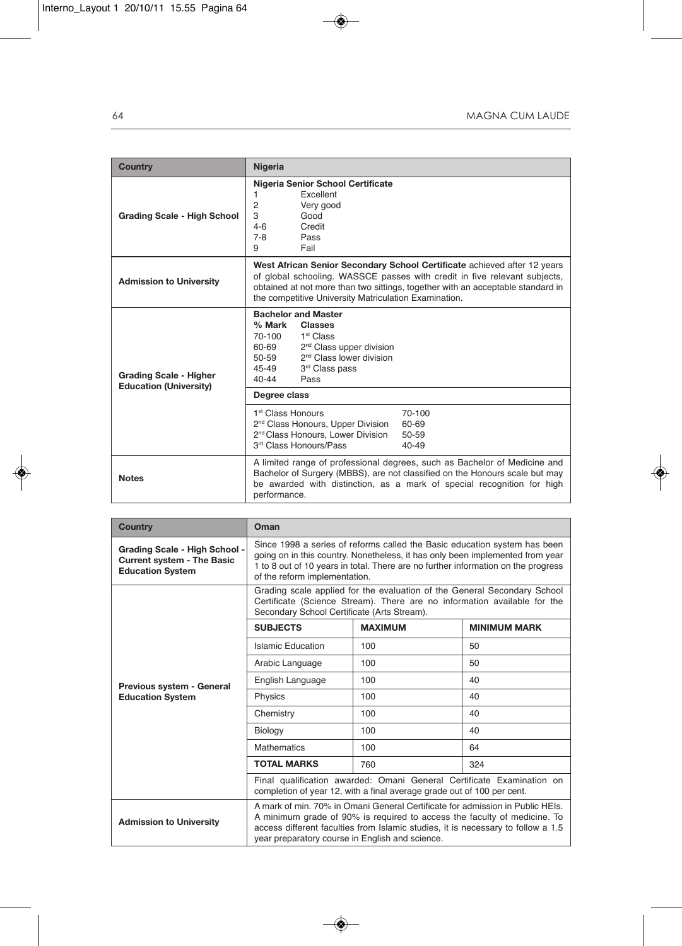| <b>Country</b>                                                 | Nigeria                                                                                                                                                                                                                                                                                           |  |
|----------------------------------------------------------------|---------------------------------------------------------------------------------------------------------------------------------------------------------------------------------------------------------------------------------------------------------------------------------------------------|--|
| Grading Scale - High School                                    | Nigeria Senior School Certificate<br>Excellent<br>1<br>2<br>Very good<br>3<br>Good<br>$4-6$<br>Credit<br>$7 - 8$<br>Pass<br>9<br>Fail                                                                                                                                                             |  |
| <b>Admission to University</b>                                 | West African Senior Secondary School Certificate achieved after 12 years<br>of global schooling. WASSCE passes with credit in five relevant subjects,<br>obtained at not more than two sittings, together with an acceptable standard in<br>the competitive University Matriculation Examination. |  |
| <b>Grading Scale - Higher</b><br><b>Education (University)</b> | <b>Bachelor and Master</b><br>% Mark<br><b>Classes</b><br>70-100<br>1 <sup>st</sup> Class<br>60-69<br>2 <sup>nd</sup> Class upper division<br>2 <sup>nd</sup> Class lower division<br>50-59<br>45-49<br>3rd Class pass<br>$40 - 44$<br>Pass                                                       |  |
|                                                                | Degree class                                                                                                                                                                                                                                                                                      |  |
|                                                                | 1 <sup>st</sup> Class Honours<br>70-100<br>2 <sup>nd</sup> Class Honours, Upper Division<br>60-69<br>2 <sup>nd</sup> Class Honours, Lower Division<br>50-59<br>3rd Class Honours/Pass<br>$40 - 49$                                                                                                |  |
| <b>Notes</b>                                                   | A limited range of professional degrees, such as Bachelor of Medicine and<br>Bachelor of Surgery (MBBS), are not classified on the Honours scale but may<br>be awarded with distinction, as a mark of special recognition for high<br>performance.                                                |  |

| <b>Country</b>                                                                                | Oman                                                                                                                                                                                                                                                                                             |                |                     |  |  |  |
|-----------------------------------------------------------------------------------------------|--------------------------------------------------------------------------------------------------------------------------------------------------------------------------------------------------------------------------------------------------------------------------------------------------|----------------|---------------------|--|--|--|
| Grading Scale - High School -<br><b>Current system - The Basic</b><br><b>Education System</b> | Since 1998 a series of reforms called the Basic education system has been<br>going on in this country. Nonetheless, it has only been implemented from year<br>1 to 8 out of 10 years in total. There are no further information on the progress<br>of the reform implementation.                 |                |                     |  |  |  |
|                                                                                               | Grading scale applied for the evaluation of the General Secondary School<br>Certificate (Science Stream). There are no information available for the<br>Secondary School Certificate (Arts Stream).                                                                                              |                |                     |  |  |  |
|                                                                                               | <b>SUBJECTS</b>                                                                                                                                                                                                                                                                                  | <b>MAXIMUM</b> | <b>MINIMUM MARK</b> |  |  |  |
|                                                                                               | Islamic Education                                                                                                                                                                                                                                                                                | 100            | 50                  |  |  |  |
| Previous system - General                                                                     | Arabic Language                                                                                                                                                                                                                                                                                  | 100            | 50                  |  |  |  |
|                                                                                               | English Language                                                                                                                                                                                                                                                                                 | 100            | 40                  |  |  |  |
| <b>Education System</b>                                                                       | Physics                                                                                                                                                                                                                                                                                          | 100            | 40                  |  |  |  |
|                                                                                               | Chemistry                                                                                                                                                                                                                                                                                        | 100            | 40                  |  |  |  |
|                                                                                               | Biology                                                                                                                                                                                                                                                                                          | 100            | 40                  |  |  |  |
|                                                                                               | <b>Mathematics</b>                                                                                                                                                                                                                                                                               | 100            | 64                  |  |  |  |
|                                                                                               | <b>TOTAL MARKS</b>                                                                                                                                                                                                                                                                               | 760            | 324                 |  |  |  |
|                                                                                               | Final qualification awarded: Omani General Certificate Examination on<br>completion of year 12, with a final average grade out of 100 per cent.                                                                                                                                                  |                |                     |  |  |  |
| <b>Admission to University</b>                                                                | A mark of min. 70% in Omani General Certificate for admission in Public HEIs.<br>A minimum grade of 90% is required to access the faculty of medicine. To<br>access different faculties from Islamic studies, it is necessary to follow a 1.5<br>year preparatory course in English and science. |                |                     |  |  |  |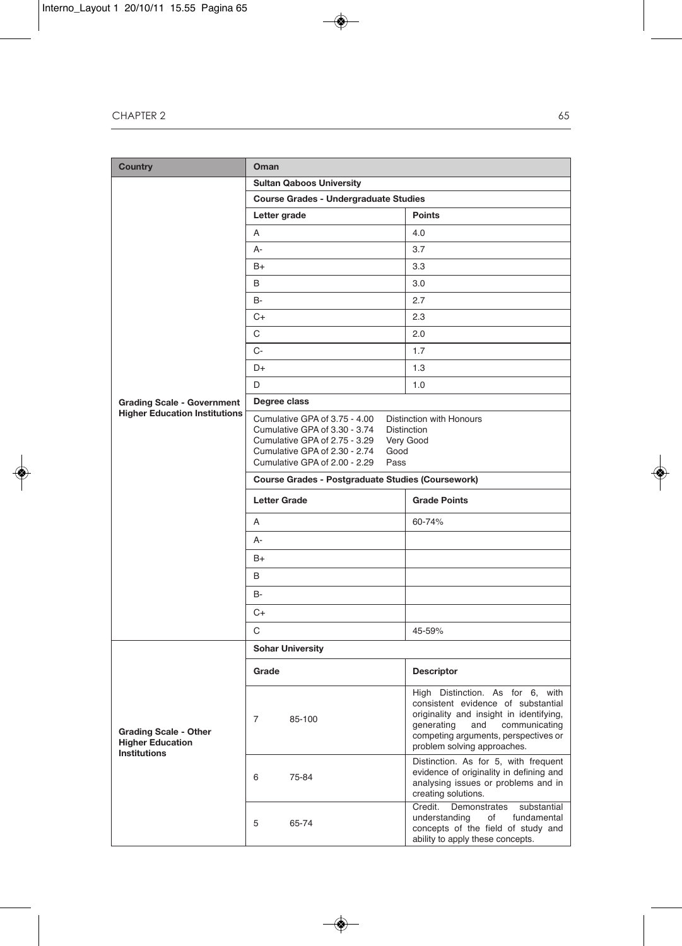| <b>Country</b>                                                                 | Oman                                                                                                                                                                              |                                                                                                                                                                                                                          |  |  |  |
|--------------------------------------------------------------------------------|-----------------------------------------------------------------------------------------------------------------------------------------------------------------------------------|--------------------------------------------------------------------------------------------------------------------------------------------------------------------------------------------------------------------------|--|--|--|
|                                                                                | <b>Sultan Qaboos University</b>                                                                                                                                                   |                                                                                                                                                                                                                          |  |  |  |
|                                                                                | <b>Course Grades - Undergraduate Studies</b>                                                                                                                                      |                                                                                                                                                                                                                          |  |  |  |
|                                                                                | Letter grade                                                                                                                                                                      | <b>Points</b>                                                                                                                                                                                                            |  |  |  |
|                                                                                | A                                                                                                                                                                                 | 4.0                                                                                                                                                                                                                      |  |  |  |
|                                                                                | А-                                                                                                                                                                                | 3.7                                                                                                                                                                                                                      |  |  |  |
|                                                                                | $B+$                                                                                                                                                                              | 3.3                                                                                                                                                                                                                      |  |  |  |
|                                                                                | B                                                                                                                                                                                 | 3.0                                                                                                                                                                                                                      |  |  |  |
|                                                                                | B-                                                                                                                                                                                | 2.7                                                                                                                                                                                                                      |  |  |  |
|                                                                                | $C+$                                                                                                                                                                              | 2.3                                                                                                                                                                                                                      |  |  |  |
|                                                                                | С                                                                                                                                                                                 | 2.0                                                                                                                                                                                                                      |  |  |  |
|                                                                                | $C-$                                                                                                                                                                              | 1.7                                                                                                                                                                                                                      |  |  |  |
|                                                                                | D+                                                                                                                                                                                | 1.3                                                                                                                                                                                                                      |  |  |  |
|                                                                                | D                                                                                                                                                                                 | 1.0                                                                                                                                                                                                                      |  |  |  |
| <b>Grading Scale - Government</b>                                              | Degree class                                                                                                                                                                      |                                                                                                                                                                                                                          |  |  |  |
| <b>Higher Education Institutions</b>                                           | Cumulative GPA of 3.75 - 4.00<br>Cumulative GPA of 3.30 - 3.74<br>Cumulative GPA of 2.75 - 3.29<br>Good<br>Cumulative GPA of 2.30 - 2.74<br>Cumulative GPA of 2.00 - 2.29<br>Pass | Distinction with Honours<br><b>Distinction</b><br>Very Good                                                                                                                                                              |  |  |  |
|                                                                                | <b>Course Grades - Postgraduate Studies (Coursework)</b>                                                                                                                          |                                                                                                                                                                                                                          |  |  |  |
|                                                                                | <b>Letter Grade</b>                                                                                                                                                               | <b>Grade Points</b>                                                                                                                                                                                                      |  |  |  |
|                                                                                | A                                                                                                                                                                                 | 60-74%                                                                                                                                                                                                                   |  |  |  |
|                                                                                | А-                                                                                                                                                                                |                                                                                                                                                                                                                          |  |  |  |
|                                                                                | B+                                                                                                                                                                                |                                                                                                                                                                                                                          |  |  |  |
|                                                                                | B                                                                                                                                                                                 |                                                                                                                                                                                                                          |  |  |  |
|                                                                                | B-                                                                                                                                                                                |                                                                                                                                                                                                                          |  |  |  |
|                                                                                | C+                                                                                                                                                                                |                                                                                                                                                                                                                          |  |  |  |
|                                                                                | C                                                                                                                                                                                 | 45-59%                                                                                                                                                                                                                   |  |  |  |
|                                                                                | <b>Sohar University</b>                                                                                                                                                           |                                                                                                                                                                                                                          |  |  |  |
|                                                                                |                                                                                                                                                                                   |                                                                                                                                                                                                                          |  |  |  |
|                                                                                | Grade                                                                                                                                                                             | <b>Descriptor</b>                                                                                                                                                                                                        |  |  |  |
| <b>Grading Scale - Other</b><br><b>Higher Education</b><br><b>Institutions</b> | $\overline{7}$<br>85-100                                                                                                                                                          | High Distinction. As for 6, with<br>consistent evidence of substantial<br>originality and insight in identifying,<br>generating and communicating<br>competing arguments, perspectives or<br>problem solving approaches. |  |  |  |
|                                                                                | 6<br>75-84                                                                                                                                                                        | Distinction. As for 5, with frequent<br>evidence of originality in defining and<br>analysing issues or problems and in<br>creating solutions.                                                                            |  |  |  |
|                                                                                | 5<br>65-74                                                                                                                                                                        | Credit.<br>Demonstrates<br>substantial<br>understanding<br>fundamental<br>of<br>concepts of the field of study and<br>ability to apply these concepts.                                                                   |  |  |  |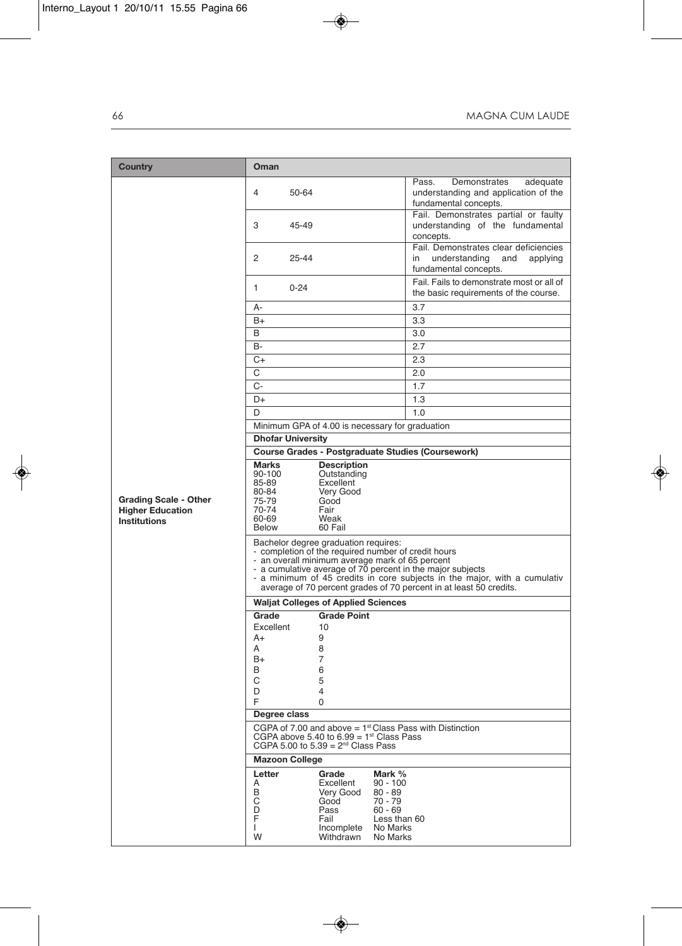| Country                                                                        | Oman                                                                                                                                                                                                                                                                                                                                                            |                                                                                                          |  |  |  |
|--------------------------------------------------------------------------------|-----------------------------------------------------------------------------------------------------------------------------------------------------------------------------------------------------------------------------------------------------------------------------------------------------------------------------------------------------------------|----------------------------------------------------------------------------------------------------------|--|--|--|
|                                                                                | 4<br>50-64                                                                                                                                                                                                                                                                                                                                                      | Pass.<br>Demonstrates<br>adequate<br>understanding and application of the<br>fundamental concepts.       |  |  |  |
|                                                                                | 3<br>45-49                                                                                                                                                                                                                                                                                                                                                      | Fail. Demonstrates partial or faulty<br>understanding of the fundamental<br>concepts.                    |  |  |  |
|                                                                                | 2<br>25-44                                                                                                                                                                                                                                                                                                                                                      | Fail. Demonstrates clear deficiencies<br>in<br>understanding<br>and<br>applying<br>fundamental concepts. |  |  |  |
|                                                                                | 1<br>$0 - 24$                                                                                                                                                                                                                                                                                                                                                   | Fail. Fails to demonstrate most or all of<br>the basic requirements of the course.                       |  |  |  |
|                                                                                | А-                                                                                                                                                                                                                                                                                                                                                              | 3.7                                                                                                      |  |  |  |
|                                                                                | B+                                                                                                                                                                                                                                                                                                                                                              | 3.3                                                                                                      |  |  |  |
|                                                                                | B                                                                                                                                                                                                                                                                                                                                                               | 3.0                                                                                                      |  |  |  |
|                                                                                | B-                                                                                                                                                                                                                                                                                                                                                              | 2.7                                                                                                      |  |  |  |
|                                                                                | C+                                                                                                                                                                                                                                                                                                                                                              | 2.3                                                                                                      |  |  |  |
|                                                                                | С                                                                                                                                                                                                                                                                                                                                                               | 2.0                                                                                                      |  |  |  |
|                                                                                | $C -$                                                                                                                                                                                                                                                                                                                                                           | 1.7                                                                                                      |  |  |  |
|                                                                                | D+                                                                                                                                                                                                                                                                                                                                                              | 1.3                                                                                                      |  |  |  |
|                                                                                | D                                                                                                                                                                                                                                                                                                                                                               | 1.0                                                                                                      |  |  |  |
|                                                                                | Minimum GPA of 4.00 is necessary for graduation                                                                                                                                                                                                                                                                                                                 |                                                                                                          |  |  |  |
|                                                                                | <b>Dhofar University</b>                                                                                                                                                                                                                                                                                                                                        |                                                                                                          |  |  |  |
|                                                                                | <b>Course Grades - Postgraduate Studies (Coursework)</b>                                                                                                                                                                                                                                                                                                        |                                                                                                          |  |  |  |
| <b>Grading Scale - Other</b><br><b>Higher Education</b><br><b>Institutions</b> | <b>Marks</b><br><b>Description</b><br>90-100<br>Outstanding<br>Excellent<br>85-89<br>Very Good<br>80-84<br>75-79<br>Good<br>70-74<br>Fair<br>60-69<br>Weak<br>60 Fail<br><b>Below</b>                                                                                                                                                                           |                                                                                                          |  |  |  |
|                                                                                | Bachelor degree graduation requires:<br>- completion of the required number of credit hours<br>- an overall minimum average mark of 65 percent<br>- a cumulative average of 70 percent in the major subjects<br>- a minimum of 45 credits in core subjects in the major, with a cumulativ<br>average of 70 percent grades of 70 percent in at least 50 credits. |                                                                                                          |  |  |  |
|                                                                                | <b>Waljat Colleges of Applied Sciences</b>                                                                                                                                                                                                                                                                                                                      |                                                                                                          |  |  |  |
|                                                                                | <b>Grade Point</b><br>Grade                                                                                                                                                                                                                                                                                                                                     |                                                                                                          |  |  |  |
|                                                                                | Excellent<br>10<br>9<br>A+                                                                                                                                                                                                                                                                                                                                      |                                                                                                          |  |  |  |
|                                                                                | 8<br>A                                                                                                                                                                                                                                                                                                                                                          |                                                                                                          |  |  |  |
|                                                                                | B+<br>7                                                                                                                                                                                                                                                                                                                                                         |                                                                                                          |  |  |  |
|                                                                                | B<br>6                                                                                                                                                                                                                                                                                                                                                          |                                                                                                          |  |  |  |
|                                                                                | С<br>5<br>D<br>4                                                                                                                                                                                                                                                                                                                                                |                                                                                                          |  |  |  |
|                                                                                | F<br>0                                                                                                                                                                                                                                                                                                                                                          |                                                                                                          |  |  |  |
|                                                                                | Degree class                                                                                                                                                                                                                                                                                                                                                    |                                                                                                          |  |  |  |
|                                                                                | CGPA of 7.00 and above $=1^{st}$ Class Pass with Distinction<br>CGPA above 5.40 to 6.99 = $1st$ Class Pass<br>CGPA 5.00 to 5.39 = $2nd$ Class Pass                                                                                                                                                                                                              |                                                                                                          |  |  |  |
|                                                                                | <b>Mazoon College</b>                                                                                                                                                                                                                                                                                                                                           |                                                                                                          |  |  |  |
|                                                                                | Grade<br>Mark %<br>Letter                                                                                                                                                                                                                                                                                                                                       |                                                                                                          |  |  |  |
|                                                                                | Excellent<br>$90 - 100$<br>A<br>B<br>$80 - 89$<br>Very Good<br>C<br>$70 - 79$<br>Good<br>D<br>$60 - 69$<br>Pass<br>F<br>Fail<br>Less than 60<br>Incomplete<br>No Marks<br>L                                                                                                                                                                                     |                                                                                                          |  |  |  |
|                                                                                | W<br>Withdrawn<br>No Marks                                                                                                                                                                                                                                                                                                                                      |                                                                                                          |  |  |  |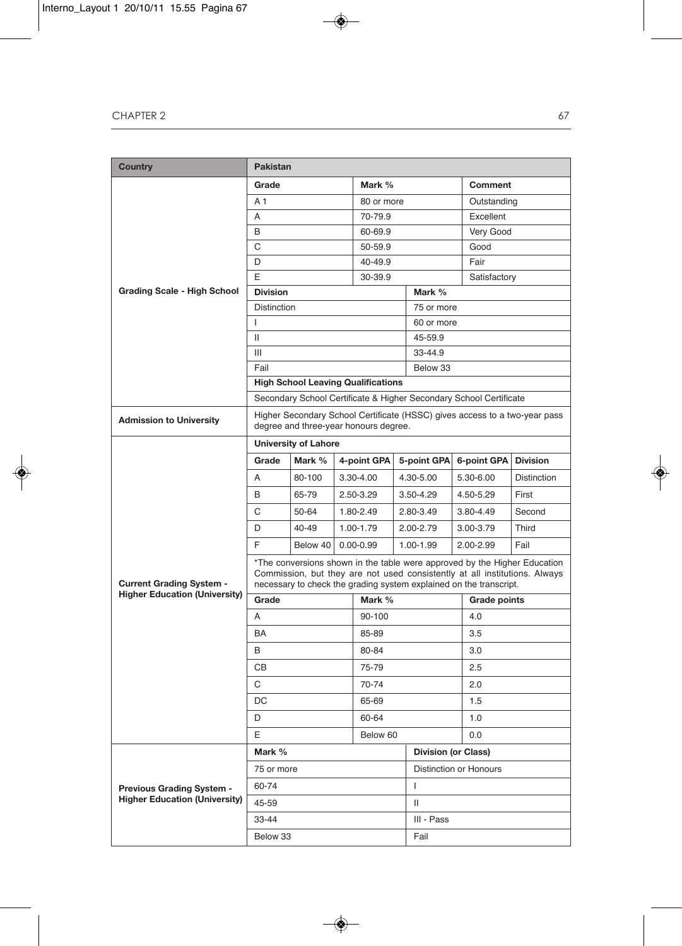| <b>Country</b>                       | <b>Pakistan</b>                                                                                                                                                                                                               |                                           |               |                            |           |                                                                    |               |                 |                                                                            |
|--------------------------------------|-------------------------------------------------------------------------------------------------------------------------------------------------------------------------------------------------------------------------------|-------------------------------------------|---------------|----------------------------|-----------|--------------------------------------------------------------------|---------------|-----------------|----------------------------------------------------------------------------|
|                                      | Grade                                                                                                                                                                                                                         |                                           |               | Mark %                     |           |                                                                    |               | Comment         |                                                                            |
|                                      | A 1                                                                                                                                                                                                                           |                                           |               | 80 or more                 |           |                                                                    | Outstanding   |                 |                                                                            |
|                                      | A                                                                                                                                                                                                                             |                                           |               | 70-79.9                    |           |                                                                    |               | Excellent       |                                                                            |
|                                      | B                                                                                                                                                                                                                             |                                           |               | 60-69.9                    |           |                                                                    |               | Very Good       |                                                                            |
|                                      | С                                                                                                                                                                                                                             |                                           |               | 50-59.9                    |           |                                                                    |               | Good            |                                                                            |
|                                      | D<br>40-49.9                                                                                                                                                                                                                  |                                           |               |                            |           |                                                                    | Fair          |                 |                                                                            |
|                                      | E                                                                                                                                                                                                                             |                                           |               | 30-39.9                    |           |                                                                    |               | Satisfactory    |                                                                            |
| <b>Grading Scale - High School</b>   | <b>Division</b>                                                                                                                                                                                                               |                                           |               |                            |           | Mark %                                                             |               |                 |                                                                            |
|                                      | <b>Distinction</b>                                                                                                                                                                                                            |                                           |               |                            |           | 75 or more                                                         |               |                 |                                                                            |
|                                      | $\mathbf{I}$                                                                                                                                                                                                                  |                                           |               |                            |           | 60 or more                                                         |               |                 |                                                                            |
|                                      | Ш                                                                                                                                                                                                                             |                                           |               |                            |           | 45-59.9                                                            |               |                 |                                                                            |
|                                      | Ш                                                                                                                                                                                                                             |                                           |               |                            |           | 33-44.9                                                            |               |                 |                                                                            |
|                                      | Fail                                                                                                                                                                                                                          |                                           |               |                            |           | Below 33                                                           |               |                 |                                                                            |
|                                      |                                                                                                                                                                                                                               | <b>High School Leaving Qualifications</b> |               |                            |           |                                                                    |               |                 |                                                                            |
|                                      |                                                                                                                                                                                                                               |                                           |               |                            |           | Secondary School Certificate & Higher Secondary School Certificate |               |                 |                                                                            |
| <b>Admission to University</b>       |                                                                                                                                                                                                                               | degree and three-year honours degree.     |               |                            |           |                                                                    |               |                 | Higher Secondary School Certificate (HSSC) gives access to a two-year pass |
|                                      |                                                                                                                                                                                                                               | <b>University of Lahore</b>               |               |                            |           |                                                                    |               |                 |                                                                            |
|                                      | Grade                                                                                                                                                                                                                         | Mark %                                    |               | 4-point GPA<br>5-point GPA |           |                                                                    | 6-point GPA   | <b>Division</b> |                                                                            |
|                                      | A                                                                                                                                                                                                                             | 80-100                                    | 3.30-4.00     |                            | 4.30-5.00 |                                                                    |               | 5.30-6.00       | <b>Distinction</b>                                                         |
|                                      | B                                                                                                                                                                                                                             | 65-79                                     | 2.50-3.29     |                            |           | $3.50 - 4.29$                                                      |               | 4.50-5.29       | First                                                                      |
|                                      | C                                                                                                                                                                                                                             | 50-64                                     | 1.80-2.49     |                            |           | 2.80-3.49                                                          |               | 3.80-4.49       | Second                                                                     |
|                                      | D                                                                                                                                                                                                                             | 40-49                                     | 1.00-1.79     |                            |           | 2.00-2.79                                                          |               | 3.00-3.79       | Third                                                                      |
|                                      | F<br>Below 40                                                                                                                                                                                                                 |                                           | $0.00 - 0.99$ |                            | 1.00-1.99 |                                                                    | $2.00 - 2.99$ | Fail            |                                                                            |
| <b>Current Grading System -</b>      | *The conversions shown in the table were approved by the Higher Education<br>Commission, but they are not used consistently at all institutions. Always<br>necessary to check the grading system explained on the transcript. |                                           |               |                            |           |                                                                    |               |                 |                                                                            |
| <b>Higher Education (University)</b> | Mark %<br>Grade                                                                                                                                                                                                               |                                           |               |                            |           | Grade points                                                       |               |                 |                                                                            |
|                                      | A                                                                                                                                                                                                                             |                                           |               | 90-100                     |           |                                                                    |               | 4.0             |                                                                            |
|                                      | BA                                                                                                                                                                                                                            |                                           |               | 85-89                      |           |                                                                    |               | 3.5             |                                                                            |
|                                      | B                                                                                                                                                                                                                             |                                           |               | 80-84                      |           |                                                                    |               | 3.0             |                                                                            |
|                                      | CВ                                                                                                                                                                                                                            |                                           |               | 75-79                      |           |                                                                    | 2.5           |                 |                                                                            |
|                                      | C                                                                                                                                                                                                                             |                                           |               | 70-74                      |           |                                                                    | 2.0           |                 |                                                                            |
|                                      | DC                                                                                                                                                                                                                            |                                           |               | 65-69                      |           |                                                                    | 1.5           |                 |                                                                            |
|                                      | D                                                                                                                                                                                                                             |                                           |               | 60-64                      |           |                                                                    |               | 1.0             |                                                                            |
|                                      | E                                                                                                                                                                                                                             |                                           |               | Below 60                   |           |                                                                    |               | 0.0             |                                                                            |
|                                      | Mark %                                                                                                                                                                                                                        |                                           |               |                            |           | <b>Division (or Class)</b>                                         |               |                 |                                                                            |
|                                      | 75 or more                                                                                                                                                                                                                    |                                           |               |                            |           | Distinction or Honours                                             |               |                 |                                                                            |
| <b>Previous Grading System -</b>     | 60-74                                                                                                                                                                                                                         |                                           |               |                            |           | т                                                                  |               |                 |                                                                            |
| <b>Higher Education (University)</b> | 45-59                                                                                                                                                                                                                         |                                           |               |                            |           | Ш                                                                  |               |                 |                                                                            |
|                                      | 33-44                                                                                                                                                                                                                         |                                           |               |                            |           | III - Pass                                                         |               |                 |                                                                            |
|                                      | Below 33                                                                                                                                                                                                                      |                                           | Fail          |                            |           |                                                                    |               |                 |                                                                            |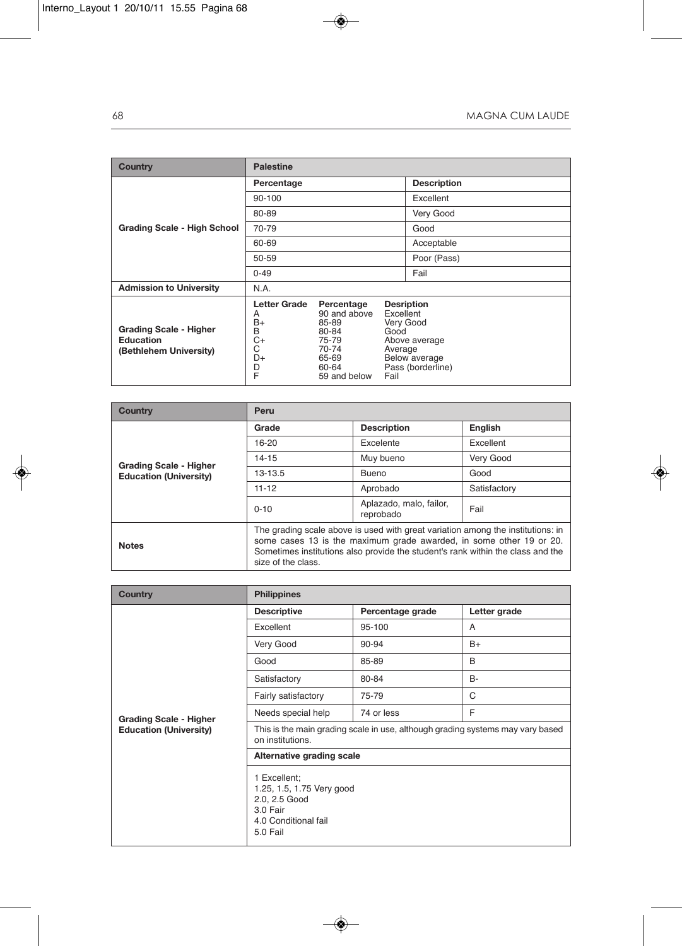| Country                                                                     | <b>Palestine</b>                                                 |                                                                                                  |                                      |                                                                                       |  |
|-----------------------------------------------------------------------------|------------------------------------------------------------------|--------------------------------------------------------------------------------------------------|--------------------------------------|---------------------------------------------------------------------------------------|--|
|                                                                             | Percentage                                                       |                                                                                                  |                                      | <b>Description</b>                                                                    |  |
|                                                                             | 90-100                                                           |                                                                                                  |                                      | Excellent                                                                             |  |
|                                                                             | 80-89                                                            |                                                                                                  |                                      | Very Good                                                                             |  |
| <b>Grading Scale - High School</b>                                          | 70-79                                                            |                                                                                                  |                                      | Good                                                                                  |  |
|                                                                             | 60-69                                                            |                                                                                                  |                                      | Acceptable                                                                            |  |
|                                                                             | 50-59                                                            |                                                                                                  |                                      | Poor (Pass)                                                                           |  |
|                                                                             | $0 - 49$                                                         |                                                                                                  |                                      | Fail                                                                                  |  |
| <b>Admission to University</b>                                              | N.A.                                                             |                                                                                                  |                                      |                                                                                       |  |
| <b>Grading Scale - Higher</b><br><b>Education</b><br>(Bethlehem University) | Letter Grade<br>A<br>$B+$<br>B<br>C+<br>C<br>D+<br>$\frac{D}{F}$ | Percentage<br>90 and above<br>85-89<br>80-84<br>75-79<br>70-74<br>65-69<br>60-64<br>59 and below | Excellent<br>Good<br>Average<br>Fail | <b>Desription</b><br>Very Good<br>Above average<br>Below average<br>Pass (borderline) |  |

| Country                                                        | Peru                                                                                                                                                                                                                                                            |                    |              |  |  |  |
|----------------------------------------------------------------|-----------------------------------------------------------------------------------------------------------------------------------------------------------------------------------------------------------------------------------------------------------------|--------------------|--------------|--|--|--|
|                                                                | Grade                                                                                                                                                                                                                                                           | <b>Description</b> | English      |  |  |  |
|                                                                | 16-20                                                                                                                                                                                                                                                           | Excelente          | Excellent    |  |  |  |
|                                                                | $14 - 15$                                                                                                                                                                                                                                                       | Muy bueno          | Very Good    |  |  |  |
| <b>Grading Scale - Higher</b><br><b>Education (University)</b> | 13-13.5                                                                                                                                                                                                                                                         | <b>Bueno</b>       | Good         |  |  |  |
|                                                                | $11 - 12$                                                                                                                                                                                                                                                       | Aprobado           | Satisfactory |  |  |  |
|                                                                | $0 - 10$                                                                                                                                                                                                                                                        | Fail               |              |  |  |  |
| <b>Notes</b>                                                   | The grading scale above is used with great variation among the institutions: in<br>some cases 13 is the maximum grade awarded, in some other 19 or 20.<br>Sometimes institutions also provide the student's rank within the class and the<br>size of the class. |                    |              |  |  |  |

| <b>Country</b>                | <b>Philippines</b>                                                                                         |                  |              |  |  |  |
|-------------------------------|------------------------------------------------------------------------------------------------------------|------------------|--------------|--|--|--|
|                               | <b>Descriptive</b>                                                                                         | Percentage grade | Letter grade |  |  |  |
|                               | Excellent                                                                                                  | 95-100           | A            |  |  |  |
|                               | Very Good                                                                                                  | 90-94            | $B+$         |  |  |  |
|                               | Good                                                                                                       | 85-89            | B            |  |  |  |
|                               | Satisfactory                                                                                               | 80-84            | <b>B-</b>    |  |  |  |
|                               | Fairly satisfactory                                                                                        | 75-79            | C            |  |  |  |
| <b>Grading Scale - Higher</b> | Needs special help                                                                                         | 74 or less       | F            |  |  |  |
| <b>Education (University)</b> | This is the main grading scale in use, although grading systems may vary based<br>on institutions.         |                  |              |  |  |  |
|                               | Alternative grading scale                                                                                  |                  |              |  |  |  |
|                               | 1 Excellent;<br>1.25, 1.5, 1.75 Very good<br>2.0, 2.5 Good<br>3.0 Fair<br>4.0 Conditional fail<br>5.0 Fail |                  |              |  |  |  |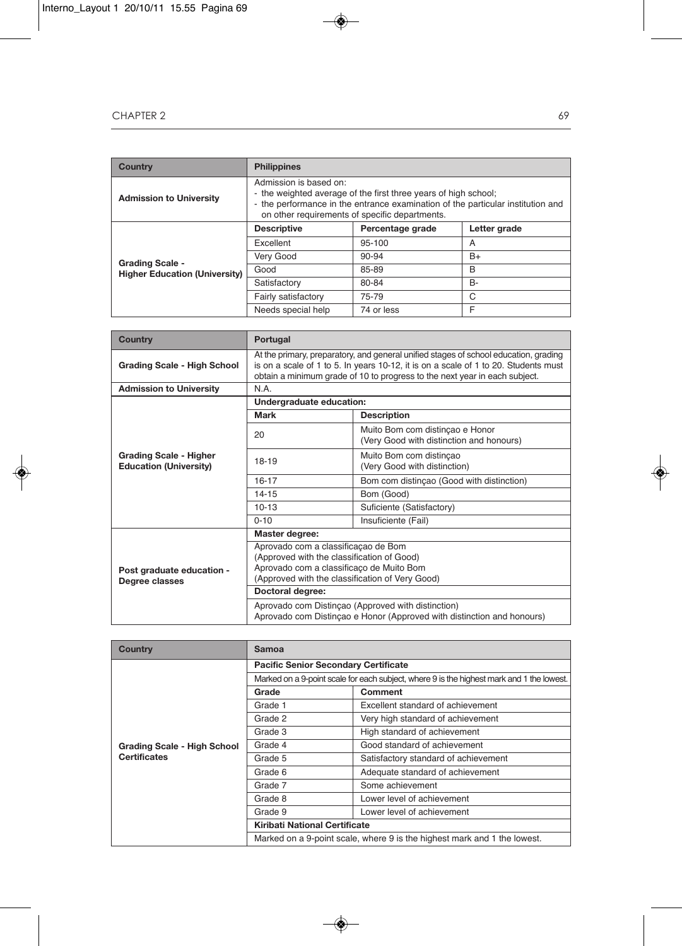| Country                                                        | <b>Philippines</b>                                                                                                                                                                                                             |                  |              |  |  |  |
|----------------------------------------------------------------|--------------------------------------------------------------------------------------------------------------------------------------------------------------------------------------------------------------------------------|------------------|--------------|--|--|--|
| <b>Admission to University</b>                                 | Admission is based on:<br>- the weighted average of the first three years of high school;<br>- the performance in the entrance examination of the particular institution and<br>on other requirements of specific departments. |                  |              |  |  |  |
|                                                                | <b>Descriptive</b>                                                                                                                                                                                                             | Percentage grade | Letter grade |  |  |  |
|                                                                | Excellent                                                                                                                                                                                                                      | 95-100           | A            |  |  |  |
|                                                                | Very Good                                                                                                                                                                                                                      | 90-94            | $B+$         |  |  |  |
| <b>Grading Scale -</b><br><b>Higher Education (University)</b> | Good                                                                                                                                                                                                                           | 85-89            | B            |  |  |  |
|                                                                | Satisfactory                                                                                                                                                                                                                   | 80-84            | <b>B-</b>    |  |  |  |
|                                                                | Fairly satisfactory                                                                                                                                                                                                            | 75-79            | C            |  |  |  |
|                                                                | Needs special help                                                                                                                                                                                                             | 74 or less       | F            |  |  |  |

| <b>Country</b>                                                 | Portugal                                                                                                                                                                                                                                                  |                                                                             |  |  |  |
|----------------------------------------------------------------|-----------------------------------------------------------------------------------------------------------------------------------------------------------------------------------------------------------------------------------------------------------|-----------------------------------------------------------------------------|--|--|--|
| <b>Grading Scale - High School</b>                             | At the primary, preparatory, and general unified stages of school education, grading<br>is on a scale of 1 to 5. In years 10-12, it is on a scale of 1 to 20. Students must<br>obtain a minimum grade of 10 to progress to the next year in each subject. |                                                                             |  |  |  |
| <b>Admission to University</b>                                 | N.A.                                                                                                                                                                                                                                                      |                                                                             |  |  |  |
|                                                                | Undergraduate education:                                                                                                                                                                                                                                  |                                                                             |  |  |  |
|                                                                | <b>Mark</b>                                                                                                                                                                                                                                               | <b>Description</b>                                                          |  |  |  |
| <b>Grading Scale - Higher</b><br><b>Education (University)</b> | 20                                                                                                                                                                                                                                                        | Muito Bom com distinçao e Honor<br>(Very Good with distinction and honours) |  |  |  |
|                                                                | 18-19                                                                                                                                                                                                                                                     | Muito Bom com distincao<br>(Very Good with distinction)                     |  |  |  |
|                                                                | $16 - 17$                                                                                                                                                                                                                                                 | Bom com distinçao (Good with distinction)                                   |  |  |  |
|                                                                | $14 - 15$                                                                                                                                                                                                                                                 | Bom (Good)                                                                  |  |  |  |
|                                                                | $10 - 13$                                                                                                                                                                                                                                                 | Suficiente (Satisfactory)                                                   |  |  |  |
|                                                                | $0 - 10$                                                                                                                                                                                                                                                  | Insuficiente (Fail)                                                         |  |  |  |
|                                                                | Master degree:                                                                                                                                                                                                                                            |                                                                             |  |  |  |
| Post graduate education -<br>Degree classes                    | Aprovado com a classificação de Bom<br>(Approved with the classification of Good)<br>Aprovado com a classificaço de Muito Bom<br>(Approved with the classification of Very Good)                                                                          |                                                                             |  |  |  |
|                                                                | Doctoral degree:                                                                                                                                                                                                                                          |                                                                             |  |  |  |
|                                                                | Aprovado com Distincao (Approved with distinction)<br>Aprovado com Distinçao e Honor (Approved with distinction and honours)                                                                                                                              |                                                                             |  |  |  |

| <b>Country</b>                     | Samoa                                                                                     |                                      |  |  |
|------------------------------------|-------------------------------------------------------------------------------------------|--------------------------------------|--|--|
|                                    | <b>Pacific Senior Secondary Certificate</b>                                               |                                      |  |  |
|                                    | Marked on a 9-point scale for each subject, where 9 is the highest mark and 1 the lowest. |                                      |  |  |
| <b>Grading Scale - High School</b> | Grade                                                                                     | Comment                              |  |  |
|                                    | Grade 1                                                                                   | Excellent standard of achievement    |  |  |
|                                    | Grade 2                                                                                   | Very high standard of achievement    |  |  |
|                                    | Grade 3                                                                                   | High standard of achievement         |  |  |
|                                    | Grade 4                                                                                   | Good standard of achievement         |  |  |
| <b>Certificates</b>                | Grade 5                                                                                   | Satisfactory standard of achievement |  |  |
|                                    | Grade 6                                                                                   | Adequate standard of achievement     |  |  |
|                                    | Grade 7                                                                                   | Some achievement                     |  |  |
|                                    | Grade 8                                                                                   | Lower level of achievement           |  |  |
|                                    | Grade 9                                                                                   | Lower level of achievement           |  |  |
|                                    | Kiribati National Certificate                                                             |                                      |  |  |
|                                    | Marked on a 9-point scale, where 9 is the highest mark and 1 the lowest.                  |                                      |  |  |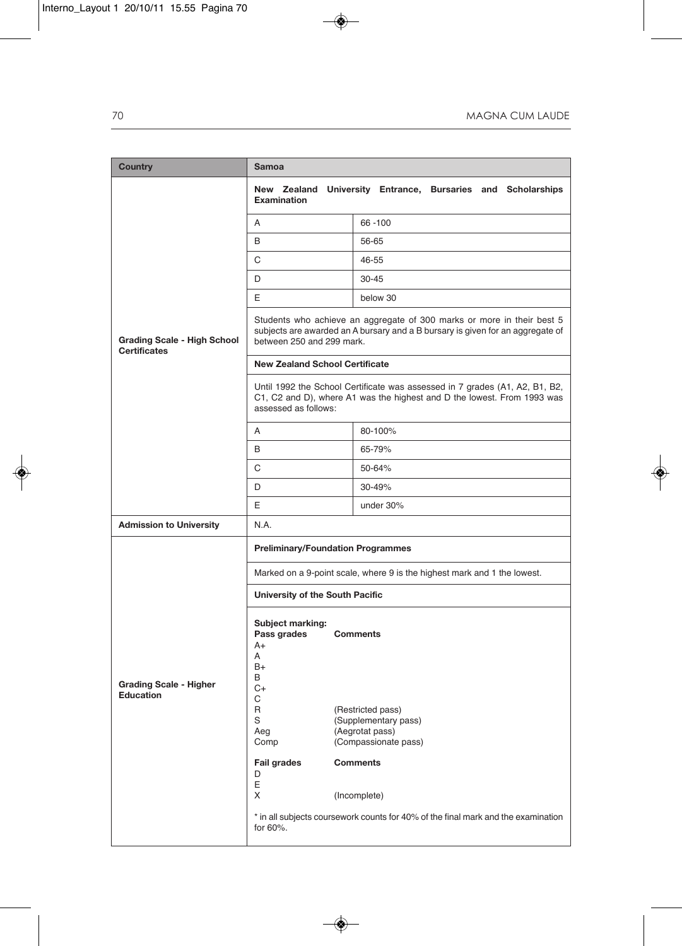| <b>Country</b>                                            | <b>Samoa</b>                                                                                                                                                                          |                                                                                                                                                                                                                                 |  |  |  |  |  |
|-----------------------------------------------------------|---------------------------------------------------------------------------------------------------------------------------------------------------------------------------------------|---------------------------------------------------------------------------------------------------------------------------------------------------------------------------------------------------------------------------------|--|--|--|--|--|
|                                                           | Examination                                                                                                                                                                           | New Zealand University Entrance, Bursaries and Scholarships                                                                                                                                                                     |  |  |  |  |  |
|                                                           | A                                                                                                                                                                                     | 66 - 100                                                                                                                                                                                                                        |  |  |  |  |  |
|                                                           | B                                                                                                                                                                                     | 56-65                                                                                                                                                                                                                           |  |  |  |  |  |
|                                                           | С                                                                                                                                                                                     | 46-55                                                                                                                                                                                                                           |  |  |  |  |  |
|                                                           | D                                                                                                                                                                                     | $30 - 45$                                                                                                                                                                                                                       |  |  |  |  |  |
| <b>Grading Scale - High School</b><br><b>Certificates</b> | E                                                                                                                                                                                     | below 30                                                                                                                                                                                                                        |  |  |  |  |  |
|                                                           | Students who achieve an aggregate of 300 marks or more in their best 5<br>subjects are awarded an A bursary and a B bursary is given for an aggregate of<br>between 250 and 299 mark. |                                                                                                                                                                                                                                 |  |  |  |  |  |
|                                                           | <b>New Zealand School Certificate</b>                                                                                                                                                 |                                                                                                                                                                                                                                 |  |  |  |  |  |
|                                                           | assessed as follows:                                                                                                                                                                  | Until 1992 the School Certificate was assessed in 7 grades (A1, A2, B1, B2,<br>C1, C2 and D), where A1 was the highest and D the lowest. From 1993 was                                                                          |  |  |  |  |  |
|                                                           | A                                                                                                                                                                                     | 80-100%                                                                                                                                                                                                                         |  |  |  |  |  |
|                                                           | B                                                                                                                                                                                     | 65-79%                                                                                                                                                                                                                          |  |  |  |  |  |
|                                                           | C                                                                                                                                                                                     | 50-64%                                                                                                                                                                                                                          |  |  |  |  |  |
|                                                           | D<br>30-49%                                                                                                                                                                           |                                                                                                                                                                                                                                 |  |  |  |  |  |
|                                                           | Ε                                                                                                                                                                                     | under 30%                                                                                                                                                                                                                       |  |  |  |  |  |
| <b>Admission to University</b>                            | N.A.                                                                                                                                                                                  |                                                                                                                                                                                                                                 |  |  |  |  |  |
|                                                           | <b>Preliminary/Foundation Programmes</b>                                                                                                                                              |                                                                                                                                                                                                                                 |  |  |  |  |  |
|                                                           | Marked on a 9-point scale, where 9 is the highest mark and 1 the lowest.                                                                                                              |                                                                                                                                                                                                                                 |  |  |  |  |  |
|                                                           | University of the South Pacific                                                                                                                                                       |                                                                                                                                                                                                                                 |  |  |  |  |  |
| <b>Grading Scale - Higher</b><br><b>Education</b>         | Subject marking:<br>Pass grades<br>A+<br>A<br>$B+$<br>B<br>C+<br>С<br>R<br>S<br>Aeg<br>Comp<br><b>Fail grades</b><br>D<br>Ε<br>X<br>for 60%.                                          | <b>Comments</b><br>(Restricted pass)<br>(Supplementary pass)<br>(Aegrotat pass)<br>(Compassionate pass)<br><b>Comments</b><br>(Incomplete)<br>* in all subjects coursework counts for 40% of the final mark and the examination |  |  |  |  |  |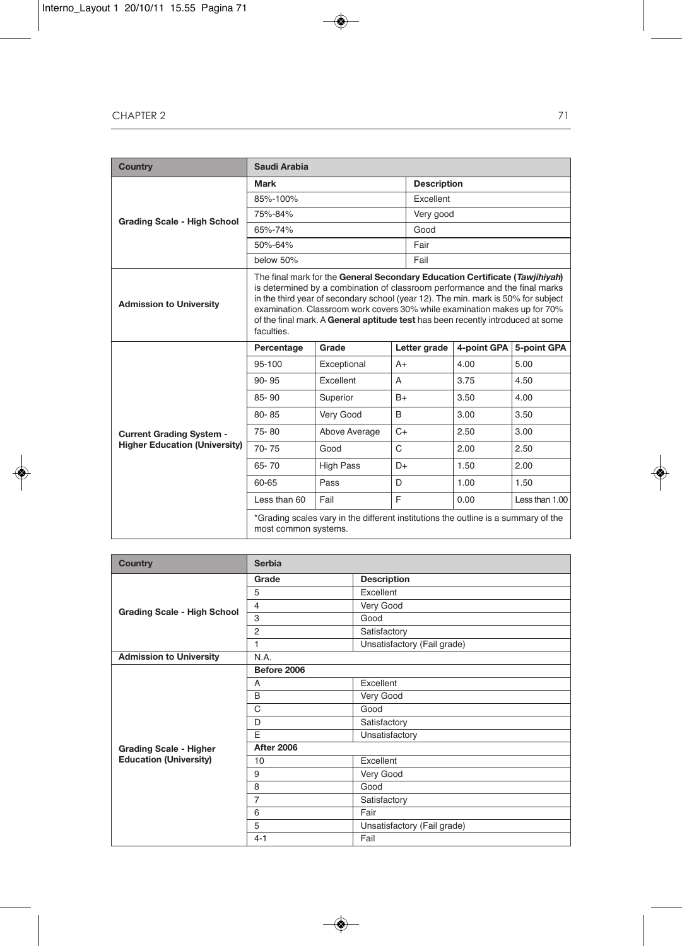| <b>Country</b>                       | Saudi Arabia                                                                                                                                                                                                                                                                                                                                                                                                                  |                  |              |                    |             |                |
|--------------------------------------|-------------------------------------------------------------------------------------------------------------------------------------------------------------------------------------------------------------------------------------------------------------------------------------------------------------------------------------------------------------------------------------------------------------------------------|------------------|--------------|--------------------|-------------|----------------|
|                                      | Mark                                                                                                                                                                                                                                                                                                                                                                                                                          |                  |              | <b>Description</b> |             |                |
|                                      | 85%-100%                                                                                                                                                                                                                                                                                                                                                                                                                      |                  |              | Excellent          |             |                |
| <b>Grading Scale - High School</b>   | 75%-84%                                                                                                                                                                                                                                                                                                                                                                                                                       |                  |              | Very good          |             |                |
|                                      | 65%-74%                                                                                                                                                                                                                                                                                                                                                                                                                       |                  |              | Good               |             |                |
|                                      | 50%-64%                                                                                                                                                                                                                                                                                                                                                                                                                       |                  |              | Fair               |             |                |
|                                      | below 50%                                                                                                                                                                                                                                                                                                                                                                                                                     |                  |              | Fail               |             |                |
| <b>Admission to University</b>       | The final mark for the General Secondary Education Certificate (Tawjihiyah)<br>is determined by a combination of classroom performance and the final marks<br>in the third year of secondary school (year 12). The min. mark is 50% for subject<br>examination. Classroom work covers 30% while examination makes up for 70%<br>of the final mark. A General aptitude test has been recently introduced at some<br>faculties. |                  |              |                    |             |                |
|                                      | Percentage                                                                                                                                                                                                                                                                                                                                                                                                                    | Grade            |              | Letter grade       | 4-point GPA | 5-point GPA    |
|                                      | 95-100                                                                                                                                                                                                                                                                                                                                                                                                                        | Exceptional      | $A+$         |                    | 4.00        | 5.00           |
|                                      | $90 - 95$                                                                                                                                                                                                                                                                                                                                                                                                                     | Excellent        | A            |                    | 3.75        | 4.50           |
|                                      | 85-90                                                                                                                                                                                                                                                                                                                                                                                                                         | Superior         | $B+$         |                    | 3.50        | 4.00           |
|                                      | 80-85                                                                                                                                                                                                                                                                                                                                                                                                                         | Very Good        | B            |                    | 3.00        | 3.50           |
| <b>Current Grading System -</b>      | 75-80                                                                                                                                                                                                                                                                                                                                                                                                                         | Above Average    | $C+$         |                    | 2.50        | 3.00           |
| <b>Higher Education (University)</b> | $70 - 75$                                                                                                                                                                                                                                                                                                                                                                                                                     | Good             | $\mathsf{C}$ |                    | 2.00        | 2.50           |
|                                      | 65-70                                                                                                                                                                                                                                                                                                                                                                                                                         | <b>High Pass</b> | D+           |                    | 1.50        | 2.00           |
|                                      | 60-65                                                                                                                                                                                                                                                                                                                                                                                                                         | Pass             | D            |                    | 1.00        | 1.50           |
|                                      | Less than 60                                                                                                                                                                                                                                                                                                                                                                                                                  | Fail             | F            |                    | 0.00        | Less than 1.00 |
|                                      | *Grading scales vary in the different institutions the outline is a summary of the<br>most common systems.                                                                                                                                                                                                                                                                                                                    |                  |              |                    |             |                |

| <b>Country</b>                     | <b>Serbia</b>     |                             |  |
|------------------------------------|-------------------|-----------------------------|--|
|                                    | Grade             | <b>Description</b>          |  |
|                                    | 5                 | Excellent                   |  |
| <b>Grading Scale - High School</b> | $\overline{4}$    | Very Good                   |  |
|                                    | 3                 | Good                        |  |
|                                    | $\overline{2}$    | Satisfactory                |  |
|                                    | $\mathbf{1}$      | Unsatisfactory (Fail grade) |  |
| <b>Admission to University</b>     | N.A.              |                             |  |
|                                    | Before 2006       |                             |  |
|                                    | A                 | Excellent                   |  |
|                                    | B                 | Very Good                   |  |
|                                    | $\mathcal{C}$     | Good                        |  |
|                                    | D                 | Satisfactory                |  |
|                                    | E                 | Unsatisfactory              |  |
| <b>Grading Scale - Higher</b>      | <b>After 2006</b> |                             |  |
| <b>Education (University)</b>      | 10                | Excellent                   |  |
|                                    | 9                 | Very Good                   |  |
|                                    | 8                 | Good                        |  |
|                                    | $\overline{7}$    | Satisfactory                |  |
|                                    | 6                 | Fair                        |  |
|                                    | 5                 | Unsatisfactory (Fail grade) |  |
|                                    | $4 - 1$           | Fail                        |  |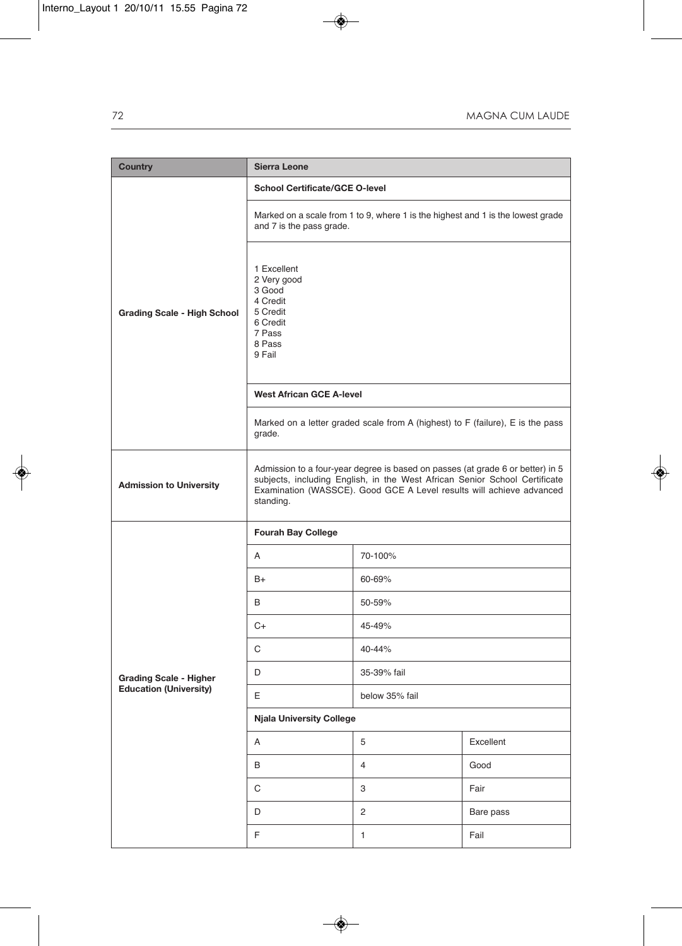| <b>Country</b>                     | <b>Sierra Leone</b>                                                                                                                                                                                                                               |                |           |  |
|------------------------------------|---------------------------------------------------------------------------------------------------------------------------------------------------------------------------------------------------------------------------------------------------|----------------|-----------|--|
|                                    | <b>School Certificate/GCE O-level</b>                                                                                                                                                                                                             |                |           |  |
|                                    | Marked on a scale from 1 to 9, where 1 is the highest and 1 is the lowest grade<br>and 7 is the pass grade.                                                                                                                                       |                |           |  |
| <b>Grading Scale - High School</b> | 1 Excellent<br>2 Very good<br>3 Good<br>4 Credit<br>5 Credit<br>6 Credit<br>7 Pass<br>8 Pass<br>9 Fail                                                                                                                                            |                |           |  |
|                                    | <b>West African GCE A-level</b><br>Marked on a letter graded scale from A (highest) to F (failure), E is the pass<br>grade.                                                                                                                       |                |           |  |
|                                    |                                                                                                                                                                                                                                                   |                |           |  |
| <b>Admission to University</b>     | Admission to a four-year degree is based on passes (at grade 6 or better) in 5<br>subjects, including English, in the West African Senior School Certificate<br>Examination (WASSCE). Good GCE A Level results will achieve advanced<br>standing. |                |           |  |
|                                    | <b>Fourah Bay College</b>                                                                                                                                                                                                                         |                |           |  |
|                                    | A<br>70-100%                                                                                                                                                                                                                                      |                |           |  |
|                                    | $B+$<br>60-69%                                                                                                                                                                                                                                    |                |           |  |
|                                    | B                                                                                                                                                                                                                                                 | 50-59%         |           |  |
|                                    | $C+$                                                                                                                                                                                                                                              | 45-49%         |           |  |
|                                    | C                                                                                                                                                                                                                                                 | 40-44%         |           |  |
| <b>Grading Scale - Higher</b>      | D                                                                                                                                                                                                                                                 | 35-39% fail    |           |  |
| <b>Education (University)</b>      | E                                                                                                                                                                                                                                                 | below 35% fail |           |  |
|                                    | <b>Njala University College</b>                                                                                                                                                                                                                   |                |           |  |
|                                    | Α                                                                                                                                                                                                                                                 | 5              | Excellent |  |
|                                    | B                                                                                                                                                                                                                                                 | $\overline{4}$ | Good      |  |
|                                    | $\mathbf C$                                                                                                                                                                                                                                       | 3              | Fair      |  |
|                                    | D                                                                                                                                                                                                                                                 | $\overline{2}$ | Bare pass |  |
|                                    | F                                                                                                                                                                                                                                                 | $\mathbf{1}$   | Fail      |  |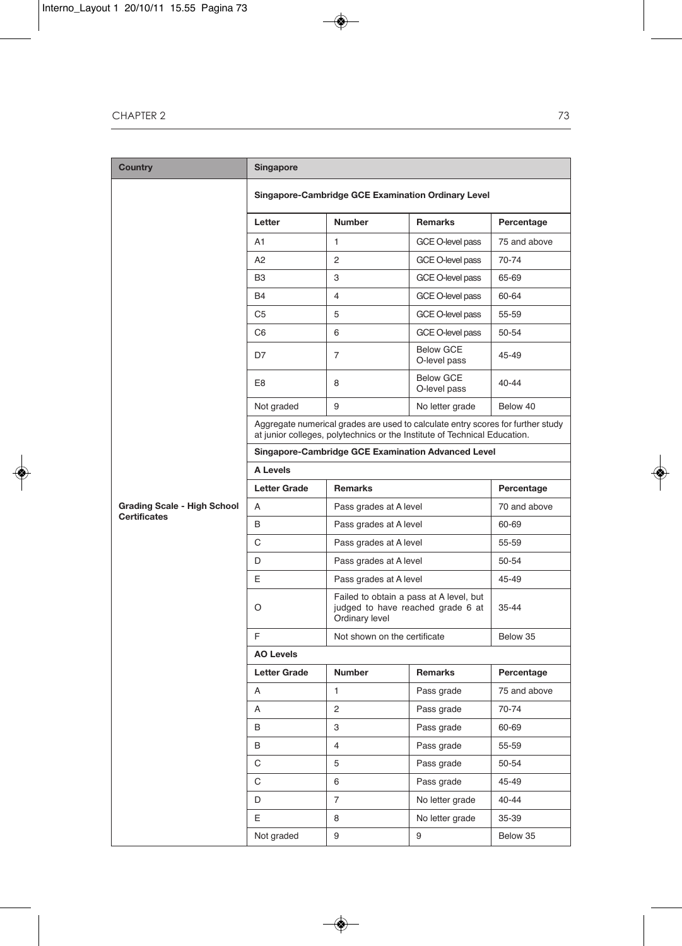| Country                                                   | <b>Singapore</b>    |                                                                                                                                                              |                                  |              |  |  |
|-----------------------------------------------------------|---------------------|--------------------------------------------------------------------------------------------------------------------------------------------------------------|----------------------------------|--------------|--|--|
|                                                           |                     | Singapore-Cambridge GCE Examination Ordinary Level                                                                                                           |                                  |              |  |  |
|                                                           | Letter              | <b>Number</b>                                                                                                                                                | Remarks                          | Percentage   |  |  |
|                                                           | A1                  | $\mathbf{1}$                                                                                                                                                 | GCE O-level pass                 | 75 and above |  |  |
|                                                           | A2                  | $\overline{2}$                                                                                                                                               | GCE O-level pass                 | 70-74        |  |  |
|                                                           | B <sub>3</sub>      | 3                                                                                                                                                            | GCE O-level pass                 | 65-69        |  |  |
|                                                           | B4                  | 4                                                                                                                                                            | GCE O-level pass                 | 60-64        |  |  |
|                                                           | C5                  | 5                                                                                                                                                            | GCE O-level pass                 | 55-59        |  |  |
|                                                           | C <sub>6</sub>      | 6                                                                                                                                                            | GCE O-level pass                 | 50-54        |  |  |
|                                                           | D7                  | 7                                                                                                                                                            | <b>Below GCE</b><br>O-level pass | 45-49        |  |  |
|                                                           | E8                  | 8                                                                                                                                                            | <b>Below GCE</b><br>O-level pass | 40-44        |  |  |
|                                                           | Not graded          | 9                                                                                                                                                            | No letter grade                  | Below 40     |  |  |
|                                                           |                     | Aggregate numerical grades are used to calculate entry scores for further study<br>at junior colleges, polytechnics or the Institute of Technical Education. |                                  |              |  |  |
|                                                           |                     | Singapore-Cambridge GCE Examination Advanced Level                                                                                                           |                                  |              |  |  |
|                                                           | A Levels            |                                                                                                                                                              |                                  |              |  |  |
|                                                           | <b>Letter Grade</b> | <b>Remarks</b>                                                                                                                                               |                                  | Percentage   |  |  |
| <b>Grading Scale - High School</b><br><b>Certificates</b> | A                   | Pass grades at A level                                                                                                                                       |                                  | 70 and above |  |  |
|                                                           | B                   | Pass grades at A level                                                                                                                                       |                                  | 60-69        |  |  |
|                                                           | C                   | Pass grades at A level                                                                                                                                       |                                  | 55-59        |  |  |
|                                                           | D                   | Pass grades at A level                                                                                                                                       |                                  | 50-54        |  |  |
|                                                           | E                   | Pass grades at A level                                                                                                                                       |                                  | 45-49        |  |  |
|                                                           | O                   | Failed to obtain a pass at A level, but<br>judged to have reached grade 6 at<br>Ordinary level                                                               |                                  | $35 - 44$    |  |  |
|                                                           | F                   | Not shown on the certificate                                                                                                                                 |                                  | Below 35     |  |  |
|                                                           | <b>AO Levels</b>    |                                                                                                                                                              |                                  |              |  |  |
|                                                           | <b>Letter Grade</b> | <b>Number</b>                                                                                                                                                | <b>Remarks</b>                   | Percentage   |  |  |
|                                                           | A                   | 1                                                                                                                                                            | Pass grade                       | 75 and above |  |  |
|                                                           | A                   | 2                                                                                                                                                            | Pass grade                       | 70-74        |  |  |
|                                                           | В                   | 3                                                                                                                                                            | Pass grade                       | 60-69        |  |  |
|                                                           | В                   | 4                                                                                                                                                            | Pass grade                       | 55-59        |  |  |
|                                                           | C                   | 5                                                                                                                                                            | Pass grade                       | 50-54        |  |  |
|                                                           | C                   | 6                                                                                                                                                            | Pass grade                       | 45-49        |  |  |
|                                                           | D                   | $\overline{7}$                                                                                                                                               | No letter grade                  | 40-44        |  |  |
|                                                           | E.                  | 8                                                                                                                                                            | No letter grade                  | 35-39        |  |  |
|                                                           | Not graded          | 9                                                                                                                                                            | 9                                | Below 35     |  |  |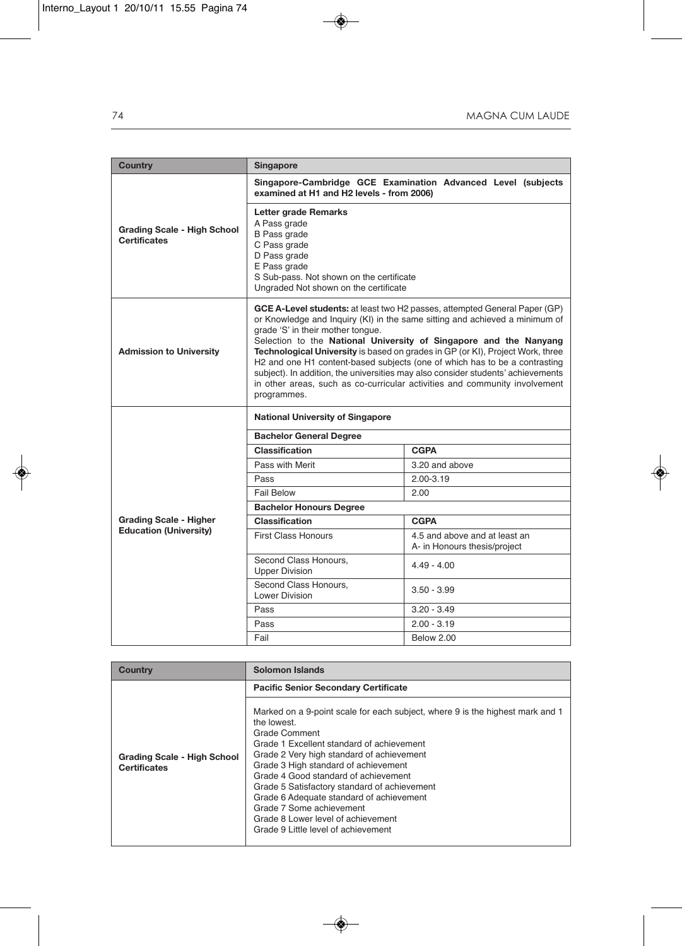| Country                                                   | <b>Singapore</b>                                                                                                                                                                                                                                                                                                                                                                                                                                                                                                                                                                                                     |                                                               |  |  |
|-----------------------------------------------------------|----------------------------------------------------------------------------------------------------------------------------------------------------------------------------------------------------------------------------------------------------------------------------------------------------------------------------------------------------------------------------------------------------------------------------------------------------------------------------------------------------------------------------------------------------------------------------------------------------------------------|---------------------------------------------------------------|--|--|
|                                                           | examined at H1 and H2 levels - from 2006)                                                                                                                                                                                                                                                                                                                                                                                                                                                                                                                                                                            | Singapore-Cambridge GCE Examination Advanced Level (subjects  |  |  |
| <b>Grading Scale - High School</b><br><b>Certificates</b> | Letter grade Remarks<br>A Pass grade<br><b>B</b> Pass grade<br>C Pass grade<br>D Pass grade<br>E Pass grade<br>S Sub-pass. Not shown on the certificate<br>Ungraded Not shown on the certificate                                                                                                                                                                                                                                                                                                                                                                                                                     |                                                               |  |  |
| <b>Admission to University</b>                            | GCE A-Level students: at least two H2 passes, attempted General Paper (GP)<br>or Knowledge and Inquiry (KI) in the same sitting and achieved a minimum of<br>grade 'S' in their mother tonque.<br>Selection to the National University of Singapore and the Nanyang<br>Technological University is based on grades in GP (or KI), Project Work, three<br>H2 and one H1 content-based subjects (one of which has to be a contrasting<br>subject). In addition, the universities may also consider students' achievements<br>in other areas, such as co-curricular activities and community involvement<br>programmes. |                                                               |  |  |
|                                                           | <b>National University of Singapore</b>                                                                                                                                                                                                                                                                                                                                                                                                                                                                                                                                                                              |                                                               |  |  |
|                                                           | <b>Bachelor General Degree</b>                                                                                                                                                                                                                                                                                                                                                                                                                                                                                                                                                                                       |                                                               |  |  |
|                                                           | Classification                                                                                                                                                                                                                                                                                                                                                                                                                                                                                                                                                                                                       | <b>CGPA</b>                                                   |  |  |
|                                                           | Pass with Merit                                                                                                                                                                                                                                                                                                                                                                                                                                                                                                                                                                                                      | 3.20 and above                                                |  |  |
|                                                           | Pass                                                                                                                                                                                                                                                                                                                                                                                                                                                                                                                                                                                                                 | $2.00 - 3.19$                                                 |  |  |
|                                                           | <b>Fail Below</b>                                                                                                                                                                                                                                                                                                                                                                                                                                                                                                                                                                                                    | 2.00                                                          |  |  |
|                                                           | <b>Bachelor Honours Degree</b>                                                                                                                                                                                                                                                                                                                                                                                                                                                                                                                                                                                       |                                                               |  |  |
| <b>Grading Scale - Higher</b>                             | <b>Classification</b>                                                                                                                                                                                                                                                                                                                                                                                                                                                                                                                                                                                                | <b>CGPA</b>                                                   |  |  |
| <b>Education (University)</b>                             | <b>First Class Honours</b>                                                                                                                                                                                                                                                                                                                                                                                                                                                                                                                                                                                           | 4.5 and above and at least an<br>A- in Honours thesis/project |  |  |
|                                                           | Second Class Honours,<br><b>Upper Division</b>                                                                                                                                                                                                                                                                                                                                                                                                                                                                                                                                                                       | $4.49 - 4.00$                                                 |  |  |
|                                                           | Second Class Honours.<br>$3.50 - 3.99$<br>Lower Division                                                                                                                                                                                                                                                                                                                                                                                                                                                                                                                                                             |                                                               |  |  |
|                                                           | Pass                                                                                                                                                                                                                                                                                                                                                                                                                                                                                                                                                                                                                 | $3.20 - 3.49$                                                 |  |  |
|                                                           | Pass                                                                                                                                                                                                                                                                                                                                                                                                                                                                                                                                                                                                                 | $2.00 - 3.19$                                                 |  |  |
|                                                           | Fail                                                                                                                                                                                                                                                                                                                                                                                                                                                                                                                                                                                                                 | <b>Below 2000</b>                                             |  |  |

| <b>Country</b>                                     | Solomon Islands                                                                                                                                                                                                                                                                                                                                                                                                                                                                              |
|----------------------------------------------------|----------------------------------------------------------------------------------------------------------------------------------------------------------------------------------------------------------------------------------------------------------------------------------------------------------------------------------------------------------------------------------------------------------------------------------------------------------------------------------------------|
|                                                    | <b>Pacific Senior Secondary Certificate</b>                                                                                                                                                                                                                                                                                                                                                                                                                                                  |
| Grading Scale - High School<br><b>Certificates</b> | Marked on a 9-point scale for each subject, where 9 is the highest mark and 1<br>the lowest.<br>Grade Comment<br>Grade 1 Excellent standard of achievement<br>Grade 2 Very high standard of achievement<br>Grade 3 High standard of achievement<br>Grade 4 Good standard of achievement<br>Grade 5 Satisfactory standard of achievement<br>Grade 6 Adequate standard of achievement<br>Grade 7 Some achievement<br>Grade 8 Lower level of achievement<br>Grade 9 Little level of achievement |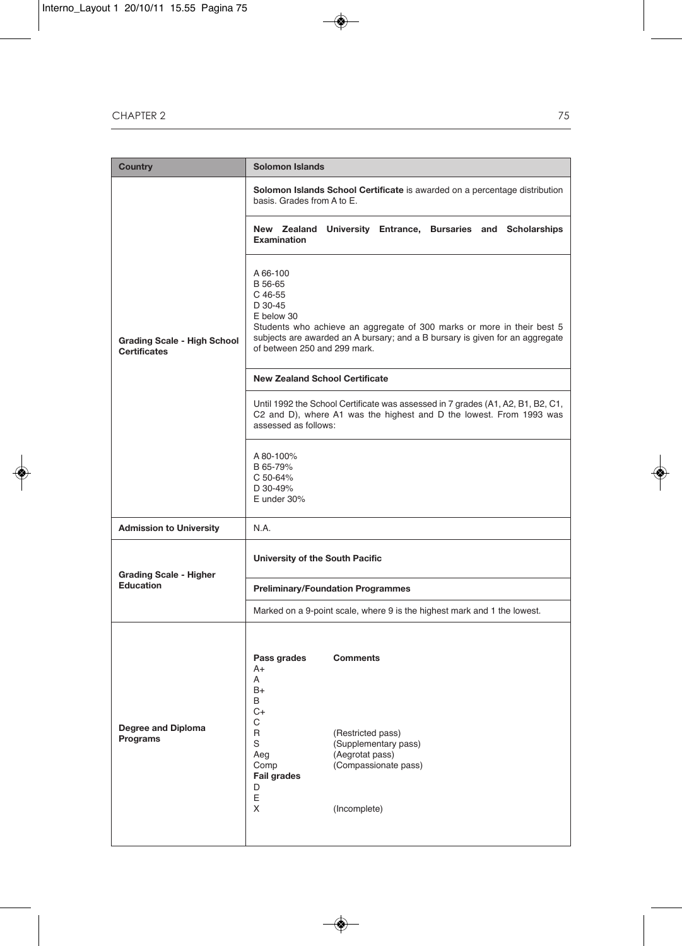| <b>Country</b>                                            | <b>Solomon Islands</b>                                                                                                                                                                                                                            |  |
|-----------------------------------------------------------|---------------------------------------------------------------------------------------------------------------------------------------------------------------------------------------------------------------------------------------------------|--|
|                                                           | Solomon Islands School Certificate is awarded on a percentage distribution<br>basis. Grades from A to E.                                                                                                                                          |  |
|                                                           | New Zealand University Entrance, Bursaries and Scholarships<br><b>Examination</b>                                                                                                                                                                 |  |
| <b>Grading Scale - High School</b><br><b>Certificates</b> | A 66-100<br>B 56-65<br>C 46-55<br>D 30-45<br>E below 30<br>Students who achieve an aggregate of 300 marks or more in their best 5<br>subjects are awarded an A bursary; and a B bursary is given for an aggregate<br>of between 250 and 299 mark. |  |
|                                                           | <b>New Zealand School Certificate</b>                                                                                                                                                                                                             |  |
|                                                           | Until 1992 the School Certificate was assessed in 7 grades (A1, A2, B1, B2, C1,<br>C2 and D), where A1 was the highest and D the lowest. From 1993 was<br>assessed as follows:                                                                    |  |
|                                                           | A 80-100%<br>B 65-79%<br>C 50-64%<br>D 30-49%<br>E under 30%                                                                                                                                                                                      |  |
| <b>Admission to University</b>                            | N.A.                                                                                                                                                                                                                                              |  |
| <b>Grading Scale - Higher</b>                             | University of the South Pacific                                                                                                                                                                                                                   |  |
| Education                                                 | <b>Preliminary/Foundation Programmes</b>                                                                                                                                                                                                          |  |
|                                                           | Marked on a 9-point scale, where 9 is the highest mark and 1 the lowest.                                                                                                                                                                          |  |
| Degree and Diploma<br>Programs                            | Pass grades<br><b>Comments</b><br>$A+$<br>A<br>B+<br>B<br>$C+$<br>С<br>R<br>(Restricted pass)<br>S<br>(Supplementary pass)<br>Aeg<br>(Aegrotat pass)<br>Comp<br>(Compassionate pass)<br><b>Fail grades</b><br>D<br>Ε<br>X<br>(Incomplete)         |  |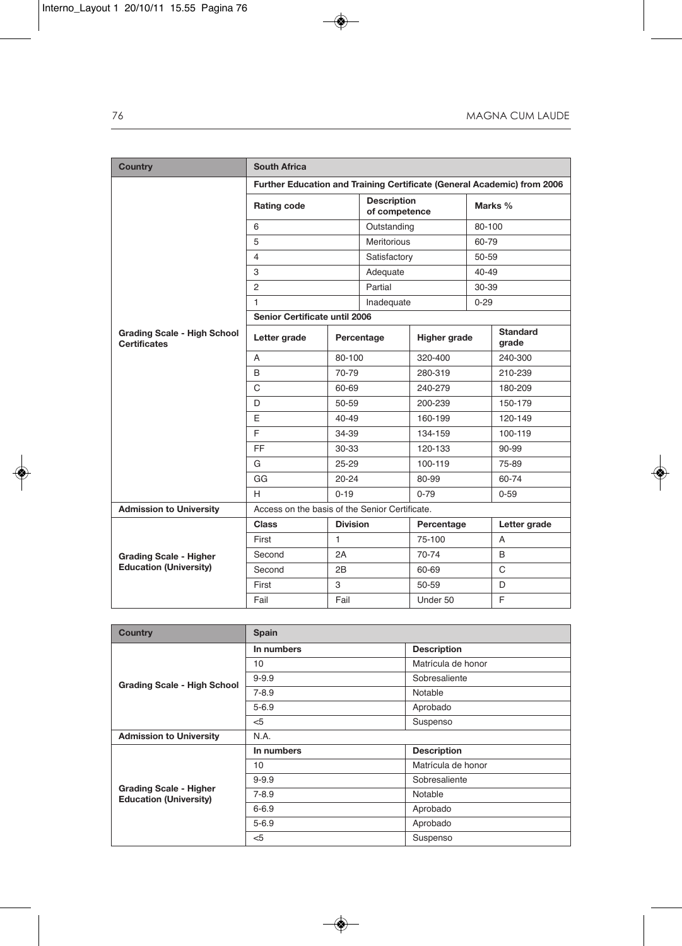| Country                                                   | <b>South Africa</b>                                                     |                 |                    |                                     |          |                          |  |
|-----------------------------------------------------------|-------------------------------------------------------------------------|-----------------|--------------------|-------------------------------------|----------|--------------------------|--|
|                                                           | Further Education and Training Certificate (General Academic) from 2006 |                 |                    |                                     |          |                          |  |
|                                                           | Rating code                                                             |                 |                    | <b>Description</b><br>of competence |          | Marks %                  |  |
|                                                           | 6                                                                       |                 | Outstanding        |                                     | 80-100   |                          |  |
|                                                           | 5                                                                       |                 | <b>Meritorious</b> |                                     |          | 60-79                    |  |
|                                                           | 4                                                                       |                 | Satisfactory       |                                     | 50-59    |                          |  |
|                                                           | 3                                                                       |                 |                    | Adequate                            |          | 40-49                    |  |
|                                                           | $\overline{2}$                                                          |                 | Partial            |                                     | 30-39    |                          |  |
|                                                           | 1                                                                       |                 | Inadequate         |                                     | $0 - 29$ |                          |  |
|                                                           | Senior Certificate until 2006                                           |                 |                    |                                     |          |                          |  |
| <b>Grading Scale - High School</b><br><b>Certificates</b> | Letter grade                                                            |                 | Percentage         | Higher grade                        |          | <b>Standard</b><br>grade |  |
|                                                           | A                                                                       | 80-100          |                    | 320-400                             |          | 240-300                  |  |
|                                                           | B                                                                       | 70-79           |                    | 280-319                             |          | 210-239                  |  |
|                                                           | $\mathsf{C}$                                                            | 60-69           |                    | 240-279                             |          | 180-209                  |  |
|                                                           | D                                                                       | 50-59           |                    | 200-239                             |          | 150-179                  |  |
|                                                           | E                                                                       | $40 - 49$       |                    | 160-199                             |          | 120-149                  |  |
|                                                           | E                                                                       | 34-39           |                    | 134-159                             |          | 100-119                  |  |
|                                                           | <b>FF</b>                                                               | 30-33           |                    | 120-133                             |          | 90-99                    |  |
|                                                           | G                                                                       | $25 - 29$       |                    | 100-119                             |          | 75-89                    |  |
|                                                           | GG                                                                      | $20 - 24$       |                    | 80-99                               |          | 60-74                    |  |
|                                                           | H                                                                       | $0 - 19$        |                    | $0 - 79$                            |          | $0 - 59$                 |  |
| <b>Admission to University</b>                            | Access on the basis of the Senior Certificate.                          |                 |                    |                                     |          |                          |  |
|                                                           | Class                                                                   | <b>Division</b> |                    | Percentage                          |          | Letter grade             |  |
|                                                           | First                                                                   | $\mathbf{1}$    |                    | 75-100                              |          | A                        |  |
| <b>Grading Scale - Higher</b>                             | Second                                                                  | 2A              |                    | 70-74                               |          | B                        |  |
| <b>Education (University)</b>                             | Second                                                                  | 2B              |                    | 60-69                               |          | $\mathsf{C}$             |  |
|                                                           | First                                                                   | 3               |                    | 50-59                               |          | D                        |  |
|                                                           | Fail                                                                    | Fail            |                    | Under 50                            |          | F                        |  |

| <b>Country</b>                                                 | Spain      |                    |  |
|----------------------------------------------------------------|------------|--------------------|--|
|                                                                | In numbers | <b>Description</b> |  |
|                                                                | 10         | Matrícula de honor |  |
| <b>Grading Scale - High School</b>                             | $9 - 9.9$  | Sobresaliente      |  |
|                                                                | $7 - 8.9$  | Notable            |  |
|                                                                | $5 - 6.9$  | Aprobado           |  |
|                                                                | $<$ 5      | Suspenso           |  |
| <b>Admission to University</b>                                 | N.A.       |                    |  |
|                                                                | In numbers | <b>Description</b> |  |
|                                                                | 10         | Matrícula de honor |  |
|                                                                | $9 - 9.9$  | Sobresaliente      |  |
| <b>Grading Scale - Higher</b><br><b>Education (University)</b> | $7 - 8.9$  | Notable            |  |
|                                                                | $6 - 6.9$  | Aprobado           |  |
|                                                                | $5 - 6.9$  | Aprobado           |  |
|                                                                | $<$ 5      | Suspenso           |  |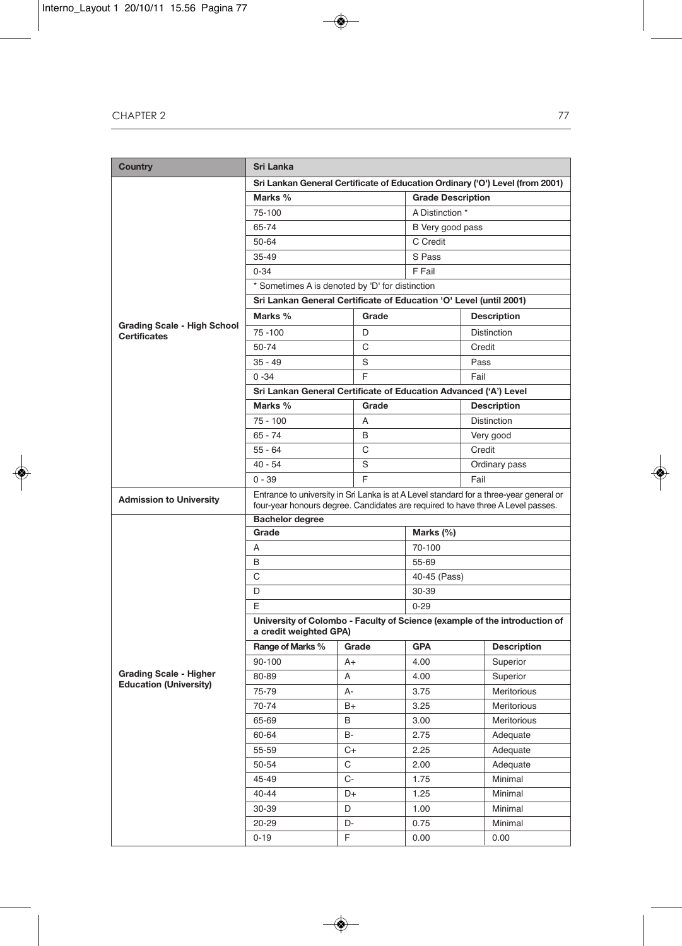| Country                                                   | <b>Sri Lanka</b>                                                                       |       |                                                                            |                    |  |
|-----------------------------------------------------------|----------------------------------------------------------------------------------------|-------|----------------------------------------------------------------------------|--------------------|--|
|                                                           | Sri Lankan General Certificate of Education Ordinary ('O') Level (from 2001)           |       |                                                                            |                    |  |
|                                                           | Marks %                                                                                |       | <b>Grade Description</b>                                                   |                    |  |
|                                                           | 75-100                                                                                 |       | A Distinction *                                                            |                    |  |
|                                                           | 65-74                                                                                  |       | B Very good pass                                                           |                    |  |
|                                                           | 50-64                                                                                  |       | C Credit                                                                   |                    |  |
|                                                           | $35 - 49$                                                                              |       | S Pass                                                                     |                    |  |
|                                                           | $0 - 34$                                                                               |       | F Fail                                                                     |                    |  |
|                                                           | * Sometimes A is denoted by 'D' for distinction                                        |       |                                                                            |                    |  |
|                                                           |                                                                                        |       | Sri Lankan General Certificate of Education 'O' Level (until 2001)         |                    |  |
|                                                           | Marks %                                                                                | Grade | <b>Description</b>                                                         |                    |  |
| <b>Grading Scale - High School</b><br><b>Certificates</b> | $75 - 100$<br>D                                                                        |       |                                                                            | <b>Distinction</b> |  |
|                                                           | 50-74                                                                                  | C     |                                                                            | Credit             |  |
|                                                           | $35 - 49$                                                                              | S     |                                                                            | Pass               |  |
|                                                           | $0 - 34$                                                                               | F     |                                                                            | Fail               |  |
|                                                           | Sri Lankan General Certificate of Education Advanced ('A') Level                       |       |                                                                            |                    |  |
|                                                           | Marks %                                                                                | Grade |                                                                            | <b>Description</b> |  |
|                                                           | $75 - 100$                                                                             | A     |                                                                            | <b>Distinction</b> |  |
|                                                           | $65 - 74$                                                                              | B     |                                                                            | Very good          |  |
|                                                           | $55 - 64$                                                                              | C     |                                                                            | Credit             |  |
|                                                           | $40 - 54$                                                                              | S     |                                                                            | Ordinary pass      |  |
|                                                           | F<br>$0 - 39$                                                                          |       |                                                                            | Fail               |  |
| <b>Admission to University</b>                            | Entrance to university in Sri Lanka is at A Level standard for a three-year general or |       |                                                                            |                    |  |
|                                                           | four-year honours degree. Candidates are required to have three A Level passes.        |       |                                                                            |                    |  |
|                                                           | <b>Bachelor degree</b><br>Grade<br>Marks (%)                                           |       |                                                                            |                    |  |
|                                                           | A                                                                                      |       |                                                                            |                    |  |
|                                                           | B                                                                                      |       | 70-100                                                                     |                    |  |
|                                                           | C                                                                                      |       | 55-69                                                                      |                    |  |
|                                                           |                                                                                        |       | 40-45 (Pass)<br>30-39                                                      |                    |  |
|                                                           | D                                                                                      |       |                                                                            |                    |  |
|                                                           | E                                                                                      |       | $0 - 29$                                                                   |                    |  |
|                                                           | a credit weighted GPA)                                                                 |       | University of Colombo - Faculty of Science (example of the introduction of |                    |  |
|                                                           | Range of Marks %                                                                       | Grade | <b>GPA</b>                                                                 | <b>Description</b> |  |
|                                                           | 90-100                                                                                 | $A+$  | 4.00                                                                       | Superior           |  |
| <b>Grading Scale - Higher</b>                             | 80-89                                                                                  | A     | 4.00                                                                       | Superior           |  |
| <b>Education (University)</b>                             | 75-79                                                                                  | A-    | 3.75                                                                       | <b>Meritorious</b> |  |
|                                                           | 70-74                                                                                  | $B+$  | 3.25                                                                       | Meritorious        |  |
|                                                           | 65-69                                                                                  | B     | 3.00                                                                       | <b>Meritorious</b> |  |
|                                                           | 60-64                                                                                  | В-    | 2.75                                                                       | Adequate           |  |
|                                                           | 55-59                                                                                  | C+    | 2.25                                                                       | Adequate           |  |
|                                                           | 50-54                                                                                  | С     | 2.00                                                                       | Adequate           |  |
|                                                           | 45-49                                                                                  | C-    | 1.75                                                                       | Minimal            |  |
|                                                           | 40-44                                                                                  | D+    | 1.25                                                                       | Minimal            |  |
|                                                           | 30-39                                                                                  | D     | 1.00                                                                       | Minimal            |  |
|                                                           | 20-29                                                                                  | D-    | 0.75                                                                       | Minimal            |  |
|                                                           | $0 - 19$                                                                               | F     | 0.00                                                                       | 0.00               |  |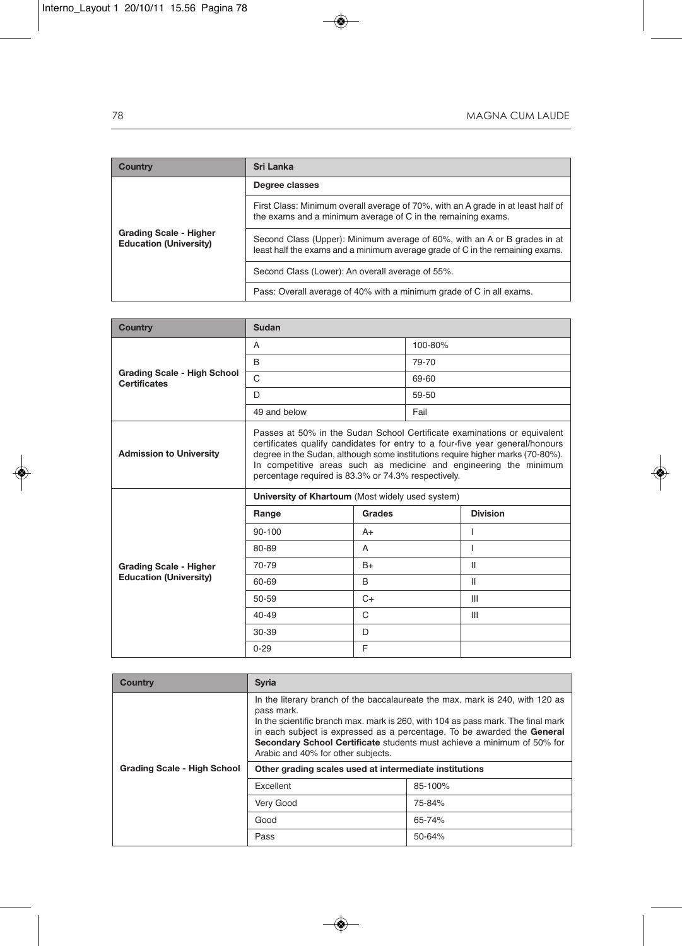| Country                                                        | Sri Lanka                                                                                                                                                  |  |
|----------------------------------------------------------------|------------------------------------------------------------------------------------------------------------------------------------------------------------|--|
|                                                                | Degree classes                                                                                                                                             |  |
|                                                                | First Class: Minimum overall average of 70%, with an A grade in at least half of<br>the exams and a minimum average of C in the remaining exams.           |  |
| <b>Grading Scale - Higher</b><br><b>Education (University)</b> | Second Class (Upper): Minimum average of 60%, with an A or B grades in at<br>least half the exams and a minimum average grade of C in the remaining exams. |  |
|                                                                | Second Class (Lower): An overall average of 55%.                                                                                                           |  |
|                                                                | Pass: Overall average of 40% with a minimum grade of C in all exams.                                                                                       |  |

| <b>Country</b>                                            | Sudan                                                                                                                                                                                                                                                                                                                                                                   |        |         |                 |
|-----------------------------------------------------------|-------------------------------------------------------------------------------------------------------------------------------------------------------------------------------------------------------------------------------------------------------------------------------------------------------------------------------------------------------------------------|--------|---------|-----------------|
|                                                           | A                                                                                                                                                                                                                                                                                                                                                                       |        | 100-80% |                 |
| <b>Grading Scale - High School</b><br><b>Certificates</b> | B                                                                                                                                                                                                                                                                                                                                                                       |        | 79-70   |                 |
|                                                           | $\Omega$                                                                                                                                                                                                                                                                                                                                                                |        |         |                 |
|                                                           | D.                                                                                                                                                                                                                                                                                                                                                                      |        | 59-50   |                 |
|                                                           | 49 and below                                                                                                                                                                                                                                                                                                                                                            |        | Fail    |                 |
| <b>Admission to University</b>                            | Passes at 50% in the Sudan School Certificate examinations or equivalent<br>certificates qualify candidates for entry to a four-five year general/honours<br>degree in the Sudan, although some institutions require higher marks (70-80%).<br>In competitive areas such as medicine and engineering the minimum<br>percentage required is 83.3% or 74.3% respectively. |        |         |                 |
|                                                           | University of Khartoum (Most widely used system)                                                                                                                                                                                                                                                                                                                        |        |         |                 |
|                                                           | Range                                                                                                                                                                                                                                                                                                                                                                   | Grades |         | <b>Division</b> |
|                                                           | $90 - 100$                                                                                                                                                                                                                                                                                                                                                              | $A+$   |         |                 |
|                                                           | 80-89                                                                                                                                                                                                                                                                                                                                                                   | A      |         | ı               |
| <b>Grading Scale - Higher</b>                             | 70-79                                                                                                                                                                                                                                                                                                                                                                   | $B+$   |         | Ш               |
| <b>Education (University)</b>                             | 60-69                                                                                                                                                                                                                                                                                                                                                                   | B      |         | Ш               |
|                                                           | 50-59                                                                                                                                                                                                                                                                                                                                                                   | $C+$   |         | III             |
|                                                           | $40 - 49$                                                                                                                                                                                                                                                                                                                                                               | C      |         | Ш               |
|                                                           | $30 - 39$                                                                                                                                                                                                                                                                                                                                                               | D      |         |                 |
|                                                           | $0 - 29$                                                                                                                                                                                                                                                                                                                                                                | F      |         |                 |

| <b>Country</b>                     | <b>Syria</b>                                                                                                                                                                                                                                                                                                                                                                |         |  |
|------------------------------------|-----------------------------------------------------------------------------------------------------------------------------------------------------------------------------------------------------------------------------------------------------------------------------------------------------------------------------------------------------------------------------|---------|--|
|                                    | In the literary branch of the baccalaureate the max, mark is 240, with 120 as<br>pass mark.<br>In the scientific branch max, mark is 260, with 104 as pass mark. The final mark<br>in each subject is expressed as a percentage. To be awarded the General<br>Secondary School Certificate students must achieve a minimum of 50% for<br>Arabic and 40% for other subjects. |         |  |
| <b>Grading Scale - High School</b> | Other grading scales used at intermediate institutions                                                                                                                                                                                                                                                                                                                      |         |  |
|                                    | Excellent                                                                                                                                                                                                                                                                                                                                                                   | 85-100% |  |
|                                    | Very Good                                                                                                                                                                                                                                                                                                                                                                   | 75-84%  |  |
|                                    | Good                                                                                                                                                                                                                                                                                                                                                                        | 65-74%  |  |
|                                    | Pass                                                                                                                                                                                                                                                                                                                                                                        | 50-64%  |  |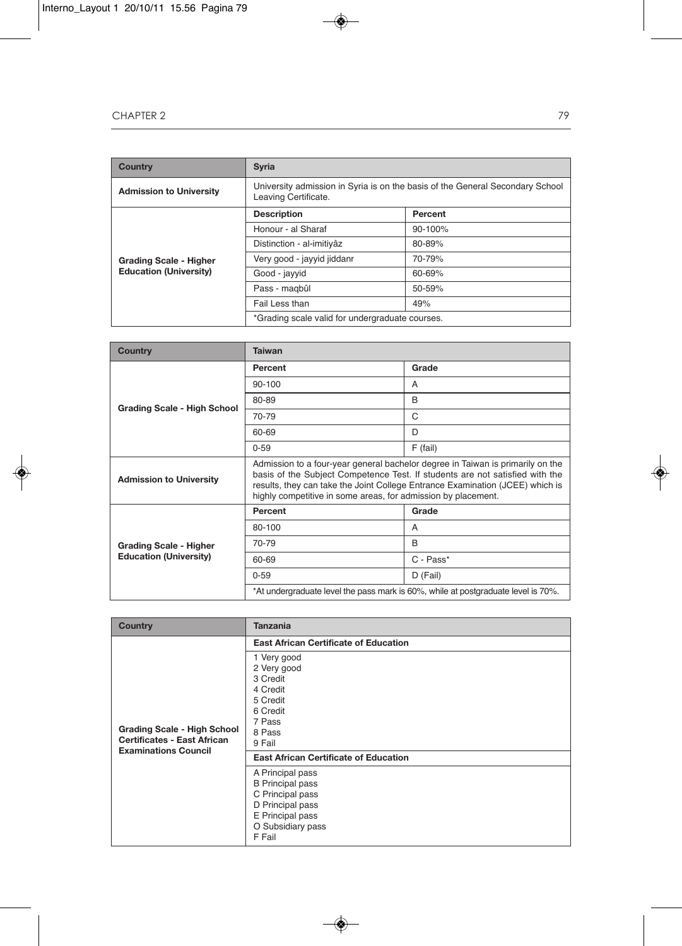| <b>Country</b>                                                 | <b>Syria</b>                                                                                          |             |
|----------------------------------------------------------------|-------------------------------------------------------------------------------------------------------|-------------|
| <b>Admission to University</b>                                 | University admission in Syria is on the basis of the General Secondary School<br>Leaving Certificate. |             |
| <b>Grading Scale - Higher</b><br><b>Education (University)</b> | <b>Description</b>                                                                                    | Percent     |
|                                                                | Honour - al Sharaf                                                                                    | $90 - 100%$ |
|                                                                | Distinction - al-imitivâz                                                                             | 80-89%      |
|                                                                | Very good - jayyid jiddanr                                                                            | 70-79%      |
|                                                                | Good - jayyid                                                                                         | 60-69%      |
|                                                                | Pass - magbûl                                                                                         | 50-59%      |
|                                                                | Fail Less than                                                                                        | 49%         |
|                                                                | *Grading scale valid for undergraduate courses.                                                       |             |

| Country                                                        | <b>Taiwan</b>                                                                                                                                                                                                                                                                                                    |            |
|----------------------------------------------------------------|------------------------------------------------------------------------------------------------------------------------------------------------------------------------------------------------------------------------------------------------------------------------------------------------------------------|------------|
| <b>Grading Scale - High School</b>                             | Percent                                                                                                                                                                                                                                                                                                          | Grade      |
|                                                                | 90-100                                                                                                                                                                                                                                                                                                           | A          |
|                                                                | 80-89                                                                                                                                                                                                                                                                                                            | B          |
|                                                                | 70-79                                                                                                                                                                                                                                                                                                            | C          |
|                                                                | 60-69                                                                                                                                                                                                                                                                                                            | D          |
|                                                                | $0 - 59$                                                                                                                                                                                                                                                                                                         | $F$ (fail) |
| <b>Admission to University</b>                                 | Admission to a four-year general bachelor degree in Taiwan is primarily on the<br>basis of the Subject Competence Test. If students are not satisfied with the<br>results, they can take the Joint College Entrance Examination (JCEE) which is<br>highly competitive in some areas, for admission by placement. |            |
| <b>Grading Scale - Higher</b><br><b>Education (University)</b> | Percent                                                                                                                                                                                                                                                                                                          | Grade      |
|                                                                | 80-100                                                                                                                                                                                                                                                                                                           | A          |
|                                                                | 70-79                                                                                                                                                                                                                                                                                                            | B          |
|                                                                | 60-69                                                                                                                                                                                                                                                                                                            | C - Pass*  |
|                                                                | $0 - 59$                                                                                                                                                                                                                                                                                                         | D (Fail)   |
|                                                                | *At undergraduate level the pass mark is 60%, while at postgraduate level is 70%.                                                                                                                                                                                                                                |            |

| <b>Country</b>                                                                                          | <b>Tanzania</b>                                                                                                                        |
|---------------------------------------------------------------------------------------------------------|----------------------------------------------------------------------------------------------------------------------------------------|
| <b>Grading Scale - High School</b><br><b>Certificates - East African</b><br><b>Examinations Council</b> | <b>East African Certificate of Education</b>                                                                                           |
|                                                                                                         | 1 Very good<br>2 Very good<br>3 Credit<br>4 Credit<br>5 Credit<br>6 Credit<br>7 Pass<br>8 Pass<br>9 Fail                               |
|                                                                                                         | <b>East African Certificate of Education</b>                                                                                           |
|                                                                                                         | A Principal pass<br><b>B</b> Principal pass<br>C Principal pass<br>D Principal pass<br>E Principal pass<br>O Subsidiary pass<br>F Fail |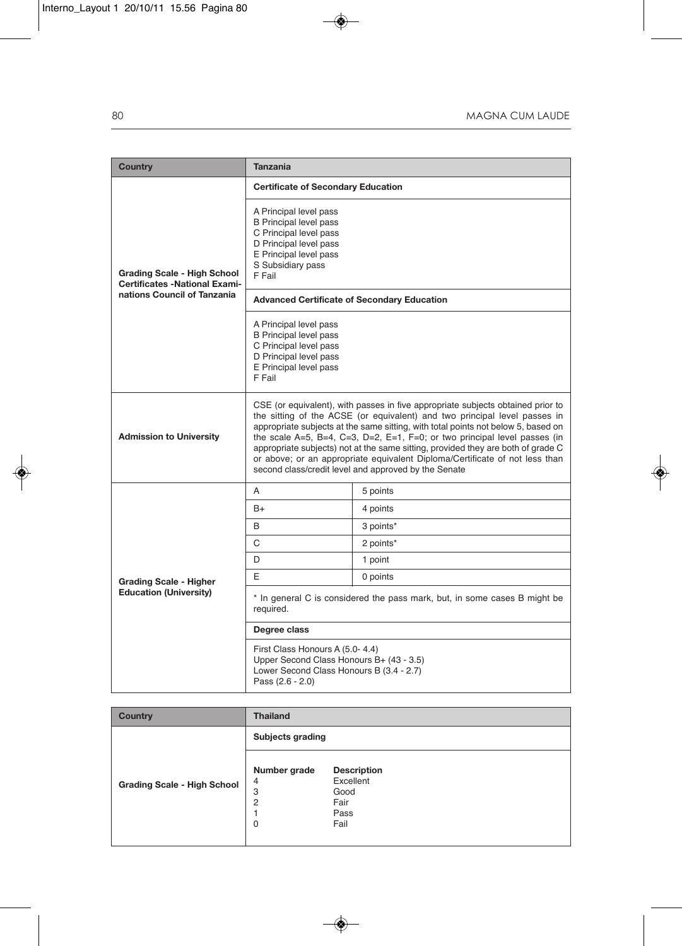| <b>Country</b>                                                                                     | <b>Tanzania</b>                                                                                                                                                                                                                                                                                                                                                                                                                                                                                                                                           |           |
|----------------------------------------------------------------------------------------------------|-----------------------------------------------------------------------------------------------------------------------------------------------------------------------------------------------------------------------------------------------------------------------------------------------------------------------------------------------------------------------------------------------------------------------------------------------------------------------------------------------------------------------------------------------------------|-----------|
|                                                                                                    | <b>Certificate of Secondary Education</b>                                                                                                                                                                                                                                                                                                                                                                                                                                                                                                                 |           |
| Grading Scale - High School<br><b>Certificates -National Exami-</b><br>nations Council of Tanzania | A Principal level pass<br><b>B</b> Principal level pass<br>C Principal level pass<br>D Principal level pass<br>E Principal level pass<br>S Subsidiary pass<br>F Fail                                                                                                                                                                                                                                                                                                                                                                                      |           |
|                                                                                                    | <b>Advanced Certificate of Secondary Education</b>                                                                                                                                                                                                                                                                                                                                                                                                                                                                                                        |           |
|                                                                                                    | A Principal level pass<br><b>B</b> Principal level pass<br>C Principal level pass<br>D Principal level pass<br>E Principal level pass<br>F Fail                                                                                                                                                                                                                                                                                                                                                                                                           |           |
| <b>Admission to University</b>                                                                     | CSE (or equivalent), with passes in five appropriate subjects obtained prior to<br>the sitting of the ACSE (or equivalent) and two principal level passes in<br>appropriate subjects at the same sitting, with total points not below 5, based on<br>the scale A=5, B=4, C=3, D=2, E=1, F=0; or two principal level passes (in<br>appropriate subjects) not at the same sitting, provided they are both of grade C<br>or above; or an appropriate equivalent Diploma/Certificate of not less than<br>second class/credit level and approved by the Senate |           |
|                                                                                                    | A                                                                                                                                                                                                                                                                                                                                                                                                                                                                                                                                                         | 5 points  |
|                                                                                                    | $B+$                                                                                                                                                                                                                                                                                                                                                                                                                                                                                                                                                      | 4 points  |
|                                                                                                    | B                                                                                                                                                                                                                                                                                                                                                                                                                                                                                                                                                         | 3 points* |
|                                                                                                    | C                                                                                                                                                                                                                                                                                                                                                                                                                                                                                                                                                         | 2 points* |
| <b>Grading Scale - Higher</b><br><b>Education (University)</b>                                     | D                                                                                                                                                                                                                                                                                                                                                                                                                                                                                                                                                         | 1 point   |
|                                                                                                    | E                                                                                                                                                                                                                                                                                                                                                                                                                                                                                                                                                         | 0 points  |
|                                                                                                    | * In general C is considered the pass mark, but, in some cases B might be<br>required.                                                                                                                                                                                                                                                                                                                                                                                                                                                                    |           |
|                                                                                                    | Degree class                                                                                                                                                                                                                                                                                                                                                                                                                                                                                                                                              |           |
|                                                                                                    | First Class Honours A (5.0-4.4)<br>Upper Second Class Honours B+ (43 - 3.5)<br>Lower Second Class Honours B (3.4 - 2.7)<br>Pass (2.6 - 2.0)                                                                                                                                                                                                                                                                                                                                                                                                               |           |

| <b>Country</b>                     | <b>Thailand</b>                                                      |                                                                 |  |
|------------------------------------|----------------------------------------------------------------------|-----------------------------------------------------------------|--|
|                                    | Subjects grading                                                     |                                                                 |  |
| <b>Grading Scale - High School</b> | Number grade<br>$\overline{4}$<br>3<br>$\overline{2}$<br>$\mathbf 0$ | <b>Description</b><br>Excellent<br>Good<br>Fair<br>Pass<br>Fail |  |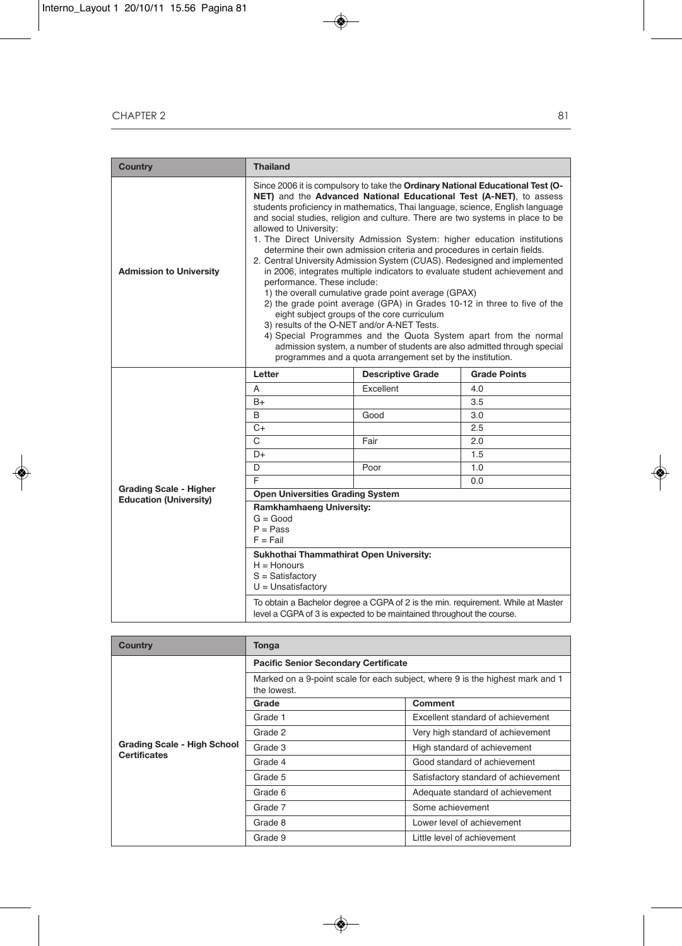| <b>Country</b>                                                 | <b>Thailand</b>                                                                                                                                                                                                                                                                                                                                                                                                                                                                                                                                                                                                                                                                                                                                                                                                                                                                                                                                                                                                                                                                                                                                      |                          |                     |  |  |
|----------------------------------------------------------------|------------------------------------------------------------------------------------------------------------------------------------------------------------------------------------------------------------------------------------------------------------------------------------------------------------------------------------------------------------------------------------------------------------------------------------------------------------------------------------------------------------------------------------------------------------------------------------------------------------------------------------------------------------------------------------------------------------------------------------------------------------------------------------------------------------------------------------------------------------------------------------------------------------------------------------------------------------------------------------------------------------------------------------------------------------------------------------------------------------------------------------------------------|--------------------------|---------------------|--|--|
| <b>Admission to University</b>                                 | Since 2006 it is compulsory to take the Ordinary National Educational Test (O-<br>NET) and the Advanced National Educational Test (A-NET), to assess<br>students proficiency in mathematics, Thai language, science, English language<br>and social studies, religion and culture. There are two systems in place to be<br>allowed to University:<br>1. The Direct University Admission System: higher education institutions<br>determine their own admission criteria and procedures in certain fields.<br>2. Central University Admission System (CUAS). Redesigned and implemented<br>in 2006, integrates multiple indicators to evaluate student achievement and<br>performance. These include:<br>1) the overall cumulative grade point average (GPAX)<br>2) the grade point average (GPA) in Grades 10-12 in three to five of the<br>eight subject groups of the core curriculum<br>3) results of the O-NET and/or A-NET Tests.<br>4) Special Programmes and the Quota System apart from the normal<br>admission system, a number of students are also admitted through special<br>programmes and a quota arrangement set by the institution. |                          |                     |  |  |
|                                                                | Letter                                                                                                                                                                                                                                                                                                                                                                                                                                                                                                                                                                                                                                                                                                                                                                                                                                                                                                                                                                                                                                                                                                                                               | <b>Descriptive Grade</b> | <b>Grade Points</b> |  |  |
|                                                                | A                                                                                                                                                                                                                                                                                                                                                                                                                                                                                                                                                                                                                                                                                                                                                                                                                                                                                                                                                                                                                                                                                                                                                    | Excellent                | 4.0                 |  |  |
|                                                                | $B+$                                                                                                                                                                                                                                                                                                                                                                                                                                                                                                                                                                                                                                                                                                                                                                                                                                                                                                                                                                                                                                                                                                                                                 |                          | 3.5                 |  |  |
|                                                                | B                                                                                                                                                                                                                                                                                                                                                                                                                                                                                                                                                                                                                                                                                                                                                                                                                                                                                                                                                                                                                                                                                                                                                    | Good                     | 3.0                 |  |  |
|                                                                | $C+$                                                                                                                                                                                                                                                                                                                                                                                                                                                                                                                                                                                                                                                                                                                                                                                                                                                                                                                                                                                                                                                                                                                                                 |                          | 2.5                 |  |  |
|                                                                | $\mathcal{C}$                                                                                                                                                                                                                                                                                                                                                                                                                                                                                                                                                                                                                                                                                                                                                                                                                                                                                                                                                                                                                                                                                                                                        | Fair                     | 2.0                 |  |  |
|                                                                | D+                                                                                                                                                                                                                                                                                                                                                                                                                                                                                                                                                                                                                                                                                                                                                                                                                                                                                                                                                                                                                                                                                                                                                   |                          | 1.5                 |  |  |
|                                                                | D                                                                                                                                                                                                                                                                                                                                                                                                                                                                                                                                                                                                                                                                                                                                                                                                                                                                                                                                                                                                                                                                                                                                                    | Poor                     | 1.0                 |  |  |
|                                                                | E                                                                                                                                                                                                                                                                                                                                                                                                                                                                                                                                                                                                                                                                                                                                                                                                                                                                                                                                                                                                                                                                                                                                                    |                          | 0.0                 |  |  |
| <b>Grading Scale - Higher</b><br><b>Education (University)</b> | <b>Open Universities Grading System</b>                                                                                                                                                                                                                                                                                                                                                                                                                                                                                                                                                                                                                                                                                                                                                                                                                                                                                                                                                                                                                                                                                                              |                          |                     |  |  |
|                                                                | <b>Ramkhamhaeng University:</b><br>$G = Good$<br>$P = Pass$<br>$F = Fail$                                                                                                                                                                                                                                                                                                                                                                                                                                                                                                                                                                                                                                                                                                                                                                                                                                                                                                                                                                                                                                                                            |                          |                     |  |  |
|                                                                | Sukhothai Thammathirat Open University:<br>$H =$ Honours<br>$S = Satisfactory$<br>$U =$ Unsatisfactory                                                                                                                                                                                                                                                                                                                                                                                                                                                                                                                                                                                                                                                                                                                                                                                                                                                                                                                                                                                                                                               |                          |                     |  |  |
|                                                                | To obtain a Bachelor degree a CGPA of 2 is the min. requirement. While at Master<br>level a CGPA of 3 is expected to be maintained throughout the course.                                                                                                                                                                                                                                                                                                                                                                                                                                                                                                                                                                                                                                                                                                                                                                                                                                                                                                                                                                                            |                          |                     |  |  |

| <b>Country</b>                                            | Tonga                                                                                        |                                      |  |  |  |
|-----------------------------------------------------------|----------------------------------------------------------------------------------------------|--------------------------------------|--|--|--|
|                                                           | <b>Pacific Senior Secondary Certificate</b>                                                  |                                      |  |  |  |
|                                                           | Marked on a 9-point scale for each subject, where 9 is the highest mark and 1<br>the lowest. |                                      |  |  |  |
|                                                           | Grade                                                                                        | <b>Comment</b>                       |  |  |  |
|                                                           | Grade 1                                                                                      | Excellent standard of achievement    |  |  |  |
|                                                           | Grade 2                                                                                      | Very high standard of achievement    |  |  |  |
| <b>Grading Scale - High School</b><br><b>Certificates</b> | Grade 3                                                                                      | High standard of achievement         |  |  |  |
|                                                           | Grade 4                                                                                      | Good standard of achievement         |  |  |  |
|                                                           | Grade 5                                                                                      | Satisfactory standard of achievement |  |  |  |
|                                                           | Grade 6                                                                                      | Adequate standard of achievement     |  |  |  |
|                                                           | Grade 7                                                                                      | Some achievement                     |  |  |  |
|                                                           | Grade 8                                                                                      | Lower level of achievement           |  |  |  |
|                                                           | Grade 9                                                                                      | Little level of achievement          |  |  |  |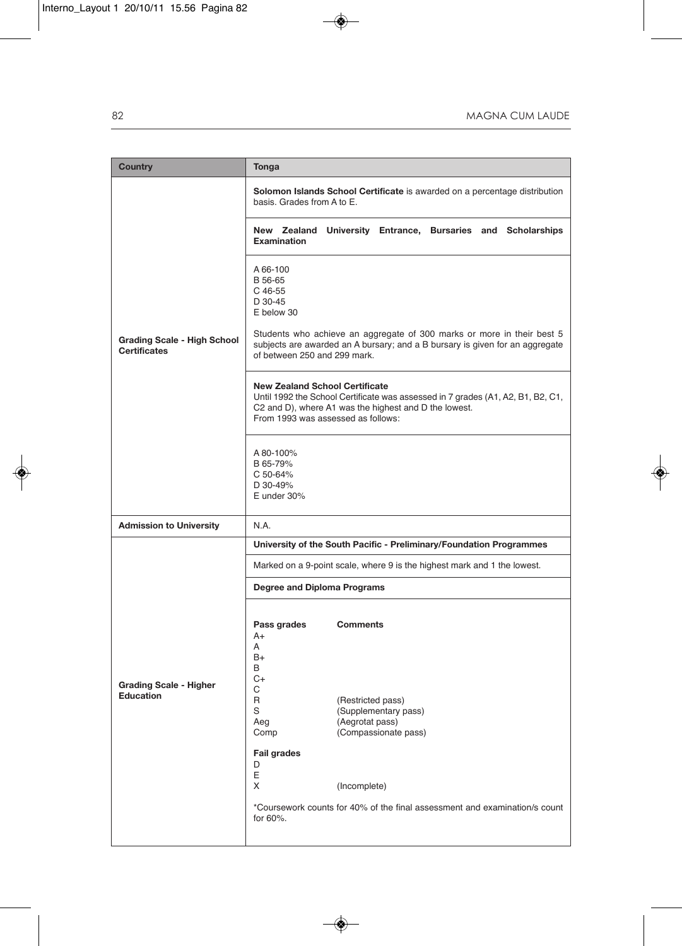| <b>Country</b>                                            | Tonga                                                                                                                                                                                                                                                                                                                           |  |  |  |
|-----------------------------------------------------------|---------------------------------------------------------------------------------------------------------------------------------------------------------------------------------------------------------------------------------------------------------------------------------------------------------------------------------|--|--|--|
|                                                           | Solomon Islands School Certificate is awarded on a percentage distribution<br>basis. Grades from A to E.                                                                                                                                                                                                                        |  |  |  |
|                                                           | New Zealand University Entrance, Bursaries and Scholarships<br><b>Examination</b>                                                                                                                                                                                                                                               |  |  |  |
| <b>Grading Scale - High School</b><br><b>Certificates</b> | A 66-100<br>B 56-65<br>C 46-55<br>$D$ 30-45<br>E below 30<br>Students who achieve an aggregate of 300 marks or more in their best 5                                                                                                                                                                                             |  |  |  |
|                                                           | subjects are awarded an A bursary; and a B bursary is given for an aggregate<br>of between 250 and 299 mark.                                                                                                                                                                                                                    |  |  |  |
|                                                           | <b>New Zealand School Certificate</b><br>Until 1992 the School Certificate was assessed in 7 grades (A1, A2, B1, B2, C1,<br>C2 and D), where A1 was the highest and D the lowest.<br>From 1993 was assessed as follows:                                                                                                         |  |  |  |
|                                                           | A 80-100%<br>B 65-79%<br>C 50-64%<br>D 30-49%<br>E under 30%                                                                                                                                                                                                                                                                    |  |  |  |
| <b>Admission to University</b>                            | N.A.                                                                                                                                                                                                                                                                                                                            |  |  |  |
|                                                           | University of the South Pacific - Preliminary/Foundation Programmes                                                                                                                                                                                                                                                             |  |  |  |
|                                                           | Marked on a 9-point scale, where 9 is the highest mark and 1 the lowest.                                                                                                                                                                                                                                                        |  |  |  |
|                                                           | Degree and Diploma Programs                                                                                                                                                                                                                                                                                                     |  |  |  |
| <b>Grading Scale - Higher</b><br><b>Education</b>         | Pass grades<br><b>Comments</b><br>A+<br>A<br>B+<br>B<br>C+<br>C<br>R<br>(Restricted pass)<br>S<br>(Supplementary pass)<br>(Aegrotat pass)<br>Aeg<br>Comp<br>(Compassionate pass)<br><b>Fail grades</b><br>D<br>E<br>X<br>(Incomplete)<br>*Coursework counts for 40% of the final assessment and examination/s count<br>for 60%. |  |  |  |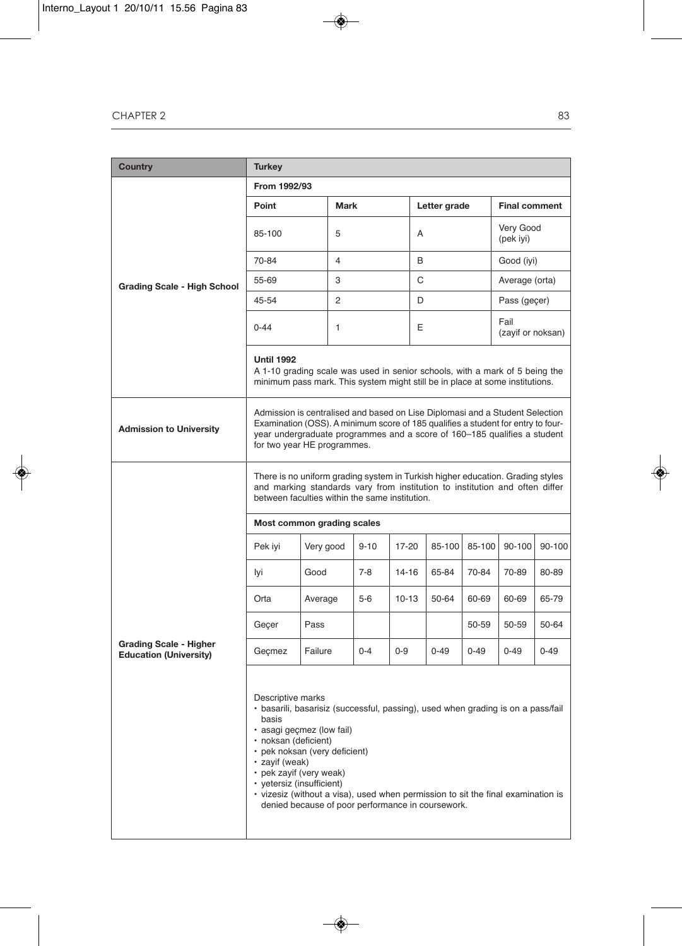| <b>Country</b>                                                 | <b>Turkey</b>                                                                                                                                                                                                                                                                                                                                                                                                       |           |             |          |           |   |              |          |                                                                                                                                                               |          |
|----------------------------------------------------------------|---------------------------------------------------------------------------------------------------------------------------------------------------------------------------------------------------------------------------------------------------------------------------------------------------------------------------------------------------------------------------------------------------------------------|-----------|-------------|----------|-----------|---|--------------|----------|---------------------------------------------------------------------------------------------------------------------------------------------------------------|----------|
|                                                                | From 1992/93                                                                                                                                                                                                                                                                                                                                                                                                        |           |             |          |           |   |              |          |                                                                                                                                                               |          |
|                                                                | Point                                                                                                                                                                                                                                                                                                                                                                                                               |           | <b>Mark</b> |          |           |   | Letter grade |          | <b>Final comment</b>                                                                                                                                          |          |
|                                                                | 85-100                                                                                                                                                                                                                                                                                                                                                                                                              |           | 5           |          |           | A |              |          | Very Good<br>(pek iyi)                                                                                                                                        |          |
|                                                                | 70-84                                                                                                                                                                                                                                                                                                                                                                                                               |           | 4           |          |           | B |              |          | Good (iyi)                                                                                                                                                    |          |
| <b>Grading Scale - High School</b>                             | 55-69                                                                                                                                                                                                                                                                                                                                                                                                               |           | 3           |          |           | C |              |          | Average (orta)                                                                                                                                                |          |
|                                                                | 45-54                                                                                                                                                                                                                                                                                                                                                                                                               |           | 2           |          |           | D |              |          | Pass (geçer)                                                                                                                                                  |          |
|                                                                | $0 - 44$                                                                                                                                                                                                                                                                                                                                                                                                            |           | 1           |          |           | E |              |          | Fail<br>(zayif or noksan)                                                                                                                                     |          |
|                                                                | <b>Until 1992</b><br>A 1-10 grading scale was used in senior schools, with a mark of 5 being the<br>minimum pass mark. This system might still be in place at some institutions.                                                                                                                                                                                                                                    |           |             |          |           |   |              |          |                                                                                                                                                               |          |
| <b>Admission to University</b>                                 | Admission is centralised and based on Lise Diplomasi and a Student Selection<br>Examination (OSS). A minimum score of 185 qualifies a student for entry to four-<br>year undergraduate programmes and a score of 160–185 qualifies a student<br>for two year HE programmes.                                                                                                                                         |           |             |          |           |   |              |          |                                                                                                                                                               |          |
|                                                                | between faculties within the same institution.                                                                                                                                                                                                                                                                                                                                                                      |           |             |          |           |   |              |          | There is no uniform grading system in Turkish higher education. Grading styles<br>and marking standards vary from institution to institution and often differ |          |
|                                                                | Most common grading scales                                                                                                                                                                                                                                                                                                                                                                                          |           |             |          |           |   |              |          |                                                                                                                                                               |          |
|                                                                | Pek iyi                                                                                                                                                                                                                                                                                                                                                                                                             | Very good |             | $9 - 10$ | 17-20     |   | 85-100       | 85-100   | 90-100                                                                                                                                                        | 90-100   |
|                                                                | lyi                                                                                                                                                                                                                                                                                                                                                                                                                 | Good      |             | $7 - 8$  | $14 - 16$ |   | 65-84        | 70-84    | 70-89                                                                                                                                                         | 80-89    |
|                                                                | Orta                                                                                                                                                                                                                                                                                                                                                                                                                | Average   |             | $5-6$    | $10 - 13$ |   | 50-64        | 60-69    | 60-69                                                                                                                                                         | 65-79    |
|                                                                | Geçer                                                                                                                                                                                                                                                                                                                                                                                                               | Pass      |             |          |           |   |              | 50-59    | 50-59                                                                                                                                                         | 50-64    |
| <b>Grading Scale - Higher</b><br><b>Education (University)</b> | Gecmez                                                                                                                                                                                                                                                                                                                                                                                                              | Failure   |             | $0 - 4$  | $0 - 9$   |   | $0 - 49$     | $0 - 49$ | $0 - 49$                                                                                                                                                      | $0 - 49$ |
|                                                                | Descriptive marks<br>basarili, basarisiz (successful, passing), used when grading is on a pass/fail<br>basis<br>asagi geçmez (low fail)<br>· noksan (deficient)<br>• pek noksan (very deficient)<br>· zavif (weak)<br>• pek zayif (very weak)<br>• vetersiz (insufficient)<br>• vizesiz (without a visa), used when permission to sit the final examination is<br>denied because of poor performance in coursework. |           |             |          |           |   |              |          |                                                                                                                                                               |          |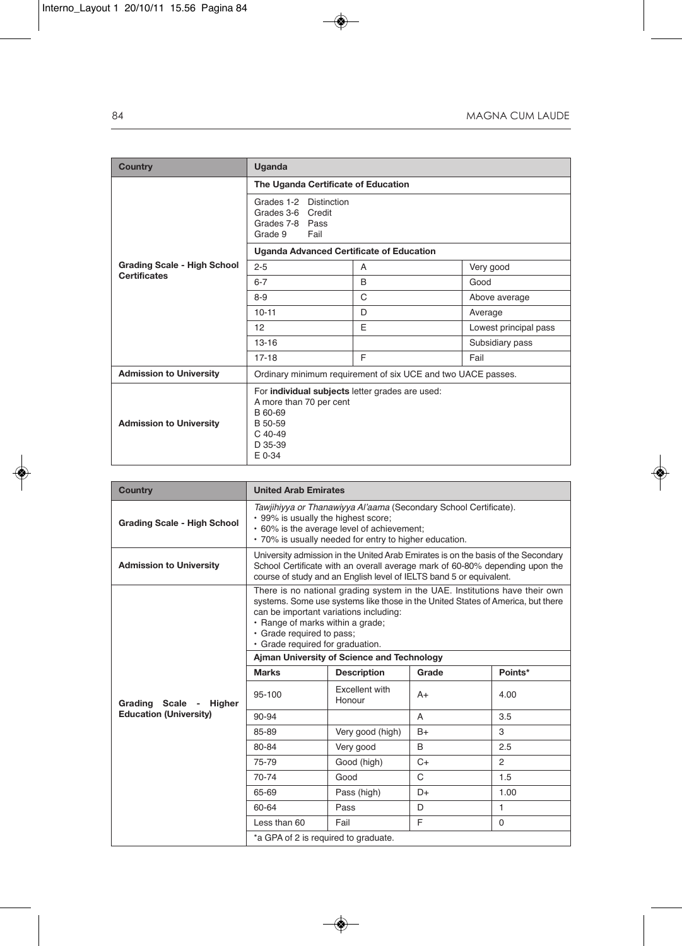| <b>Country</b>                     | Uganda                                                                                                                             |                                                              |                       |  |  |  |
|------------------------------------|------------------------------------------------------------------------------------------------------------------------------------|--------------------------------------------------------------|-----------------------|--|--|--|
|                                    | The Uganda Certificate of Education                                                                                                |                                                              |                       |  |  |  |
|                                    | Grades 1-2 Distinction<br>Grades 3-6 Credit<br>Grades 7-8 Pass<br>Fail<br>Grade 9                                                  |                                                              |                       |  |  |  |
|                                    | <b>Uganda Advanced Certificate of Education</b>                                                                                    |                                                              |                       |  |  |  |
| <b>Grading Scale - High School</b> | $2 - 5$                                                                                                                            | A                                                            | Very good             |  |  |  |
| <b>Certificates</b>                | $6 - 7$                                                                                                                            | B                                                            | Good                  |  |  |  |
|                                    | $8 - 9$                                                                                                                            | C                                                            | Above average         |  |  |  |
|                                    | $10 - 11$                                                                                                                          | D                                                            | Average               |  |  |  |
|                                    | 12                                                                                                                                 | E                                                            | Lowest principal pass |  |  |  |
|                                    | $13 - 16$                                                                                                                          |                                                              | Subsidiary pass       |  |  |  |
|                                    | $17 - 18$                                                                                                                          | E                                                            | Fail                  |  |  |  |
| <b>Admission to University</b>     |                                                                                                                                    | Ordinary minimum requirement of six UCE and two UACE passes. |                       |  |  |  |
| <b>Admission to University</b>     | For individual subjects letter grades are used:<br>A more than 70 per cent<br>B 60-69<br>B 50-59<br>$C$ 40-49<br>D 35-39<br>E 0-34 |                                                              |                       |  |  |  |

| <b>Country</b>                     |                                                                                                                                                                                                                                                                                                               | <b>United Arab Emirates</b>                                                                                                                                                                                                              |      |                |  |  |
|------------------------------------|---------------------------------------------------------------------------------------------------------------------------------------------------------------------------------------------------------------------------------------------------------------------------------------------------------------|------------------------------------------------------------------------------------------------------------------------------------------------------------------------------------------------------------------------------------------|------|----------------|--|--|
| <b>Grading Scale - High School</b> | Tawjihiyya or Thanawiyya Al'aama (Secondary School Certificate).<br>• 99% is usually the highest score;<br>• 60% is the average level of achievement;<br>• 70% is usually needed for entry to higher education.                                                                                               |                                                                                                                                                                                                                                          |      |                |  |  |
| <b>Admission to University</b>     |                                                                                                                                                                                                                                                                                                               | University admission in the United Arab Emirates is on the basis of the Secondary<br>School Certificate with an overall average mark of 60-80% depending upon the<br>course of study and an English level of IELTS band 5 or equivalent. |      |                |  |  |
|                                    | There is no national grading system in the UAE. Institutions have their own<br>systems. Some use systems like those in the United States of America, but there<br>can be important variations including:<br>· Range of marks within a grade;<br>· Grade required to pass;<br>· Grade required for graduation. |                                                                                                                                                                                                                                          |      |                |  |  |
|                                    | Ajman University of Science and Technology<br><b>Marks</b><br>Grade<br>Points*<br><b>Description</b>                                                                                                                                                                                                          |                                                                                                                                                                                                                                          |      |                |  |  |
| Grading Scale - Higher             | 95-100                                                                                                                                                                                                                                                                                                        | Excellent with<br>Honour                                                                                                                                                                                                                 | $A+$ | 4.00           |  |  |
| <b>Education (University)</b>      | 90-94                                                                                                                                                                                                                                                                                                         |                                                                                                                                                                                                                                          | A    | 3.5            |  |  |
|                                    | 85-89                                                                                                                                                                                                                                                                                                         | Very good (high)                                                                                                                                                                                                                         | $B+$ | 3              |  |  |
|                                    | 80-84                                                                                                                                                                                                                                                                                                         | Very good                                                                                                                                                                                                                                | B    | 2.5            |  |  |
|                                    | 75-79                                                                                                                                                                                                                                                                                                         | Good (high)                                                                                                                                                                                                                              | $C+$ | $\overline{2}$ |  |  |
|                                    | 70-74                                                                                                                                                                                                                                                                                                         | Good                                                                                                                                                                                                                                     | C    | 1.5            |  |  |
|                                    | 65-69                                                                                                                                                                                                                                                                                                         | Pass (high)                                                                                                                                                                                                                              | $D+$ | 1.00           |  |  |
|                                    | 60-64                                                                                                                                                                                                                                                                                                         | Pass                                                                                                                                                                                                                                     | D    | 1              |  |  |
|                                    | Less than 60                                                                                                                                                                                                                                                                                                  | Fail                                                                                                                                                                                                                                     | F    | $\Omega$       |  |  |
|                                    | *a GPA of 2 is required to graduate.                                                                                                                                                                                                                                                                          |                                                                                                                                                                                                                                          |      |                |  |  |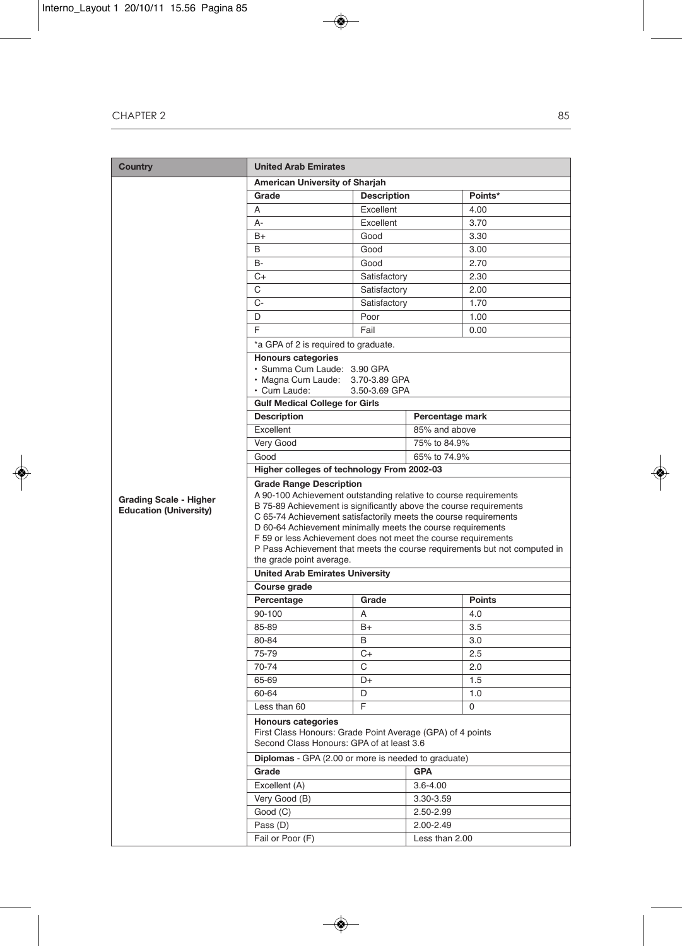| <b>Country</b>                | <b>United Arab Emirates</b>                                                                                                                                                                                                                                                                                                                                                      |                                            |                 |               |  |  |
|-------------------------------|----------------------------------------------------------------------------------------------------------------------------------------------------------------------------------------------------------------------------------------------------------------------------------------------------------------------------------------------------------------------------------|--------------------------------------------|-----------------|---------------|--|--|
|                               | American University of Sharjah                                                                                                                                                                                                                                                                                                                                                   |                                            |                 |               |  |  |
|                               | Grade                                                                                                                                                                                                                                                                                                                                                                            | <b>Description</b>                         |                 | Points*       |  |  |
|                               | A                                                                                                                                                                                                                                                                                                                                                                                | Excellent                                  |                 | 4.00          |  |  |
|                               | A-                                                                                                                                                                                                                                                                                                                                                                               | Excellent                                  |                 | 3.70          |  |  |
|                               | $B+$                                                                                                                                                                                                                                                                                                                                                                             | Good                                       |                 | 3.30          |  |  |
|                               | B                                                                                                                                                                                                                                                                                                                                                                                | Good                                       |                 | 3.00          |  |  |
|                               | <b>B-</b>                                                                                                                                                                                                                                                                                                                                                                        | Good                                       |                 | 2.70          |  |  |
|                               | C+                                                                                                                                                                                                                                                                                                                                                                               | Satisfactory                               |                 | 2.30          |  |  |
|                               | C                                                                                                                                                                                                                                                                                                                                                                                | Satisfactory                               |                 | 2.00          |  |  |
|                               | $C-$                                                                                                                                                                                                                                                                                                                                                                             | Satisfactory                               |                 | 1.70          |  |  |
|                               | D                                                                                                                                                                                                                                                                                                                                                                                | Poor                                       |                 | 1.00          |  |  |
|                               | F                                                                                                                                                                                                                                                                                                                                                                                | Fail                                       |                 | 0.00          |  |  |
|                               | *a GPA of 2 is required to graduate.                                                                                                                                                                                                                                                                                                                                             |                                            |                 |               |  |  |
|                               | <b>Honours categories</b>                                                                                                                                                                                                                                                                                                                                                        |                                            |                 |               |  |  |
|                               | · Summa Cum Laude: 3.90 GPA                                                                                                                                                                                                                                                                                                                                                      |                                            |                 |               |  |  |
|                               | · Magna Cum Laude: 3.70-3.89 GPA<br>· Cum Laude:                                                                                                                                                                                                                                                                                                                                 | 3.50-3.69 GPA                              |                 |               |  |  |
|                               | <b>Gulf Medical College for Girls</b>                                                                                                                                                                                                                                                                                                                                            |                                            |                 |               |  |  |
|                               | <b>Description</b>                                                                                                                                                                                                                                                                                                                                                               |                                            | Percentage mark |               |  |  |
|                               | Excellent                                                                                                                                                                                                                                                                                                                                                                        |                                            | 85% and above   |               |  |  |
|                               | Very Good                                                                                                                                                                                                                                                                                                                                                                        |                                            | 75% to 84.9%    |               |  |  |
|                               | Good                                                                                                                                                                                                                                                                                                                                                                             |                                            | 65% to 74.9%    |               |  |  |
|                               |                                                                                                                                                                                                                                                                                                                                                                                  | Higher colleges of technology From 2002-03 |                 |               |  |  |
|                               | <b>Grade Range Description</b>                                                                                                                                                                                                                                                                                                                                                   |                                            |                 |               |  |  |
| <b>Education (University)</b> | B 75-89 Achievement is significantly above the course requirements<br>C 65-74 Achievement satisfactorily meets the course requirements<br>D 60-64 Achievement minimally meets the course requirements<br>F 59 or less Achievement does not meet the course requirements<br>P Pass Achievement that meets the course requirements but not computed in<br>the grade point average. |                                            |                 |               |  |  |
|                               | <b>United Arab Emirates University</b>                                                                                                                                                                                                                                                                                                                                           |                                            |                 |               |  |  |
|                               | Course grade                                                                                                                                                                                                                                                                                                                                                                     |                                            |                 |               |  |  |
|                               | Percentage                                                                                                                                                                                                                                                                                                                                                                       | Grade                                      |                 | <b>Points</b> |  |  |
|                               | 90-100                                                                                                                                                                                                                                                                                                                                                                           | A                                          |                 | 4.0           |  |  |
|                               | 85-89                                                                                                                                                                                                                                                                                                                                                                            | B+                                         |                 | 3.5           |  |  |
|                               | 80-84                                                                                                                                                                                                                                                                                                                                                                            | В                                          |                 | 3.0           |  |  |
|                               | 75-79                                                                                                                                                                                                                                                                                                                                                                            | C+                                         |                 | 2.5           |  |  |
|                               | 70-74                                                                                                                                                                                                                                                                                                                                                                            | C                                          |                 | 2.0           |  |  |
|                               | 65-69                                                                                                                                                                                                                                                                                                                                                                            | D+                                         |                 | 1.5           |  |  |
|                               | 60-64                                                                                                                                                                                                                                                                                                                                                                            | D                                          |                 | 1.0           |  |  |
|                               | Less than 60                                                                                                                                                                                                                                                                                                                                                                     | F                                          |                 | 0             |  |  |
|                               | <b>Honours categories</b><br>First Class Honours: Grade Point Average (GPA) of 4 points<br>Second Class Honours: GPA of at least 3.6                                                                                                                                                                                                                                             |                                            |                 |               |  |  |
|                               | <b>Diplomas</b> - GPA (2.00 or more is needed to graduate)                                                                                                                                                                                                                                                                                                                       |                                            |                 |               |  |  |
|                               | Grade                                                                                                                                                                                                                                                                                                                                                                            |                                            | <b>GPA</b>      |               |  |  |
|                               | Excellent (A)                                                                                                                                                                                                                                                                                                                                                                    |                                            | $3.6 - 4.00$    |               |  |  |
|                               | Very Good (B)                                                                                                                                                                                                                                                                                                                                                                    |                                            | 3.30-3.59       |               |  |  |
|                               | Good (C)                                                                                                                                                                                                                                                                                                                                                                         |                                            | 2.50-2.99       |               |  |  |
|                               | Pass (D)                                                                                                                                                                                                                                                                                                                                                                         |                                            | 2.00-2.49       |               |  |  |
|                               | Fail or Poor (F)                                                                                                                                                                                                                                                                                                                                                                 |                                            | Less than 2.00  |               |  |  |
|                               |                                                                                                                                                                                                                                                                                                                                                                                  |                                            |                 |               |  |  |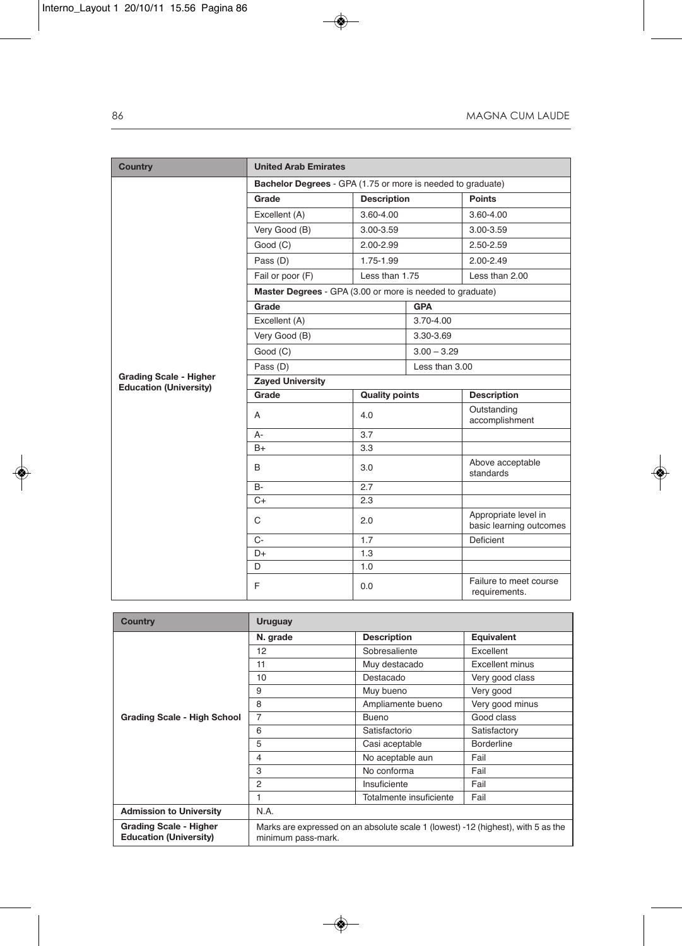| <b>Country</b>                                                 | <b>United Arab Emirates</b>                                 |                       |                |                                                 |  |
|----------------------------------------------------------------|-------------------------------------------------------------|-----------------------|----------------|-------------------------------------------------|--|
|                                                                | Bachelor Degrees - GPA (1.75 or more is needed to graduate) |                       |                |                                                 |  |
|                                                                | Grade                                                       | <b>Description</b>    |                | <b>Points</b>                                   |  |
|                                                                | Excellent (A)                                               | 3.60-4.00             |                | 3.60-4.00                                       |  |
|                                                                | Very Good (B)                                               | 3.00-3.59             |                | 3.00-3.59                                       |  |
|                                                                | Good (C)                                                    | 2.00-2.99             |                | 2.50-2.59                                       |  |
|                                                                | Pass (D)                                                    | 1.75-1.99             |                | 2.00-2.49                                       |  |
|                                                                | Fail or poor (F)                                            | Less than 1.75        |                | Less than 2.00                                  |  |
|                                                                | Master Degrees - GPA (3.00 or more is needed to graduate)   |                       |                |                                                 |  |
|                                                                | Grade                                                       |                       | <b>GPA</b>     |                                                 |  |
|                                                                | Excellent (A)                                               |                       | 3.70-4.00      |                                                 |  |
|                                                                | Very Good (B)                                               |                       | 3.30-3.69      |                                                 |  |
|                                                                | Good (C)                                                    |                       | $3.00 - 3.29$  |                                                 |  |
|                                                                | Pass (D)                                                    |                       | Less than 3.00 |                                                 |  |
| <b>Grading Scale - Higher</b><br><b>Education (University)</b> | <b>Zayed University</b>                                     |                       |                |                                                 |  |
|                                                                | Grade                                                       | <b>Quality points</b> |                | <b>Description</b>                              |  |
|                                                                | A                                                           | 4.0                   |                | Outstanding<br>accomplishment                   |  |
|                                                                | А-                                                          | 3.7                   |                |                                                 |  |
|                                                                | $B+$                                                        | 3.3                   |                |                                                 |  |
|                                                                | B                                                           | 3.0                   |                | Above acceptable<br>standards                   |  |
|                                                                | <b>B-</b>                                                   | 2.7                   |                |                                                 |  |
|                                                                | $C+$                                                        | 2.3                   |                |                                                 |  |
|                                                                | C                                                           | 2.0                   |                | Appropriate level in<br>basic learning outcomes |  |
|                                                                | $C -$                                                       | 1.7                   |                | Deficient                                       |  |
|                                                                | $D+$                                                        | 1.3                   |                |                                                 |  |
|                                                                | D                                                           | 1.0                   |                |                                                 |  |
|                                                                | F                                                           | 0.0                   |                | Failure to meet course<br>requirements.         |  |

| <b>Country</b>                                                 | <b>Uruguay</b>                                                                                         |                         |                        |  |  |  |  |
|----------------------------------------------------------------|--------------------------------------------------------------------------------------------------------|-------------------------|------------------------|--|--|--|--|
|                                                                | N. grade                                                                                               | <b>Description</b>      | Equivalent             |  |  |  |  |
|                                                                | 12                                                                                                     | Sobresaliente           | Excellent              |  |  |  |  |
|                                                                | 11                                                                                                     | Muy destacado           | <b>Excellent minus</b> |  |  |  |  |
|                                                                | 10                                                                                                     | Destacado               | Very good class        |  |  |  |  |
|                                                                | 9                                                                                                      | Muy bueno               | Very good              |  |  |  |  |
|                                                                | 8                                                                                                      | Ampliamente bueno       | Very good minus        |  |  |  |  |
| <b>Grading Scale - High School</b>                             | 7                                                                                                      | Bueno                   | Good class             |  |  |  |  |
|                                                                | 6                                                                                                      | Satisfactorio           | Satisfactory           |  |  |  |  |
|                                                                | 5                                                                                                      | Casi aceptable          | <b>Borderline</b>      |  |  |  |  |
|                                                                | $\overline{4}$                                                                                         | No aceptable aun        | Fail                   |  |  |  |  |
|                                                                | 3                                                                                                      | No conforma             | Fail                   |  |  |  |  |
|                                                                | $\overline{2}$                                                                                         | Insuficiente            | Fail                   |  |  |  |  |
|                                                                |                                                                                                        | Totalmente insuficiente | Fail                   |  |  |  |  |
| <b>Admission to University</b>                                 | N.A.                                                                                                   |                         |                        |  |  |  |  |
| <b>Grading Scale - Higher</b><br><b>Education (University)</b> | Marks are expressed on an absolute scale 1 (lowest) -12 (highest), with 5 as the<br>minimum pass-mark. |                         |                        |  |  |  |  |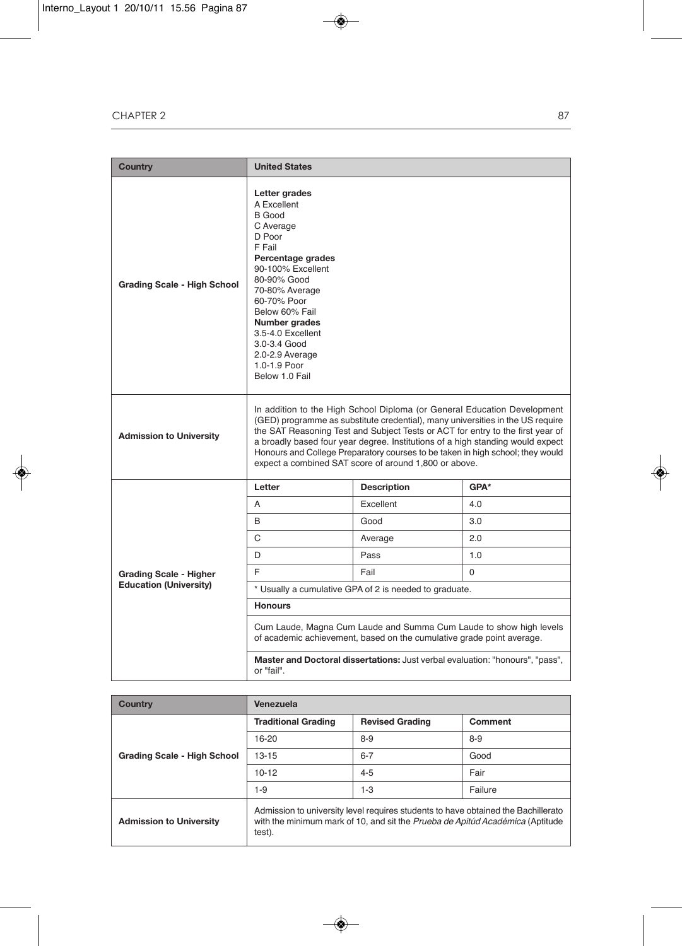| <b>Country</b>                     | <b>United States</b>                                                                                                                                                                                                                                                                                                                                                                                                                                                      |                    |          |  |  |
|------------------------------------|---------------------------------------------------------------------------------------------------------------------------------------------------------------------------------------------------------------------------------------------------------------------------------------------------------------------------------------------------------------------------------------------------------------------------------------------------------------------------|--------------------|----------|--|--|
| <b>Grading Scale - High School</b> | Letter grades<br>A Excellent<br><b>B</b> Good<br>C Average<br>D Poor<br>F Fail<br>Percentage grades<br>90-100% Excellent<br>80-90% Good<br>70-80% Average<br>60-70% Poor<br>Below 60% Fail<br>Number grades<br>3.5-4.0 Excellent<br>3.0-3.4 Good<br>2.0-2.9 Average<br>1.0-1.9 Poor<br>Below 1.0 Fail                                                                                                                                                                     |                    |          |  |  |
| <b>Admission to University</b>     | In addition to the High School Diploma (or General Education Development<br>(GED) programme as substitute credential), many universities in the US require<br>the SAT Reasoning Test and Subject Tests or ACT for entry to the first year of<br>a broadly based four year degree. Institutions of a high standing would expect<br>Honours and College Preparatory courses to be taken in high school; they would<br>expect a combined SAT score of around 1,800 or above. |                    |          |  |  |
|                                    | Letter                                                                                                                                                                                                                                                                                                                                                                                                                                                                    | <b>Description</b> | GPA*     |  |  |
|                                    | A                                                                                                                                                                                                                                                                                                                                                                                                                                                                         | Excellent          | 4.0      |  |  |
|                                    | B                                                                                                                                                                                                                                                                                                                                                                                                                                                                         | Good               | 3.0      |  |  |
|                                    | C                                                                                                                                                                                                                                                                                                                                                                                                                                                                         | Average            | 2.0      |  |  |
|                                    | D                                                                                                                                                                                                                                                                                                                                                                                                                                                                         | Pass               | 1.0      |  |  |
| <b>Grading Scale - Higher</b>      | F                                                                                                                                                                                                                                                                                                                                                                                                                                                                         | Fail               | $\Omega$ |  |  |
| <b>Education (University)</b>      | * Usually a cumulative GPA of 2 is needed to graduate.                                                                                                                                                                                                                                                                                                                                                                                                                    |                    |          |  |  |
|                                    | <b>Honours</b>                                                                                                                                                                                                                                                                                                                                                                                                                                                            |                    |          |  |  |
|                                    | Cum Laude, Magna Cum Laude and Summa Cum Laude to show high levels<br>of academic achievement, based on the cumulative grade point average.                                                                                                                                                                                                                                                                                                                               |                    |          |  |  |
|                                    | Master and Doctoral dissertations: Just verbal evaluation: "honours", "pass",<br>or "fail".                                                                                                                                                                                                                                                                                                                                                                               |                    |          |  |  |

| Country                            | Venezuela                                                                                                                                                                    |                        |         |  |  |  |  |
|------------------------------------|------------------------------------------------------------------------------------------------------------------------------------------------------------------------------|------------------------|---------|--|--|--|--|
|                                    | <b>Traditional Grading</b>                                                                                                                                                   | <b>Revised Grading</b> | Comment |  |  |  |  |
| <b>Grading Scale - High School</b> | $16 - 20$                                                                                                                                                                    | $8 - 9$                | $8 - 9$ |  |  |  |  |
|                                    | $13 - 15$                                                                                                                                                                    | $6 - 7$                | Good    |  |  |  |  |
|                                    | $10 - 12$                                                                                                                                                                    | $4 - 5$                | Fair    |  |  |  |  |
|                                    | $1 - 9$                                                                                                                                                                      | 1-3                    |         |  |  |  |  |
| <b>Admission to University</b>     | Admission to university level requires students to have obtained the Bachillerato<br>with the minimum mark of 10, and sit the Prueba de Apitúd Académica (Aptitude<br>test). |                        |         |  |  |  |  |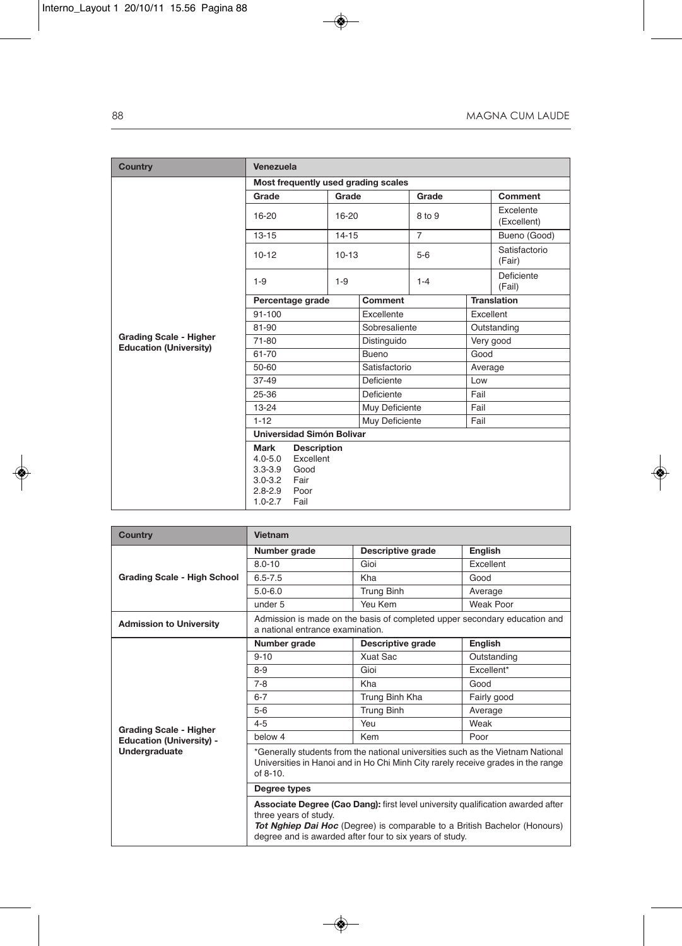| <b>Country</b>                                                 | Venezuela                                                                              |                                                                 |               |                                     |                |                    |                          |  |
|----------------------------------------------------------------|----------------------------------------------------------------------------------------|-----------------------------------------------------------------|---------------|-------------------------------------|----------------|--------------------|--------------------------|--|
|                                                                |                                                                                        |                                                                 |               | Most frequently used grading scales |                |                    |                          |  |
|                                                                | Grade                                                                                  |                                                                 | Grade         |                                     | Grade          |                    | Comment                  |  |
|                                                                | 16-20                                                                                  | 16-20                                                           |               |                                     | 8 to 9         |                    | Excelente<br>(Excellent) |  |
|                                                                | $13 - 15$                                                                              |                                                                 | $14 - 15$     |                                     | $\overline{7}$ |                    | Bueno (Good)             |  |
|                                                                | $10 - 12$                                                                              |                                                                 | $10 - 13$     |                                     | $5-6$          |                    | Satisfactorio<br>(Fair)  |  |
|                                                                | $1 - 9$                                                                                |                                                                 | $1-9$         |                                     | $1 - 4$        |                    | Deficiente<br>(Fail)     |  |
|                                                                | Percentage grade                                                                       |                                                                 | Comment       |                                     |                | <b>Translation</b> |                          |  |
|                                                                | $91 - 100$                                                                             |                                                                 | Excellente    |                                     | Excellent      |                    |                          |  |
|                                                                | 81-90                                                                                  |                                                                 | Sobresaliente |                                     | Outstanding    |                    |                          |  |
| <b>Grading Scale - Higher</b><br><b>Education (University)</b> | 71-80                                                                                  |                                                                 | Distinguido   |                                     |                | Very good          |                          |  |
|                                                                | 61-70                                                                                  |                                                                 | Bueno         |                                     | Good           |                    |                          |  |
|                                                                | $50 - 60$                                                                              |                                                                 | Satisfactorio |                                     | Average        |                    |                          |  |
|                                                                | $37-49$                                                                                |                                                                 | Deficiente    |                                     | Low            |                    |                          |  |
|                                                                | 25-36                                                                                  |                                                                 | Deficiente    |                                     | Fail           |                    |                          |  |
|                                                                | $13 - 24$                                                                              |                                                                 |               | Muy Deficiente                      |                | Fail               |                          |  |
|                                                                | $1 - 12$                                                                               |                                                                 |               | Muy Deficiente                      |                | Fail               |                          |  |
|                                                                | Universidad Simón Bolivar                                                              |                                                                 |               |                                     |                |                    |                          |  |
|                                                                | <b>Mark</b><br>$4.0 - 5.0$<br>$3.3 - 3.9$<br>$3.0 - 3.2$<br>$2.8 - 2.9$<br>$1.0 - 2.7$ | <b>Description</b><br>Excellent<br>Good<br>Fair<br>Poor<br>Fail |               |                                     |                |                    |                          |  |

| <b>Country</b>                                                                    | Vietnam                                                                                                                                                                                                                                                 |                   |             |  |  |
|-----------------------------------------------------------------------------------|---------------------------------------------------------------------------------------------------------------------------------------------------------------------------------------------------------------------------------------------------------|-------------------|-------------|--|--|
| <b>Grading Scale - High School</b>                                                | Number grade                                                                                                                                                                                                                                            | Descriptive grade | English     |  |  |
|                                                                                   | $80 - 10$                                                                                                                                                                                                                                               | Gioi              | Excellent   |  |  |
|                                                                                   | $6.5 - 7.5$                                                                                                                                                                                                                                             | Kha               | Good        |  |  |
|                                                                                   | $5.0 - 6.0$                                                                                                                                                                                                                                             | <b>Trung Binh</b> | Average     |  |  |
|                                                                                   | under 5                                                                                                                                                                                                                                                 | Yeu Kem           | Weak Poor   |  |  |
| <b>Admission to University</b>                                                    | Admission is made on the basis of completed upper secondary education and<br>a national entrance examination.                                                                                                                                           |                   |             |  |  |
| <b>Grading Scale - Higher</b><br><b>Education (University) -</b><br>Undergraduate | Number grade                                                                                                                                                                                                                                            | Descriptive grade | English     |  |  |
|                                                                                   | $9 - 10$                                                                                                                                                                                                                                                | Xuat Sac          | Outstanding |  |  |
|                                                                                   | $8-9$                                                                                                                                                                                                                                                   | Gioi              | Excellent*  |  |  |
|                                                                                   | $7 - 8$                                                                                                                                                                                                                                                 | Kha               | Good        |  |  |
|                                                                                   | $6 - 7$                                                                                                                                                                                                                                                 | Trung Binh Kha    | Fairly good |  |  |
|                                                                                   | $5 - 6$                                                                                                                                                                                                                                                 | <b>Trung Binh</b> | Average     |  |  |
|                                                                                   | $4 - 5$                                                                                                                                                                                                                                                 | Yeu               | Weak        |  |  |
|                                                                                   | below 4                                                                                                                                                                                                                                                 | Kem               | Poor        |  |  |
|                                                                                   | *Generally students from the national universities such as the Vietnam National<br>Universities in Hanoi and in Ho Chi Minh City rarely receive grades in the range<br>$of 8-10$                                                                        |                   |             |  |  |
|                                                                                   | Degree types                                                                                                                                                                                                                                            |                   |             |  |  |
|                                                                                   | Associate Degree (Cao Dang): first level university qualification awarded after<br>three years of study.<br><b>Tot Nghiep Dai Hoc</b> (Degree) is comparable to a British Bachelor (Honours)<br>degree and is awarded after four to six years of study. |                   |             |  |  |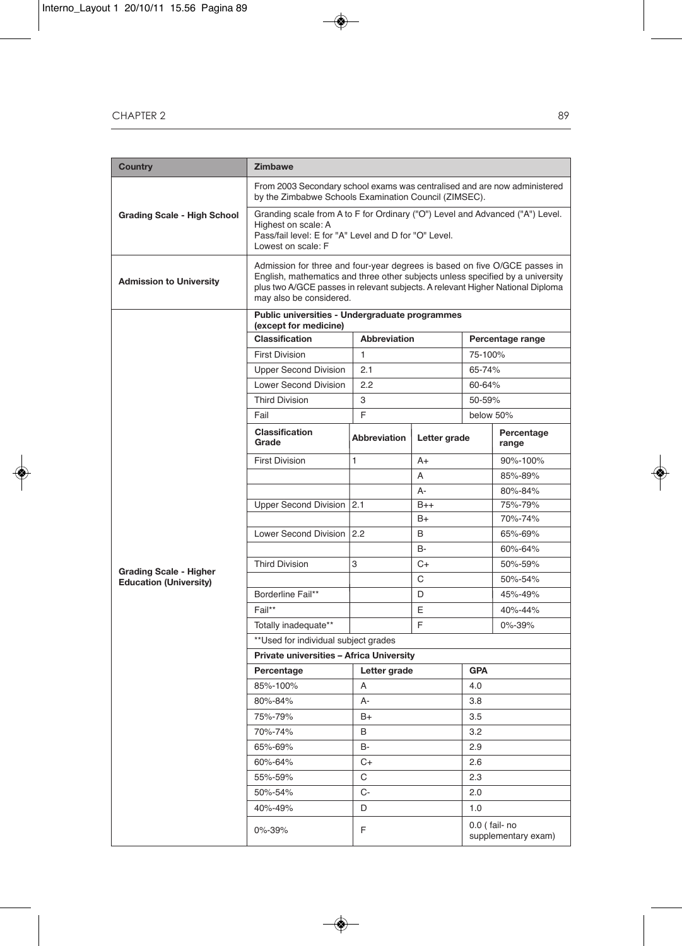| <b>Country</b>                                                 | <b>Zimbawe</b>                                                                                                                                                                                                                                                            |                     |              |                                       |                     |  |
|----------------------------------------------------------------|---------------------------------------------------------------------------------------------------------------------------------------------------------------------------------------------------------------------------------------------------------------------------|---------------------|--------------|---------------------------------------|---------------------|--|
|                                                                | From 2003 Secondary school exams was centralised and are now administered<br>by the Zimbabwe Schools Examination Council (ZIMSEC).                                                                                                                                        |                     |              |                                       |                     |  |
| <b>Grading Scale - High School</b>                             | Granding scale from A to F for Ordinary ("O") Level and Advanced ("A") Level.<br>Highest on scale: A<br>Pass/fail level: E for "A" Level and D for "O" Level.<br>Lowest on scale: F                                                                                       |                     |              |                                       |                     |  |
| <b>Admission to University</b>                                 | Admission for three and four-year degrees is based on five O/GCE passes in<br>English, mathematics and three other subjects unless specified by a university<br>plus two A/GCE passes in relevant subjects. A relevant Higher National Diploma<br>may also be considered. |                     |              |                                       |                     |  |
|                                                                | Public universities - Undergraduate programmes<br>(except for medicine)                                                                                                                                                                                                   |                     |              |                                       |                     |  |
|                                                                | Classification                                                                                                                                                                                                                                                            | <b>Abbreviation</b> |              | Percentage range                      |                     |  |
|                                                                | <b>First Division</b>                                                                                                                                                                                                                                                     | 1                   |              | 75-100%                               |                     |  |
|                                                                | <b>Upper Second Division</b>                                                                                                                                                                                                                                              | 2.1                 |              | 65-74%                                |                     |  |
|                                                                | <b>Lower Second Division</b>                                                                                                                                                                                                                                              | 2.2                 |              |                                       | 60-64%              |  |
|                                                                | <b>Third Division</b>                                                                                                                                                                                                                                                     | 3                   |              |                                       | 50-59%              |  |
|                                                                | Fail                                                                                                                                                                                                                                                                      | F                   |              | below 50%                             |                     |  |
|                                                                | Classification<br>Grade                                                                                                                                                                                                                                                   | <b>Abbreviation</b> | Letter grade |                                       | Percentage<br>range |  |
|                                                                | <b>First Division</b>                                                                                                                                                                                                                                                     | 1                   | $A+$         |                                       | 90%-100%            |  |
|                                                                |                                                                                                                                                                                                                                                                           |                     | A            |                                       | 85%-89%             |  |
|                                                                |                                                                                                                                                                                                                                                                           |                     | $A -$        |                                       | 80%-84%             |  |
|                                                                | <b>Upper Second Division</b>                                                                                                                                                                                                                                              | 2.1                 | $B++$        |                                       | 75%-79%             |  |
|                                                                |                                                                                                                                                                                                                                                                           |                     | B+           |                                       | 70%-74%             |  |
|                                                                | Lower Second Division                                                                                                                                                                                                                                                     | 12.2                | B            |                                       | 65%-69%             |  |
|                                                                |                                                                                                                                                                                                                                                                           |                     | B-           |                                       | 60%-64%             |  |
| <b>Grading Scale - Higher</b><br><b>Education (University)</b> | <b>Third Division</b>                                                                                                                                                                                                                                                     | 3                   | C+           |                                       | 50%-59%             |  |
|                                                                |                                                                                                                                                                                                                                                                           |                     | С            |                                       | 50%-54%             |  |
|                                                                | Borderline Fail**                                                                                                                                                                                                                                                         |                     | D            |                                       | 45%-49%             |  |
|                                                                | Fail**                                                                                                                                                                                                                                                                    |                     | E            |                                       | 40%-44%             |  |
|                                                                | Totally inadequate**                                                                                                                                                                                                                                                      |                     | F            |                                       | 0%-39%              |  |
|                                                                | ** Used for individual subject grades                                                                                                                                                                                                                                     |                     |              |                                       |                     |  |
|                                                                | Private universities - Africa University                                                                                                                                                                                                                                  |                     |              |                                       |                     |  |
|                                                                | Percentage                                                                                                                                                                                                                                                                | Letter grade        | <b>GPA</b>   |                                       |                     |  |
|                                                                | 85%-100%                                                                                                                                                                                                                                                                  | A                   |              | 4.0                                   |                     |  |
|                                                                | 80%-84%                                                                                                                                                                                                                                                                   | А-                  |              | 3.8                                   |                     |  |
|                                                                | 75%-79%                                                                                                                                                                                                                                                                   | $B+$                |              | 3.5                                   |                     |  |
|                                                                | 70%-74%                                                                                                                                                                                                                                                                   | В                   |              | 3.2                                   |                     |  |
|                                                                | 65%-69%                                                                                                                                                                                                                                                                   | B-                  |              | 2.9                                   |                     |  |
|                                                                | 60%-64%                                                                                                                                                                                                                                                                   | C+                  |              | 2.6                                   |                     |  |
|                                                                | 55%-59%                                                                                                                                                                                                                                                                   | С                   |              | 2.3                                   |                     |  |
|                                                                | 50%-54%                                                                                                                                                                                                                                                                   | C-                  |              | 2.0                                   |                     |  |
|                                                                | 40%-49%                                                                                                                                                                                                                                                                   | D<br>1.0            |              |                                       |                     |  |
|                                                                | 0%-39%                                                                                                                                                                                                                                                                    | F                   |              | 0.0 ( fail- no<br>supplementary exam) |                     |  |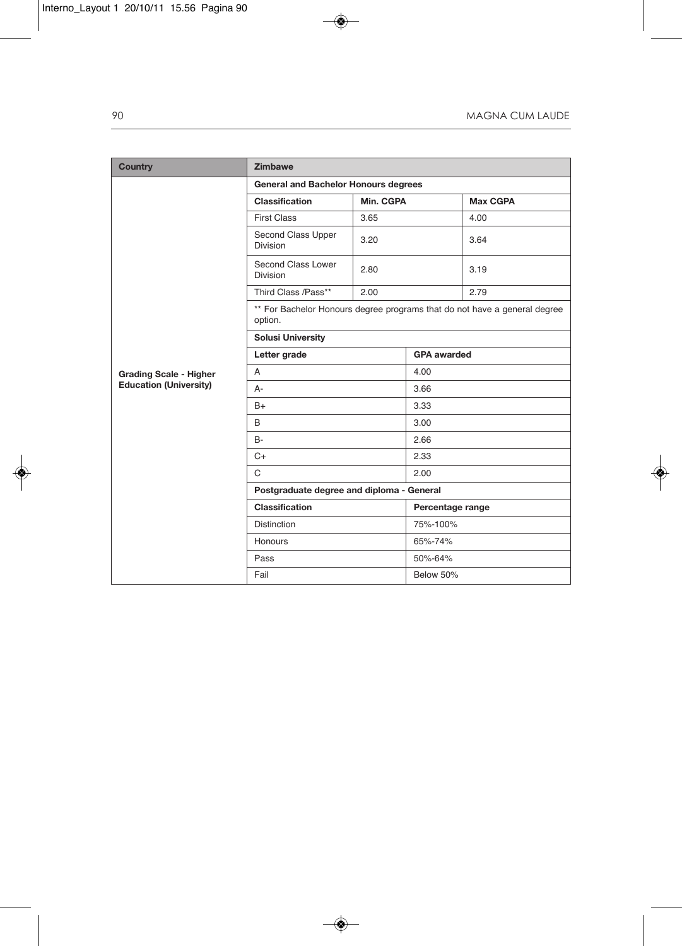| Country                                                        | <b>Zimbawe</b>                                                                       |           |                    |                 |  |
|----------------------------------------------------------------|--------------------------------------------------------------------------------------|-----------|--------------------|-----------------|--|
| <b>Grading Scale - Higher</b><br><b>Education (University)</b> | <b>General and Bachelor Honours degrees</b>                                          |           |                    |                 |  |
|                                                                | Classification                                                                       | Min. CGPA |                    | <b>Max CGPA</b> |  |
|                                                                | <b>First Class</b>                                                                   | 3.65      |                    | 4.00            |  |
|                                                                | Second Class Upper<br><b>Division</b>                                                | 3.20      |                    | 3.64            |  |
|                                                                | Second Class Lower<br><b>Division</b>                                                | 2.80      |                    | 3.19            |  |
|                                                                | Third Class /Pass**                                                                  | 2.00      |                    | 2.79            |  |
|                                                                | ** For Bachelor Honours degree programs that do not have a general degree<br>option. |           |                    |                 |  |
|                                                                | <b>Solusi University</b>                                                             |           |                    |                 |  |
|                                                                | Letter grade                                                                         |           | <b>GPA awarded</b> |                 |  |
|                                                                | A                                                                                    |           | 4.00               |                 |  |
|                                                                | А-                                                                                   |           | 3.66               |                 |  |
|                                                                | $B+$                                                                                 |           | 3.33               |                 |  |
|                                                                | B                                                                                    |           | 3.00               |                 |  |
|                                                                | <b>B-</b>                                                                            |           | 2.66               |                 |  |
|                                                                | $C+$                                                                                 |           | 2.33               |                 |  |
|                                                                | $\mathsf{C}$                                                                         |           | 2.00               |                 |  |
|                                                                | Postgraduate degree and diploma - General                                            |           |                    |                 |  |
|                                                                | <b>Classification</b>                                                                |           | Percentage range   |                 |  |
|                                                                | <b>Distinction</b>                                                                   |           | 75%-100%           |                 |  |
|                                                                | Honours                                                                              |           | 65%-74%            |                 |  |
|                                                                | Pass                                                                                 |           | 50%-64%            |                 |  |
|                                                                | Fail                                                                                 |           | Below 50%          |                 |  |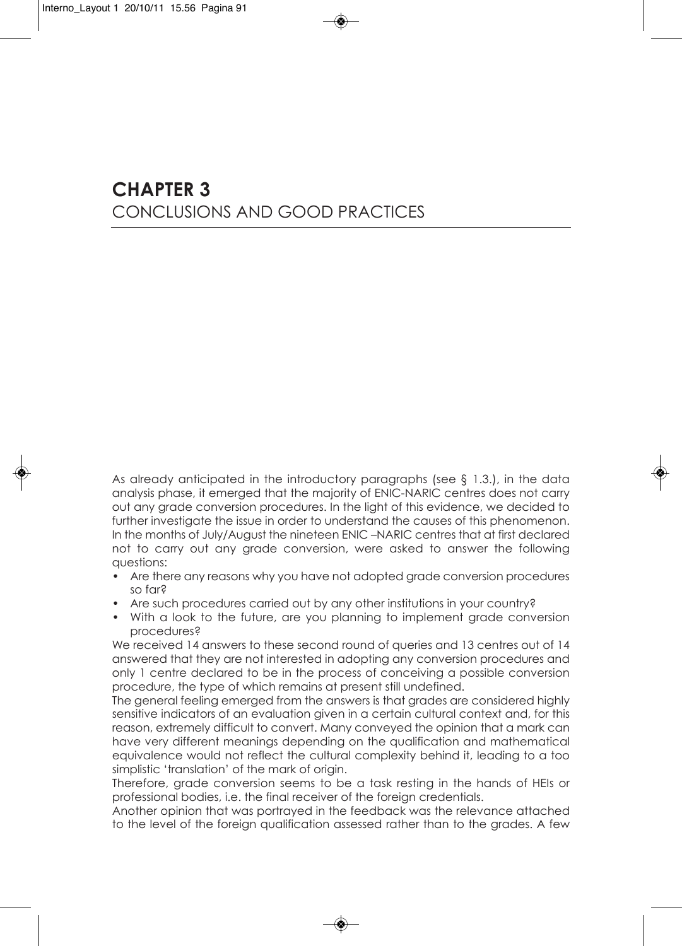## **CHAPTER 3** conclusions And good PrActices

As already anticipated in the introductory paragraphs (see  $\S$  1.3.), in the data analysis phase, it emerged that the majority of enic-nAric centres does not carry out any grade conversion procedures. in the light of this evidence, we decided to further investigate the issue in order to understand the causes of this phenomenon. In the months of July/August the nineteen ENIC-NARIC centres that at first declared not to carry out any grade conversion, were asked to answer the following questions:

- Are there any reasons why you have not adopted grade conversion procedures so far?
- Are such procedures carried out by any other institutions in your country?
- With a look to the future, are you planning to implement grade conversion procedures?

We received 14 answers to these second round of queries and 13 centres out of 14 answered that they are not interested in adopting any conversion procedures and only 1 centre declared to be in the process of conceiving a possible conversion procedure, the type of which remains at present still undefined.

the general feeling emerged from the answers is that grades are considered highly sensitive indicators of an evaluation given in a certain cultural context and, for this reason, extremely difficult to convert. many conveyed the opinion that a mark can have very different meanings depending on the qualification and mathematical equivalence would not reflect the cultural complexity behind it, leading to a too simplistic 'translation' of the mark of origin.

therefore, grade conversion seems to be a task resting in the hands of Heis or professional bodies, i.e. the final receiver of the foreign credentials.

Another opinion that was portrayed in the feedback was the relevance attached to the level of the foreign qualification assessed rather than to the grades. A few